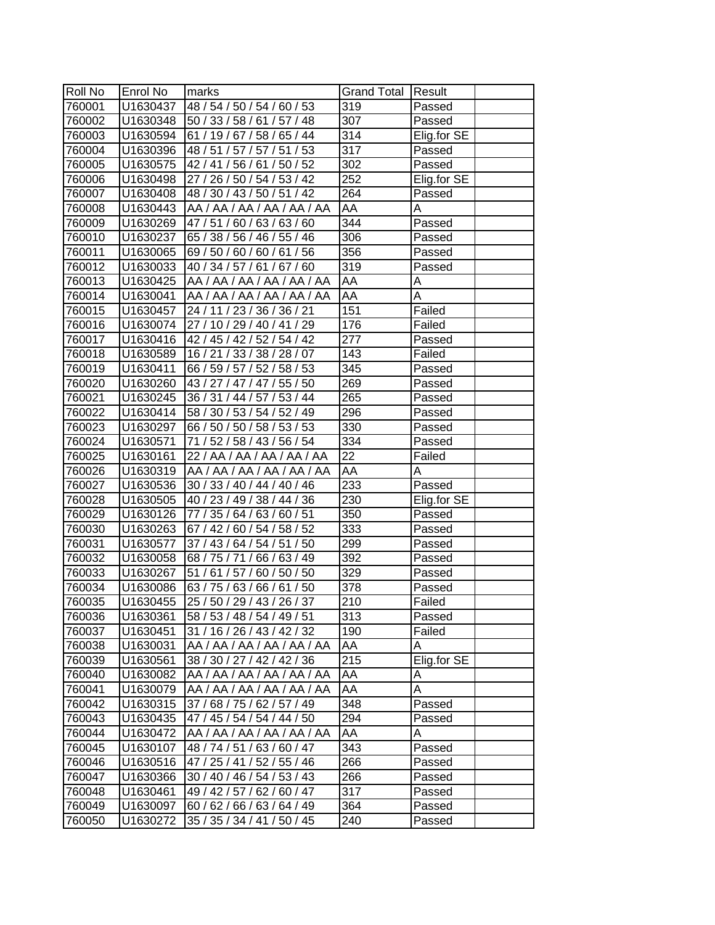| Roll No | Enrol No | marks                                | <b>Grand Total Result</b> |             |  |
|---------|----------|--------------------------------------|---------------------------|-------------|--|
| 760001  | U1630437 | 48 / 54 / 50 / 54 / 60 / 53          | 319                       | Passed      |  |
| 760002  |          | U1630348 50 / 33 / 58 / 61 / 57 / 48 | 307                       | Passed      |  |
| 760003  | U1630594 | 61 / 19 / 67 / 58 / 65 / 44          | 314                       | Elig.for SE |  |
| 760004  | U1630396 | 48 / 51 / 57 / 57 / 51 / 53          | $\overline{317}$          | Passed      |  |
| 760005  | U1630575 | 42 / 41 / 56 / 61 / 50 / 52          | 302                       | Passed      |  |
| 760006  | U1630498 | 27 / 26 / 50 / 54 / 53 / 42          | 252                       | Elig.for SE |  |
| 760007  | U1630408 | 48 / 30 / 43 / 50 / 51 / 42          | 264                       | Passed      |  |
| 760008  | U1630443 | AA / AA / AA / AA / AA / AA          | AA                        | Α           |  |
| 760009  | U1630269 | 47/51/60/63/63/60                    | 344                       | Passed      |  |
| 760010  | U1630237 | 65 / 38 / 56 / 46 / 55 / 46          | $\overline{306}$          | Passed      |  |
| 760011  | U1630065 | 69/50/60/60/61/56                    | 356                       | Passed      |  |
| 760012  | U1630033 | 40 / 34 / 57 / 61 / 67 / 60          | 319                       | Passed      |  |
| 760013  | U1630425 | AA / AA / AA / AA / AA / AA          | AA                        | Α           |  |
| 760014  | U1630041 | AA / AA / AA / AA / AA / AA          | AA                        | Α           |  |
| 760015  | U1630457 | 24 / 11 / 23 / 36 / 36 / 21          | 151                       | Failed      |  |
| 760016  | U1630074 | 27 / 10 / 29 / 40 / 41 / 29          | 176                       | Failed      |  |
| 760017  | U1630416 | 42 / 45 / 42 / 52 / 54 / 42          | 277                       | Passed      |  |
| 760018  | U1630589 | 16 / 21 / 33 / 38 / 28 / 07          | 143                       | Failed      |  |
| 760019  | U1630411 | 66 / 59 / 57 / 52 / 58 / 53          | 345                       | Passed      |  |
| 760020  | U1630260 | 43 / 27 / 47 / 47 / 55 / 50          | 269                       | Passed      |  |
| 760021  | U1630245 | 36 / 31 / 44 / 57 / 53 / 44          | 265                       | Passed      |  |
| 760022  | U1630414 | 58 / 30 / 53 / 54 / 52 / 49          | 296                       | Passed      |  |
| 760023  | U1630297 | 66 / 50 / 50 / 58 / 53 / 53          | 330                       | Passed      |  |
| 760024  | U1630571 | 71 / 52 / 58 / 43 / 56 / 54          | 334                       | Passed      |  |
| 760025  | U1630161 | 22 / AA / AA / AA / AA / AA          | 22                        | Failed      |  |
| 760026  | U1630319 | AA / AA / AA / AA / AA / AA          | AA                        | Α           |  |
| 760027  | U1630536 | 30 / 33 / 40 / 44 / 40 / 46          | $\overline{233}$          | Passed      |  |
| 760028  | U1630505 | 40 / 23 / 49 / 38 / 44 / 36          | 230                       | Elig.for SE |  |
| 760029  | U1630126 | 77 / 35 / 64 / 63 / 60 / 51          | 350                       | Passed      |  |
| 760030  | U1630263 | 67 / 42 / 60 / 54 / 58 / 52          | 333                       | Passed      |  |
| 760031  | U1630577 | 37 / 43 / 64 / 54 / 51 / 50          | 299                       | Passed      |  |
| 760032  | U1630058 | 68 / 75 / 71 / 66 / 63 / 49          | 392                       | Passed      |  |
| 760033  | U1630267 | 51 / 61 / 57 / 60 / 50 / 50          | 329                       | Passed      |  |
| 760034  | U1630086 | 63 / 75 / 63 / 66 / 61 / 50          | $\overline{378}$          | Passed      |  |
| 760035  | U1630455 | 25 / 50 / 29 / 43 / 26 / 37          | $\overline{210}$          | Failed      |  |
| 760036  | U1630361 | 58 / 53 / 48 / 54 / 49 / 51          | 313                       | Passed      |  |
| 760037  | U1630451 | 31 / 16 / 26 / 43 / 42 / 32          | 190                       | Failed      |  |
| 760038  | U1630031 | AA / AA / AA / AA / AA / AA          | AA                        | Α           |  |
| 760039  | U1630561 | 38 / 30 / 27 / 42 / 42 / 36          | 215                       | Elig.for SE |  |
| 760040  | U1630082 | AA / AA / AA / AA / AA / AA          | AA                        | Α           |  |
| 760041  | U1630079 | AA / AA / AA / AA / AA / AA          | AA                        | Α           |  |
| 760042  | U1630315 | 37 / 68 / 75 / 62 / 57 / 49          | 348                       | Passed      |  |
| 760043  | U1630435 | 47 / 45 / 54 / 54 / 44 / 50          | 294                       | Passed      |  |
| 760044  | U1630472 | AA / AA / AA / AA / AA / AA          | AA                        | A           |  |
| 760045  | U1630107 | 48 / 74 / 51 / 63 / 60 / 47          | 343                       | Passed      |  |
| 760046  | U1630516 | 47 / 25 / 41 / 52 / 55 / 46          | 266                       | Passed      |  |
| 760047  | U1630366 | 30 / 40 / 46 / 54 / 53 / 43          | 266                       | Passed      |  |
| 760048  | U1630461 | 49 / 42 / 57 / 62 / 60 / 47          | 317                       | Passed      |  |
| 760049  | U1630097 | 60 / 62 / 66 / 63 / 64 / 49          | 364                       | Passed      |  |
| 760050  | U1630272 | 35 / 35 / 34 / 41 / 50 / 45          | 240                       | Passed      |  |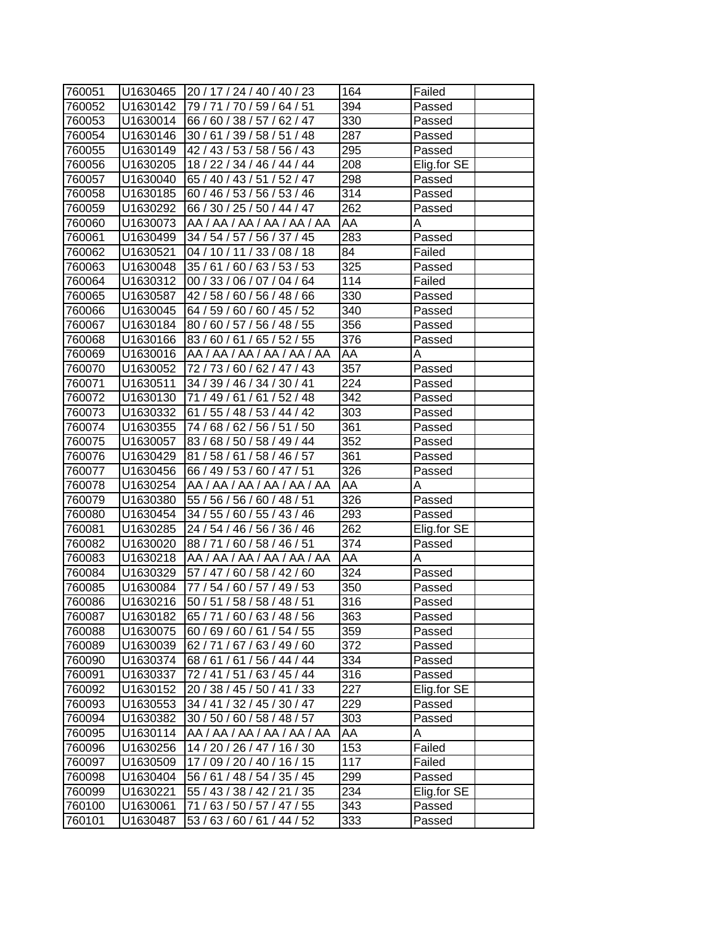| 760051 | U1630465 | 20 / 17 / 24 / 40 / 40 / 23 | 164               | Failed      |
|--------|----------|-----------------------------|-------------------|-------------|
| 760052 | U1630142 | 79 / 71 / 70 / 59 / 64 / 51 | 394               | Passed      |
| 760053 | U1630014 | 66 / 60 / 38 / 57 / 62 / 47 | 330               | Passed      |
| 760054 | U1630146 | 30 / 61 / 39 / 58 / 51 / 48 | 287               | Passed      |
| 760055 | U1630149 | 42 / 43 / 53 / 58 / 56 / 43 | 295               | Passed      |
| 760056 | U1630205 | 18 / 22 / 34 / 46 / 44 / 44 | 208               | Elig.for SE |
| 760057 | U1630040 | 65 / 40 / 43 / 51 / 52 / 47 | 298               | Passed      |
| 760058 | U1630185 | 60 / 46 / 53 / 56 / 53 / 46 | 314               | Passed      |
| 760059 | U1630292 | 66 / 30 / 25 / 50 / 44 / 47 | 262               | Passed      |
| 760060 | U1630073 | AA / AA / AA / AA / AA / AA | AA                | A           |
| 760061 | U1630499 | 34 / 54 / 57 / 56 / 37 / 45 | 283               | Passed      |
| 760062 | U1630521 | 04 / 10 / 11 / 33 / 08 / 18 | 84                | Failed      |
| 760063 | U1630048 | 35/61/60/63/53/53           | 325               | Passed      |
| 760064 | U1630312 | 00 / 33 / 06 / 07 / 04 / 64 | 114               | Failed      |
| 760065 | U1630587 | 42 / 58 / 60 / 56 / 48 / 66 | 330               | Passed      |
| 760066 | U1630045 | 64 / 59 / 60 / 60 / 45 / 52 | 340               | Passed      |
| 760067 | U1630184 | 80 / 60 / 57 / 56 / 48 / 55 | 356               | Passed      |
| 760068 | U1630166 | 83/60/61/65/52/55           | 376               | Passed      |
| 760069 | U1630016 | AA / AA / AA / AA / AA / AA | AA                | Α           |
| 760070 | U1630052 | 72 / 73 / 60 / 62 / 47 / 43 | 357               | Passed      |
| 760071 | U1630511 | 34 / 39 / 46 / 34 / 30 / 41 | 224               | Passed      |
| 760072 | U1630130 | 71 / 49 / 61 / 61 / 52 / 48 | $\overline{3}$ 42 | Passed      |
| 760073 | U1630332 | 61 / 55 / 48 / 53 / 44 / 42 | 303               | Passed      |
| 760074 | U1630355 | 74 / 68 / 62 / 56 / 51 / 50 | 361               | Passed      |
| 760075 | U1630057 | 83 / 68 / 50 / 58 / 49 / 44 | 352               | Passed      |
| 760076 | U1630429 | 81/58/61/58/46/57           | 361               | Passed      |
| 760077 | U1630456 | 66 / 49 / 53 / 60 / 47 / 51 | 326               | Passed      |
| 760078 | U1630254 | AA / AA / AA / AA / AA / AA | AA                | A           |
| 760079 | U1630380 | 55 / 56 / 56 / 60 / 48 / 51 | 326               | Passed      |
| 760080 | U1630454 | 34 / 55 / 60 / 55 / 43 / 46 | 293               | Passed      |
| 760081 | U1630285 | 24 / 54 / 46 / 56 / 36 / 46 | 262               | Elig.for SE |
| 760082 | U1630020 | 88 / 71 / 60 / 58 / 46 / 51 | 374               | Passed      |
| 760083 | U1630218 | AA / AA / AA / AA / AA / AA | AA                | Α           |
| 760084 | U1630329 | 57 / 47 / 60 / 58 / 42 / 60 | $\overline{324}$  | Passed      |
| 760085 | U1630084 | 77 / 54 / 60 / 57 / 49 / 53 | 350               | Passed      |
| 760086 | U1630216 | 50 / 51 / 58 / 58 / 48 / 51 | $\overline{316}$  | Passed      |
| 760087 | U1630182 | 65 / 71 / 60 / 63 / 48 / 56 | 363               | Passed      |
| 760088 | U1630075 | 60/69/60/61/54/55           | 359               | Passed      |
| 760089 | U1630039 | 62 / 71 / 67 / 63 / 49 / 60 | 372               | Passed      |
| 760090 | U1630374 | 68/61/61/56/44/44           | 334               | Passed      |
| 760091 | U1630337 | 72 / 41 / 51 / 63 / 45 / 44 | 316               | Passed      |
| 760092 | U1630152 | 20 / 38 / 45 / 50 / 41 / 33 | 227               | Elig.for SE |
| 760093 | U1630553 | 34 / 41 / 32 / 45 / 30 / 47 | 229               | Passed      |
| 760094 | U1630382 | 30 / 50 / 60 / 58 / 48 / 57 | 303               | Passed      |
| 760095 | U1630114 | AA / AA / AA / AA / AA / AA | AA                | A           |
| 760096 | U1630256 | 14 / 20 / 26 / 47 / 16 / 30 | 153               | Failed      |
| 760097 | U1630509 | 17 / 09 / 20 / 40 / 16 / 15 | 117               | Failed      |
| 760098 | U1630404 | 56 / 61 / 48 / 54 / 35 / 45 | 299               | Passed      |
| 760099 | U1630221 | 55 / 43 / 38 / 42 / 21 / 35 | 234               | Elig.for SE |
| 760100 | U1630061 | 71 / 63 / 50 / 57 / 47 / 55 | 343               | Passed      |
| 760101 | U1630487 | 53 / 63 / 60 / 61 / 44 / 52 | 333               | Passed      |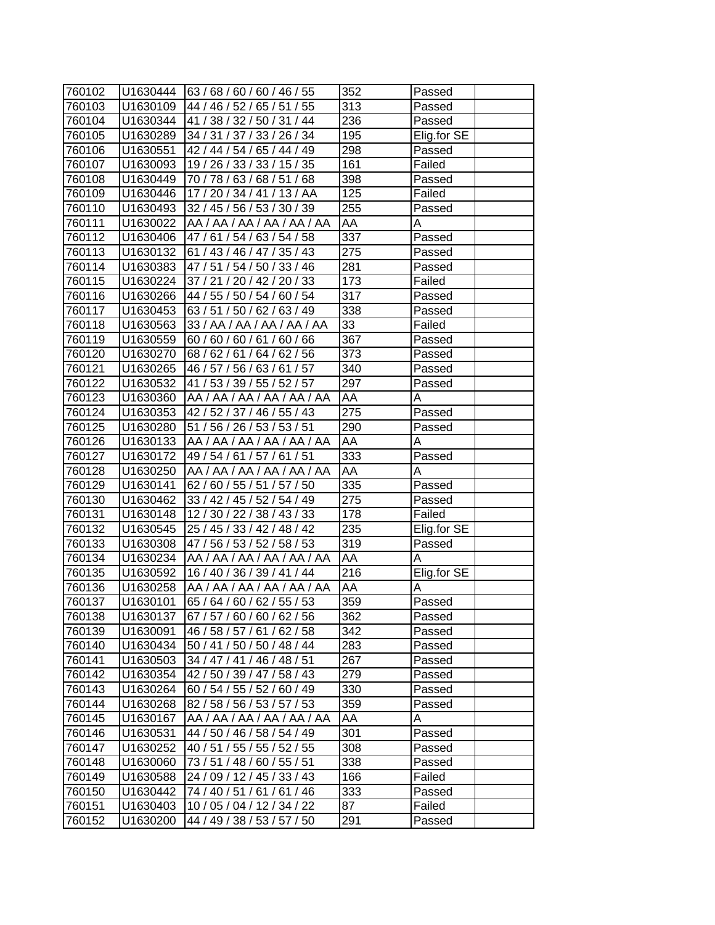| 760102           |                      | $ U1630444 \t  63 / 68 / 60 / 60 / 46 / 55$                | 352 | Passed      |
|------------------|----------------------|------------------------------------------------------------|-----|-------------|
| 760103           | U1630109             | 44 / 46 / 52 / 65 / 51 / 55                                | 313 | Passed      |
| 760104           | U1630344             | 41 / 38 / 32 / 50 / 31 / 44                                | 236 | Passed      |
| 760105           | U1630289             | 34 / 31 / 37 / 33 / 26 / 34                                | 195 | Elig.for SE |
| 760106           | U1630551             | 42 / 44 / 54 / 65 / 44 / 49                                | 298 | Passed      |
| 760107           | U1630093             | 19 / 26 / 33 / 33 / 15 / 35                                | 161 | Failed      |
| 760108           | U1630449             | 70 / 78 / 63 / 68 / 51 / 68                                | 398 | Passed      |
| 760109           |                      | 17/20/34/41/13/AA                                          | 125 | Failed      |
|                  | U1630446<br>U1630493 |                                                            | 255 |             |
| 760110           | U1630022             | 32 / 45 / 56 / 53 / 30 / 39<br>AA / AA / AA / AA / AA / AA | AA  | Passed      |
| 760111           |                      |                                                            | 337 | Α           |
| 760112<br>760113 | U1630406             | 47/61/54/63/54/58                                          |     | Passed      |
|                  | U1630132             | 61 / 43 / 46 / 47 / 35 / 43                                | 275 | Passed      |
| 760114           | U1630383             | 47 / 51 / 54 / 50 / 33 / 46                                | 281 | Passed      |
| 760115           | U1630224             | 37 / 21 / 20 / 42 / 20 / 33                                | 173 | Failed      |
| 760116           | U1630266             | 44 / 55 / 50 / 54 / 60 / 54                                | 317 | Passed      |
| 760117           | U1630453             | 63 / 51 / 50 / 62 / 63 / 49                                | 338 | Passed      |
| 760118           | U1630563             | 33 / AA / AA / AA / AA / AA                                | 33  | Failed      |
| 760119           | U1630559             | 60 / 60 / 60 / 61 / 60 / 66                                | 367 | Passed      |
| 760120           | U1630270             | 68 / 62 / 61 / 64 / 62 / 56                                | 373 | Passed      |
| 760121           | U1630265             | 46 / 57 / 56 / 63 / 61 / 57                                | 340 | Passed      |
| 760122           | U1630532             | 41 / 53 / 39 / 55 / 52 / 57                                | 297 | Passed      |
| 760123           | U1630360             | AA / AA / AA / AA / AA / AA                                | AA  | Α           |
| 760124           | U1630353             | 42 / 52 / 37 / 46 / 55 / 43                                | 275 | Passed      |
| 760125           | U1630280             | 51 / 56 / 26 / 53 / 53 / 51                                | 290 | Passed      |
| 760126           | U1630133             | AA / AA / AA / AA / AA / AA                                | AA  | Α           |
| 760127           | U1630172             | 49 / 54 / 61 / 57 / 61 / 51                                | 333 | Passed      |
| 760128           | U1630250             | AA / AA / AA / AA / AA / AA                                | AA  | Α           |
| 760129           | U1630141             | 62 / 60 / 55 / 51 / 57 / 50                                | 335 | Passed      |
| 760130           | U1630462             | 33 / 42 / 45 / 52 / 54 / 49                                | 275 | Passed      |
| 760131           | U1630148             | 12 / 30 / 22 / 38 / 43 / 33                                | 178 | Failed      |
| 760132           | U1630545             | 25 / 45 / 33 / 42 / 48 / 42                                | 235 | Elig.for SE |
| 760133           | U1630308             | 47 / 56 / 53 / 52 / 58 / 53                                | 319 | Passed      |
| 760134           | U1630234             | AA / AA / AA / AA / AA / AA                                | AA  | Α           |
| 760135           | U1630592             | 16 / 40 / 36 / 39 / 41 / 44                                | 216 | Elig.for SE |
| 760136           | U1630258             | AA / AA / AA / AA / AA / AA                                | AA  | A           |
| 760137           | U1630101             | 65 / 64 / 60 / 62 / 55 / 53                                | 359 | Passed      |
| 760138           | U1630137             | 67 / 57 / 60 / 60 / 62 / 56                                | 362 | Passed      |
| 760139           | U1630091             | 46 / 58 / 57 / 61 / 62 / 58                                | 342 | Passed      |
| 760140           | U1630434             | 50 / 41 / 50 / 50 / 48 / 44                                | 283 | Passed      |
| 760141           | U1630503             | 34 / 47 / 41 / 46 / 48 / 51                                | 267 | Passed      |
| 760142           | U1630354             | 42 / 50 / 39 / 47 / 58 / 43                                | 279 | Passed      |
| 760143           | U1630264             | 60 / 54 / 55 / 52 / 60 / 49                                | 330 | Passed      |
| 760144           | U1630268             | 82 / 58 / 56 / 53 / 57 / 53                                | 359 | Passed      |
| 760145           | U1630167             | AA / AA / AA / AA / AA / AA                                | AA  | A           |
| 760146           | U1630531             | 44 / 50 / 46 / 58 / 54 / 49                                | 301 | Passed      |
| 760147           | U1630252             | 40 / 51 / 55 / 55 / 52 / 55                                | 308 | Passed      |
| 760148           | U1630060             | 73 / 51 / 48 / 60 / 55 / 51                                | 338 | Passed      |
| 760149           | U1630588             | 24 / 09 / 12 / 45 / 33 / 43                                | 166 | Failed      |
| 760150           | U1630442             | 74 / 40 / 51 / 61 / 61 / 46                                | 333 | Passed      |
| 760151           | U1630403             | 10 / 05 / 04 / 12 / 34 / 22                                | 87  | Failed      |
| 760152           | U1630200             | 44 / 49 / 38 / 53 / 57 / 50                                | 291 | Passed      |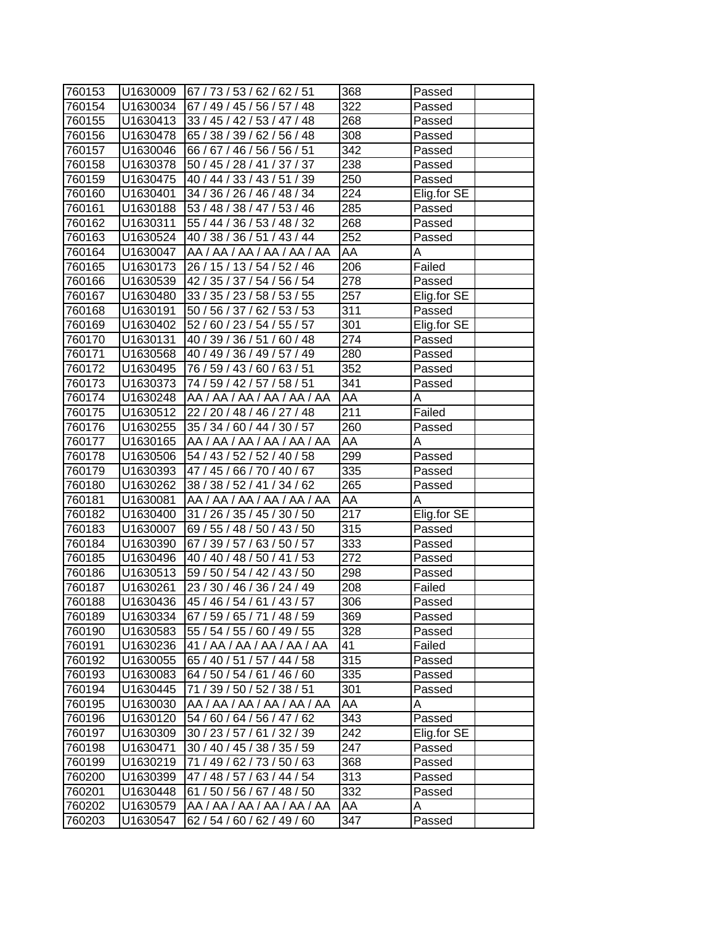| 760153 |                      | U1630009 67/73/53/62/62/51  | 368              | Passed      |
|--------|----------------------|-----------------------------|------------------|-------------|
| 760154 | U1630034             | 67 / 49 / 45 / 56 / 57 / 48 | 322              | Passed      |
| 760155 | U <sub>1630413</sub> | 33 / 45 / 42 / 53 / 47 / 48 | 268              | Passed      |
| 760156 | U1630478             | 65 / 38 / 39 / 62 / 56 / 48 | 308              | Passed      |
| 760157 | U1630046             | 66 / 67 / 46 / 56 / 56 / 51 | 342              | Passed      |
| 760158 | U1630378             | 50 / 45 / 28 / 41 / 37 / 37 | 238              | Passed      |
| 760159 | U1630475             | 40 / 44 / 33 / 43 / 51 / 39 | 250              | Passed      |
| 760160 | U1630401             | 34 / 36 / 26 / 46 / 48 / 34 | 224              | Elig.for SE |
| 760161 | U1630188             | 53 / 48 / 38 / 47 / 53 / 46 | 285              | Passed      |
| 760162 | U1630311             | 55 / 44 / 36 / 53 / 48 / 32 | 268              | Passed      |
| 760163 | U1630524             | 40 / 38 / 36 / 51 / 43 / 44 | 252              | Passed      |
| 760164 | U1630047             | AA / AA / AA / AA / AA / AA | AA               | Α           |
| 760165 | U1630173             | 26 / 15 / 13 / 54 / 52 / 46 | 206              | Failed      |
| 760166 | U1630539             | 42 / 35 / 37 / 54 / 56 / 54 | 278              | Passed      |
| 760167 | U1630480             | 33 / 35 / 23 / 58 / 53 / 55 | 257              | Elig.for SE |
| 760168 | U1630191             | 50 / 56 / 37 /<br>62/53/53  | 311              | Passed      |
| 760169 | U1630402             | 52 / 60 / 23 / 54 / 55 / 57 | 301              | Elig.for SE |
| 760170 | U1630131             | 40 / 39 / 36 / 51 / 60 / 48 | $\overline{274}$ | Passed      |
| 760171 | U1630568             | 40 / 49 / 36 / 49 / 57 / 49 | 280              | Passed      |
| 760172 | U1630495             | 76 / 59 / 43 / 60 / 63 / 51 | 352              | Passed      |
| 760173 | U1630373             | 74 / 59 / 42 / 57 / 58 / 51 | 341              | Passed      |
| 760174 | U1630248             | AA / AA / AA / AA / AA / AA | <b>AA</b>        | Α           |
| 760175 | U1630512             | 22 / 20 / 48 / 46 / 27 / 48 | 211              | Failed      |
| 760176 | U1630255             | 35 / 34 / 60 / 44 / 30 / 57 | 260              | Passed      |
| 760177 | U1630165             | AA / AA / AA / AA / AA / AA | AA               | А           |
| 760178 | U1630506             | 54 / 43 / 52 / 52 / 40 / 58 | 299              | Passed      |
| 760179 | U1630393             | 47 / 45 / 66 / 70 / 40 / 67 | 335              | Passed      |
| 760180 | U1630262             | 38 / 38 / 52 / 41 / 34 / 62 | 265              | Passed      |
| 760181 | U1630081             | AA / AA / AA / AA / AA / AA | AA               | Α           |
| 760182 | U1630400             | 31 / 26 / 35 / 45 / 30 / 50 | 217              | Elig.for SE |
| 760183 | U1630007             | 69 / 55 / 48 / 50 / 43 / 50 | 315              | Passed      |
| 760184 | U1630390             | 67 / 39 / 57 / 63 / 50 / 57 | 333              | Passed      |
| 760185 | U1630496             | 40 / 40 / 48 / 50 / 41 / 53 | 272              | Passed      |
| 760186 | U1630513             | 59 / 50 / 54 / 42 / 43 / 50 | 298              | Passed      |
| 760187 | U1630261             | 23 / 30 / 46 / 36 / 24 / 49 | 208              | Failed      |
| 760188 | U1630436             | 45 / 46 / 54 / 61 / 43 / 57 | 306              | Passed      |
| 760189 | U1630334             | 67 / 59 / 65 / 71 / 48 / 59 | 369              | Passed      |
| 760190 | U1630583             | 55 / 54 / 55 / 60 / 49 / 55 | 328              | Passed      |
| 760191 | U1630236             | 41 / AA / AA / AA / AA / AA | 41               | Failed      |
| 760192 | U1630055             | 65 / 40 / 51 / 57 / 44 / 58 | 315              | Passed      |
| 760193 | U1630083             | 64 / 50 / 54 / 61 / 46 / 60 | 335              | Passed      |
| 760194 | U1630445             | 71 / 39 / 50 / 52 / 38 / 51 | 301              | Passed      |
| 760195 | U1630030             | AA / AA / AA / AA / AA / AA | AA               | A           |
| 760196 | U1630120             | 54 / 60 / 64 / 56 / 47 / 62 | 343              | Passed      |
| 760197 | U1630309             | 30 / 23 / 57 / 61 / 32 / 39 | 242              | Elig.for SE |
| 760198 | U1630471             | 30 / 40 / 45 / 38 / 35 / 59 | 247              | Passed      |
| 760199 | U1630219             | 71 / 49 / 62 / 73 / 50 / 63 | 368              | Passed      |
| 760200 | U1630399             | 47 / 48 / 57 / 63 / 44 / 54 | 313              | Passed      |
| 760201 | U1630448             | 61 / 50 / 56 / 67 / 48 / 50 | 332              | Passed      |
| 760202 | U1630579             | AA / AA / AA / AA / AA / AA | AA               | Α           |
| 760203 | U1630547             | 62 / 54 / 60 / 62 / 49 / 60 | 347              | Passed      |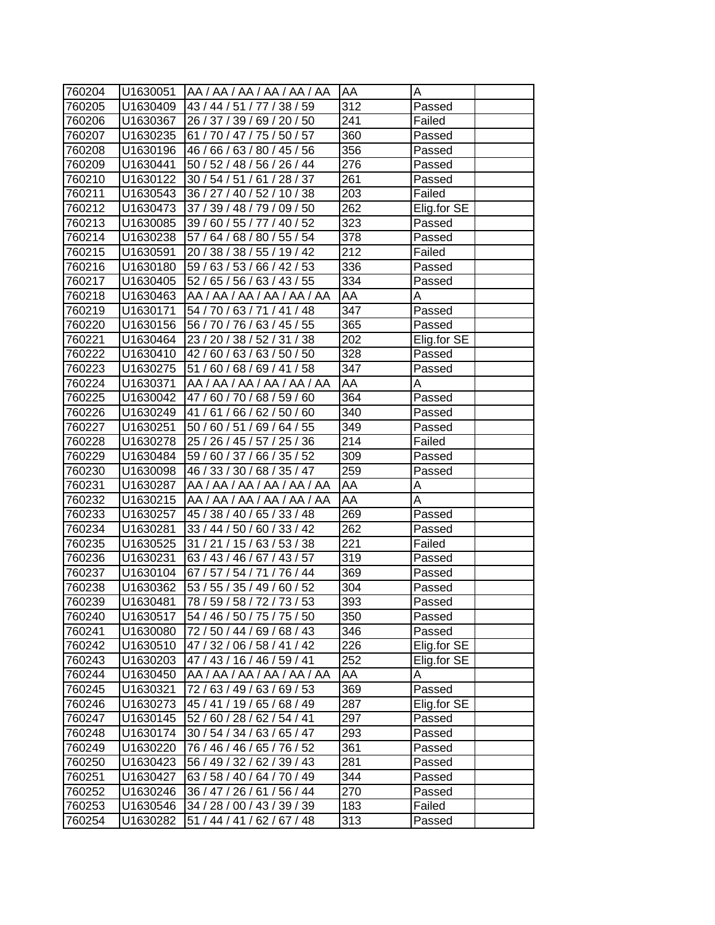| 760204 | U1630051 | AA / AA / AA / AA / AA / AA | <b>AA</b>        | А           |
|--------|----------|-----------------------------|------------------|-------------|
| 760205 | U1630409 | 43 / 44 / 51 / 77 / 38 / 59 | 312              | Passed      |
| 760206 | U1630367 | 26 / 37 / 39 / 69 / 20 / 50 | 241              | Failed      |
| 760207 | U1630235 | 61 / 70 / 47 / 75 / 50 / 57 | 360              | Passed      |
| 760208 | U1630196 | 46 / 66 / 63 / 80 / 45 / 56 | 356              | Passed      |
| 760209 | U1630441 | 50 / 52 / 48 / 56 / 26 / 44 | 276              | Passed      |
| 760210 | U1630122 | 30 / 54 / 51 / 61 / 28 / 37 | 261              | Passed      |
| 760211 | U1630543 | 36 / 27 / 40 / 52 / 10 / 38 | 203              | Failed      |
| 760212 | U1630473 | 37 / 39 / 48 / 79 / 09 / 50 | 262              | Elig.for SE |
| 760213 | U1630085 | 39 / 60 / 55 / 77 / 40 / 52 | 323              | Passed      |
| 760214 | U1630238 | 57 / 64 / 68 / 80 / 55 / 54 | 378              | Passed      |
| 760215 | U1630591 | 20 / 38 / 38 / 55 / 19 / 42 | 212              | Failed      |
| 760216 | U1630180 | 59 / 63 / 53 / 66 / 42 / 53 | 336              | Passed      |
| 760217 | U1630405 | 52 / 65 / 56 / 63 / 43 / 55 | 334              | Passed      |
| 760218 | U1630463 | AA / AA / AA / AA / AA / AA | AA               | A           |
| 760219 | U1630171 | 54 / 70 / 63 / 71 / 41 / 48 | 347              | Passed      |
| 760220 | U1630156 | 56 / 70 / 76 / 63 / 45 / 55 | 365              | Passed      |
| 760221 | U1630464 | 23 / 20 / 38 / 52 / 31 / 38 | 202              | Elig.for SE |
| 760222 | U1630410 | 42 / 60 / 63 / 63 / 50 / 50 | $\overline{328}$ | Passed      |
| 760223 | U1630275 | 51 / 60 / 68 / 69 / 41 / 58 | 347              | Passed      |
| 760224 | U1630371 | AA / AA / AA / AA / AA / AA | AA               | A           |
| 760225 | U1630042 | 47/60/70/68/59/60           | 364              | Passed      |
| 760226 | U1630249 | 41 / 61 / 66 / 62 / 50 / 60 | 340              | Passed      |
| 760227 | U1630251 | 50 / 60 / 51 / 69 / 64 / 55 | 349              | Passed      |
| 760228 | U1630278 | 25 / 26 / 45 / 57 / 25 / 36 | 214              | Failed      |
| 760229 | U1630484 | 59 / 60 / 37 / 66 / 35 / 52 | 309              | Passed      |
| 760230 | U1630098 | 46 / 33 / 30 / 68 / 35 / 47 | 259              | Passed      |
| 760231 | U1630287 | AA / AA / AA / AA / AA / AA | AA               | Α           |
| 760232 | U1630215 | AA / AA / AA / AA / AA / AA | AA               | Α           |
| 760233 | U1630257 | 45 / 38 / 40 / 65 / 33 / 48 | 269              | Passed      |
| 760234 | U1630281 | 33 / 44 / 50 / 60 / 33 / 42 | 262              | Passed      |
| 760235 | U1630525 | 31 / 21 / 15 / 63 / 53 / 38 | 221              | Failed      |
| 760236 | U1630231 | 63 / 43 / 46 / 67 / 43 / 57 | 319              | Passed      |
| 760237 | U1630104 | 67 / 57 / 54 / 71 / 76 / 44 | 369              | Passed      |
| 760238 | U1630362 | 53 / 55 / 35 / 49 / 60 / 52 | 304              | Passed      |
| 760239 | U1630481 | 78 / 59 / 58 / 72 / 73 / 53 | 393              | Passed      |
| 760240 | U1630517 | 54 / 46 / 50 / 75 / 75 / 50 | 350              | Passed      |
| 760241 | U1630080 | 72 / 50 / 44 / 69 / 68 / 43 | 346              | Passed      |
| 760242 | U1630510 | 47 / 32 / 06 / 58 / 41 / 42 | 226              | Elig.for SE |
| 760243 | U1630203 | 47 / 43 / 16 / 46 / 59 / 41 | 252              | Elig.for SE |
| 760244 | U1630450 | AA / AA / AA / AA / AA / AA | AA               | A           |
| 760245 | U1630321 | 72 / 63 / 49 / 63 / 69 / 53 | 369              | Passed      |
| 760246 | U1630273 | 45 / 41 / 19 / 65 / 68 / 49 | 287              | Elig.for SE |
| 760247 | U1630145 | 52 / 60 / 28 / 62 / 54 / 41 | 297              | Passed      |
| 760248 | U1630174 | 30 / 54 / 34 / 63 / 65 / 47 | 293              | Passed      |
| 760249 | U1630220 | 76 / 46 / 46 / 65 / 76 / 52 | 361              | Passed      |
| 760250 | U1630423 | 56 / 49 / 32 / 62 / 39 / 43 | 281              | Passed      |
| 760251 | U1630427 | 63/58/40/64/70/49           | 344              | Passed      |
| 760252 | U1630246 | 36 / 47 / 26 / 61 / 56 / 44 | 270              | Passed      |
| 760253 | U1630546 | 34 / 28 / 00 / 43 / 39 / 39 | 183              | Failed      |
| 760254 | U1630282 | 51 / 44 / 41 / 62 / 67 / 48 | 313              | Passed      |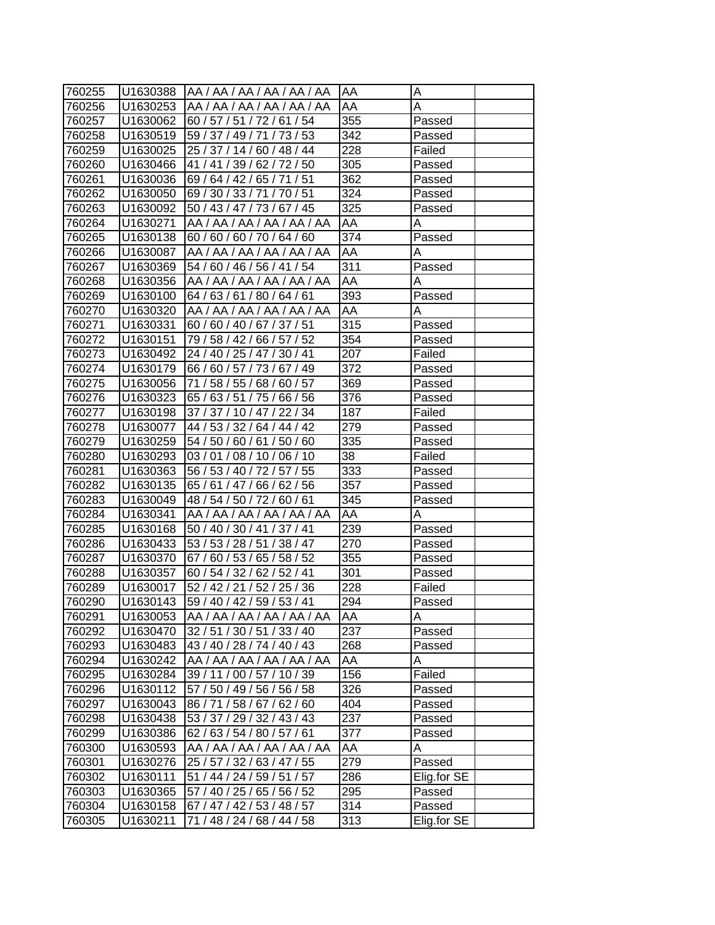| 760255 | U1630388 | IAA / AA / AA / AA / AA / AA | IAA | Α           |
|--------|----------|------------------------------|-----|-------------|
| 760256 | U1630253 | AA / AA / AA / AA / AA / AA  | AA  | Α           |
| 760257 | U1630062 | 60 / 57 / 51 / 72 / 61 / 54  | 355 | Passed      |
| 760258 | U1630519 | 59 / 37 / 49 / 71 / 73 / 53  | 342 | Passed      |
| 760259 | U1630025 | 25 / 37 / 14 / 60 / 48 / 44  | 228 | Failed      |
| 760260 | U1630466 | 41 / 41 / 39 / 62 / 72 / 50  | 305 | Passed      |
| 760261 | U1630036 | 69/64/42/65/71/51            | 362 | Passed      |
| 760262 | U1630050 | 69 / 30 / 33 / 71 / 70 / 51  | 324 | Passed      |
| 760263 | U1630092 | 50 / 43 / 47 / 73 / 67 / 45  | 325 | Passed      |
| 760264 | U1630271 | AA / AA / AA / AA / AA / AA  | AA  | A           |
| 760265 | U1630138 | 60/60/60/70/64/60            | 374 | Passed      |
| 760266 | U1630087 | AA / AA / AA / AA / AA / AA  | AA  | Α           |
| 760267 | U1630369 | 54 / 60 / 46 / 56 / 41 / 54  | 311 | Passed      |
| 760268 | U1630356 | AA / AA / AA / AA / AA / AA  | AA  | Α           |
| 760269 | U1630100 | 64 / 63 / 61 / 80 / 64 / 61  | 393 | Passed      |
| 760270 | U1630320 | AA / AA / AA / AA / AA / AA  | AA  | A           |
| 760271 | U1630331 | 60 / 60 / 40 / 67 / 37 / 51  | 315 | Passed      |
| 760272 | U1630151 | 79 / 58 / 42 / 66 / 57 / 52  | 354 | Passed      |
| 760273 | U1630492 | 24 / 40 / 25 / 47 / 30 / 41  | 207 | Failed      |
| 760274 | U1630179 | 66/60/57/73/67/49            | 372 | Passed      |
| 760275 | U1630056 | 71 / 58 / 55 / 68 / 60 / 57  | 369 | Passed      |
| 760276 | U1630323 | 65 / 63 / 51 / 75 / 66 / 56  | 376 | Passed      |
| 760277 | U1630198 | 37 / 37 / 10 / 47 / 22 / 34  | 187 | Failed      |
| 760278 | U1630077 | 44 / 53 / 32 / 64 / 44 / 42  | 279 | Passed      |
| 760279 | U1630259 | 54 / 50 / 60 / 61 / 50 / 60  | 335 | Passed      |
| 760280 | U1630293 | 03/01/08/10/06/10            | 38  | Failed      |
| 760281 | U1630363 | 56 / 53 / 40 / 72 / 57 / 55  | 333 | Passed      |
| 760282 | U1630135 | 65 / 61 / 47 / 66 / 62 / 56  | 357 | Passed      |
| 760283 | U1630049 | 48 / 54 / 50 / 72 / 60 / 61  | 345 | Passed      |
| 760284 | U1630341 | AA / AA / AA / AA / AA / AA  | AA  | A           |
| 760285 | U1630168 | 50 / 40 / 30 / 41 / 37 / 41  | 239 | Passed      |
| 760286 | U1630433 | 53 / 53 / 28 / 51 / 38 / 47  | 270 | Passed      |
| 760287 | U1630370 | 67 / 60 / 53 / 65 / 58 / 52  | 355 | Passed      |
| 760288 | U1630357 | 60 / 54 / 32 / 62 / 52 / 41  | 301 | Passed      |
| 760289 | U1630017 | 52 / 42 / 21 / 52 / 25 / 36  | 228 | Failed      |
| 760290 | U1630143 | 59 / 40 / 42 / 59 / 53 / 41  | 294 | Passed      |
| 760291 | U1630053 | AA / AA / AA / AA / AA / AA  | AA  | A           |
| 760292 | U1630470 | 32 / 51 / 30 / 51 / 33 / 40  | 237 | Passed      |
| 760293 | U1630483 | 43 / 40 / 28 / 74 / 40 / 43  | 268 | Passed      |
| 760294 | U1630242 | AA / AA / AA / AA / AA / AA  | AA  | A           |
| 760295 | U1630284 | 39 / 11 / 00 / 57 / 10 / 39  | 156 | Failed      |
| 760296 | U1630112 | 57 / 50 / 49 / 56 / 56 / 58  | 326 | Passed      |
| 760297 | U1630043 | 86 / 71 / 58 / 67 / 62 / 60  | 404 | Passed      |
| 760298 | U1630438 | 53 / 37 / 29 / 32 / 43 / 43  | 237 | Passed      |
| 760299 | U1630386 | 62/63/54/80/57/61            | 377 | Passed      |
| 760300 | U1630593 | AA / AA / AA / AA / AA / AA  | AA  | Α           |
| 760301 | U1630276 | 25 / 57 / 32 / 63 / 47 / 55  | 279 | Passed      |
| 760302 | U1630111 | 51 / 44 / 24 / 59 / 51 / 57  | 286 | Elig.for SE |
| 760303 | U1630365 | 57 / 40 / 25 / 65 / 56 / 52  | 295 | Passed      |
| 760304 | U1630158 | 67 / 47 / 42 / 53 / 48 / 57  | 314 | Passed      |
| 760305 | U1630211 | 71 / 48 / 24 / 68 / 44 / 58  | 313 | Elig.for SE |
|        |          |                              |     |             |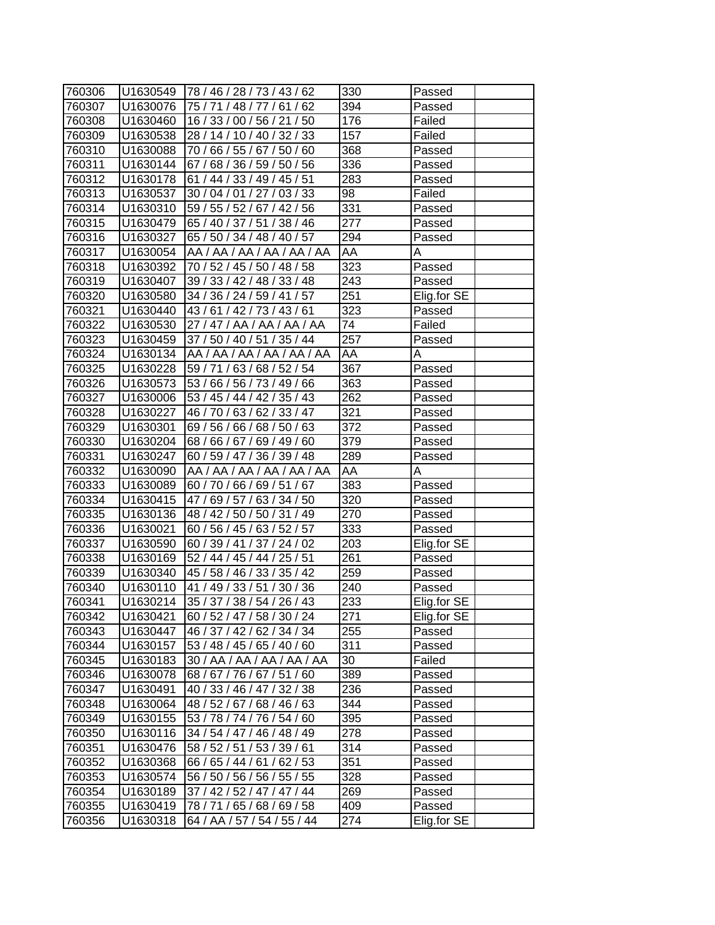| 760306 | U1630549 | 78 / 46 / 28 / 73 / 43 / 62 | 330              | Passed      |
|--------|----------|-----------------------------|------------------|-------------|
| 760307 | U1630076 | 75 / 71 / 48 / 77 / 61 / 62 | 394              | Passed      |
| 760308 | U1630460 | 16 / 33 / 00 / 56 / 21 / 50 | 176              | Failed      |
| 760309 | U1630538 | 28 / 14 / 10 / 40 / 32 / 33 | 157              | Failed      |
| 760310 | U1630088 | 70 / 66 / 55 / 67 / 50 / 60 | 368              | Passed      |
| 760311 | U1630144 | 67 / 68 / 36 / 59 / 50 / 56 | 336              | Passed      |
| 760312 | U1630178 | 61 / 44 / 33 / 49 / 45 / 51 | 283              | Passed      |
| 760313 | U1630537 | 30 / 04 / 01 / 27 / 03 / 33 | 98               | Failed      |
| 760314 | U1630310 | 59 / 55 / 52 / 67 / 42 / 56 | 331              | Passed      |
| 760315 | U1630479 | 65 / 40 / 37 / 51 / 38 / 46 | 277              | Passed      |
| 760316 | U1630327 | 65 / 50 / 34 / 48 / 40 / 57 | 294              | Passed      |
| 760317 | U1630054 | AA / AA / AA / AA / AA / AA | AA               | A           |
| 760318 | U1630392 | 70 / 52 / 45 / 50 / 48 / 58 | 323              | Passed      |
| 760319 | U1630407 | 39 / 33 / 42 / 48 / 33 / 48 | 243              | Passed      |
| 760320 | U1630580 | 34 / 36 / 24 / 59 / 41 / 57 | 251              | Elig.for SE |
| 760321 | U1630440 | 43/61/42/73/43/61           | 323              | Passed      |
| 760322 | U1630530 | 27/47/AA/AA/AA/AA           | 74               | Failed      |
| 760323 | U1630459 | 37 / 50 / 40 / 51 / 35 / 44 | 257              | Passed      |
| 760324 | U1630134 | AA / AA / AA / AA / AA / AA | AA               | Α           |
| 760325 | U1630228 | 59 / 71 / 63 / 68 / 52 / 54 | 367              | Passed      |
| 760326 | U1630573 | 53 / 66 / 56 / 73 / 49 / 66 | 363              | Passed      |
| 760327 | U1630006 | 53 / 45 / 44 / 42 / 35 / 43 | 262              | Passed      |
| 760328 | U1630227 | 46 / 70 / 63 / 62 / 33 / 47 | $\overline{321}$ | Passed      |
| 760329 | U1630301 | 69 / 56 / 66 / 68 / 50 / 63 | 372              | Passed      |
| 760330 | U1630204 | 68 / 66 / 67 / 69 / 49 / 60 | 379              | Passed      |
| 760331 | U1630247 | 60 / 59 / 47 / 36 / 39 / 48 | 289              | Passed      |
| 760332 | U1630090 | AA / AA / AA / AA / AA / AA | AA               | A           |
| 760333 | U1630089 | 60 / 70 / 66 / 69 / 51 / 67 | 383              | Passed      |
| 760334 | U1630415 | 47 / 69 / 57 / 63 / 34 / 50 | 320              | Passed      |
| 760335 | U1630136 | 48 / 42 / 50 / 50 / 31 / 49 | 270              | Passed      |
| 760336 | U1630021 | 60 / 56 / 45 / 63 / 52 / 57 | 333              | Passed      |
| 760337 | U1630590 | 60 / 39 / 41 / 37 / 24 / 02 | 203              | Elig.for SE |
| 760338 | U1630169 | 52 / 44 / 45 / 44 / 25 / 51 | 261              | Passed      |
| 760339 | U1630340 | 45 / 58 / 46 / 33 / 35 / 42 | 259              | Passed      |
| 760340 | U1630110 | 41 / 49 / 33 / 51 / 30 / 36 | 240              | Passed      |
| 760341 | U1630214 | 35 / 37 / 38 / 54 / 26 / 43 | 233              | Elig.for SE |
| 760342 | U1630421 | 60 / 52 / 47 / 58 / 30 / 24 | 271              | Elig.for SE |
| 760343 | U1630447 | 46 / 37 / 42 / 62 / 34 / 34 | 255              | Passed      |
| 760344 | U1630157 | 53 / 48 / 45 / 65 / 40 / 60 | 311              | Passed      |
| 760345 | U1630183 | 30 / AA / AA / AA / AA / AA | 30               | Failed      |
| 760346 | U1630078 | 68 / 67 / 76 / 67 / 51 / 60 | 389              | Passed      |
| 760347 | U1630491 | 40 / 33 / 46 / 47 / 32 / 38 | 236              | Passed      |
| 760348 | U1630064 | 48 / 52 / 67 / 68 / 46 / 63 | 344              | Passed      |
| 760349 | U1630155 | 53 / 78 / 74 / 76 / 54 / 60 | 395              | Passed      |
| 760350 | U1630116 | 34 / 54 / 47 / 46 / 48 / 49 | 278              | Passed      |
| 760351 | U1630476 | 58 / 52 / 51 / 53 / 39 / 61 | 314              | Passed      |
| 760352 | U1630368 | 66 / 65 / 44 / 61 / 62 / 53 | 351              | Passed      |
| 760353 | U1630574 | 56 / 50 / 56 / 56 / 55 / 55 | 328              | Passed      |
| 760354 | U1630189 | 37 / 42 / 52 / 47 / 47 / 44 | 269              | Passed      |
| 760355 | U1630419 | 78 / 71 / 65 / 68 / 69 / 58 | 409              | Passed      |
| 760356 | U1630318 | 64 / AA / 57 / 54 / 55 / 44 | 274              | Elig.for SE |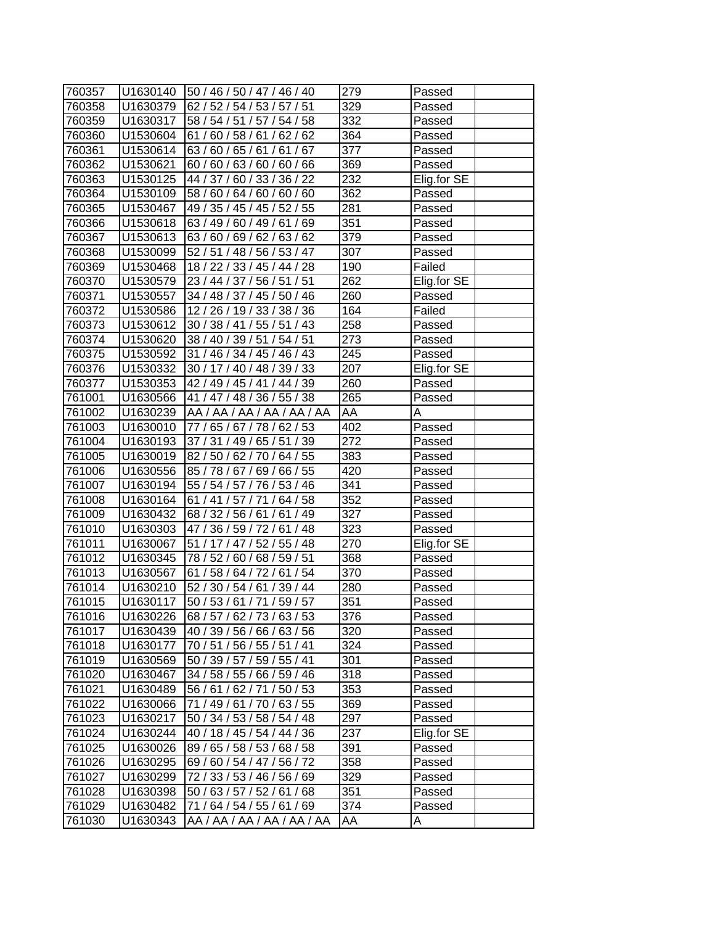| 760357 |          | U1630140   50 / 46 / 50 / 47 / 46 / 40 | 279              | Passed      |
|--------|----------|----------------------------------------|------------------|-------------|
| 760358 | U1630379 | 62 / 52 / 54 / 53 / 57 / 51            | 329              | Passed      |
| 760359 | U1630317 | 58 / 54 / 51 / 57 / 54 / 58            | 332              | Passed      |
| 760360 | U1530604 | 61 / 60 / 58 / 61 / 62 / 62            | $\overline{364}$ | Passed      |
| 760361 | U1530614 | 63 / 60 / 65 / 61 / 61 / 67            | 377              | Passed      |
| 760362 | U1530621 | 60 / 60 / 63 / 60 / 60 / 66            | 369              | Passed      |
| 760363 | U1530125 | 44 / 37 / 60 / 33 / 36 / 22            | 232              | Elig.for SE |
| 760364 | U1530109 | 58 / 60 / 64 / 60 / 60 / 60            | 362              | Passed      |
| 760365 | U1530467 | 49 / 35 / 45 / 45 / 52 / 55            | 281              | Passed      |
| 760366 | U1530618 | 63 / 49 / 60 / 49 / 61 / 69            | $\overline{351}$ | Passed      |
| 760367 | U1530613 | 63 / 60 / 69 / 62 / 63 / 62            | 379              | Passed      |
| 760368 | U1530099 | 52 / 51 / 48 / 56 / 53 / 47            | 307              | Passed      |
| 760369 | U1530468 | 18 / 22 / 33 / 45 / 44 / 28            | 190              | Failed      |
| 760370 | U1530579 | 23 / 44 / 37 / 56 / 51 / 51            | 262              | Elig.for SE |
| 760371 | U1530557 | 34 / 48 / 37 / 45 / 50 / 46            | 260              | Passed      |
| 760372 | U1530586 | 12 / 26 / 19 / 33 / 38 / 36            | 164              | Failed      |
| 760373 | U1530612 | 30 / 38 / 41 / 55 / 51 / 43            | 258              | Passed      |
| 760374 | U1530620 | 38 / 40 / 39 / 51 / 54 / 51            | 273              | Passed      |
| 760375 | U1530592 | 31 / 46 / 34 / 45 / 46 / 43            | 245              | Passed      |
| 760376 | U1530332 | 30 / 17 / 40 / 48 / 39 / 33            | 207              | Elig.for SE |
| 760377 | U1530353 | 42 / 49 / 45 / 41 / 44 / 39            | 260              | Passed      |
| 761001 | U1630566 | 41 / 47 / 48 / 36 / 55 / 38            | $\overline{265}$ | Passed      |
| 761002 | U1630239 | AA / AA / AA / AA / AA / AA            | AA               | Α           |
| 761003 | U1630010 | 77 / 65 / 67 / 78 / 62 / 53            | 402              | Passed      |
| 761004 | U1630193 | 37 / 31 / 49 / 65 / 51 / 39            | 272              | Passed      |
| 761005 | U1630019 | 82/50/62/70/64/55                      | 383              | Passed      |
| 761006 | U1630556 | 85 / 78 / 67 / 69 / 66 / 55            | 420              | Passed      |
| 761007 | U1630194 | 55 / 54 / 57 / 76 / 53 / 46            | 341              | Passed      |
| 761008 | U1630164 | 61 / 41 / 57 / 71 / 64 / 58            | 352              | Passed      |
| 761009 | U1630432 | 68 / 32 / 56 / 61 / 61 / 49            | 327              | Passed      |
| 761010 | U1630303 | 47 / 36 / 59 / 72 / 61 / 48            | 323              | Passed      |
| 761011 | U1630067 | 51 / 17 / 47 / 52 / 55 / 48            | 270              | Elig.for SE |
| 761012 | U1630345 | 78 / 52 / 60 / 68 / 59 / 51            | 368              | Passed      |
| 761013 | U1630567 | 61 / 58 / 64 / 72 / 61 / 54            | 370              | Passed      |
| 761014 | U1630210 | 52 / 30 / 54 / 61 / 39 / 44            | 280              | Passed      |
| 761015 | U1630117 | 50 / 53 / 61 / 71 / 59 / 57            | 351              | Passed      |
| 761016 | U1630226 | 68 / 57 / 62 / 73 / 63 / 53            | 376              | Passed      |
| 761017 | U1630439 | 40 / 39 / 56 / 66 / 63 / 56            | 320              | Passed      |
| 761018 | U1630177 | 70 / 51 / 56 / 55 / 51 / 41            | 324              | Passed      |
| 761019 | U1630569 | 50 / 39 / 57 / 59 / 55 / 41            | 301              | Passed      |
| 761020 | U1630467 | 34 / 58 / 55 / 66 / 59 / 46            | 318              | Passed      |
| 761021 | U1630489 | 56 / 61 / 62 / 71 / 50 / 53            | 353              | Passed      |
| 761022 | U1630066 | 71 / 49 / 61 / 70 / 63 / 55            | 369              | Passed      |
| 761023 | U1630217 | 50 / 34 / 53 / 58 / 54 / 48            | 297              | Passed      |
| 761024 | U1630244 | 40 / 18 / 45 / 54 / 44 / 36            | 237              | Elig.for SE |
| 761025 | U1630026 | 89 / 65 / 58 / 53 / 68 / 58            | 391              | Passed      |
| 761026 | U1630295 | 69 / 60 / 54 / 47 / 56 / 72            | 358              | Passed      |
| 761027 | U1630299 | 72 / 33 / 53 / 46 / 56 / 69            | 329              | Passed      |
| 761028 | U1630398 | 50 / 63 / 57 / 52 / 61 / 68            | 351              | Passed      |
| 761029 | U1630482 | 71 / 64 / 54 / 55 / 61 / 69            | 374              | Passed      |
| 761030 | U1630343 | AA / AA / AA / AA / AA / AA            | AA               | A           |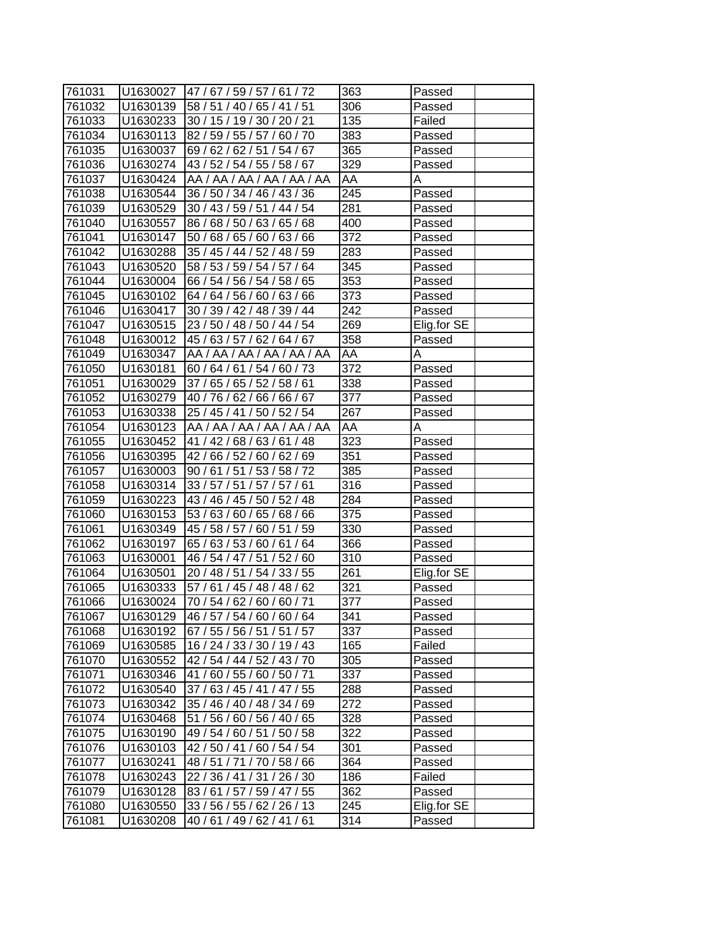| 761031 | U1630027 | 47 / 67 / 59 / 57 / 61 / 72 | 363              | Passed      |
|--------|----------|-----------------------------|------------------|-------------|
| 761032 | U1630139 | 58 / 51 / 40 / 65 / 41 / 51 | 306              | Passed      |
| 761033 | U1630233 | 30 / 15 / 19 / 30 / 20 / 21 | 135              | Failed      |
| 761034 | U1630113 | 82 / 59 / 55 / 57 / 60 / 70 | 383              | Passed      |
| 761035 | U1630037 | 69 / 62 / 62 / 51 / 54 / 67 | 365              | Passed      |
| 761036 | U1630274 | 43 / 52 / 54 / 55 / 58 / 67 | 329              | Passed      |
| 761037 | U1630424 | AA / AA / AA / AA / AA / AA | AA               | A           |
| 761038 | U1630544 | 36 / 50 / 34 / 46 / 43 / 36 | 245              | Passed      |
| 761039 | U1630529 | 30 / 43 / 59 / 51 / 44 / 54 | 281              | Passed      |
| 761040 | U1630557 | 86 / 68 / 50 / 63 / 65 / 68 | 400              | Passed      |
| 761041 | U1630147 | 50 / 68 / 65 / 60 / 63 / 66 | 372              | Passed      |
| 761042 | U1630288 | 35 / 45 / 44 / 52 / 48 / 59 | 283              | Passed      |
| 761043 | U1630520 | 58 / 53 / 59 / 54 / 57 / 64 | 345              | Passed      |
| 761044 | U1630004 | 66 / 54 / 56 / 54 / 58 / 65 | 353              | Passed      |
| 761045 | U1630102 | 64 / 64 / 56 / 60 / 63 / 66 | 373              | Passed      |
| 761046 | U1630417 | 30 / 39 / 42 / 48 / 39 / 44 | 242              | Passed      |
| 761047 | U1630515 | 23 / 50 / 48 / 50 / 44 / 54 | 269              | Elig.for SE |
| 761048 | U1630012 | 45 / 63 / 57 / 62 / 64 / 67 | 358              | Passed      |
| 761049 | U1630347 | AA / AA / AA / AA / AA / AA | AA               | A           |
| 761050 | U1630181 | 60 / 64 / 61 / 54 / 60 / 73 | $\overline{372}$ | Passed      |
| 761051 | U1630029 | 37 / 65 / 65 / 52 / 58 / 61 | 338              | Passed      |
| 761052 | U1630279 | 40 / 76 / 62 / 66 / 66 / 67 | 377              | Passed      |
| 761053 | U1630338 | 25 / 45 / 41 / 50 / 52 / 54 | 267              | Passed      |
| 761054 | U1630123 | AA / AA / AA / AA / AA / AA | AA               | Α           |
| 761055 | U1630452 | 41 / 42 / 68 / 63 / 61 / 48 | 323              | Passed      |
| 761056 | U1630395 | 42/66/52/60/62/69           | 351              | Passed      |
| 761057 | U1630003 | 90/61/51/53/58/72           | 385              | Passed      |
| 761058 | U1630314 | 33 / 57 / 51 / 57 / 57 / 61 | 316              | Passed      |
| 761059 | U1630223 | 43 / 46 / 45 / 50 / 52 / 48 | 284              | Passed      |
| 761060 | U1630153 | 53 / 63 / 60 / 65 / 68 / 66 | 375              | Passed      |
| 761061 | U1630349 | 45 / 58 / 57 / 60 / 51 / 59 | 330              | Passed      |
| 761062 | U1630197 | 65 / 63 / 53 / 60 / 61 / 64 | 366              | Passed      |
| 761063 | U1630001 | 46 / 54 / 47 / 51 / 52 / 60 | 310              | Passed      |
| 761064 | U1630501 | 20 / 48 / 51 / 54 / 33 / 55 | 261              | Elig.for SE |
| 761065 | U1630333 | 57 / 61 / 45 / 48 / 48 / 62 | $\overline{321}$ | Passed      |
| 761066 | U1630024 | 70 / 54 / 62 / 60 / 60 / 71 | 377              | Passed      |
| 761067 | U1630129 | 46 / 57 / 54 / 60 / 60 / 64 | 341              | Passed      |
| 761068 | U1630192 | 67 / 55 / 56 / 51 / 51 / 57 | 337              | Passed      |
| 761069 | U1630585 | 16 / 24 / 33 / 30 / 19 / 43 | 165              | Failed      |
| 761070 | U1630552 | 42 / 54 / 44 / 52 / 43 / 70 | 305              | Passed      |
| 761071 | U1630346 | 41 / 60 / 55 / 60 / 50 / 71 | 337              | Passed      |
| 761072 | U1630540 | 37/63/45/41/47/55           | 288              | Passed      |
| 761073 | U1630342 | 35 / 46 / 40 / 48 / 34 / 69 | 272              | Passed      |
| 761074 | U1630468 | 51 / 56 / 60 / 56 / 40 / 65 | 328              | Passed      |
| 761075 | U1630190 | 49 / 54 / 60 / 51 / 50 / 58 | 322              | Passed      |
| 761076 | U1630103 | 42 / 50 / 41 / 60 / 54 / 54 | 301              | Passed      |
| 761077 | U1630241 | 48 / 51 / 71 / 70 / 58 / 66 | 364              | Passed      |
| 761078 | U1630243 | 22 / 36 / 41 / 31 / 26 / 30 | 186              | Failed      |
| 761079 | U1630128 | 83/61/57/59/47/55           | 362              | Passed      |
| 761080 | U1630550 | 33 / 56 / 55 / 62 / 26 / 13 | 245              | Elig.for SE |
| 761081 | U1630208 | 40/61/49/62/41/61           | 314              | Passed      |
|        |          |                             |                  |             |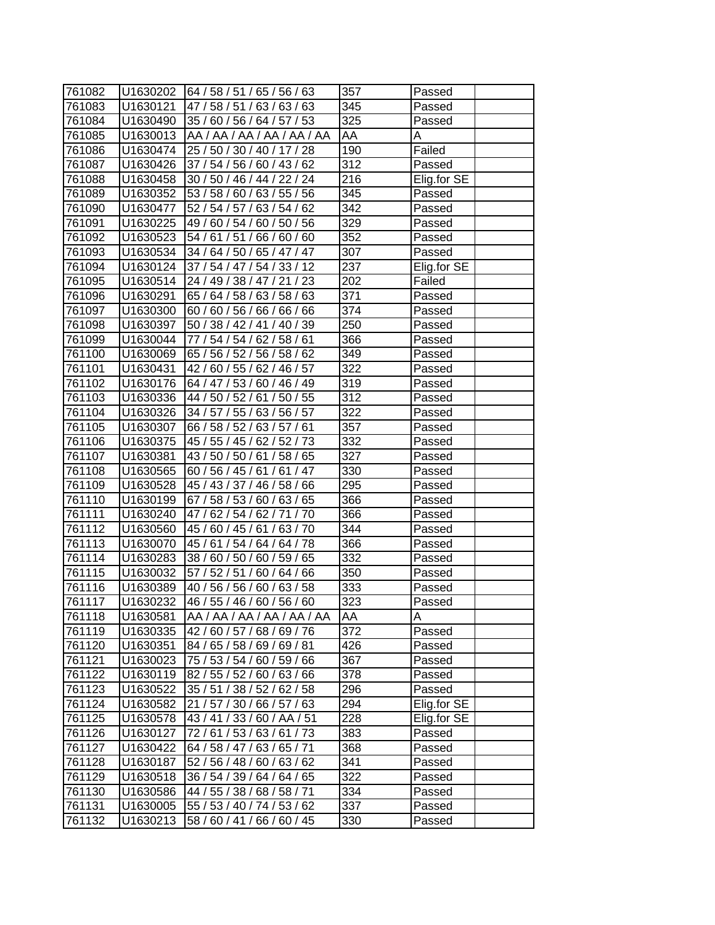| 761082 | U1630202             | 64 / 58 / 51 / 65 / 56 / 63 | 357              | Passed      |
|--------|----------------------|-----------------------------|------------------|-------------|
| 761083 | U1630121             | 47/58/51/63/63/63           | 345              | Passed      |
| 761084 | U1630490             | 35 / 60 / 56 / 64 / 57 / 53 | 325              | Passed      |
| 761085 | U1630013             | AA / AA / AA / AA / AA / AA | AA               | Α           |
| 761086 | U1630474             | 25 / 50 / 30 / 40 / 17 / 28 | 190              | Failed      |
| 761087 | U1630426             | 37 / 54 / 56 / 60 / 43 / 62 | 312              | Passed      |
| 761088 | U1630458             | 30 / 50 / 46 / 44 / 22 / 24 | 216              | Elig.for SE |
|        |                      | 53 / 58 / 60 / 63 / 55 / 56 | 345              |             |
| 761089 | U1630352             | 52 / 54 / 57 / 63 / 54 / 62 | 342              | Passed      |
| 761090 | U1630477<br>U1630225 | 49 / 60 / 54 / 60 / 50 / 56 | 329              | Passed      |
| 761091 |                      | 54 / 61 / 51 / 66 / 60 / 60 | 352              | Passed      |
| 761092 | U1630523             |                             | 307              | Passed      |
| 761093 | U1630534             | 34 / 64 / 50 / 65 / 47 / 47 |                  | Passed      |
| 761094 | U1630124             | 37 / 54 / 47 /<br>54/33/12  | 237              | Elig.for SE |
| 761095 | U1630514             | 24 / 49 / 38 / 47 / 21 / 23 | 202              | Failed      |
| 761096 | U1630291             | 65 / 64 / 58 / 63 / 58 / 63 | 371              | Passed      |
| 761097 | U1630300             | 60 / 60 / 56 / 66 / 66 / 66 | 374              | Passed      |
| 761098 | U1630397             | 50 / 38 / 42 / 41 / 40 / 39 | 250              | Passed      |
| 761099 | U1630044             | 77 / 54 / 54 / 62 / 58 / 61 | 366              | Passed      |
| 761100 | U1630069             | 65 / 56 / 52 / 56 / 58 / 62 | 349              | Passed      |
| 761101 | U1630431             | 42 / 60 / 55 / 62 / 46 / 57 | 322              | Passed      |
| 761102 | U1630176             | 64 / 47 / 53 / 60 / 46 / 49 | 319              | Passed      |
| 761103 | U1630336             | 44 / 50 / 52 / 61 / 50 / 55 | $\overline{3}12$ | Passed      |
| 761104 | U1630326             | 34 / 57 / 55 / 63 / 56 / 57 | 322              | Passed      |
| 761105 | U1630307             | 66 / 58 / 52 / 63 / 57 / 61 | 357              | Passed      |
| 761106 | U1630375             | 45 / 55 / 45 / 62 / 52 / 73 | 332              | Passed      |
| 761107 | U1630381             | 43 / 50 / 50 / 61 / 58 / 65 | 327              | Passed      |
| 761108 | U1630565             | 60/56/45/61/61/47           | 330              | Passed      |
| 761109 | U1630528             | 45 / 43 / 37 / 46 / 58 / 66 | 295              | Passed      |
| 761110 | U1630199             | 67 / 58 / 53 / 60 / 63 / 65 | 366              | Passed      |
| 761111 | U1630240             | 47/62/54/62/71/70           | 366              | Passed      |
| 761112 | U1630560             | 45 / 60 / 45 / 61 / 63 / 70 | 344              | Passed      |
| 761113 | U1630070             | 45/61/54/64/64/78           | 366              | Passed      |
| 761114 | U1630283             | 38 / 60 / 50 / 60 / 59 / 65 | 332              | Passed      |
| 761115 | U1630032             | 57 / 52 / 51 / 60 / 64 / 66 | 350              | Passed      |
| 761116 | U1630389             | 40 / 56 / 56 / 60 / 63 / 58 | $\overline{3}33$ | Passed      |
| 761117 | U1630232             | 46 / 55 / 46 / 60 / 56 / 60 | 323              | Passed      |
| 761118 | U1630581             | AA / AA / AA / AA / AA / AA | AA               | A           |
| 761119 | U1630335             | 42 / 60 / 57 / 68 / 69 / 76 | 372              | Passed      |
| 761120 | U1630351             | 84 / 65 / 58 / 69 / 69 / 81 | 426              | Passed      |
| 761121 | U1630023             | 75 / 53 / 54 / 60 / 59 / 66 | 367              | Passed      |
| 761122 | U1630119             | 82 / 55 / 52 / 60 / 63 / 66 | 378              | Passed      |
| 761123 | U1630522             | 35 / 51 / 38 / 52 / 62 / 58 | 296              | Passed      |
| 761124 | U1630582             | 21 / 57 / 30 / 66 / 57 / 63 | 294              | Elig.for SE |
| 761125 | U1630578             | 43 / 41 / 33 / 60 / AA / 51 | 228              | Elig.for SE |
| 761126 | U1630127             | 72 / 61 / 53 / 63 / 61 / 73 | 383              | Passed      |
| 761127 | U1630422             | 64 / 58 / 47 / 63 / 65 / 71 | 368              | Passed      |
| 761128 | U1630187             | 52 / 56 / 48 / 60 / 63 / 62 | 341              | Passed      |
| 761129 | U1630518             | 36 / 54 / 39 / 64 / 64 / 65 | 322              | Passed      |
| 761130 | U1630586             | 44 / 55 / 38 / 68 / 58 / 71 | 334              | Passed      |
| 761131 | U1630005             | 55 / 53 / 40 / 74 / 53 / 62 | 337              | Passed      |
| 761132 | U1630213             | 58 / 60 / 41 / 66 / 60 / 45 | 330              | Passed      |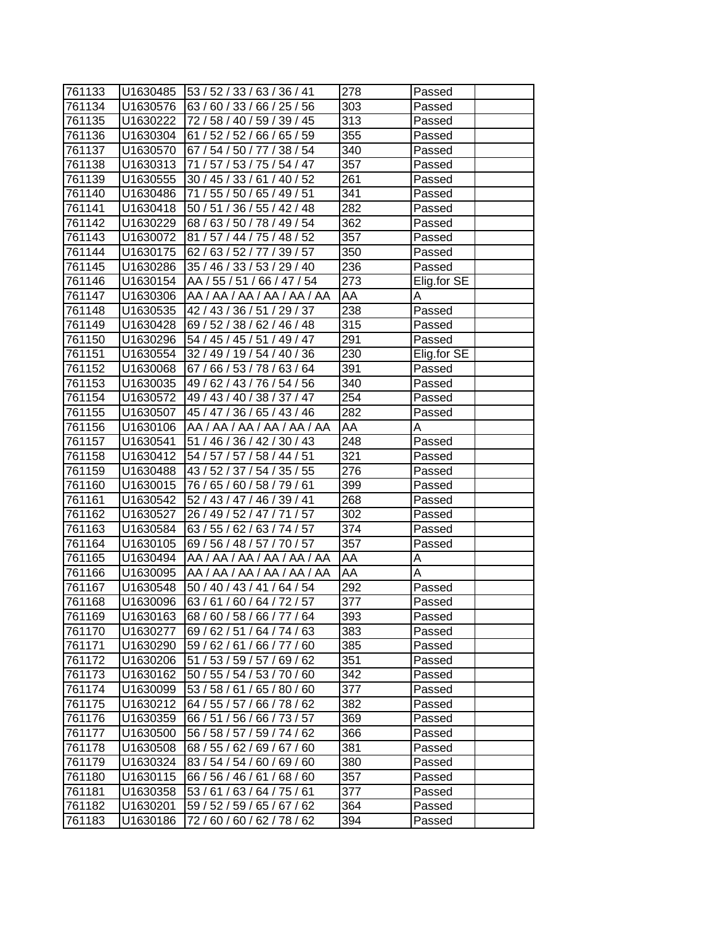| 761133           |                      | $ U1630485 $ $ 53/52/33/63/36/41$                          | 278 | Passed      |
|------------------|----------------------|------------------------------------------------------------|-----|-------------|
| 761134           | U1630576             | 63/60/33/66/25/56                                          | 303 | Passed      |
| 761135           | U1630222             | 72 / 58 / 40 / 59 / 39 / 45                                | 313 | Passed      |
| 761136           | U1630304             | 61 / 52 / 52 / 66 / 65 / 59                                | 355 | Passed      |
| 761137           | U1630570             | 67 / 54 / 50 / 77 / 38 / 54                                | 340 | Passed      |
| 761138           | U1630313             | 71 / 57 / 53 / 75 / 54 / 47                                | 357 | Passed      |
|                  |                      | 30 / 45 / 33 / 61 / 40 / 52                                | 261 |             |
| 761139<br>761140 | U1630555             | 71 / 55 / 50 / 65 / 49 / 51                                | 341 | Passed      |
|                  | U1630486             |                                                            | 282 | Passed      |
| 761141<br>761142 | U1630418<br>U1630229 | 50 / 51 / 36 / 55 / 42 / 48<br>68 / 63 / 50 / 78 / 49 / 54 | 362 | Passed      |
|                  |                      |                                                            |     | Passed      |
| 761143           | U1630072             | 81 / 57 / 44 / 75 / 48 / 52                                | 357 | Passed      |
| 761144           | U1630175             | 62/63/52/77/39/57                                          | 350 | Passed      |
| 761145           | U1630286             | 35 / 46 / 33 / 53 / 29 / 40                                | 236 | Passed      |
| 761146           | U1630154             | AA / 55 / 51 / 66 / 47 / 54                                | 273 | Elig.for SE |
| 761147           | U1630306             | AA / AA / AA / AA / AA / AA                                | AA  | A           |
| 761148           | U1630535             | 42 / 43 / 36 / 51 / 29 / 37                                | 238 | Passed      |
| 761149           | U1630428             | 69 / 52 / 38 / 62 / 46 / 48                                | 315 | Passed      |
| 761150           | U1630296             | 54 / 45 / 45 / 51 / 49 / 47                                | 291 | Passed      |
| 761151           | U1630554             | 32 / 49 / 19 / 54 / 40 / 36                                | 230 | Elig.for SE |
| 761152           | U1630068             | 67 / 66 / 53 / 78 / 63 / 64                                | 391 | Passed      |
| 761153           | U1630035             | 49 / 62 / 43 / 76 / 54 / 56                                | 340 | Passed      |
| 761154           | U1630572             | 49 / 43 / 40 / 38 / 37 / 47                                | 254 | Passed      |
| 761155           | U1630507             | 45 / 47 / 36 / 65 / 43 / 46                                | 282 | Passed      |
| 761156           | U1630106             | AA / AA / AA / AA / AA / AA                                | AA  | Α           |
| 761157           | U1630541             | 51 / 46 / 36 / 42 / 30 / 43                                | 248 | Passed      |
| 761158           | U1630412             | 54 / 57 / 57 / 58 / 44 / 51                                | 321 | Passed      |
| 761159           | U1630488             | 43 / 52 / 37 / 54 / 35 / 55                                | 276 | Passed      |
| 761160           | U1630015             | 76 / 65 / 60 / 58 / 79 / 61                                | 399 | Passed      |
| 761161           | U1630542             | 52 / 43 / 47 / 46 / 39 / 41                                | 268 | Passed      |
| 761162           | U1630527             | 26 / 49 / 52 / 47 / 71 / 57                                | 302 | Passed      |
| 761163           | U1630584             | 63 / 55 / 62 / 63 / 74 / 57                                | 374 | Passed      |
| 761164           | U1630105             | 69 / 56 / 48 / 57 / 70 / 57                                | 357 | Passed      |
| 761165           | U1630494             | AA / AA / AA / AA / AA / AA                                | AA  | Α           |
| 761166           | U1630095             | AA / AA / AA / AA / AA / AA                                | AA  | Α           |
| 761167           | U1630548             | 50 / 40 / 43 / 41 / 64 / 54                                | 292 | Passed      |
| 761168           | U1630096             | 63/61/60/64/72/57                                          | 377 | Passed      |
| 761169           | U1630163             | 68 / 60 / 58 / 66 / 77 / 64                                | 393 | Passed      |
| 761170           | U1630277             | 69/62/51/<br>64/74/63                                      | 383 | Passed      |
| 761171           | U1630290             | 59 / 62 / 61 / 66 / 77 / 60                                | 385 | Passed      |
| 761172           | U1630206             | 51 / 53 / 59 / 57 / 69 / 62                                | 351 | Passed      |
| 761173           | U1630162             | 50 / 55 / 54 / 53 / 70 / 60                                | 342 | Passed      |
| 761174           | U1630099             | 53 / 58 / 61 / 65 / 80 / 60                                | 377 | Passed      |
| 761175           | U1630212             | 64 / 55 / 57 / 66 / 78 / 62                                | 382 | Passed      |
| 761176           | U1630359             | 66 / 51 / 56 / 66 / 73 / 57                                | 369 | Passed      |
| 761177           | U1630500             | 56 / 58 / 57 / 59 / 74 / 62                                | 366 | Passed      |
| 761178           | U1630508             | 68 / 55 / 62 / 69 / 67 / 60                                | 381 | Passed      |
| 761179           | U1630324             | 83 / 54 / 54 / 60 / 69 / 60                                | 380 | Passed      |
| 761180           | U1630115             | 66 / 56 / 46 / 61 / 68 / 60                                | 357 | Passed      |
| 761181           | U1630358             | 53 / 61 / 63 / 64 / 75 / 61                                | 377 | Passed      |
| 761182           | U1630201             | 59 / 52 / 59 /<br>65/67/62                                 | 364 | Passed      |
| 761183           | U1630186             | 72 / 60 / 60 / 62 / 78 / 62                                | 394 | Passed      |
|                  |                      |                                                            |     |             |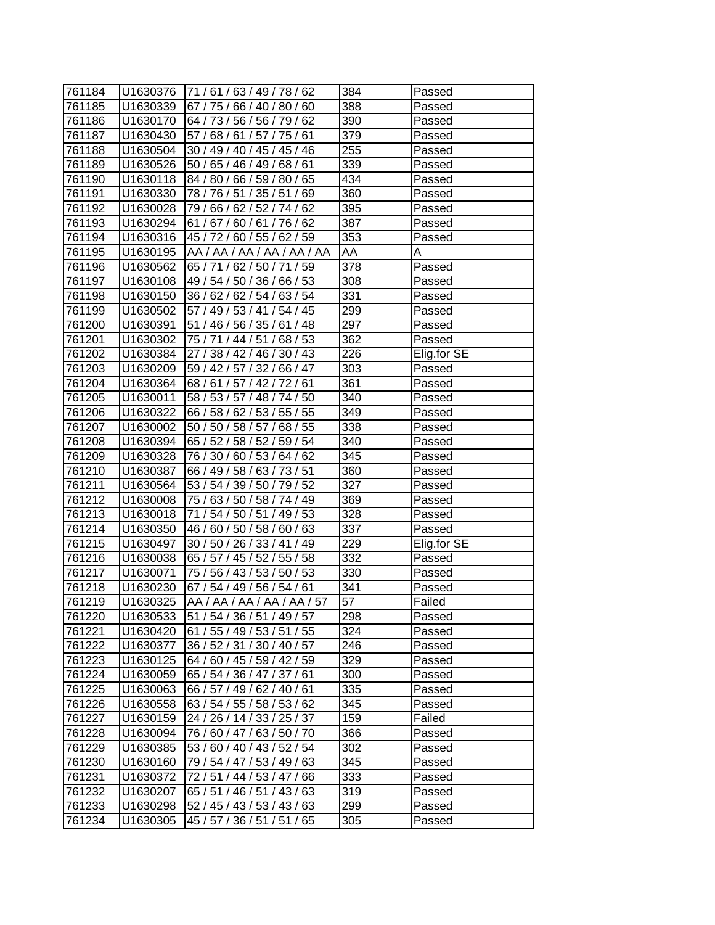| 761184 | IU1630376 | [71/61/63/49/78/62          | 384 | Passed      |
|--------|-----------|-----------------------------|-----|-------------|
| 761185 | U1630339  | 67 / 75 / 66 / 40 / 80 / 60 | 388 | Passed      |
| 761186 | U1630170  | 64 / 73 / 56 / 56 / 79 / 62 | 390 | Passed      |
| 761187 | U1630430  | 57 / 68 / 61 / 57 / 75 / 61 | 379 | Passed      |
| 761188 | U1630504  | 30 / 49 / 40 / 45 / 45 / 46 | 255 | Passed      |
| 761189 | U1630526  | 50 / 65 / 46 / 49 / 68 / 61 | 339 | Passed      |
| 761190 | U1630118  | 84 / 80 / 66 / 59 / 80 / 65 | 434 | Passed      |
| 761191 | U1630330  | 78 / 76 / 51 / 35 / 51 / 69 | 360 | Passed      |
| 761192 | U1630028  | 79 / 66 / 62 / 52 / 74 / 62 | 395 | Passed      |
| 761193 | U1630294  | 61 / 67 / 60 / 61 / 76 / 62 | 387 | Passed      |
| 761194 | U1630316  | 45 / 72 / 60 / 55 / 62 / 59 | 353 | Passed      |
| 761195 | U1630195  | AA / AA / AA / AA / AA / AA | AA  | Α           |
| 761196 | U1630562  | 65 / 71 / 62 / 50 / 71 / 59 | 378 | Passed      |
| 761197 | U1630108  | 49 / 54 / 50 / 36 / 66 / 53 | 308 | Passed      |
| 761198 | U1630150  | 36 / 62 / 62 / 54 / 63 / 54 | 331 | Passed      |
| 761199 | U1630502  | 57 / 49 / 53 / 41 / 54 / 45 | 299 | Passed      |
| 761200 | U1630391  | 51 / 46 / 56 / 35 / 61 / 48 | 297 | Passed      |
| 761201 | U1630302  | 75 / 71 / 44 / 51 / 68 / 53 | 362 | Passed      |
| 761202 | U1630384  | 27 / 38 / 42 / 46 / 30 / 43 | 226 | Elig.for SE |
| 761203 | U1630209  | 59 / 42 / 57 / 32 / 66 / 47 | 303 | Passed      |
| 761204 | U1630364  | 68/61/57/42/72/61           | 361 | Passed      |
| 761205 | U1630011  | 58 / 53 / 57 / 48 / 74 / 50 | 340 | Passed      |
| 761206 | U1630322  | 66 / 58 / 62 / 53 / 55 / 55 | 349 | Passed      |
| 761207 | U1630002  | 50 / 50 / 58 / 57 / 68 / 55 | 338 | Passed      |
| 761208 | U1630394  | 65 / 52 / 58 / 52 / 59 / 54 | 340 | Passed      |
| 761209 | U1630328  | 76 / 30 / 60 / 53 / 64 / 62 | 345 | Passed      |
| 761210 | U1630387  | 66 / 49 / 58 / 63 / 73 / 51 | 360 | Passed      |
| 761211 | U1630564  | 53 / 54 / 39 / 50 / 79 / 52 | 327 | Passed      |
| 761212 | U1630008  | 75 / 63 / 50 / 58 / 74 / 49 | 369 | Passed      |
| 761213 | U1630018  | 71 / 54 / 50 / 51 / 49 / 53 | 328 | Passed      |
| 761214 | U1630350  | 46 / 60 / 50 / 58 / 60 / 63 | 337 | Passed      |
| 761215 | U1630497  | 30 / 50 / 26 / 33 / 41 / 49 | 229 | Elig.for SE |
| 761216 | U1630038  | 65 / 57 / 45 / 52 / 55 / 58 | 332 | Passed      |
| 761217 | U1630071  | 75 / 56 / 43 / 53 / 50 / 53 | 330 | Passed      |
| 761218 | U1630230  | 67 / 54 / 49 / 56 / 54 / 61 | 341 | Passed      |
| 761219 | U1630325  | AA / AA / AA / AA / AA / 57 | 57  | Failed      |
| 761220 | U1630533  | 51 / 54 / 36 / 51 / 49 / 57 | 298 | Passed      |
| 761221 | U1630420  | 61 / 55 / 49 / 53 / 51 / 55 | 324 | Passed      |
| 761222 | U1630377  | 36 / 52 / 31 / 30 / 40 / 57 | 246 | Passed      |
| 761223 | U1630125  | 64 / 60 / 45 / 59 / 42 / 59 | 329 | Passed      |
| 761224 | U1630059  | 65 / 54 / 36 / 47 / 37 / 61 | 300 | Passed      |
| 761225 | U1630063  | 66 / 57 / 49 / 62 / 40 / 61 | 335 | Passed      |
| 761226 | U1630558  | 63 / 54 / 55 / 58 / 53 / 62 | 345 | Passed      |
| 761227 | U1630159  | 24 / 26 / 14 / 33 / 25 / 37 | 159 | Failed      |
| 761228 | U1630094  | 76 / 60 / 47 / 63 / 50 / 70 | 366 | Passed      |
| 761229 | U1630385  | 53 / 60 / 40 / 43 / 52 / 54 | 302 | Passed      |
| 761230 | U1630160  | 79 / 54 / 47 / 53 / 49 / 63 | 345 | Passed      |
| 761231 | U1630372  | 72 / 51 / 44 / 53 / 47 / 66 | 333 | Passed      |
| 761232 | U1630207  | 65 / 51 / 46 / 51 / 43 / 63 | 319 | Passed      |
| 761233 | U1630298  | 52 / 45 / 43 / 53 / 43 / 63 | 299 | Passed      |
| 761234 | U1630305  | 45 / 57 / 36 / 51 / 51 / 65 | 305 | Passed      |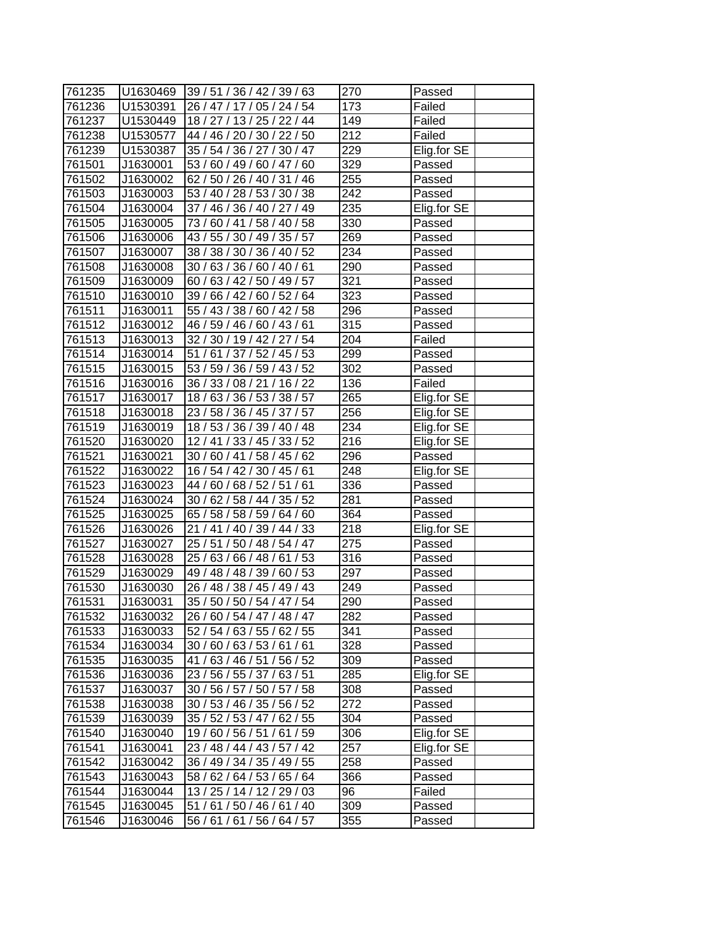| 761235 |          | U1630469 39 / 51 / 36 / 42 / 39 / 63 | 270 | Passed      |
|--------|----------|--------------------------------------|-----|-------------|
| 761236 | U1530391 | 26 / 47 / 17 / 05 / 24 / 54          | 173 | Failed      |
| 761237 | U1530449 | 18 / 27 / 13 / 25 / 22 / 44          | 149 | Failed      |
| 761238 | U1530577 | 44 / 46 / 20 / 30 / 22 / 50          | 212 | Failed      |
| 761239 | U1530387 | 35 / 54 / 36 / 27 / 30 / 47          | 229 | Elig.for SE |
| 761501 | J1630001 | 53 / 60 / 49 / 60 / 47 / 60          | 329 | Passed      |
| 761502 | J1630002 | 62 / 50 / 26 / 40 / 31 / 46          | 255 | Passed      |
| 761503 | J1630003 | 53 / 40 / 28 / 53 / 30 / 38          | 242 | Passed      |
| 761504 | J1630004 | 37 / 46 / 36 / 40 / 27 / 49          | 235 | Elig.for SE |
| 761505 | J1630005 | 73 / 60 / 41 / 58 / 40 / 58          | 330 | Passed      |
| 761506 | J1630006 | 43 / 55 / 30 / 49 / 35 / 57          | 269 | Passed      |
| 761507 | J1630007 | 38 / 38 / 30 / 36 / 40 / 52          | 234 | Passed      |
| 761508 | J1630008 | 30 / 63 / 36 / 60 / 40 / 61          | 290 | Passed      |
| 761509 | J1630009 | 60/63/42/50/49/57                    | 321 | Passed      |
| 761510 | J1630010 | 39 / 66 / 42 / 60 / 52 / 64          | 323 | Passed      |
| 761511 | J1630011 | 55 / 43 / 38 / 60 / 42 / 58          | 296 | Passed      |
| 761512 | J1630012 | 46 / 59 / 46 / 60 / 43 / 61          | 315 | Passed      |
| 761513 | J1630013 | 32 / 30 / 19 / 42 / 27 / 54          | 204 | Failed      |
| 761514 | J1630014 | 51/61/37/52/45/53                    | 299 | Passed      |
| 761515 | J1630015 | 53 / 59 / 36 / 59 / 43 / 52          | 302 | Passed      |
| 761516 | J1630016 | 36 / 33 / 08 / 21 / 16 / 22          | 136 | Failed      |
| 761517 | J1630017 | 18 / 63 / 36 / 53 / 38 / 57          | 265 | Elig.for SE |
| 761518 | J1630018 | 23 / 58 / 36 / 45 / 37 / 57          | 256 | Elig.for SE |
| 761519 | J1630019 | 18 / 53 / 36 / 39 / 40 / 48          | 234 | Elig.for SE |
| 761520 | J1630020 | 12 / 41 / 33 / 45 / 33 / 52          | 216 | Elig.for SE |
| 761521 | J1630021 | 30 / 60 / 41 / 58 / 45 / 62          | 296 | Passed      |
| 761522 | J1630022 | 16 / 54 / 42 / 30 / 45 / 61          | 248 | Elig.for SE |
| 761523 | J1630023 | 44 / 60 / 68 / 52 / 51 / 61          | 336 | Passed      |
| 761524 | J1630024 | 30 / 62 / 58 / 44 / 35 / 52          | 281 | Passed      |
| 761525 | J1630025 | 65 / 58 / 58 / 59 / 64 / 60          | 364 | Passed      |
| 761526 | J1630026 | 21 / 41 / 40 / 39 / 44 / 33          | 218 | Elig.for SE |
| 761527 | J1630027 | 25 / 51 / 50 / 48 / 54 / 47          | 275 | Passed      |
| 761528 | J1630028 | 25 / 63 / 66 / 48 / 61 / 53          | 316 | Passed      |
| 761529 | J1630029 | 49 / 48 / 48 / 39 / 60 / 53          | 297 | Passed      |
| 761530 | J1630030 | 26 / 48 / 38 / 45 / 49 / 43          | 249 | Passed      |
| 761531 | J1630031 | 35 / 50 / 50 / 54 / 47 / 54          | 290 | Passed      |
| 761532 | J1630032 | 26 / 60 / 54 / 47 / 48 / 47          | 282 | Passed      |
| 761533 | J1630033 | 52 / 54 / 63 / 55 / 62 / 55          | 341 | Passed      |
| 761534 | J1630034 | 30 / 60 / 63 / 53 / 61 / 61          | 328 | Passed      |
| 761535 | J1630035 | 41 / 63 / 46 / 51 / 56 / 52          | 309 | Passed      |
| 761536 | J1630036 | 23 / 56 / 55 / 37 / 63 / 51          | 285 | Elig.for SE |
| 761537 | J1630037 | 30 / 56 / 57 / 50 / 57 / 58          | 308 | Passed      |
| 761538 | J1630038 | 30 / 53 / 46 / 35 / 56 / 52          | 272 | Passed      |
| 761539 | J1630039 | 35 / 52 / 53 / 47 / 62 / 55          | 304 | Passed      |
| 761540 | J1630040 | 19/60/56/51/61/59                    | 306 | Elig.for SE |
| 761541 | J1630041 | 23 / 48 / 44 / 43 / 57 / 42          | 257 | Elig.for SE |
| 761542 | J1630042 | 36 / 49 / 34 / 35 / 49 / 55          | 258 | Passed      |
| 761543 | J1630043 | 58 / 62 / 64 / 53 / 65 / 64          | 366 | Passed      |
| 761544 | J1630044 | 13 / 25 / 14 / 12 / 29 / 03          | 96  | Failed      |
| 761545 | J1630045 | 51 / 61 / 50 / 46 / 61 / 40          | 309 | Passed      |
| 761546 | J1630046 | 56 / 61 / 61 / 56 / 64 / 57          | 355 | Passed      |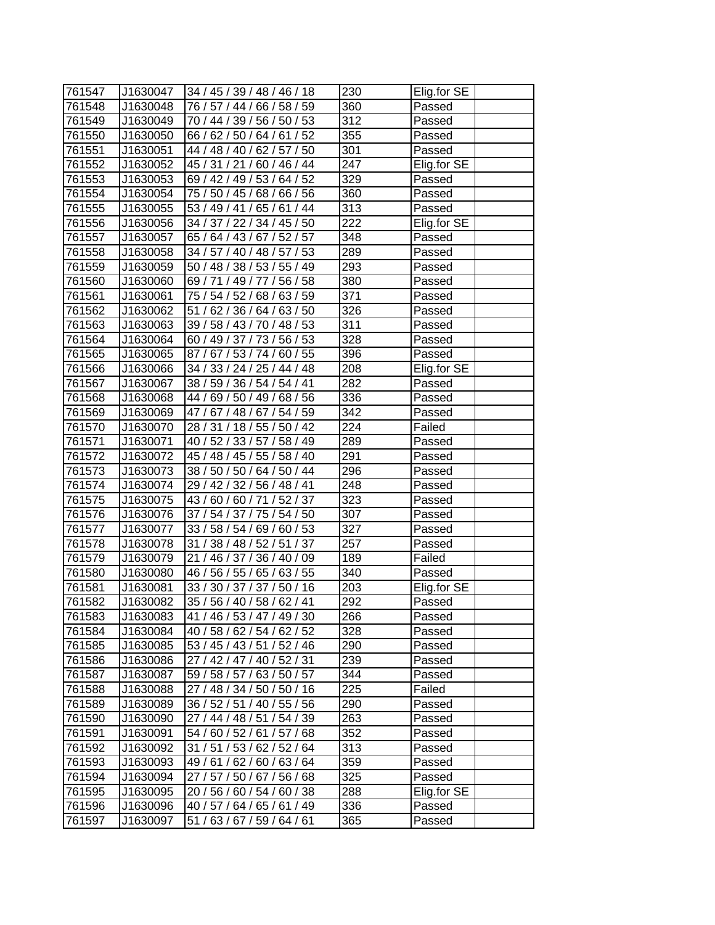| 761547 | J1630047 | 34 / 45 / 39 / 48 / 46 / 18    | 230               | Elig.for SE |
|--------|----------|--------------------------------|-------------------|-------------|
| 761548 | J1630048 | 76 / 57 / 44 / 66 / 58 / 59    | 360               | Passed      |
| 761549 | J1630049 | 70 / 44 / 39 / 56 / 50 / 53    | 312               | Passed      |
| 761550 | J1630050 | 66 / 62 / 50 / 64 / 61 / 52    | 355               | Passed      |
| 761551 | J1630051 | 44 / 48 / 40 / 62 / 57 / 50    | 301               | Passed      |
| 761552 | J1630052 | 45 / 31 / 21 / 60 / 46 / 44    | 247               | Elig.for SE |
| 761553 | J1630053 | 69 / 42 / 49 / 53 / 64 / 52    | 329               | Passed      |
| 761554 | J1630054 | 75 / 50 / 45 / 68 / 66 / 56    | 360               | Passed      |
| 761555 | J1630055 | 53 / 49 / 41 / 65 / 61 / 44    | $\overline{3}$ 13 | Passed      |
| 761556 | J1630056 | 34 / 37 / 22 / 34 / 45 / 50    | 222               | Elig.for SE |
| 761557 | J1630057 | 65 / 64 / 43 / 67 / 52 / 57    | 348               | Passed      |
| 761558 | J1630058 | 34 / 57 / 40 / 48 / 57 / 53    | 289               | Passed      |
| 761559 | J1630059 | 50 / 48 / 38 / 53 / 55 / 49    | 293               | Passed      |
| 761560 | J1630060 | 69 / 71 / 49 /<br>77 / 56 / 58 | 380               | Passed      |
| 761561 | J1630061 | 75 / 54 / 52 / 68 / 63 / 59    | 371               | Passed      |
| 761562 | J1630062 | 51 / 62 / 36 / 64 / 63 / 50    | 326               | Passed      |
| 761563 | J1630063 | 39 / 58 / 43 / 70 / 48 / 53    | 311               | Passed      |
| 761564 | J1630064 | 60 / 49 / 37 / 73 / 56 / 53    | 328               | Passed      |
| 761565 | J1630065 | 87/67/53/74/60/55              | 396               | Passed      |
| 761566 | J1630066 | 34 / 33 / 24 / 25 / 44 / 48    | 208               | Elig.for SE |
| 761567 | J1630067 | 38 / 59 / 36 / 54 / 54 / 41    | 282               | Passed      |
| 761568 | J1630068 | 44 / 69 / 50 / 49 / 68 / 56    | 336               | Passed      |
| 761569 | J1630069 | 47 / 67 / 48 / 67 / 54 / 59    | 342               | Passed      |
| 761570 | J1630070 | 28 / 31 / 18 / 55 / 50 / 42    | 224               | Failed      |
| 761571 | J1630071 | 40 / 52 / 33 / 57 / 58 / 49    | 289               | Passed      |
| 761572 | J1630072 | 45 / 48 / 45 / 55 / 58 / 40    | 291               | Passed      |
| 761573 | J1630073 | 38 / 50 / 50 / 64 / 50 / 44    | 296               | Passed      |
| 761574 | J1630074 | 29 / 42 / 32 / 56 / 48 / 41    | 248               | Passed      |
| 761575 | J1630075 | 43 / 60 / 60 / 71 / 52 / 37    | 323               | Passed      |
| 761576 | J1630076 | 37 / 54 / 37 / 75 / 54 / 50    | 307               | Passed      |
| 761577 | J1630077 | 33 / 58 / 54 / 69 / 60 / 53    | 327               | Passed      |
| 761578 | J1630078 | 31 / 38 / 48 / 52 / 51 / 37    | 257               | Passed      |
| 761579 | J1630079 | 21 / 46 / 37 / 36 / 40 / 09    | 189               | Failed      |
| 761580 | J1630080 | 46 / 56 / 55 / 65 / 63 / 55    | 340               | Passed      |
| 761581 | J1630081 | 33 / 30 / 37 / 37 / 50 / 16    | $\overline{2}03$  | Elig.for SE |
| 761582 | J1630082 | 35 / 56 / 40 / 58 / 62 / 41    | 292               | Passed      |
| 761583 | J1630083 | 41 / 46 / 53 / 47 / 49 / 30    | 266               | Passed      |
| 761584 | J1630084 | 40 / 58 / 62 / 54 / 62 / 52    | 328               | Passed      |
| 761585 | J1630085 | 53 / 45 / 43 / 51 / 52 / 46    | 290               | Passed      |
| 761586 | J1630086 | 27 / 42 / 47 / 40 / 52 / 31    | 239               | Passed      |
| 761587 | J1630087 | 59 / 58 / 57 / 63 / 50 / 57    | 344               |             |
| 761588 |          |                                |                   | Passed      |
|        | J1630088 | 27 / 48 / 34 / 50 / 50 / 16    | 225               | Failed      |
| 761589 | J1630089 | 36 / 52 / 51 / 40 / 55 / 56    | 290               | Passed      |
| 761590 | J1630090 | 27 / 44 / 48 / 51 / 54 / 39    | 263               | Passed      |
| 761591 | J1630091 | 54 / 60 / 52 / 61 / 57 / 68    | 352               | Passed      |
| 761592 | J1630092 | 31 / 51 / 53 / 62 / 52 / 64    | 313               | Passed      |
| 761593 | J1630093 | 49 / 61 / 62 / 60 / 63 / 64    | 359               | Passed      |
| 761594 | J1630094 | 27 / 57 / 50 / 67 / 56 / 68    | 325               | Passed      |
| 761595 | J1630095 | 20 / 56 / 60 / 54 / 60 / 38    | 288               | Elig.for SE |
| 761596 | J1630096 | 40 / 57 / 64 / 65 / 61 / 49    | 336               | Passed      |
| 761597 | J1630097 | 51 / 63 / 67 / 59 / 64 / 61    | 365               | Passed      |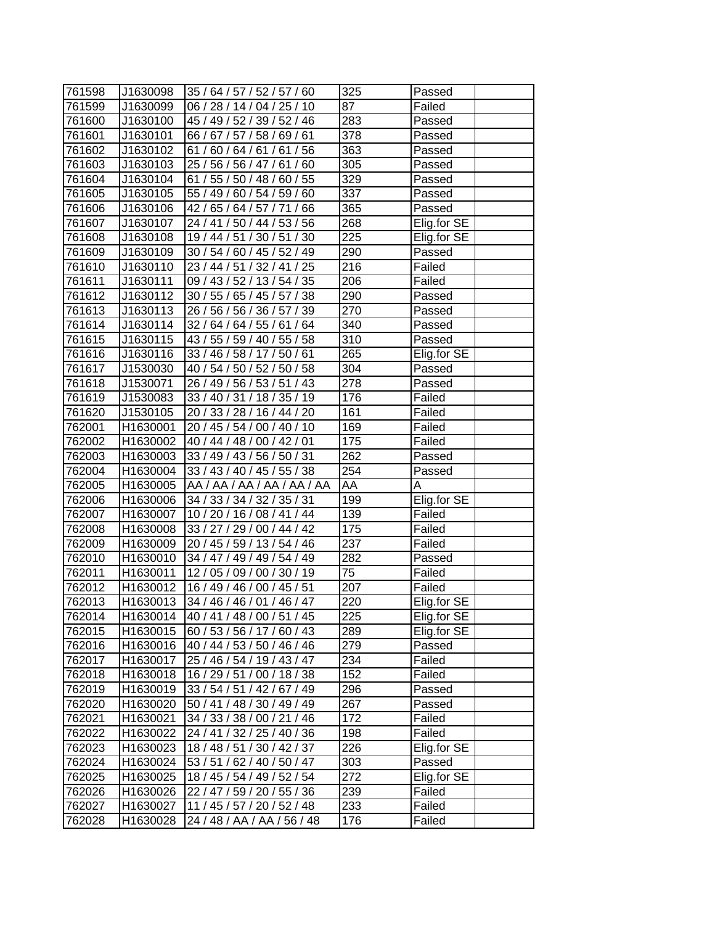| 761598 | J1630098 | 35 / 64 / 57 / 52 / 57 / 60 | 325             | Passed      |
|--------|----------|-----------------------------|-----------------|-------------|
| 761599 | J1630099 | 06 / 28 / 14 / 04 / 25 / 10 | 87              | Failed      |
| 761600 | J1630100 | 45 / 49 / 52 / 39 / 52 / 46 | 283             | Passed      |
| 761601 | J1630101 | 66 / 67 / 57 / 58 / 69 / 61 | 378             | Passed      |
| 761602 | J1630102 | 61 / 60 / 64 / 61 / 61 / 56 | 363             | Passed      |
| 761603 | J1630103 | 25 / 56 / 56 / 47 / 61 / 60 | 305             | Passed      |
| 761604 | J1630104 | 61 / 55 / 50 / 48 / 60 / 55 | 329             | Passed      |
| 761605 | J1630105 | 55 / 49 / 60 / 54 / 59 / 60 | 337             | Passed      |
| 761606 | J1630106 | 42 / 65 / 64 / 57 / 71 / 66 | 365             | Passed      |
| 761607 | J1630107 | 24 / 41 / 50 / 44 / 53 / 56 | 268             | Elig.for SE |
| 761608 | J1630108 | 19 / 44 / 51 / 30 / 51 / 30 | 225             | Elig.for SE |
| 761609 | J1630109 | 30 / 54 / 60 / 45 / 52 / 49 | 290             | Passed      |
| 761610 | J1630110 | 23 / 44 / 51 / 32 / 41 / 25 | 216             | Failed      |
| 761611 | J1630111 | 09 / 43 / 52 / 13 / 54 / 35 | 206             | Failed      |
| 761612 | J1630112 | 30 / 55 / 65 / 45 / 57 / 38 | 290             | Passed      |
| 761613 | J1630113 | 26 / 56 / 56 / 36 / 57 / 39 | 270             | Passed      |
| 761614 | J1630114 | 32 / 64 / 64 / 55 / 61 / 64 | 340             | Passed      |
| 761615 | J1630115 | 43 / 55 / 59 / 40 / 55 / 58 | 310             | Passed      |
| 761616 | J1630116 | 33 / 46 / 58 / 17 / 50 / 61 | 265             | Elig.for SE |
| 761617 | J1530030 | 40 / 54 / 50 / 52 / 50 / 58 | 304             | Passed      |
| 761618 | J1530071 | 26 / 49 / 56 / 53 / 51 / 43 | 278             | Passed      |
| 761619 | J1530083 | 33 / 40 / 31 / 18 / 35 / 19 | 176             | Failed      |
| 761620 | J1530105 | 20 / 33 / 28 / 16 / 44 / 20 | 161             | Failed      |
| 762001 | H1630001 | 20 / 45 / 54 / 00 / 40 / 10 | 169             | Failed      |
| 762002 | H1630002 | 40 / 44 / 48 / 00 / 42 / 01 | 175             | Failed      |
| 762003 | H1630003 | 33 / 49 / 43 / 56 / 50 / 31 | 262             | Passed      |
| 762004 | H1630004 | 33 / 43 / 40 / 45 / 55 / 38 | 254             | Passed      |
| 762005 | H1630005 | AA / AA / AA / AA / AA / AA | AA              | A           |
| 762006 | H1630006 | 34 / 33 / 34 / 32 / 35 / 31 | 199             | Elig.for SE |
| 762007 | H1630007 | 10 / 20 / 16 / 08 / 41 / 44 | 139             | Failed      |
| 762008 | H1630008 | 33 / 27 / 29 / 00 / 44 / 42 | 175             | Failed      |
| 762009 | H1630009 | 20 / 45 / 59 / 13 / 54 / 46 | 237             | Failed      |
| 762010 | H1630010 | 34 / 47 / 49 / 49 / 54 / 49 | 282             | Passed      |
| 762011 | H1630011 | 12 / 05 / 09 / 00 / 30 / 19 | $\overline{75}$ | Failed      |
| 762012 | H1630012 | 16 / 49 / 46 / 00 / 45 / 51 | 207             | Failed      |
| 762013 | H1630013 | 34 / 46 / 46 / 01 / 46 / 47 | 220             | Elig.for SE |
| 762014 | H1630014 | 40 / 41 / 48 / 00 / 51 / 45 | 225             | Elig.for SE |
| 762015 | H1630015 | 60 / 53 / 56 / 17 / 60 / 43 | 289             | Elig.for SE |
| 762016 | H1630016 | 40 / 44 / 53 / 50 / 46 / 46 | 279             | Passed      |
| 762017 | H1630017 | 25 / 46 / 54 / 19 / 43 / 47 | 234             | Failed      |
| 762018 | H1630018 | 16 / 29 / 51 / 00 / 18 / 38 | 152             | Failed      |
| 762019 | H1630019 | 33 / 54 / 51 / 42 / 67 / 49 | 296             | Passed      |
| 762020 | H1630020 | 50 / 41 / 48 / 30 / 49 / 49 | 267             | Passed      |
| 762021 | H1630021 | 34 / 33 / 38 / 00 / 21 / 46 | 172             | Failed      |
| 762022 | H1630022 | 24 / 41 / 32 / 25 / 40 / 36 | 198             | Failed      |
| 762023 | H1630023 | 18 / 48 / 51 / 30 / 42 / 37 | 226             | Elig.for SE |
| 762024 | H1630024 | 53 / 51 / 62 / 40 / 50 / 47 | 303             | Passed      |
| 762025 | H1630025 | 18 / 45 / 54 / 49 / 52 / 54 | 272             | Elig.for SE |
| 762026 | H1630026 | 22 / 47 / 59 / 20 / 55 / 36 | 239             | Failed      |
| 762027 | H1630027 | 11 / 45 / 57 / 20 / 52 / 48 | 233             | Failed      |
| 762028 | H1630028 | 24 / 48 / AA / AA / 56 / 48 | 176             | Failed      |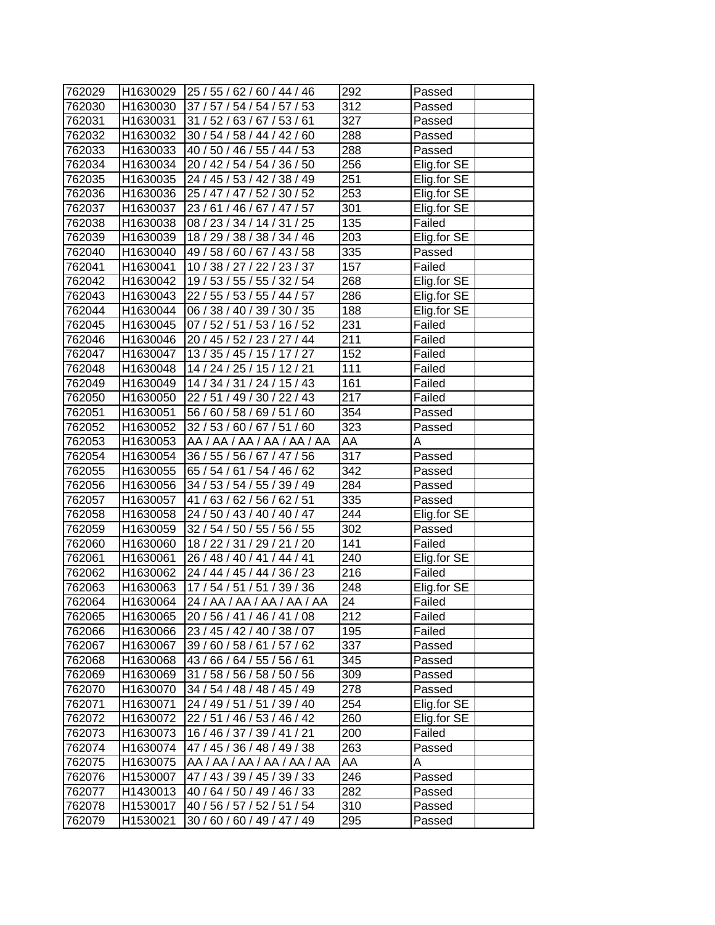| 762029           |          | H1630029 25 / 55 / 62 / 60 / 44 / 46 | 292               | Passed      |
|------------------|----------|--------------------------------------|-------------------|-------------|
| 762030           | H1630030 | 37 / 57 / 54 / 54 / 57 / 53          | 312               | Passed      |
| 762031           | H1630031 | 31 / 52 / 63 / 67 / 53 / 61          | $\overline{3}27$  | Passed      |
| 762032           | H1630032 | 30 / 54 / 58 / 44 / 42 / 60          | 288               | Passed      |
| 762033           | H1630033 | 40 / 50 / 46 / 55 / 44 / 53          | 288               | Passed      |
| 762034           | H1630034 | 20 / 42 / 54 / 54 / 36 / 50          | 256               | Elig.for SE |
| 762035           | H1630035 | 24 / 45 / 53 / 42 / 38 / 49          | 251               | Elig.for SE |
| 762036           | H1630036 | 25 / 47 / 47 / 52 / 30 / 52          | $\overline{253}$  | Elig.for SE |
| 762037           | H1630037 | 23/61/46/67/47/57                    | 301               | Elig.for SE |
| 762038           | H1630038 | 08 / 23 / 34 / 14 / 31 / 25          | 135               | Failed      |
| 762039           | H1630039 | 18 / 29 / 38 / 38 / 34 / 46          | 203               | Elig.for SE |
| 762040           | H1630040 | 49 / 58 / 60 / 67 / 43 / 58          | 335               | Passed      |
| 762041           | H1630041 | 10 / 38 / 27 / 22 / 23 / 37          | 157               | Failed      |
| 762042           | H1630042 | 19 / 53 / 55 / 55 / 32 / 54          | 268               | Elig.for SE |
| 762043           | H1630043 | 22 / 55 / 53 / 55 / 44 / 57          | 286               | Elig.for SE |
| 762044           | H1630044 | 06 / 38 / 40 / 39 / 30 / 35          | 188               | Elig.for SE |
| 762045           | H1630045 | 07 / 52 / 51 / 53 / 16 / 52          | 231               | Failed      |
| 762046           | H1630046 | 20 / 45 / 52 / 23 / 27 / 44          | 211               | Failed      |
| 762047           | H1630047 | 13/35/45/15/17/27                    | 152               | Failed      |
| 762048           | H1630048 | 14 / 24 / 25 / 15 / 12 / 21          | 111               | Failed      |
| 762049           | H1630049 | 14 / 34 / 31 / 24 / 15 / 43          | 161               | Failed      |
| 762050           | H1630050 | 22 / 51 / 49 / 30 / 22 / 43          | 217               | Failed      |
| 762051           | H1630051 | 56 / 60 / 58 / 69 / 51 / 60          | 354               | Passed      |
| 762052           | H1630052 | 32 / 53 / 60 / 67 / 51 / 60          | 323               | Passed      |
| 762053           | H1630053 | AA / AA / AA / AA / AA / AA          | AA                | Α           |
| 762054           | H1630054 | 36 / 55 / 56 / 67 / 47 / 56          | $\overline{3}17$  | Passed      |
| 762055           | H1630055 | 65 / 54 / 61 / 54 / 46 / 62          | 342               | Passed      |
| 762056           | H1630056 | 34 / 53 / 54 / 55 / 39 / 49          | 284               | Passed      |
| 762057           | H1630057 | 41 / 63 / 62 / 56 / 62 / 51          | 335               | Passed      |
| 762058           | H1630058 | 24 / 50 / 43 / 40 / 40 / 47          | 244               | Elig.for SE |
| 762059           | H1630059 | 32 / 54 / 50 / 55 / 56 / 55          | 302               | Passed      |
| 762060           | H1630060 | 18 / 22 / 31 / 29 / 21 / 20          | 141               | Failed      |
| 762061           | H1630061 | 26 / 48 / 40 / 41 / 44 / 41          | 240               | Elig.for SE |
| 762062           | H1630062 | 24 / 44 / 45 / 44 / 36 / 23          | $\overline{2}$ 16 | Failed      |
| 762063           | H1630063 | 17 / 54 / 51 / 51 / 39 / 36          | 248               | Elig.for SE |
| 762064           | H1630064 | 24 / AA / AA / AA / AA / AA          | 24                | Failed      |
| 762065           | H1630065 | 20 / 56 / 41 / 46 / 41 / 08          | 212               | Failed      |
| 762066           | H1630066 | 23 / 45 / 42 / 40 / 38 / 07          | 195               | Failed      |
| 762067           | H1630067 | 39 / 60 / 58 / 61 / 57 / 62          | 337               | Passed      |
| 762068           | H1630068 | 43 / 66 / 64 / 55 / 56 / 61          | 345               | Passed      |
| 762069           | H1630069 | 31 / 58 / 56 / 58 / 50 / 56          | 309               | Passed      |
| 762070           | H1630070 | 34 / 54 / 48 / 48 / 45 / 49          | 278               | Passed      |
| 762071           | H1630071 | 24 / 49 / 51 / 51 / 39 / 40          | 254               | Elig.for SE |
| 762072           | H1630072 | 22 / 51 / 46 / 53 / 46 / 42          | 260               | Elig.for SE |
|                  |          |                                      |                   |             |
| 762073<br>762074 | H1630073 | 16 / 46 / 37 / 39 / 41 / 21          | 200               | Failed      |
|                  | H1630074 | 47 / 45 / 36 / 48 / 49 / 38          | 263               | Passed      |
| 762075           | H1630075 | AA / AA / AA / AA / AA / AA          | AA                | А           |
| 762076           | H1530007 | 47 / 43 / 39 / 45 / 39 / 33          | 246               | Passed      |
| 762077           | H1430013 | 40 / 64 / 50 / 49 / 46 / 33          | 282               | Passed      |
| 762078           | H1530017 | 40 / 56 / 57 / 52 / 51 / 54          | 310               | Passed      |
| 762079           | H1530021 | 30/60/60/49/47/49                    | 295               | Passed      |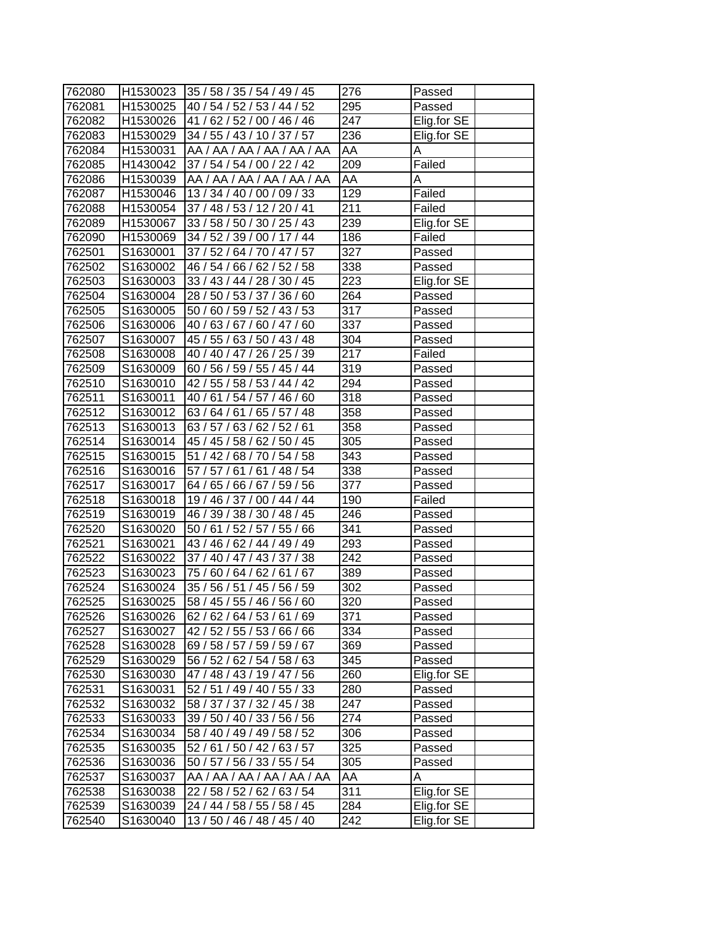| 762080           |                      | H1530023 35 / 58 / 35 / 54 / 49 / 45 | 276              | Passed      |
|------------------|----------------------|--------------------------------------|------------------|-------------|
| 762081<br>762082 | H1530025<br>H1530026 | 40 / 54 / 52 / 53 / 44 / 52          | 295<br>247       | Passed      |
|                  |                      | 41 / 62 / 52 / 00 / 46 / 46          |                  | Elig.for SE |
| 762083           | H1530029             | 34 / 55 / 43 / 10 / 37 / 57          | 236              | Elig.for SE |
| 762084           | H1530031             | AA / AA / AA / AA / AA / AA          | AA               | A           |
| 762085           | H1430042             | 37 / 54 / 54 / 00 / 22 / 42          | 209              | Failed      |
| 762086           | H1530039             | AA / AA / AA / AA / AA / AA          | AA               | А           |
| 762087           | H1530046             | 13 / 34 / 40 / 00 / 09 / 33          | 129              | Failed      |
| 762088           | H1530054             | 37 / 48 / 53 / 12 / 20 / 41          | 211              | Failed      |
| 762089           | H1530067             | 33 / 58 / 50 / 30 / 25 / 43          | 239              | Elig.for SE |
| 762090           | H1530069             | 34 / 52 / 39 / 00 / 17 / 44          | 186              | Failed      |
| 762501           | S1630001             | 37 / 52 / 64 / 70 / 47 / 57          | 327              | Passed      |
| 762502           | S1630002             | 46 / 54 / 66 / 62 / 52 / 58          | 338              | Passed      |
| 762503           | S1630003             | 33 / 43 / 44 / 28 / 30 / 45          | 223              | Elig.for SE |
| 762504           | S1630004             | 28 / 50 / 53 / 37 / 36 / 60          | 264              | Passed      |
| 762505           | S1630005             | 50 / 60 / 59 / 52 / 43 / 53          | 317              | Passed      |
| 762506           | S1630006             | 40 / 63 / 67 / 60 / 47 / 60          | 337              | Passed      |
| 762507           | S1630007             | 45 / 55 / 63 / 50 / 43 / 48          | $\overline{304}$ | Passed      |
| 762508           | S1630008             | 40 / 40 / 47 / 26 / 25 / 39          | 217              | Failed      |
| 762509           | S1630009             | 60 / 56 / 59 / 55 / 45 / 44          | 319              | Passed      |
| 762510           | S1630010             | 42 / 55 / 58 / 53 / 44 / 42          | 294              | Passed      |
| 762511           | S1630011             | 40 / 61 / 54 / 57 / 46 / 60          | 318              | Passed      |
| 762512           | S1630012             | 63 / 64 / 61 / 65 / 57 / 48          | 358              | Passed      |
| 762513           | S1630013             | 63 / 57 / 63 / 62 / 52 / 61          | 358              | Passed      |
| 762514           | S1630014             | 45 / 45 / 58 / 62 / 50 / 45          | 305              | Passed      |
| 762515           | S1630015             | 51 / 42 / 68 / 70 / 54 / 58          | 343              | Passed      |
| 762516           | S1630016             | 57 / 57 / 61 / 61 / 48 / 54          | 338              | Passed      |
| 762517           | S1630017             | 64 / 65 / 66 / 67 / 59 / 56          | $\overline{377}$ | Passed      |
| 762518           | S1630018             | 19 / 46 / 37 / 00 / 44 / 44          | 190              | Failed      |
| 762519           | S1630019             | 46 / 39 / 38 / 30 / 48 / 45          | 246              | Passed      |
| 762520           | S1630020             | 50 / 61 / 52 / 57 / 55 / 66          | 341              | Passed      |
| 762521           | S1630021             | 43 / 46 / 62 / 44 / 49 / 49          | 293              | Passed      |
| 762522           | S1630022             | 37 / 40 / 47 / 43 / 37 / 38          | 242              | Passed      |
| 762523           | S1630023             | 75 / 60 / 64 / 62 / 61 / 67          | 389              | Passed      |
| 762524           | S1630024             | 35 / 56 / 51 / 45 / 56 / 59          | 302              | Passed      |
| 762525           | S1630025             | 58 / 45 / 55 / 46 / 56 / 60          | $\overline{3}20$ | Passed      |
| 762526           | S1630026             | 62 / 62 / 64 / 53 / 61 / 69          | 371              | Passed      |
| 762527           | S1630027             | 42 / 52 / 55 / 53 / 66 / 66          | 334              | Passed      |
| 762528           | S1630028             | 69 / 58 / 57 / 59 / 59 / 67          | 369              | Passed      |
| 762529           | S1630029             | 56 / 52 / 62 / 54 / 58 / 63          | 345              | Passed      |
| 762530           | S1630030             | 47 / 48 / 43 / 19 / 47 / 56          | 260              | Elig.for SE |
| 762531           | S1630031             | 52 / 51 / 49 / 40 / 55 / 33          | 280              | Passed      |
| 762532           | S1630032             | 58 / 37 / 37 / 32 / 45 / 38          | 247              | Passed      |
| 762533           | S1630033             | 39 / 50 / 40 / 33 / 56 / 56          | 274              | Passed      |
| 762534           | S1630034             | 58 / 40 / 49 / 49 / 58 / 52          | 306              | Passed      |
| 762535           | S1630035             | 52 / 61 / 50 / 42 / 63 / 57          | 325              | Passed      |
| 762536           | S1630036             | 50 / 57 / 56 / 33 / 55 / 54          | 305              | Passed      |
| 762537           | S1630037             | AA / AA / AA / AA / AA / AA          | AA               | Α           |
| 762538           | S1630038             | 22 / 58 / 52 / 62 / 63 / 54          | 311              | Elig.for SE |
| 762539           | S1630039             | 24 / 44 / 58 / 55 / 58 / 45          | 284              | Elig.for SE |
| 762540           | S1630040             | 13/50/46/48/45/40                    | 242              | Elig.for SE |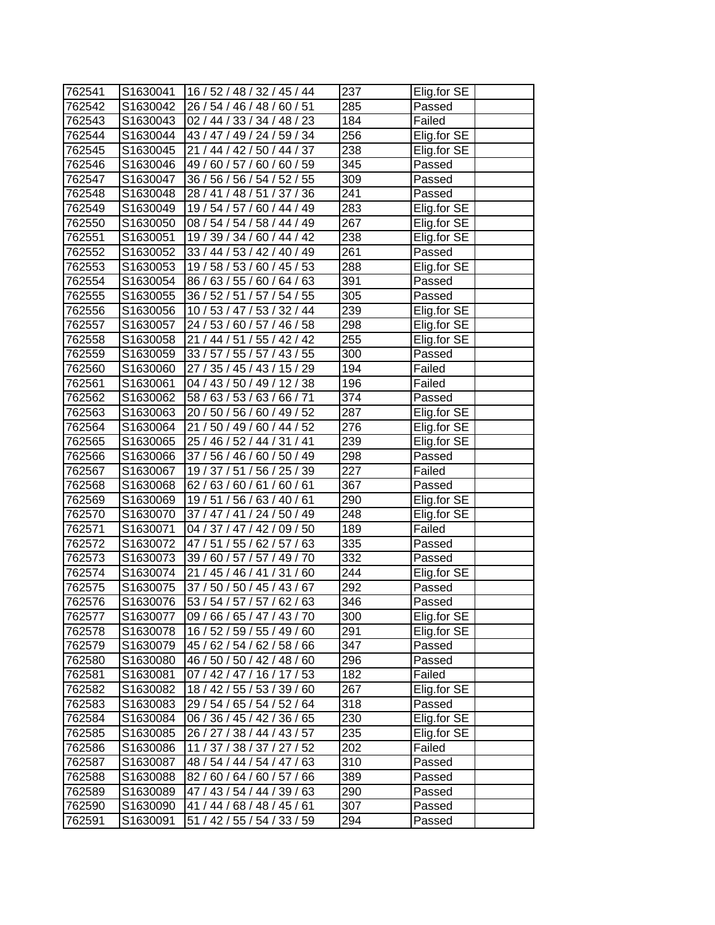| 285<br>762542<br>S1630042<br>26 / 54 / 46 / 48 / 60 / 51<br>Passed<br>762543<br>S1630043<br>184<br>02 / 44 / 33 / 34 / 48 / 23<br>Failed<br>256<br>Elig.for SE<br>762544<br>S1630044<br>43 / 47 / 49 / 24 / 59 / 34<br>21 / 44 / 42 / 50 / 44 / 37<br>238<br>S1630045<br>Elig.for SE<br>762545<br>345<br>762546<br>S1630046<br>49 / 60 / 57 / 60 / 60 / 59<br>Passed<br>309<br>S1630047<br>36 / 56 / 56 / 54 / 52 / 55<br>762547<br>Passed<br>28 / 41 / 48 / 51 / 37 / 36<br>241<br>762548<br>S1630048<br>Passed<br>283<br>762549<br>S1630049<br>19 / 54 / 57 / 60 / 44 / 49<br>Elig.for SE<br>267<br>762550<br>S1630050<br>08 / 54 / 54 / 58 / 44 / 49<br>Elig.for SE<br>238<br>Elig.for SE<br>762551<br>S1630051<br>19 / 39 / 34 / 60 / 44 / 42<br>261<br>762552<br>S1630052<br>Passed<br>33 / 44 / 53 / 42 / 40 / 49<br>S1630053<br>288<br>Elig.for SE<br>762553<br>19 / 58 / 53 / 60 / 45 / 53<br>762554<br>86 / 63 / 55 / 60 / 64 / 63<br>391<br>Passed<br>S1630054<br>305<br>762555<br>S1630055<br>36 / 52 / 51 / 57 / 54 / 55<br>Passed<br>762556<br>239<br>S1630056<br>10 / 53 / 47 / 53 / 32 / 44<br>Elig.for SE<br>24 / 53 / 60 / 57 / 46 / 58<br>298<br>762557<br>S1630057<br>Elig.for SE<br>255<br>21 / 44 / 51 / 55 / 42 / 42<br>762558<br>S1630058<br>Elig.for SE<br>33 / 57 / 55 / 57 / 43 / 55<br>300<br>S1630059<br>762559<br>Passed<br>S1630060<br>194<br>762560<br>27 / 35 / 45 / 43 / 15 / 29<br>Failed<br>762561<br>S1630061<br>04 / 43 / 50 / 49 / 12 / 38<br>196<br>Failed<br>$\overline{3}$ 74<br>762562<br>S1630062<br>58 / 63 / 53 / 63 / 66 / 71<br>Passed<br>287<br>762563<br>S1630063<br>20 / 50 / 56 / 60 / 49 / 52<br>Elig.for SE<br>276<br>Elig.for SE<br>762564<br>S1630064<br>21 / 50 / 49 / 60 / 44 / 52<br>762565<br>239<br>S1630065<br>25 / 46 / 52 / 44 / 31 / 41<br>Elig.for SE<br>762566<br>298<br>S1630066<br>37 / 56 / 46 / 60 / 50 / 49<br>Passed<br>227<br>762567<br>S1630067<br>Failed<br>19 / 37 / 51 / 56 / 25 / 39<br>367<br>762568<br>S1630068<br>62 / 63 / 60 / 61 / 60 / 61<br>Passed<br>290<br>Elig.for SE<br>762569<br>S1630069<br>19 / 51 / 56 / 63 / 40 / 61<br>37 / 47 / 41 / 24 / 50 / 49<br>248<br>762570<br>S1630070<br>Elig.for SE<br>189<br>S1630071<br>04 / 37 / 47 / 42 / 09 / 50<br>762571<br>Failed<br>335<br>S1630072<br>47 / 51 / 55 / 62 / 57 / 63<br>762572<br>Passed<br>S1630073<br>332<br>762573<br>39 / 60 / 57 / 57 / 49 / 70<br>Passed<br>21 / 45 / 46 / 41 / 31 / 60<br>244<br>S1630074<br>762574<br>Elig.for SE<br>292<br>762575<br>S1630075<br>37 / 50 / 50 / 45 / 43 / 67<br>Passed<br>53 / 54 / 57 / 57 / 62 / 63<br>346<br>762576<br>S1630076<br>Passed<br>Elig.for SE<br>762577<br>S1630077<br>09 / 66 / 65 / 47 / 43 / 70<br>300<br>Elig.for SE<br>291<br>762578<br>S1630078<br>16 / 52 / 59 / 55 / 49 / 60<br>762579<br>347<br>Passed<br>S1630079<br>45 / 62 / 54 / 62 / 58 / 66<br>762580<br>S1630080<br>296<br>Passed<br>46 / 50 / 50 / 42 / 48 / 60<br>182<br>762581<br>S1630081<br>07 / 42 / 47 / 16 / 17 / 53<br>Failed<br>Elig.for SE<br>267<br>762582<br>S1630082<br>18 / 42 / 55 / 53 / 39 / 60<br>318<br>762583<br>S1630083<br>29 / 54 / 65 / 54 / 52 / 64<br>Passed<br>Elig.for SE<br>230<br>06 / 36 / 45 / 42 / 36 / 65<br>762584<br>S1630084<br>235<br>Elig.for SE<br>762585<br>S1630085<br>26 / 27 / 38 / 44 / 43 / 57<br>762586<br>11 / 37 / 38 / 37 / 27 / 52<br>202<br>Failed<br>S1630086<br>310<br>762587<br>48 / 54 / 44 / 54 / 47 / 63<br>Passed<br>S1630087<br>389<br>762588<br>S1630088<br>82/60/64/60/57/66<br>Passed<br>762589<br>S1630089<br>290<br>47 / 43 / 54 / 44 / 39 / 63<br>Passed<br>762590<br>S1630090<br>307<br>41 / 44 / 68 / 48 / 45 / 61<br>Passed |        |          |                             |     |             |
|----------------------------------------------------------------------------------------------------------------------------------------------------------------------------------------------------------------------------------------------------------------------------------------------------------------------------------------------------------------------------------------------------------------------------------------------------------------------------------------------------------------------------------------------------------------------------------------------------------------------------------------------------------------------------------------------------------------------------------------------------------------------------------------------------------------------------------------------------------------------------------------------------------------------------------------------------------------------------------------------------------------------------------------------------------------------------------------------------------------------------------------------------------------------------------------------------------------------------------------------------------------------------------------------------------------------------------------------------------------------------------------------------------------------------------------------------------------------------------------------------------------------------------------------------------------------------------------------------------------------------------------------------------------------------------------------------------------------------------------------------------------------------------------------------------------------------------------------------------------------------------------------------------------------------------------------------------------------------------------------------------------------------------------------------------------------------------------------------------------------------------------------------------------------------------------------------------------------------------------------------------------------------------------------------------------------------------------------------------------------------------------------------------------------------------------------------------------------------------------------------------------------------------------------------------------------------------------------------------------------------------------------------------------------------------------------------------------------------------------------------------------------------------------------------------------------------------------------------------------------------------------------------------------------------------------------------------------------------------------------------------------------------------------------------------------------------------------------------------------------------------------------------------------------------------------------------------------------------------------------------------------------------------------------------------------------------------------------------------------------------------------------------------------------------------------------------------------------------------------------------------------------------------------------------------------------------------------------------------------------------------------------------------------------------|--------|----------|-----------------------------|-----|-------------|
|                                                                                                                                                                                                                                                                                                                                                                                                                                                                                                                                                                                                                                                                                                                                                                                                                                                                                                                                                                                                                                                                                                                                                                                                                                                                                                                                                                                                                                                                                                                                                                                                                                                                                                                                                                                                                                                                                                                                                                                                                                                                                                                                                                                                                                                                                                                                                                                                                                                                                                                                                                                                                                                                                                                                                                                                                                                                                                                                                                                                                                                                                                                                                                                                                                                                                                                                                                                                                                                                                                                                                                                                                                                                            | 762541 | S1630041 | 16 / 52 / 48 / 32 / 45 / 44 | 237 | Elig.for SE |
|                                                                                                                                                                                                                                                                                                                                                                                                                                                                                                                                                                                                                                                                                                                                                                                                                                                                                                                                                                                                                                                                                                                                                                                                                                                                                                                                                                                                                                                                                                                                                                                                                                                                                                                                                                                                                                                                                                                                                                                                                                                                                                                                                                                                                                                                                                                                                                                                                                                                                                                                                                                                                                                                                                                                                                                                                                                                                                                                                                                                                                                                                                                                                                                                                                                                                                                                                                                                                                                                                                                                                                                                                                                                            |        |          |                             |     |             |
|                                                                                                                                                                                                                                                                                                                                                                                                                                                                                                                                                                                                                                                                                                                                                                                                                                                                                                                                                                                                                                                                                                                                                                                                                                                                                                                                                                                                                                                                                                                                                                                                                                                                                                                                                                                                                                                                                                                                                                                                                                                                                                                                                                                                                                                                                                                                                                                                                                                                                                                                                                                                                                                                                                                                                                                                                                                                                                                                                                                                                                                                                                                                                                                                                                                                                                                                                                                                                                                                                                                                                                                                                                                                            |        |          |                             |     |             |
|                                                                                                                                                                                                                                                                                                                                                                                                                                                                                                                                                                                                                                                                                                                                                                                                                                                                                                                                                                                                                                                                                                                                                                                                                                                                                                                                                                                                                                                                                                                                                                                                                                                                                                                                                                                                                                                                                                                                                                                                                                                                                                                                                                                                                                                                                                                                                                                                                                                                                                                                                                                                                                                                                                                                                                                                                                                                                                                                                                                                                                                                                                                                                                                                                                                                                                                                                                                                                                                                                                                                                                                                                                                                            |        |          |                             |     |             |
|                                                                                                                                                                                                                                                                                                                                                                                                                                                                                                                                                                                                                                                                                                                                                                                                                                                                                                                                                                                                                                                                                                                                                                                                                                                                                                                                                                                                                                                                                                                                                                                                                                                                                                                                                                                                                                                                                                                                                                                                                                                                                                                                                                                                                                                                                                                                                                                                                                                                                                                                                                                                                                                                                                                                                                                                                                                                                                                                                                                                                                                                                                                                                                                                                                                                                                                                                                                                                                                                                                                                                                                                                                                                            |        |          |                             |     |             |
|                                                                                                                                                                                                                                                                                                                                                                                                                                                                                                                                                                                                                                                                                                                                                                                                                                                                                                                                                                                                                                                                                                                                                                                                                                                                                                                                                                                                                                                                                                                                                                                                                                                                                                                                                                                                                                                                                                                                                                                                                                                                                                                                                                                                                                                                                                                                                                                                                                                                                                                                                                                                                                                                                                                                                                                                                                                                                                                                                                                                                                                                                                                                                                                                                                                                                                                                                                                                                                                                                                                                                                                                                                                                            |        |          |                             |     |             |
|                                                                                                                                                                                                                                                                                                                                                                                                                                                                                                                                                                                                                                                                                                                                                                                                                                                                                                                                                                                                                                                                                                                                                                                                                                                                                                                                                                                                                                                                                                                                                                                                                                                                                                                                                                                                                                                                                                                                                                                                                                                                                                                                                                                                                                                                                                                                                                                                                                                                                                                                                                                                                                                                                                                                                                                                                                                                                                                                                                                                                                                                                                                                                                                                                                                                                                                                                                                                                                                                                                                                                                                                                                                                            |        |          |                             |     |             |
|                                                                                                                                                                                                                                                                                                                                                                                                                                                                                                                                                                                                                                                                                                                                                                                                                                                                                                                                                                                                                                                                                                                                                                                                                                                                                                                                                                                                                                                                                                                                                                                                                                                                                                                                                                                                                                                                                                                                                                                                                                                                                                                                                                                                                                                                                                                                                                                                                                                                                                                                                                                                                                                                                                                                                                                                                                                                                                                                                                                                                                                                                                                                                                                                                                                                                                                                                                                                                                                                                                                                                                                                                                                                            |        |          |                             |     |             |
|                                                                                                                                                                                                                                                                                                                                                                                                                                                                                                                                                                                                                                                                                                                                                                                                                                                                                                                                                                                                                                                                                                                                                                                                                                                                                                                                                                                                                                                                                                                                                                                                                                                                                                                                                                                                                                                                                                                                                                                                                                                                                                                                                                                                                                                                                                                                                                                                                                                                                                                                                                                                                                                                                                                                                                                                                                                                                                                                                                                                                                                                                                                                                                                                                                                                                                                                                                                                                                                                                                                                                                                                                                                                            |        |          |                             |     |             |
|                                                                                                                                                                                                                                                                                                                                                                                                                                                                                                                                                                                                                                                                                                                                                                                                                                                                                                                                                                                                                                                                                                                                                                                                                                                                                                                                                                                                                                                                                                                                                                                                                                                                                                                                                                                                                                                                                                                                                                                                                                                                                                                                                                                                                                                                                                                                                                                                                                                                                                                                                                                                                                                                                                                                                                                                                                                                                                                                                                                                                                                                                                                                                                                                                                                                                                                                                                                                                                                                                                                                                                                                                                                                            |        |          |                             |     |             |
|                                                                                                                                                                                                                                                                                                                                                                                                                                                                                                                                                                                                                                                                                                                                                                                                                                                                                                                                                                                                                                                                                                                                                                                                                                                                                                                                                                                                                                                                                                                                                                                                                                                                                                                                                                                                                                                                                                                                                                                                                                                                                                                                                                                                                                                                                                                                                                                                                                                                                                                                                                                                                                                                                                                                                                                                                                                                                                                                                                                                                                                                                                                                                                                                                                                                                                                                                                                                                                                                                                                                                                                                                                                                            |        |          |                             |     |             |
|                                                                                                                                                                                                                                                                                                                                                                                                                                                                                                                                                                                                                                                                                                                                                                                                                                                                                                                                                                                                                                                                                                                                                                                                                                                                                                                                                                                                                                                                                                                                                                                                                                                                                                                                                                                                                                                                                                                                                                                                                                                                                                                                                                                                                                                                                                                                                                                                                                                                                                                                                                                                                                                                                                                                                                                                                                                                                                                                                                                                                                                                                                                                                                                                                                                                                                                                                                                                                                                                                                                                                                                                                                                                            |        |          |                             |     |             |
|                                                                                                                                                                                                                                                                                                                                                                                                                                                                                                                                                                                                                                                                                                                                                                                                                                                                                                                                                                                                                                                                                                                                                                                                                                                                                                                                                                                                                                                                                                                                                                                                                                                                                                                                                                                                                                                                                                                                                                                                                                                                                                                                                                                                                                                                                                                                                                                                                                                                                                                                                                                                                                                                                                                                                                                                                                                                                                                                                                                                                                                                                                                                                                                                                                                                                                                                                                                                                                                                                                                                                                                                                                                                            |        |          |                             |     |             |
|                                                                                                                                                                                                                                                                                                                                                                                                                                                                                                                                                                                                                                                                                                                                                                                                                                                                                                                                                                                                                                                                                                                                                                                                                                                                                                                                                                                                                                                                                                                                                                                                                                                                                                                                                                                                                                                                                                                                                                                                                                                                                                                                                                                                                                                                                                                                                                                                                                                                                                                                                                                                                                                                                                                                                                                                                                                                                                                                                                                                                                                                                                                                                                                                                                                                                                                                                                                                                                                                                                                                                                                                                                                                            |        |          |                             |     |             |
|                                                                                                                                                                                                                                                                                                                                                                                                                                                                                                                                                                                                                                                                                                                                                                                                                                                                                                                                                                                                                                                                                                                                                                                                                                                                                                                                                                                                                                                                                                                                                                                                                                                                                                                                                                                                                                                                                                                                                                                                                                                                                                                                                                                                                                                                                                                                                                                                                                                                                                                                                                                                                                                                                                                                                                                                                                                                                                                                                                                                                                                                                                                                                                                                                                                                                                                                                                                                                                                                                                                                                                                                                                                                            |        |          |                             |     |             |
|                                                                                                                                                                                                                                                                                                                                                                                                                                                                                                                                                                                                                                                                                                                                                                                                                                                                                                                                                                                                                                                                                                                                                                                                                                                                                                                                                                                                                                                                                                                                                                                                                                                                                                                                                                                                                                                                                                                                                                                                                                                                                                                                                                                                                                                                                                                                                                                                                                                                                                                                                                                                                                                                                                                                                                                                                                                                                                                                                                                                                                                                                                                                                                                                                                                                                                                                                                                                                                                                                                                                                                                                                                                                            |        |          |                             |     |             |
|                                                                                                                                                                                                                                                                                                                                                                                                                                                                                                                                                                                                                                                                                                                                                                                                                                                                                                                                                                                                                                                                                                                                                                                                                                                                                                                                                                                                                                                                                                                                                                                                                                                                                                                                                                                                                                                                                                                                                                                                                                                                                                                                                                                                                                                                                                                                                                                                                                                                                                                                                                                                                                                                                                                                                                                                                                                                                                                                                                                                                                                                                                                                                                                                                                                                                                                                                                                                                                                                                                                                                                                                                                                                            |        |          |                             |     |             |
|                                                                                                                                                                                                                                                                                                                                                                                                                                                                                                                                                                                                                                                                                                                                                                                                                                                                                                                                                                                                                                                                                                                                                                                                                                                                                                                                                                                                                                                                                                                                                                                                                                                                                                                                                                                                                                                                                                                                                                                                                                                                                                                                                                                                                                                                                                                                                                                                                                                                                                                                                                                                                                                                                                                                                                                                                                                                                                                                                                                                                                                                                                                                                                                                                                                                                                                                                                                                                                                                                                                                                                                                                                                                            |        |          |                             |     |             |
|                                                                                                                                                                                                                                                                                                                                                                                                                                                                                                                                                                                                                                                                                                                                                                                                                                                                                                                                                                                                                                                                                                                                                                                                                                                                                                                                                                                                                                                                                                                                                                                                                                                                                                                                                                                                                                                                                                                                                                                                                                                                                                                                                                                                                                                                                                                                                                                                                                                                                                                                                                                                                                                                                                                                                                                                                                                                                                                                                                                                                                                                                                                                                                                                                                                                                                                                                                                                                                                                                                                                                                                                                                                                            |        |          |                             |     |             |
|                                                                                                                                                                                                                                                                                                                                                                                                                                                                                                                                                                                                                                                                                                                                                                                                                                                                                                                                                                                                                                                                                                                                                                                                                                                                                                                                                                                                                                                                                                                                                                                                                                                                                                                                                                                                                                                                                                                                                                                                                                                                                                                                                                                                                                                                                                                                                                                                                                                                                                                                                                                                                                                                                                                                                                                                                                                                                                                                                                                                                                                                                                                                                                                                                                                                                                                                                                                                                                                                                                                                                                                                                                                                            |        |          |                             |     |             |
|                                                                                                                                                                                                                                                                                                                                                                                                                                                                                                                                                                                                                                                                                                                                                                                                                                                                                                                                                                                                                                                                                                                                                                                                                                                                                                                                                                                                                                                                                                                                                                                                                                                                                                                                                                                                                                                                                                                                                                                                                                                                                                                                                                                                                                                                                                                                                                                                                                                                                                                                                                                                                                                                                                                                                                                                                                                                                                                                                                                                                                                                                                                                                                                                                                                                                                                                                                                                                                                                                                                                                                                                                                                                            |        |          |                             |     |             |
|                                                                                                                                                                                                                                                                                                                                                                                                                                                                                                                                                                                                                                                                                                                                                                                                                                                                                                                                                                                                                                                                                                                                                                                                                                                                                                                                                                                                                                                                                                                                                                                                                                                                                                                                                                                                                                                                                                                                                                                                                                                                                                                                                                                                                                                                                                                                                                                                                                                                                                                                                                                                                                                                                                                                                                                                                                                                                                                                                                                                                                                                                                                                                                                                                                                                                                                                                                                                                                                                                                                                                                                                                                                                            |        |          |                             |     |             |
|                                                                                                                                                                                                                                                                                                                                                                                                                                                                                                                                                                                                                                                                                                                                                                                                                                                                                                                                                                                                                                                                                                                                                                                                                                                                                                                                                                                                                                                                                                                                                                                                                                                                                                                                                                                                                                                                                                                                                                                                                                                                                                                                                                                                                                                                                                                                                                                                                                                                                                                                                                                                                                                                                                                                                                                                                                                                                                                                                                                                                                                                                                                                                                                                                                                                                                                                                                                                                                                                                                                                                                                                                                                                            |        |          |                             |     |             |
|                                                                                                                                                                                                                                                                                                                                                                                                                                                                                                                                                                                                                                                                                                                                                                                                                                                                                                                                                                                                                                                                                                                                                                                                                                                                                                                                                                                                                                                                                                                                                                                                                                                                                                                                                                                                                                                                                                                                                                                                                                                                                                                                                                                                                                                                                                                                                                                                                                                                                                                                                                                                                                                                                                                                                                                                                                                                                                                                                                                                                                                                                                                                                                                                                                                                                                                                                                                                                                                                                                                                                                                                                                                                            |        |          |                             |     |             |
|                                                                                                                                                                                                                                                                                                                                                                                                                                                                                                                                                                                                                                                                                                                                                                                                                                                                                                                                                                                                                                                                                                                                                                                                                                                                                                                                                                                                                                                                                                                                                                                                                                                                                                                                                                                                                                                                                                                                                                                                                                                                                                                                                                                                                                                                                                                                                                                                                                                                                                                                                                                                                                                                                                                                                                                                                                                                                                                                                                                                                                                                                                                                                                                                                                                                                                                                                                                                                                                                                                                                                                                                                                                                            |        |          |                             |     |             |
|                                                                                                                                                                                                                                                                                                                                                                                                                                                                                                                                                                                                                                                                                                                                                                                                                                                                                                                                                                                                                                                                                                                                                                                                                                                                                                                                                                                                                                                                                                                                                                                                                                                                                                                                                                                                                                                                                                                                                                                                                                                                                                                                                                                                                                                                                                                                                                                                                                                                                                                                                                                                                                                                                                                                                                                                                                                                                                                                                                                                                                                                                                                                                                                                                                                                                                                                                                                                                                                                                                                                                                                                                                                                            |        |          |                             |     |             |
|                                                                                                                                                                                                                                                                                                                                                                                                                                                                                                                                                                                                                                                                                                                                                                                                                                                                                                                                                                                                                                                                                                                                                                                                                                                                                                                                                                                                                                                                                                                                                                                                                                                                                                                                                                                                                                                                                                                                                                                                                                                                                                                                                                                                                                                                                                                                                                                                                                                                                                                                                                                                                                                                                                                                                                                                                                                                                                                                                                                                                                                                                                                                                                                                                                                                                                                                                                                                                                                                                                                                                                                                                                                                            |        |          |                             |     |             |
|                                                                                                                                                                                                                                                                                                                                                                                                                                                                                                                                                                                                                                                                                                                                                                                                                                                                                                                                                                                                                                                                                                                                                                                                                                                                                                                                                                                                                                                                                                                                                                                                                                                                                                                                                                                                                                                                                                                                                                                                                                                                                                                                                                                                                                                                                                                                                                                                                                                                                                                                                                                                                                                                                                                                                                                                                                                                                                                                                                                                                                                                                                                                                                                                                                                                                                                                                                                                                                                                                                                                                                                                                                                                            |        |          |                             |     |             |
|                                                                                                                                                                                                                                                                                                                                                                                                                                                                                                                                                                                                                                                                                                                                                                                                                                                                                                                                                                                                                                                                                                                                                                                                                                                                                                                                                                                                                                                                                                                                                                                                                                                                                                                                                                                                                                                                                                                                                                                                                                                                                                                                                                                                                                                                                                                                                                                                                                                                                                                                                                                                                                                                                                                                                                                                                                                                                                                                                                                                                                                                                                                                                                                                                                                                                                                                                                                                                                                                                                                                                                                                                                                                            |        |          |                             |     |             |
|                                                                                                                                                                                                                                                                                                                                                                                                                                                                                                                                                                                                                                                                                                                                                                                                                                                                                                                                                                                                                                                                                                                                                                                                                                                                                                                                                                                                                                                                                                                                                                                                                                                                                                                                                                                                                                                                                                                                                                                                                                                                                                                                                                                                                                                                                                                                                                                                                                                                                                                                                                                                                                                                                                                                                                                                                                                                                                                                                                                                                                                                                                                                                                                                                                                                                                                                                                                                                                                                                                                                                                                                                                                                            |        |          |                             |     |             |
|                                                                                                                                                                                                                                                                                                                                                                                                                                                                                                                                                                                                                                                                                                                                                                                                                                                                                                                                                                                                                                                                                                                                                                                                                                                                                                                                                                                                                                                                                                                                                                                                                                                                                                                                                                                                                                                                                                                                                                                                                                                                                                                                                                                                                                                                                                                                                                                                                                                                                                                                                                                                                                                                                                                                                                                                                                                                                                                                                                                                                                                                                                                                                                                                                                                                                                                                                                                                                                                                                                                                                                                                                                                                            |        |          |                             |     |             |
|                                                                                                                                                                                                                                                                                                                                                                                                                                                                                                                                                                                                                                                                                                                                                                                                                                                                                                                                                                                                                                                                                                                                                                                                                                                                                                                                                                                                                                                                                                                                                                                                                                                                                                                                                                                                                                                                                                                                                                                                                                                                                                                                                                                                                                                                                                                                                                                                                                                                                                                                                                                                                                                                                                                                                                                                                                                                                                                                                                                                                                                                                                                                                                                                                                                                                                                                                                                                                                                                                                                                                                                                                                                                            |        |          |                             |     |             |
|                                                                                                                                                                                                                                                                                                                                                                                                                                                                                                                                                                                                                                                                                                                                                                                                                                                                                                                                                                                                                                                                                                                                                                                                                                                                                                                                                                                                                                                                                                                                                                                                                                                                                                                                                                                                                                                                                                                                                                                                                                                                                                                                                                                                                                                                                                                                                                                                                                                                                                                                                                                                                                                                                                                                                                                                                                                                                                                                                                                                                                                                                                                                                                                                                                                                                                                                                                                                                                                                                                                                                                                                                                                                            |        |          |                             |     |             |
|                                                                                                                                                                                                                                                                                                                                                                                                                                                                                                                                                                                                                                                                                                                                                                                                                                                                                                                                                                                                                                                                                                                                                                                                                                                                                                                                                                                                                                                                                                                                                                                                                                                                                                                                                                                                                                                                                                                                                                                                                                                                                                                                                                                                                                                                                                                                                                                                                                                                                                                                                                                                                                                                                                                                                                                                                                                                                                                                                                                                                                                                                                                                                                                                                                                                                                                                                                                                                                                                                                                                                                                                                                                                            |        |          |                             |     |             |
|                                                                                                                                                                                                                                                                                                                                                                                                                                                                                                                                                                                                                                                                                                                                                                                                                                                                                                                                                                                                                                                                                                                                                                                                                                                                                                                                                                                                                                                                                                                                                                                                                                                                                                                                                                                                                                                                                                                                                                                                                                                                                                                                                                                                                                                                                                                                                                                                                                                                                                                                                                                                                                                                                                                                                                                                                                                                                                                                                                                                                                                                                                                                                                                                                                                                                                                                                                                                                                                                                                                                                                                                                                                                            |        |          |                             |     |             |
|                                                                                                                                                                                                                                                                                                                                                                                                                                                                                                                                                                                                                                                                                                                                                                                                                                                                                                                                                                                                                                                                                                                                                                                                                                                                                                                                                                                                                                                                                                                                                                                                                                                                                                                                                                                                                                                                                                                                                                                                                                                                                                                                                                                                                                                                                                                                                                                                                                                                                                                                                                                                                                                                                                                                                                                                                                                                                                                                                                                                                                                                                                                                                                                                                                                                                                                                                                                                                                                                                                                                                                                                                                                                            |        |          |                             |     |             |
|                                                                                                                                                                                                                                                                                                                                                                                                                                                                                                                                                                                                                                                                                                                                                                                                                                                                                                                                                                                                                                                                                                                                                                                                                                                                                                                                                                                                                                                                                                                                                                                                                                                                                                                                                                                                                                                                                                                                                                                                                                                                                                                                                                                                                                                                                                                                                                                                                                                                                                                                                                                                                                                                                                                                                                                                                                                                                                                                                                                                                                                                                                                                                                                                                                                                                                                                                                                                                                                                                                                                                                                                                                                                            |        |          |                             |     |             |
|                                                                                                                                                                                                                                                                                                                                                                                                                                                                                                                                                                                                                                                                                                                                                                                                                                                                                                                                                                                                                                                                                                                                                                                                                                                                                                                                                                                                                                                                                                                                                                                                                                                                                                                                                                                                                                                                                                                                                                                                                                                                                                                                                                                                                                                                                                                                                                                                                                                                                                                                                                                                                                                                                                                                                                                                                                                                                                                                                                                                                                                                                                                                                                                                                                                                                                                                                                                                                                                                                                                                                                                                                                                                            |        |          |                             |     |             |
|                                                                                                                                                                                                                                                                                                                                                                                                                                                                                                                                                                                                                                                                                                                                                                                                                                                                                                                                                                                                                                                                                                                                                                                                                                                                                                                                                                                                                                                                                                                                                                                                                                                                                                                                                                                                                                                                                                                                                                                                                                                                                                                                                                                                                                                                                                                                                                                                                                                                                                                                                                                                                                                                                                                                                                                                                                                                                                                                                                                                                                                                                                                                                                                                                                                                                                                                                                                                                                                                                                                                                                                                                                                                            |        |          |                             |     |             |
|                                                                                                                                                                                                                                                                                                                                                                                                                                                                                                                                                                                                                                                                                                                                                                                                                                                                                                                                                                                                                                                                                                                                                                                                                                                                                                                                                                                                                                                                                                                                                                                                                                                                                                                                                                                                                                                                                                                                                                                                                                                                                                                                                                                                                                                                                                                                                                                                                                                                                                                                                                                                                                                                                                                                                                                                                                                                                                                                                                                                                                                                                                                                                                                                                                                                                                                                                                                                                                                                                                                                                                                                                                                                            |        |          |                             |     |             |
|                                                                                                                                                                                                                                                                                                                                                                                                                                                                                                                                                                                                                                                                                                                                                                                                                                                                                                                                                                                                                                                                                                                                                                                                                                                                                                                                                                                                                                                                                                                                                                                                                                                                                                                                                                                                                                                                                                                                                                                                                                                                                                                                                                                                                                                                                                                                                                                                                                                                                                                                                                                                                                                                                                                                                                                                                                                                                                                                                                                                                                                                                                                                                                                                                                                                                                                                                                                                                                                                                                                                                                                                                                                                            |        |          |                             |     |             |
|                                                                                                                                                                                                                                                                                                                                                                                                                                                                                                                                                                                                                                                                                                                                                                                                                                                                                                                                                                                                                                                                                                                                                                                                                                                                                                                                                                                                                                                                                                                                                                                                                                                                                                                                                                                                                                                                                                                                                                                                                                                                                                                                                                                                                                                                                                                                                                                                                                                                                                                                                                                                                                                                                                                                                                                                                                                                                                                                                                                                                                                                                                                                                                                                                                                                                                                                                                                                                                                                                                                                                                                                                                                                            |        |          |                             |     |             |
|                                                                                                                                                                                                                                                                                                                                                                                                                                                                                                                                                                                                                                                                                                                                                                                                                                                                                                                                                                                                                                                                                                                                                                                                                                                                                                                                                                                                                                                                                                                                                                                                                                                                                                                                                                                                                                                                                                                                                                                                                                                                                                                                                                                                                                                                                                                                                                                                                                                                                                                                                                                                                                                                                                                                                                                                                                                                                                                                                                                                                                                                                                                                                                                                                                                                                                                                                                                                                                                                                                                                                                                                                                                                            |        |          |                             |     |             |
|                                                                                                                                                                                                                                                                                                                                                                                                                                                                                                                                                                                                                                                                                                                                                                                                                                                                                                                                                                                                                                                                                                                                                                                                                                                                                                                                                                                                                                                                                                                                                                                                                                                                                                                                                                                                                                                                                                                                                                                                                                                                                                                                                                                                                                                                                                                                                                                                                                                                                                                                                                                                                                                                                                                                                                                                                                                                                                                                                                                                                                                                                                                                                                                                                                                                                                                                                                                                                                                                                                                                                                                                                                                                            |        |          |                             |     |             |
|                                                                                                                                                                                                                                                                                                                                                                                                                                                                                                                                                                                                                                                                                                                                                                                                                                                                                                                                                                                                                                                                                                                                                                                                                                                                                                                                                                                                                                                                                                                                                                                                                                                                                                                                                                                                                                                                                                                                                                                                                                                                                                                                                                                                                                                                                                                                                                                                                                                                                                                                                                                                                                                                                                                                                                                                                                                                                                                                                                                                                                                                                                                                                                                                                                                                                                                                                                                                                                                                                                                                                                                                                                                                            |        |          |                             |     |             |
|                                                                                                                                                                                                                                                                                                                                                                                                                                                                                                                                                                                                                                                                                                                                                                                                                                                                                                                                                                                                                                                                                                                                                                                                                                                                                                                                                                                                                                                                                                                                                                                                                                                                                                                                                                                                                                                                                                                                                                                                                                                                                                                                                                                                                                                                                                                                                                                                                                                                                                                                                                                                                                                                                                                                                                                                                                                                                                                                                                                                                                                                                                                                                                                                                                                                                                                                                                                                                                                                                                                                                                                                                                                                            |        |          |                             |     |             |
|                                                                                                                                                                                                                                                                                                                                                                                                                                                                                                                                                                                                                                                                                                                                                                                                                                                                                                                                                                                                                                                                                                                                                                                                                                                                                                                                                                                                                                                                                                                                                                                                                                                                                                                                                                                                                                                                                                                                                                                                                                                                                                                                                                                                                                                                                                                                                                                                                                                                                                                                                                                                                                                                                                                                                                                                                                                                                                                                                                                                                                                                                                                                                                                                                                                                                                                                                                                                                                                                                                                                                                                                                                                                            |        |          |                             |     |             |
|                                                                                                                                                                                                                                                                                                                                                                                                                                                                                                                                                                                                                                                                                                                                                                                                                                                                                                                                                                                                                                                                                                                                                                                                                                                                                                                                                                                                                                                                                                                                                                                                                                                                                                                                                                                                                                                                                                                                                                                                                                                                                                                                                                                                                                                                                                                                                                                                                                                                                                                                                                                                                                                                                                                                                                                                                                                                                                                                                                                                                                                                                                                                                                                                                                                                                                                                                                                                                                                                                                                                                                                                                                                                            |        |          |                             |     |             |
|                                                                                                                                                                                                                                                                                                                                                                                                                                                                                                                                                                                                                                                                                                                                                                                                                                                                                                                                                                                                                                                                                                                                                                                                                                                                                                                                                                                                                                                                                                                                                                                                                                                                                                                                                                                                                                                                                                                                                                                                                                                                                                                                                                                                                                                                                                                                                                                                                                                                                                                                                                                                                                                                                                                                                                                                                                                                                                                                                                                                                                                                                                                                                                                                                                                                                                                                                                                                                                                                                                                                                                                                                                                                            |        |          |                             |     |             |
|                                                                                                                                                                                                                                                                                                                                                                                                                                                                                                                                                                                                                                                                                                                                                                                                                                                                                                                                                                                                                                                                                                                                                                                                                                                                                                                                                                                                                                                                                                                                                                                                                                                                                                                                                                                                                                                                                                                                                                                                                                                                                                                                                                                                                                                                                                                                                                                                                                                                                                                                                                                                                                                                                                                                                                                                                                                                                                                                                                                                                                                                                                                                                                                                                                                                                                                                                                                                                                                                                                                                                                                                                                                                            |        |          |                             |     |             |
|                                                                                                                                                                                                                                                                                                                                                                                                                                                                                                                                                                                                                                                                                                                                                                                                                                                                                                                                                                                                                                                                                                                                                                                                                                                                                                                                                                                                                                                                                                                                                                                                                                                                                                                                                                                                                                                                                                                                                                                                                                                                                                                                                                                                                                                                                                                                                                                                                                                                                                                                                                                                                                                                                                                                                                                                                                                                                                                                                                                                                                                                                                                                                                                                                                                                                                                                                                                                                                                                                                                                                                                                                                                                            | 762591 | S1630091 | 51 / 42 / 55 / 54 / 33 / 59 | 294 | Passed      |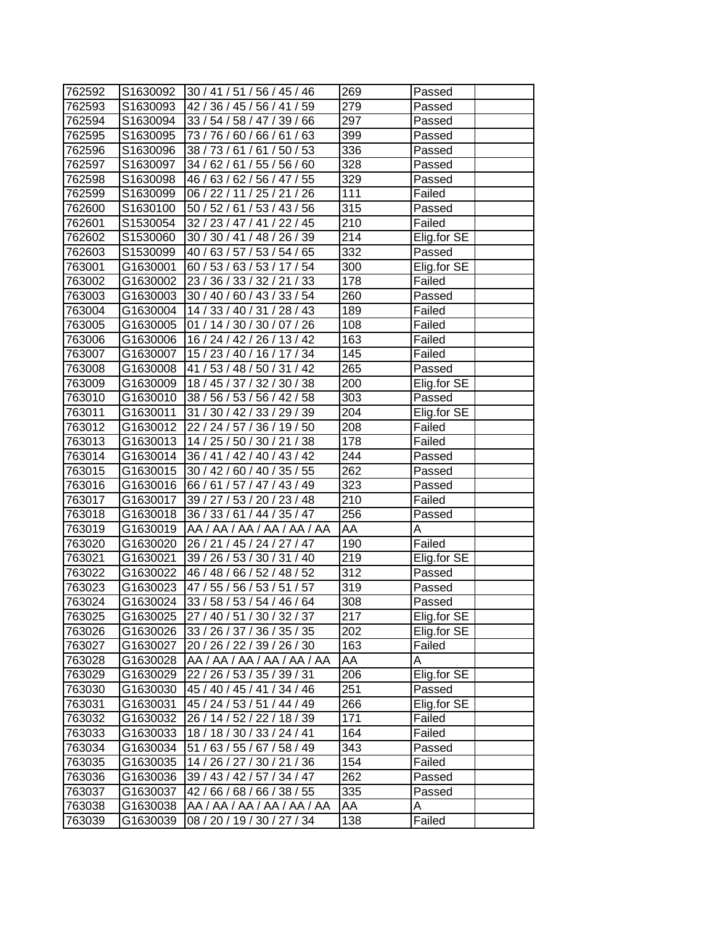| 762592 |          | S1630092 30 / 41 / 51 / 56 / 45 / 46 | 269              | Passed      |
|--------|----------|--------------------------------------|------------------|-------------|
| 762593 | S1630093 | 42 / 36 / 45 / 56 / 41 / 59          | 279              | Passed      |
| 762594 | S1630094 | 33 / 54 / 58 / 47 / 39 / 66          | 297              | Passed      |
| 762595 | S1630095 | 73 / 76 / 60 / 66 / 61 / 63          | 399              | Passed      |
| 762596 | S1630096 | 38 / 73 / 61 / 61 / 50 / 53          | 336              | Passed      |
| 762597 | S1630097 | 34 / 62 / 61 / 55 / 56 / 60          | 328              | Passed      |
| 762598 | S1630098 | 46 / 63 / 62 / 56 / 47 / 55          | 329              | Passed      |
| 762599 | S1630099 | 06 / 22 / 11 / 25 / 21 / 26          | 111              | Failed      |
| 762600 | S1630100 | 50 / 52 / 61 / 53 / 43 / 56          | 315              | Passed      |
| 762601 | S1530054 | 32 / 23 / 47 / 41 / 22 / 45          | $\overline{210}$ | Failed      |
| 762602 | S1530060 | 30 / 30 / 41 / 48 / 26 / 39          | $\overline{2}14$ | Elig.for SE |
| 762603 | S1530099 | 40 / 63 / 57 / 53 / 54 / 65          | 332              | Passed      |
| 763001 | G1630001 | 60/53/63/53/17/54                    | 300              | Elig.for SE |
| 763002 | G1630002 | 23 / 36 / 33 / 32 / 21 / 33          | 178              | Failed      |
| 763003 | G1630003 | 30 / 40 / 60 / 43 / 33 / 54          | 260              | Passed      |
| 763004 | G1630004 | 14 / 33 / 40 / 31 / 28 / 43          | 189              | Failed      |
| 763005 | G1630005 | 01 / 14 / 30 / 30 / 07 / 26          | 108              | Failed      |
| 763006 | G1630006 | 16 / 24 / 42 / 26 / 13 / 42          | 163              | Failed      |
| 763007 | G1630007 | 15 / 23 / 40 / 16 / 17 / 34          | 145              | Failed      |
| 763008 | G1630008 | 41 / 53 / 48 / 50 / 31 / 42          | 265              | Passed      |
| 763009 | G1630009 | 18 / 45 / 37 / 32 / 30 / 38          | 200              | Elig.for SE |
| 763010 | G1630010 | 38 / 56 / 53 / 56 / 42 / 58          | 303              | Passed      |
| 763011 | G1630011 | 31 / 30 / 42 / 33 / 29 / 39          | 204              | Elig.for SE |
| 763012 | G1630012 | 22 / 24 / 57 / 36 / 19 / 50          | 208              | Failed      |
| 763013 | G1630013 | 14 / 25 / 50 / 30 / 21 / 38          | 178              | Failed      |
| 763014 | G1630014 | 36 / 41 / 42 / 40 / 43 / 42          | 244              | Passed      |
| 763015 | G1630015 | 30 / 42 / 60 / 40 / 35 / 55          | 262              | Passed      |
| 763016 | G1630016 | 66 / 61 / 57 / 47 / 43 / 49          | 323              | Passed      |
| 763017 | G1630017 | 39 / 27 / 53 / 20 / 23 / 48          | $\overline{210}$ | Failed      |
| 763018 | G1630018 | 36 / 33 / 61 / 44 / 35 / 47          | 256              | Passed      |
| 763019 | G1630019 | AA / AA / AA / AA / AA / AA          | AA               | Α           |
| 763020 | G1630020 | 26 / 21 / 45 / 24 / 27 / 47          | 190              | Failed      |
| 763021 | G1630021 | 39 / 26 / 53 / 30 / 31 / 40          | 219              | Elig.for SE |
| 763022 | G1630022 | 46 / 48 / 66 / 52 / 48 / 52          | 312              | Passed      |
| 763023 | G1630023 | 47 / 55 / 56 / 53 / 51 / 57          | 319              | Passed      |
| 763024 | G1630024 | 33/58/53/54/46/64                    | 308              | Passed      |
| 763025 | G1630025 | 27 / 40 / 51 / 30 / 32 / 37          | 217              | Elig.for SE |
| 763026 | G1630026 | 33 / 26 / 37 / 36 / 35 / 35          | 202              | Elig.for SE |
| 763027 | G1630027 | 20 / 26 / 22 / 39 / 26 / 30          | 163              | Failed      |
| 763028 | G1630028 | AA / AA / AA / AA / AA / AA          | AA               | A           |
| 763029 | G1630029 | 22 / 26 / 53 / 35 / 39 / 31          | 206              | Elig.for SE |
| 763030 | G1630030 | 45 / 40 / 45 / 41 / 34 / 46          | 251              | Passed      |
| 763031 | G1630031 | 45 / 24 / 53 / 51 / 44 / 49          | 266              | Elig.for SE |
|        | G1630032 | 26 / 14 / 52 / 22 / 18 / 39          | 171              | Failed      |
| 763032 |          |                                      |                  |             |
| 763033 | G1630033 | 18 / 18 / 30 / 33 / 24 / 41          | 164              | Failed      |
| 763034 | G1630034 | 51 / 63 / 55 / 67 / 58 / 49          | 343              | Passed      |
| 763035 | G1630035 | 14 / 26 / 27 / 30 / 21 / 36          | 154              | Failed      |
| 763036 | G1630036 | 39 / 43 / 42 / 57 / 34 / 47          | 262              | Passed      |
| 763037 | G1630037 | 42/66/68/66/38/55                    | 335              | Passed      |
| 763038 | G1630038 | AA / AA / AA / AA / AA / AA          | AA               | Α           |
| 763039 | G1630039 | 08 / 20 / 19 / 30 / 27 / 34          | 138              | Failed      |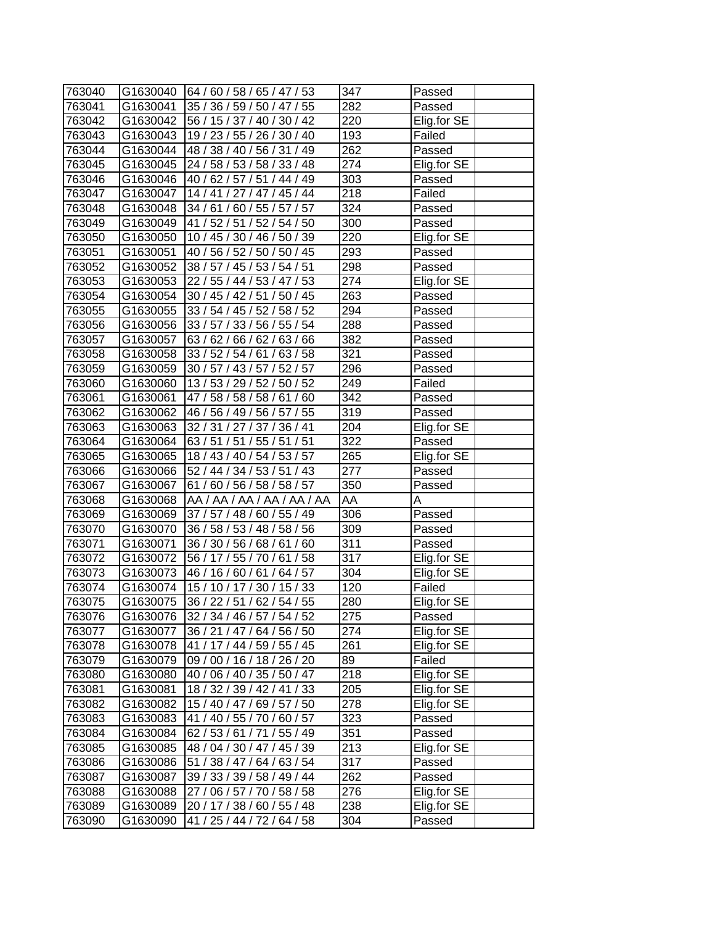| 763040 |          | G1630040   64 / 60 / 58 / 65 / 47 / 53 | 347              | Passed      |
|--------|----------|----------------------------------------|------------------|-------------|
| 763041 | G1630041 | 35 / 36 / 59 / 50 / 47 / 55            | 282              | Passed      |
| 763042 |          | G1630042 56 / 15 / 37 / 40 / 30 / 42   | 220              | Elig.for SE |
| 763043 | G1630043 | 19 / 23 / 55 / 26 / 30 / 40            | 193              | Failed      |
| 763044 | G1630044 | 48 / 38 / 40 / 56 / 31 / 49            | $\overline{262}$ | Passed      |
| 763045 | G1630045 | 24 / 58 / 53 / 58 / 33 / 48            | $\overline{274}$ | Elig.for SE |
| 763046 | G1630046 | 40 / 62 / 57 / 51 / 44 / 49            | 303              | Passed      |
| 763047 | G1630047 | 14 / 41 / 27 / 47 / 45 / 44            | $\overline{218}$ | Failed      |
| 763048 | G1630048 | 34 / 61 / 60 / 55 / 57 / 57            | $\overline{324}$ | Passed      |
| 763049 | G1630049 | 41 / 52 / 51 / 52 / 54 / 50            | $\overline{3}00$ | Passed      |
| 763050 | G1630050 | 10 / 45 / 30 / 46 / 50 / 39            | $\overline{220}$ | Elig.for SE |
| 763051 | G1630051 | 40 / 56 / 52 / 50 / 50 / 45            | 293              | Passed      |
| 763052 | G1630052 | 38 / 57 / 45 / 53 / 54 / 51            | 298              | Passed      |
| 763053 | G1630053 | 22 / 55 / 44 / 53 / 47 / 53            | 274              | Elig.for SE |
| 763054 | G1630054 | 30 / 45 / 42 / 51 / 50 / 45            | 263              | Passed      |
| 763055 | G1630055 | 33 / 54 / 45 / 52 / 58 / 52            | 294              | Passed      |
| 763056 | G1630056 | 33 / 57 / 33 / 56 / 55 / 54            | 288              | Passed      |
| 763057 | G1630057 | 63 / 62 / 66 / 62 / 63 / 66            | 382              | Passed      |
| 763058 | G1630058 | 33 / 52 / 54 / 61 / 63 / 58            | 321              | Passed      |
| 763059 | G1630059 | 30 / 57 / 43 / 57 / 52 / 57            | 296              | Passed      |
| 763060 | G1630060 | 13/53/29/52/50/52                      | 249              | Failed      |
| 763061 | G1630061 | 47 / 58 / 58 / 58 / 61 / 60            | 342              | Passed      |
| 763062 | G1630062 | 46 / 56 / 49 / 56 / 57 / 55            | 319              | Passed      |
| 763063 | G1630063 | 32 / 31 / 27 / 37 / 36 / 41            | 204              | Elig.for SE |
| 763064 | G1630064 | 63 / 51 / 51 / 55 / 51 / 51            | 322              | Passed      |
| 763065 | G1630065 | 18 / 43 / 40 / 54 / 53 / 57            | 265              | Elig.for SE |
| 763066 | G1630066 | 52 / 44 / 34 / 53 / 51 / 43            | 277              | Passed      |
| 763067 | G1630067 | 61 / 60 / 56 / 58 / 58 / 57            | 350              | Passed      |
| 763068 | G1630068 | AA / AA / AA / AA / AA / AA            | AA               | A           |
| 763069 | G1630069 | 37 / 57 / 48 / 60 / 55 / 49            | 306              | Passed      |
| 763070 | G1630070 | 36 / 58 / 53 / 48 / 58 / 56            | 309              | Passed      |
| 763071 | G1630071 | 36 / 30 / 56 / 68 / 61 / 60            | $\overline{311}$ | Passed      |
| 763072 | G1630072 | 56 / 17 / 55 / 70 / 61 / 58            | $\overline{317}$ | Elig.for SE |
| 763073 | G1630073 | 46 / 16 / 60 / 61 / 64 / 57            | 304              | Elig.for SE |
| 763074 | G1630074 | 15 / 10 / 17 / 30 / 15 / 33            | $\overline{120}$ | Failed      |
| 763075 | G1630075 | 36 / 22 / 51 / 62 / 54 / 55            | 280              | Elig.for SE |
| 763076 | G1630076 | 32 / 34 / 46 / 57 / 54 / 52            | 275              | Passed      |
| 763077 | G1630077 | 36 / 21 / 47 / 64 / 56 / 50            | 274              | Elig.for SE |
| 763078 | G1630078 | 41 / 17 / 44 / 59 / 55 / 45            | 261              | Elig.for SE |
| 763079 | G1630079 | 09 / 00 / 16 / 18 / 26 / 20            | 89               | Failed      |
| 763080 | G1630080 | 40 / 06 / 40 / 35 / 50 / 47            | 218              | Elig.for SE |
| 763081 | G1630081 | 18 / 32 / 39 / 42 / 41 / 33            | 205              | Elig.for SE |
| 763082 | G1630082 | 15 / 40 / 47 / 69 / 57 / 50            | 278              | Elig.for SE |
| 763083 | G1630083 | 41 / 40 / 55 / 70 / 60 / 57            | 323              | Passed      |
| 763084 | G1630084 | 62 / 53 / 61 / 71 / 55 / 49            | 351              | Passed      |
| 763085 | G1630085 | 48 / 04 / 30 / 47 / 45 / 39            | 213              | Elig.for SE |
| 763086 | G1630086 | 51 / 38 / 47 / 64 / 63 / 54            | 317              | Passed      |
| 763087 | G1630087 | 39 / 33 / 39 / 58 / 49 / 44            | 262              | Passed      |
| 763088 | G1630088 | 27 / 06 / 57 / 70 / 58 / 58            | 276              | Elig.for SE |
| 763089 | G1630089 | 20 / 17 / 38 / 60 / 55 / 48            | 238              | Elig.for SE |
| 763090 | G1630090 | 41 / 25 / 44 / 72 / 64 / 58            | 304              | Passed      |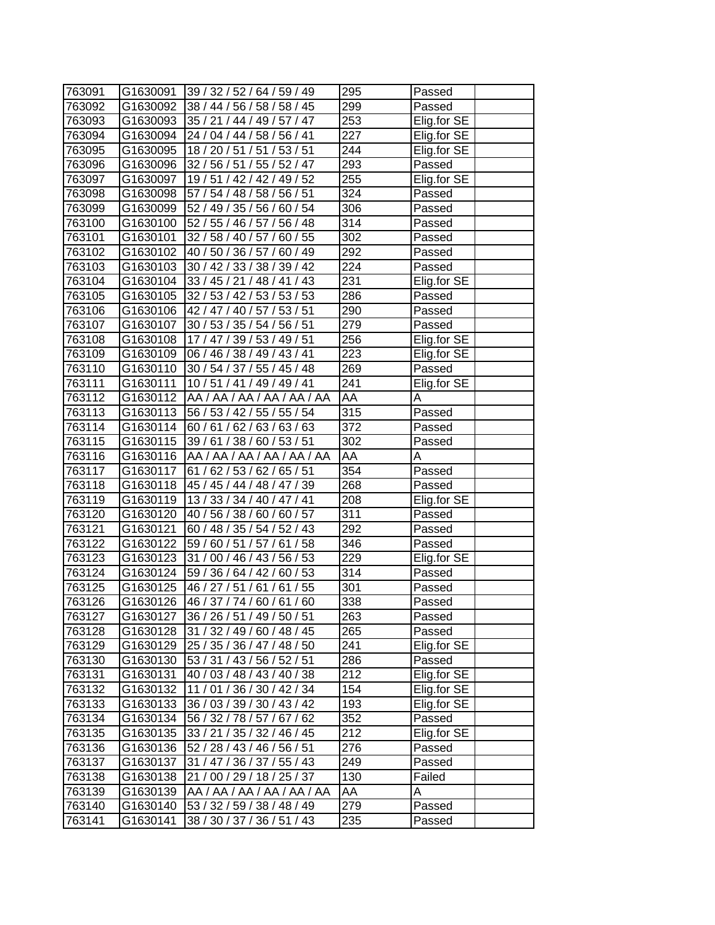| 763091 |          | G1630091 39 / 32 / 52 / 64 / 59 / 49   | 295              | Passed      |
|--------|----------|----------------------------------------|------------------|-------------|
| 763092 |          | G1630092 38 / 44 / 56 / 58 / 58 / 45   | 299              | Passed      |
| 763093 |          | G1630093 35 / 21 / 44 / 49 / 57 / 47   | 253              | Elig.for SE |
| 763094 |          | G1630094 24 / 04 / 44 / 58 / 56 / 41   | 227              | Elig.for SE |
| 763095 | G1630095 | 18 / 20 / 51 / 51 / 53 / 51            | 244              | Elig.for SE |
| 763096 | G1630096 | 32 / 56 / 51 / 55 / 52 / 47            | 293              | Passed      |
| 763097 | G1630097 | 19 / 51 / 42 / 42 / 49 / 52            | 255              | Elig.for SE |
| 763098 | G1630098 | 57 / 54 / 48 / 58 / 56 / 51            | 324              | Passed      |
| 763099 | G1630099 | 52 / 49 / 35 / 56 / 60 / 54            | 306              | Passed      |
| 763100 | G1630100 | 52 / 55 / 46 / 57 / 56 / 48            | 314              | Passed      |
| 763101 | G1630101 | 32 / 58 / 40 / 57 / 60 / 55            | 302              | Passed      |
| 763102 | G1630102 | 40 / 50 / 36 / 57 / 60 / 49            | 292              | Passed      |
| 763103 | G1630103 | 30 / 42 / 33 / 38 / 39 / 42            | 224              | Passed      |
| 763104 | G1630104 | 33 / 45 / 21 / 48 / 41 / 43            | 231              | Elig.for SE |
| 763105 | G1630105 | 32 / 53 / 42 / 53 / 53 / 53            | 286              | Passed      |
| 763106 |          | G1630106   42 / 47 / 40 / 57 / 53 / 51 | 290              | Passed      |
| 763107 | G1630107 | 30 / 53 / 35 / 54 / 56 / 51            | 279              | Passed      |
| 763108 | G1630108 | 17 / 47 / 39 / 53 / 49 / 51            | 256              | Elig.for SE |
| 763109 | G1630109 | 06 / 46 / 38 / 49 / 43 / 41            | 223              | Elig.for SE |
| 763110 | G1630110 | 30 / 54 / 37 / 55 / 45 / 48            | 269              | Passed      |
| 763111 | G1630111 | 10 / 51 / 41 / 49 / 49 / 41            | 241              | Elig.for SE |
| 763112 | G1630112 | AA / AA / AA / AA / AA / AA            | AA               | A           |
| 763113 |          | G1630113   56 / 53 / 42 / 55 / 55 / 54 | $\overline{315}$ | Passed      |
| 763114 | G1630114 | 60/61/62/63/63/63                      | $\overline{372}$ | Passed      |
| 763115 | G1630115 | 39 / 61 / 38 / 60 / 53 / 51            | 302              | Passed      |
| 763116 | G1630116 | AA / AA / AA / AA / AA / AA            | AA               | Α           |
| 763117 | G1630117 | 61 / 62 / 53 / 62 / 65 / 51            | 354              | Passed      |
| 763118 |          | G1630118 45 / 45 / 44 / 48 / 47 / 39   | 268              | Passed      |
| 763119 | G1630119 | 13/33/34/40/47/41                      | 208              | Elig.for SE |
| 763120 | G1630120 | 40 / 56 / 38 / 60 / 60 / 57            | $\overline{3}11$ | Passed      |
| 763121 | G1630121 | 60 / 48 / 35 / 54 / 52 / 43            | 292              | Passed      |
| 763122 | G1630122 | 59 / 60 / 51 / 57 / 61 / 58            | 346              | Passed      |
| 763123 | G1630123 | 31 / 00 / 46 / 43 / 56 / 53            | 229              | Elig.for SE |
| 763124 | G1630124 | 59 / 36 / 64 / 42 / 60 / 53            | 314              | Passed      |
| 763125 | G1630125 | 46 / 27 / 51 / 61 / 61 / 55            | $\overline{3}01$ | Passed      |
| 763126 | G1630126 | 46 / 37 / 74 / 60 / 61 / 60            | 338              | Passed      |
| 763127 | G1630127 | 36 / 26 / 51 / 49 / 50 / 51            | 263              | Passed      |
| 763128 | G1630128 | 31 / 32 / 49 / 60 / 48 / 45            | 265              | Passed      |
| 763129 | G1630129 | 25 / 35 / 36 / 47 / 48 / 50            | 241              | Elig.for SE |
| 763130 | G1630130 | 53 / 31 / 43 / 56 / 52 / 51            | 286              | Passed      |
| 763131 | G1630131 | 40 / 03 / 48 / 43 / 40 / 38            | 212              | Elig.for SE |
| 763132 | G1630132 | 11 / 01 / 36 / 30 / 42 / 34            | 154              | Elig.for SE |
| 763133 | G1630133 | 36 / 03 / 39 / 30 / 43 / 42            | 193              | Elig.for SE |
| 763134 | G1630134 | 56 / 32 / 78 / 57 / 67 / 62            | 352              | Passed      |
| 763135 | G1630135 | 33 / 21 / 35 / 32 / 46 / 45            | 212              | Elig.for SE |
| 763136 | G1630136 | 52 / 28 / 43 / 46 / 56 / 51            | 276              | Passed      |
| 763137 | G1630137 | 31 / 47 / 36 / 37 / 55 / 43            | 249              | Passed      |
| 763138 | G1630138 | 21 / 00 / 29 / 18 / 25 / 37            | 130              | Failed      |
| 763139 | G1630139 | AA / AA / AA / AA / AA / AA            | AA               | Α           |
| 763140 | G1630140 | 53 / 32 / 59 / 38 / 48 / 49            | 279              | Passed      |
|        | G1630141 | 38 / 30 / 37 / 36 / 51 / 43            | 235              | Passed      |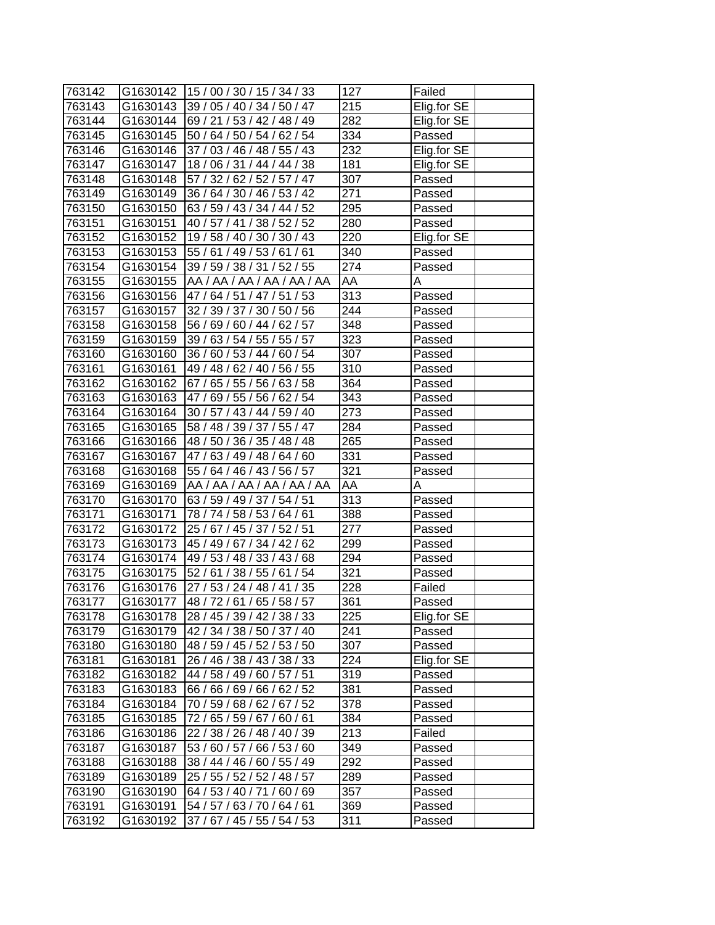| 763142 |          | G1630142   15 / 00 / 30 / 15 / 34 / 33 | 127               | Failed      |
|--------|----------|----------------------------------------|-------------------|-------------|
| 763143 | G1630143 | 39 / 05 / 40 / 34 / 50 / 47            | 215               | Elig.for SE |
| 763144 |          | G1630144   69 / 21 / 53 / 42 / 48 / 49 | 282               | Elig.for SE |
| 763145 | G1630145 | 50 / 64 / 50 / 54 / 62 / 54            | 334               | Passed      |
| 763146 | G1630146 | 37 / 03 / 46 / 48 / 55 / 43            | 232               | Elig.for SE |
| 763147 | G1630147 | 18 / 06 / 31 / 44 / 44 / 38            | 181               | Elig.for SE |
| 763148 | G1630148 | 57 / 32 / 62 / 52 / 57 / 47            | 307               | Passed      |
| 763149 | G1630149 | 36 / 64 / 30 / 46 / 53 / 42            | 271               | Passed      |
| 763150 | G1630150 | 63 / 59 / 43 / 34 / 44 / 52            | 295               | Passed      |
| 763151 | G1630151 | 40 / 57 / 41 / 38 / 52 / 52            | 280               | Passed      |
| 763152 | G1630152 | 19 / 58 / 40 / 30 / 30 / 43            | 220               | Elig.for SE |
| 763153 | G1630153 | 55 / 61 / 49 / 53 / 61 / 61            | 340               | Passed      |
| 763154 | G1630154 | 39 / 59 / 38 / 31 / 52 / 55            | 274               | Passed      |
| 763155 | G1630155 | AA / AA / AA / AA / AA / AA            | AA                | Α           |
| 763156 | G1630156 | 47 / 64 / 51 / 47 / 51 / 53            | 313               | Passed      |
| 763157 | G1630157 | 32 / 39 / 37 / 30 / 50 / 56            | 244               | Passed      |
| 763158 | G1630158 | 56 / 69 / 60 / 44 / 62 / 57            | 348               | Passed      |
| 763159 | G1630159 | 39 / 63 / 54 / 55 / 55 / 57            | 323               | Passed      |
| 763160 | G1630160 | 36 / 60 / 53 / 44 / 60 / 54            | 307               | Passed      |
| 763161 | G1630161 | 49 / 48 / 62 / 40 / 56 / 55            | 310               | Passed      |
| 763162 | G1630162 | 67 / 65 / 55 / 56 / 63 / 58            | 364               | Passed      |
| 763163 | G1630163 | 47 / 69 / 55 / 56 / 62 / 54            | 343               | Passed      |
| 763164 | G1630164 | 30 / 57 / 43 / 44 / 59 / 40            | 273               | Passed      |
| 763165 | G1630165 | 58 / 48 / 39 / 37 / 55 / 47            | 284               | Passed      |
| 763166 | G1630166 | 48 / 50 / 36 / 35 / 48 / 48            | 265               | Passed      |
| 763167 | G1630167 | 47/63/49/48/64/60                      | 331               | Passed      |
| 763168 | G1630168 | 55 / 64 / 46 / 43 / 56 / 57            | 321               | Passed      |
| 763169 | G1630169 | AA / AA / AA / AA / AA / AA            | AA                | A           |
| 763170 | G1630170 | 63 / 59 / 49 / 37 / 54 / 51            | $\overline{3}$ 13 | Passed      |
| 763171 | G1630171 | 78 / 74 / 58 / 53 / 64 / 61            | 388               | Passed      |
| 763172 | G1630172 | 25 / 67 / 45 / 37 / 52 / 51            | 277               | Passed      |
| 763173 | G1630173 | 45 / 49 / 67 / 34 / 42 / 62            | 299               | Passed      |
| 763174 | G1630174 | 49 / 53 / 48 / 33 / 43 / 68            | 294               | Passed      |
| 763175 | G1630175 | 52 / 61 / 38 / 55 / 61 / 54            | $\overline{321}$  | Passed      |
| 763176 | G1630176 | 27 / 53 / 24 / 48 / 41 / 35            | 228               | Failed      |
| 763177 | G1630177 | 48 / 72 / 61 / 65 / 58 / 57            | 361               | Passed      |
| 763178 | G1630178 | 28 / 45 / 39 / 42 / 38 / 33            | 225               | Elig.for SE |
| 763179 | G1630179 | 42 / 34 / 38 / 50 / 37 / 40            | 241               | Passed      |
| 763180 | G1630180 | 48 / 59 / 45 / 52 / 53 / 50            | 307               | Passed      |
| 763181 | G1630181 | 26 / 46 / 38 / 43 / 38 / 33            | 224               | Elig.for SE |
| 763182 | G1630182 | 44 / 58 / 49 / 60 / 57 / 51            | 319               | Passed      |
| 763183 | G1630183 | 66 / 66 / 69 / 66 / 62 / 52            | 381               | Passed      |
| 763184 | G1630184 | 70 / 59 / 68 / 62 / 67 / 52            | 378               | Passed      |
| 763185 | G1630185 | 72 / 65 / 59 / 67 / 60 / 61            | 384               | Passed      |
| 763186 | G1630186 | 22 / 38 / 26 / 48 / 40 / 39            | 213               | Failed      |
| 763187 | G1630187 | 53 / 60 / 57 / 66 / 53 / 60            | 349               | Passed      |
| 763188 | G1630188 | 38 / 44 / 46 / 60 / 55 / 49            | 292               | Passed      |
| 763189 | G1630189 | 25 / 55 / 52 / 52 / 48 / 57            | 289               | Passed      |
| 763190 | G1630190 | 64 / 53 / 40 / 71 / 60 / 69            | 357               | Passed      |
| 763191 | G1630191 | 54 / 57 / 63 / 70 / 64 / 61            | 369               | Passed      |
| 763192 | G1630192 | 37 / 67 / 45 / 55 / 54 / 53            | 311               | Passed      |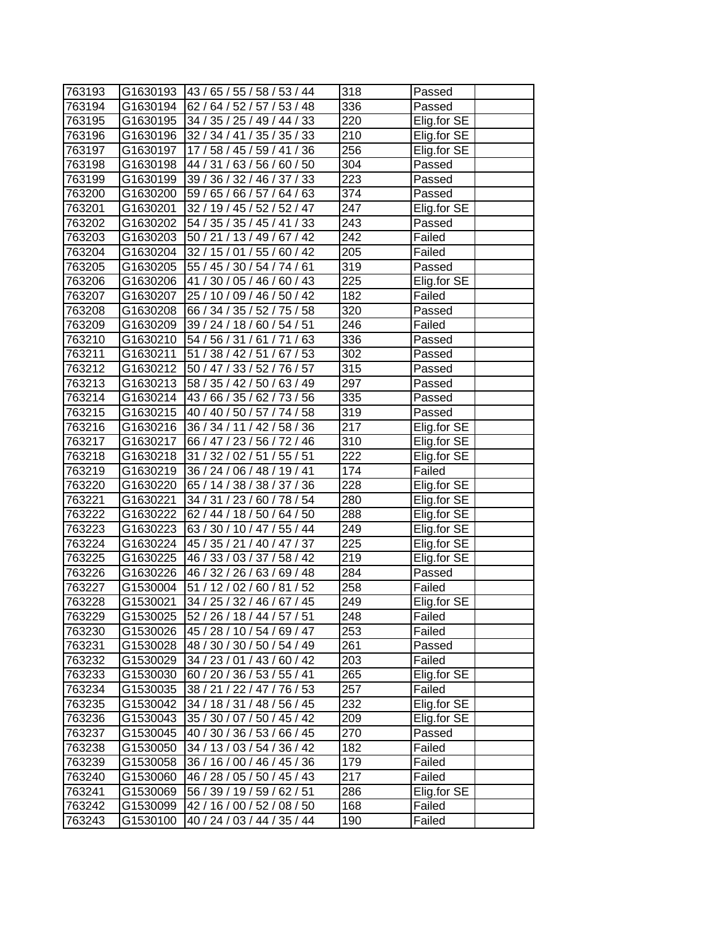| 763193 |          | G1630193   43 / 65 / 55 / 58 / 53 / 44 | 318               | Passed      |
|--------|----------|----------------------------------------|-------------------|-------------|
| 763194 | G1630194 | 62 / 64 / 52 / 57 / 53 / 48            | 336               | Passed      |
| 763195 | G1630195 | 34/35/25/49/44/33                      | 220               | Elig.for SE |
| 763196 | G1630196 | 32 / 34 / 41 / 35 / 35 / 33            | 210               | Elig.for SE |
| 763197 | G1630197 | 17 / 58 / 45 / 59 / 41 / 36            | $\overline{256}$  | Elig.for SE |
| 763198 | G1630198 | 44 / 31 / 63 / 56 / 60 / 50            | 304               | Passed      |
| 763199 | G1630199 | 39 / 36 / 32 / 46 / 37 / 33            | 223               | Passed      |
| 763200 | G1630200 | 59 / 65 / 66 / 57 / 64 / 63            | 374               | Passed      |
| 763201 | G1630201 | 32 / 19 / 45 / 52 / 52 / 47            | 247               | Elig.for SE |
| 763202 | G1630202 | 54 / 35 / 35 / 45 / 41 / 33            | 243               | Passed      |
| 763203 | G1630203 | 50 / 21 / 13 / 49 / 67 / 42            | 242               | Failed      |
| 763204 | G1630204 | 32 / 15 / 01 / 55 / 60 / 42            | 205               | Failed      |
| 763205 | G1630205 | 55 / 45 / 30 / 54 / 74 / 61            | 319               | Passed      |
| 763206 | G1630206 | 41 / 30 / 05 / 46 / 60 / 43            | 225               | Elig.for SE |
| 763207 | G1630207 | 25 / 10 / 09 / 46 / 50 / 42            | 182               | Failed      |
| 763208 | G1630208 | 66 / 34 / 35 / 52 / 75 / 58            | 320               | Passed      |
| 763209 | G1630209 | 39 / 24 / 18 / 60 / 54 / 51            | 246               | Failed      |
| 763210 | G1630210 | 54 / 56 / 31 / 61 / 71 / 63            | 336               | Passed      |
| 763211 | G1630211 | 51 / 38 / 42 / 51 / 67 / 53            | 302               | Passed      |
| 763212 | G1630212 | 50 / 47 / 33 / 52 / 76 / 57            | $\overline{3}$ 15 | Passed      |
| 763213 | G1630213 | 58 / 35 / 42 / 50 / 63 / 49            | 297               | Passed      |
| 763214 | G1630214 | 43/66/35/62/73/56                      | 335               | Passed      |
| 763215 | G1630215 | 40 / 40 / 50 / 57 / 74 / 58            | 319               | Passed      |
| 763216 | G1630216 | 36 / 34 / 11 / 42 / 58 / 36            | 217               | Elig.for SE |
| 763217 | G1630217 | 66 / 47 / 23 / 56 / 72 / 46            | 310               | Elig.for SE |
| 763218 | G1630218 | 31 / 32 / 02 / 51 / 55 / 51            | 222               | Elig.for SE |
| 763219 | G1630219 | 36 / 24 / 06 / 48 / 19 / 41            | 174               | Failed      |
| 763220 | G1630220 | 65 / 14 / 38 / 38 / 37 / 36            | 228               | Elig.for SE |
| 763221 | G1630221 | 34 / 31 / 23 / 60 / 78 / 54            | 280               | Elig.for SE |
| 763222 | G1630222 | 62 / 44 / 18 / 50 / 64 / 50            | 288               | Elig.for SE |
| 763223 | G1630223 | 63 / 30 / 10 / 47 / 55 / 44            | 249               | Elig.for SE |
| 763224 | G1630224 | 45 / 35 / 21 / 40 / 47 / 37            | 225               | Elig.for SE |
| 763225 | G1630225 | 46 / 33 / 03 / 37 / 58 / 42            | 219               | Elig.for SE |
| 763226 | G1630226 | 46 / 32 / 26 / 63 / 69 / 48            | 284               | Passed      |
| 763227 | G1530004 | 51 / 12 / 02 / 60 / 81 / 52            | 258               | Failed      |
| 763228 | G1530021 | 34 / 25 / 32 / 46 / 67 / 45            | 249               | Elig.for SE |
| 763229 | G1530025 | 52 / 26 / 18 / 44 / 57 / 51            | 248               | Failed      |
| 763230 | G1530026 | 45 / 28 / 10 / 54 / 69 / 47            | 253               | Failed      |
| 763231 | G1530028 | 48 / 30 / 30 / 50 / 54 / 49            | 261               | Passed      |
| 763232 | G1530029 | 34 / 23 / 01 / 43 / 60 / 42            | 203               | Failed      |
| 763233 | G1530030 | 60 / 20 / 36 / 53 / 55 / 41            | 265               | Elig.for SE |
| 763234 | G1530035 | 38 / 21 / 22 / 47 / 76 / 53            | 257               | Failed      |
| 763235 | G1530042 | 34 / 18 / 31 / 48 / 56 / 45            | 232               | Elig.for SE |
|        |          | 35 / 30 / 07 / 50 / 45 / 42            |                   | Elig.for SE |
| 763236 | G1530043 |                                        | 209<br>270        |             |
| 763237 | G1530045 | 40 / 30 / 36 / 53 / 66 / 45            |                   | Passed      |
| 763238 | G1530050 | 34 / 13 / 03 / 54 / 36 / 42            | 182               | Failed      |
| 763239 | G1530058 | 36 / 16 / 00 / 46 / 45 / 36            | 179               | Failed      |
| 763240 | G1530060 | 46 / 28 / 05 / 50 / 45 / 43            | 217               | Failed      |
| 763241 | G1530069 | 56 / 39 / 19 / 59 / 62 / 51            | 286               | Elig.for SE |
| 763242 | G1530099 | 42 / 16 / 00 / 52 / 08 / 50            | 168               | Failed      |
| 763243 | G1530100 | 40 / 24 / 03 / 44 / 35 / 44            | 190               | Failed      |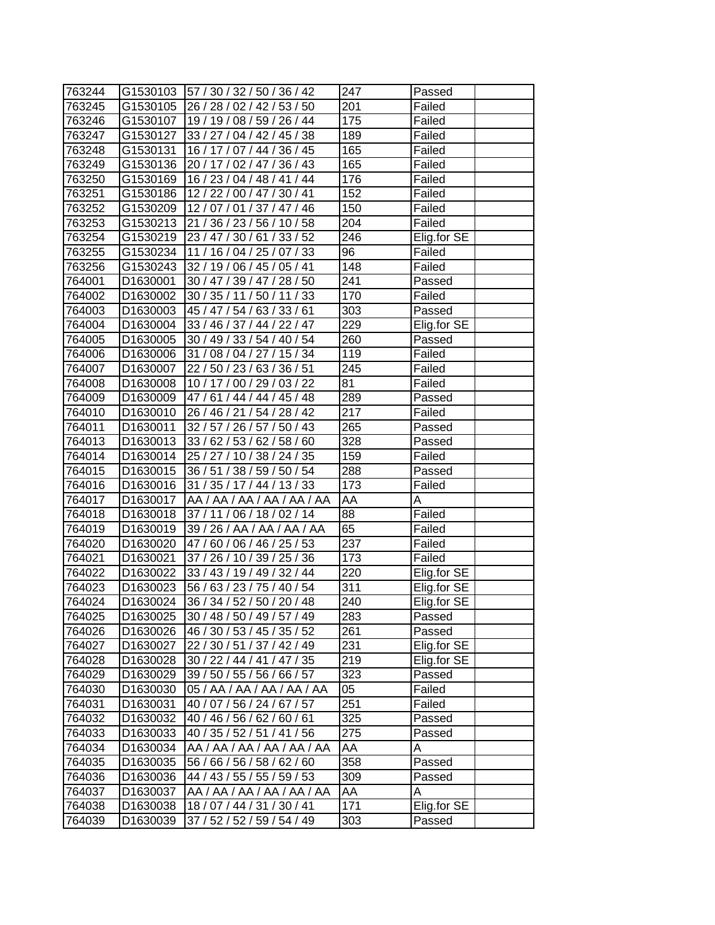| 763244 |                      | G1530103 57 / 30 / 32 / 50 / 36 / 42 | 247              | Passed      |
|--------|----------------------|--------------------------------------|------------------|-------------|
| 763245 | G1530105             | 26 / 28 / 02 / 42 / 53 / 50          | 201              | Failed      |
| 763246 | G1530107             | 19 / 19 / 08 / 59 / 26 / 44          | 175              | Failed      |
| 763247 | G1530127             | 33 / 27 / 04 / 42 / 45 / 38          | 189              | Failed      |
| 763248 | G1530131             | 16 / 17 / 07 / 44 / 36 / 45          | 165              | Failed      |
| 763249 | G1530136             | 20 / 17 / 02 / 47 / 36 / 43          | 165              | Failed      |
| 763250 | G1530169             | 16 / 23 / 04 / 48 / 41 / 44          | 176              | Failed      |
| 763251 | G1530186             | 12 / 22 / 00 / 47 / 30 / 41          | 152              | Failed      |
| 763252 | G1530209             | 12/07/01/37/47/46                    | 150              | Failed      |
| 763253 | G1530213             | 21 / 36 / 23 / 56 / 10 / 58          | 204              | Failed      |
| 763254 | G1530219             | 23 / 47 / 30 / 61 / 33 / 52          | 246              | Elig.for SE |
| 763255 | G1530234             | 11 / 16 / 04 / 25 / 07 / 33          | 96               | Failed      |
| 763256 | G1530243             | 32 / 19 / 06 / 45 / 05 / 41          | 148              | Failed      |
| 764001 | D1630001             | 30 / 47 / 39 / 47 / 28 / 50          | 241              | Passed      |
| 764002 | D1630002             | 30 / 35 / 11 / 50 / 11 / 33          | 170              | Failed      |
| 764003 | D1630003             | 45 / 47 / 54 / 63 / 33 / 61          | 303              | Passed      |
| 764004 | D1630004             | 33 / 46 / 37 / 44 / 22 / 47          | 229              | Elig.for SE |
| 764005 | D1630005             | 30 / 49 / 33 / 54 / 40 / 54          | 260              | Passed      |
| 764006 | D1630006             | 31 / 08 / 04 / 27 / 15 / 34          | 119              | Failed      |
| 764007 | D1630007             | 22 / 50 / 23 / 63 / 36 / 51          | 245              | Failed      |
| 764008 | D <sub>1630008</sub> | 10 / 17 / 00 / 29 / 03 / 22          | 81               | Failed      |
| 764009 | D1630009             | 47/61/44/44/45/48                    | 289              | Passed      |
| 764010 | D1630010             | 26 / 46 / 21 / 54 / 28 / 42          | 217              | Failed      |
| 764011 | D1630011             | 32 / 57 / 26 / 57 / 50 / 43          | 265              | Passed      |
| 764013 | D1630013             | 33 / 62 / 53 / 62 / 58 / 60          | 328              | Passed      |
| 764014 | D1630014             | 25 / 27 / 10 / 38 / 24 / 35          | 159              | Failed      |
| 764015 | D1630015             | 36 / 51 / 38 / 59 / 50 / 54          | 288              | Passed      |
| 764016 | D1630016             | 31 / 35 / 17 / 44 / 13 / 33          | 173              | Failed      |
| 764017 | D1630017             | AA / AA / AA / AA / AA / AA          | AA               | A           |
| 764018 | D1630018             | 37 / 11 / 06 / 18 / 02 / 14          | 88               | Failed      |
| 764019 | D1630019             | 39 / 26 / AA / AA / AA / AA          | 65               | Failed      |
| 764020 | D1630020             | 47/60/06/46/25/53                    | 237              | Failed      |
| 764021 | D1630021             | 37 / 26 / 10 / 39 / 25 / 36          | 173              | Failed      |
| 764022 | D1630022             | 33 / 43 / 19 / 49 / 32 / 44          | 220              | Elig.for SE |
| 764023 | D1630023             | 56 / 63 / 23 / 75 / 40 / 54          | 311              | Elig.for SE |
| 764024 | D1630024             | 36 / 34 / 52 / 50 / 20 / 48          | $\overline{240}$ | Elig.for SE |
| 764025 | D1630025             | 30 / 48 / 50 / 49 / 57 / 49          | 283              | Passed      |
| 764026 | D1630026             | 46 / 30 / 53 / 45 / 35 / 52          | 261              | Passed      |
| 764027 | D1630027             | 22 / 30 / 51 / 37 / 42 / 49          | 231              | Elig.for SE |
| 764028 | D1630028             | 30 / 22 / 44 / 41 / 47 / 35          | 219              | Elig.for SE |
| 764029 | D1630029             | 39 / 50 / 55 / 56 / 66 / 57          | 323              | Passed      |
| 764030 | D1630030             | 05 / AA / AA / AA / AA / AA          | 05               | Failed      |
| 764031 | D1630031             | 40 / 07 / 56 / 24 / 67 / 57          | 251              | Failed      |
| 764032 | D1630032             | 40 / 46 / 56 / 62 / 60 / 61          | 325              | Passed      |
| 764033 | D1630033             | 40 / 35 / 52 / 51 / 41 / 56          | 275              | Passed      |
| 764034 | D1630034             | AA / AA / AA / AA / AA / AA          | AA               | A           |
| 764035 | D1630035             | 56 / 66 / 56 / 58 / 62 / 60          | 358              | Passed      |
| 764036 | D1630036             | 44 / 43 / 55 / 55 / 59 / 53          | 309              | Passed      |
| 764037 | D1630037             | AA / AA / AA / AA / AA / AA          | AA               | Α           |
| 764038 | D1630038             | 18 / 07 / 44 / 31 / 30 / 41          | 171              | Elig.for SE |
| 764039 | D1630039             | 37 / 52 / 52 / 59 / 54 / 49          | 303              | Passed      |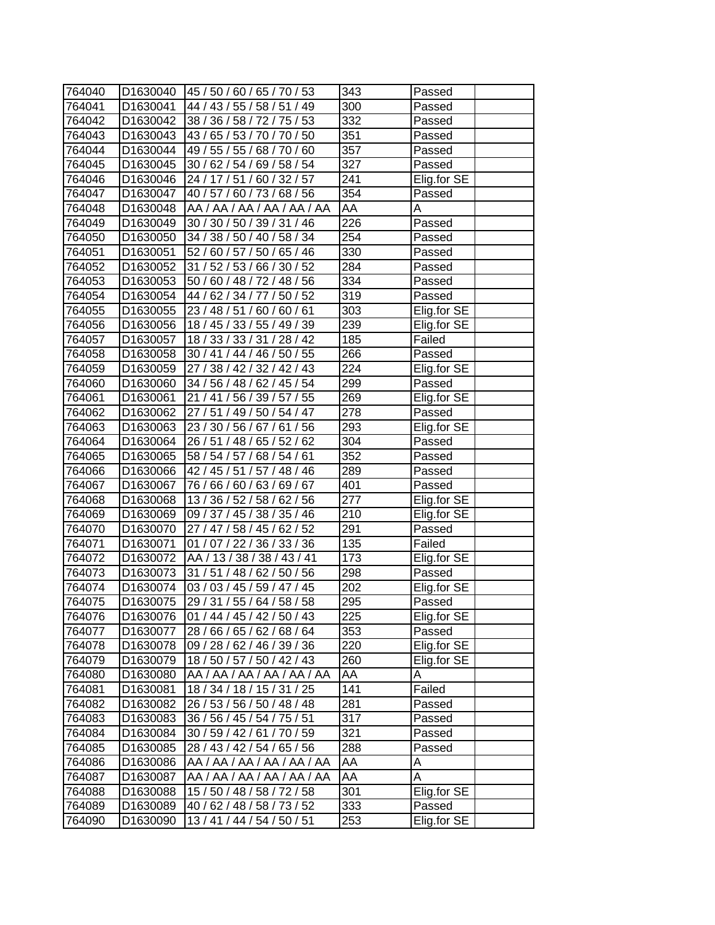| 764040 |          | D1630040   45 / 50 / 60 / 65 / 70 / 53 | 343              | Passed      |
|--------|----------|----------------------------------------|------------------|-------------|
| 764041 | D1630041 | 44 / 43 / 55 / 58 / 51 / 49            | 300              | Passed      |
| 764042 | D1630042 | 38 / 36 / 58 / 72 / 75 / 53            | 332              | Passed      |
| 764043 | D1630043 | 43 / 65 / 53 / 70 / 70 / 50            | 351              | Passed      |
| 764044 | D1630044 | 49 / 55 / 55 / 68 / 70 / 60            | 357              | Passed      |
| 764045 | D1630045 | 30 / 62 / 54 / 69 / 58 / 54            | 327              | Passed      |
| 764046 | D1630046 | 24 / 17 / 51 / 60 / 32 / 57            | 241              | Elig.for SE |
| 764047 | D1630047 | 40 / 57 / 60 / 73 / 68 / 56            | 354              | Passed      |
| 764048 | D1630048 | AA / AA / AA / AA / AA / AA            | AA               | A           |
| 764049 | D1630049 | 30 / 30 / 50 / 39 / 31 / 46            | 226              | Passed      |
| 764050 | D1630050 | 34 / 38 / 50 / 40 / 58 / 34            | 254              | Passed      |
| 764051 | D1630051 | 52 / 60 / 57 / 50 / 65 / 46            | 330              | Passed      |
| 764052 | D1630052 | 31 / 52 / 53 / 66 / 30 / 52            | 284              | Passed      |
| 764053 | D1630053 | 50 / 60 / 48 / 72 / 48 / 56            | 334              | Passed      |
| 764054 | D1630054 | 44 / 62 / 34 / 77 / 50 / 52            | 319              | Passed      |
| 764055 | D1630055 | 23 / 48 / 51 / 60 / 60 / 61            | 303              | Elig.for SE |
| 764056 | D1630056 | 18 / 45 / 33 / 55 / 49 / 39            | 239              | Elig.for SE |
| 764057 | D1630057 | 18 / 33 / 33 / 31 / 28 / 42            | 185              | Failed      |
| 764058 | D1630058 | 30 / 41 / 44 / 46 / 50 / 55            | 266              | Passed      |
| 764059 | D1630059 | 27 / 38 / 42 / 32 / 42 / 43            | 224              | Elig.for SE |
| 764060 | D1630060 | 34 / 56 / 48 / 62 / 45 / 54            | 299              | Passed      |
| 764061 | D1630061 | 21/41/56/39/57/55                      | 269              | Elig.for SE |
| 764062 | D1630062 | 27 / 51 / 49 / 50 / 54 / 47            | 278              | Passed      |
| 764063 | D1630063 | 23 / 30 / 56 / 67 / 61 / 56            | 293              | Elig.for SE |
| 764064 | D1630064 | 26 / 51 / 48 / 65 / 52 / 62            | 304              | Passed      |
| 764065 | D1630065 | 58 / 54 / 57 /<br>68 / 54 / 61         | 352              | Passed      |
| 764066 | D1630066 | 42 / 45 / 51 / 57 / 48 / 46            | 289              | Passed      |
| 764067 | D1630067 | 76 / 66 / 60 / 63 / 69 / 67            | 401              | Passed      |
| 764068 | D1630068 | 13 / 36 / 52 / 58 / 62 / 56            | 277              | Elig.for SE |
| 764069 | D1630069 | 09 / 37 / 45 / 38 / 35 / 46            | 210              | Elig.for SE |
| 764070 | D1630070 | 27 / 47 / 58 / 45 / 62 / 52            | 291              | Passed      |
| 764071 | D1630071 | 01 / 07 / 22 / 36 / 33 / 36            | 135              | Failed      |
| 764072 | D1630072 | AA / 13 / 38 / 38 / 43 / 41            | 173              | Elig.for SE |
| 764073 | D1630073 | 31 / 51 / 48 / 62 / 50 / 56            | 298              | Passed      |
| 764074 | D1630074 | 03 / 03 / 45 / 59 / 47 / 45            | 202              | Elig.for SE |
| 764075 | D1630075 | 29 / 31 / 55 / 64 / 58 / 58            | $\overline{295}$ | Passed      |
| 764076 | D1630076 | 01 / 44 / 45 / 42 / 50 / 43            | 225              | Elig.for SE |
| 764077 | D1630077 | 28 / 66 / 65 / 62 / 68 / 64            | 353              | Passed      |
| 764078 | D1630078 | 09 / 28 / 62 / 46 / 39 / 36            | 220              | Elig.for SE |
| 764079 | D1630079 | 18 / 50 / 57 / 50 / 42 / 43            | 260              | Elig.for SE |
| 764080 | D1630080 | AA / AA / AA / AA / AA / AA            | AA               | A           |
| 764081 | D1630081 | 18 / 34 / 18 / 15 / 31 / 25            | 141              | Failed      |
| 764082 | D1630082 | 26 / 53 / 56 / 50 / 48 / 48            | 281              | Passed      |
| 764083 | D1630083 | 36 / 56 / 45 / 54 / 75 / 51            | 317              | Passed      |
| 764084 | D1630084 | 30 / 59 / 42 / 61 / 70 / 59            | 321              | Passed      |
| 764085 | D1630085 | 28 / 43 / 42 / 54 / 65 / 56            | 288              | Passed      |
| 764086 | D1630086 | AA / AA / AA / AA / AA / AA            | ĀА               | Α           |
| 764087 | D1630087 | AA / AA / AA / AA / AA / AA            | AA               | Α           |
| 764088 | D1630088 | 15 / 50 / 48 / 58 / 72 / 58            | 301              | Elig.for SE |
| 764089 | D1630089 | 40 / 62 / 48 / 58 / 73 / 52            | 333              | Passed      |
| 764090 | D1630090 | 13 / 41 / 44 / 54 / 50 / 51            | 253              | Elig.for SE |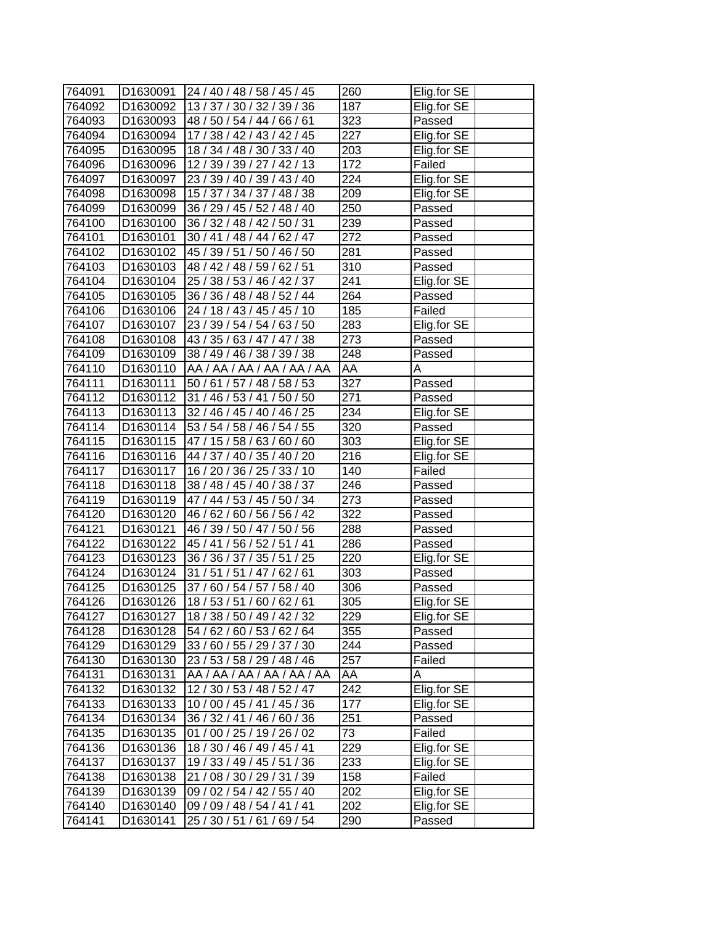| 764091 | D1630091 | 24 / 40 / 48 / 58 / 45 / 45             | 260              | Elig.for SE |
|--------|----------|-----------------------------------------|------------------|-------------|
| 764092 | D1630092 | 13 / 37 / 30 / 32 / 39 / 36             | 187              | Elig.for SE |
| 764093 | D1630093 | 48 / 50 / 54 / 44 / 66 / 61             | 323              | Passed      |
| 764094 | D1630094 | 17 / 38 / 42 / 43 / 42 / 45             | 227              | Elig.for SE |
| 764095 | D1630095 | 18 / 34 / 48 / 30 / 33 / 40             | 203              | Elig.for SE |
| 764096 | D1630096 | 12 / 39 / 39 / 27 / 42 / 13             | 172              | Failed      |
| 764097 | D1630097 | 23 / 39 / 40 / 39 / 43 / 40             | 224              | Elig.for SE |
| 764098 | D1630098 | 15 / 37 / 34 / 37 / 48 / 38             | 209              | Elig.for SE |
| 764099 | D1630099 | 36 / 29 / 45 / 52 / 48 / 40             | 250              | Passed      |
| 764100 | D1630100 | 36 / 32 / 48 / 42 / 50 / 31             | 239              | Passed      |
| 764101 | D1630101 | 30 / 41 / 48 / 44 / 62 / 47             | 272              | Passed      |
| 764102 | D1630102 | 45 / 39 / 51 / 50 / 46 / 50             | 281              | Passed      |
| 764103 | D1630103 | 48 / 42 / 48 / 59 / 62 / 51             | 310              | Passed      |
| 764104 | D1630104 | 25 / 38 / 53 / 46 / 42 / 37             | 241              | Elig.for SE |
| 764105 | D1630105 | 36 / 36 / 48 / 48 / 52 / 44             | 264              | Passed      |
| 764106 | D1630106 | 24 / 18 / 43 / 45 / 45 / 10             | 185              | Failed      |
| 764107 | D1630107 | 23 / 39 / 54 / 54 / 63 / 50             | 283              | Elig.for SE |
| 764108 | D1630108 | 43 / 35 / 63 / 47 / 47 / 38             | 273              | Passed      |
| 764109 | D1630109 | 38 / 49 / 46 / 38 / 39 / 38             | 248              | Passed      |
| 764110 | D1630110 | AA / AA / AA / AA / AA / AA             | AA               | A           |
| 764111 | D1630111 | 50 / 61 / 57 / 48 / 58 / 53             | 327              | Passed      |
| 764112 | D1630112 | 31 / 46 / 53 / 41 / 50 / 50             | $\overline{271}$ | Passed      |
| 764113 | D1630113 | 32 / 46 / 45 / 40 / 46 / 25             | 234              | Elig.for SE |
| 764114 | D1630114 | 53 / 54 / 58 / 46 / 54 / 55             | 320              | Passed      |
| 764115 | D1630115 | 47 / 15 / 58 / 63 / 60 / 60             | 303              | Elig.for SE |
| 764116 | D1630116 | 44 / 37 / 40 / 35 / 40 / 20             | 216              | Elig.for SE |
| 764117 | D1630117 | 16 / 20 / 36 / 25 / 33 / 10             | 140              | Failed      |
| 764118 | D1630118 | 38 / 48 / 45 / 40 / 38 / 37             | 246              | Passed      |
| 764119 | D1630119 | 47 / 44 / 53 / 45 / 50 / 34             | 273              | Passed      |
| 764120 | D1630120 | 46 / 62 / 60 / 56 / 56 / 42             | 322              | Passed      |
| 764121 | D1630121 | 46 / 39 / 50 / 47 / 50 / 56             | 288              | Passed      |
| 764122 | D1630122 | 45 / 41 / 56 / 52 / 51 / 41             | 286              | Passed      |
| 764123 | D1630123 | 36 / 36 / 37 / 35 / 51 / 25             | 220              | Elig.for SE |
| 764124 | D1630124 | 31 / 51 / 51 / 47 / 62 / 61             | 303              | Passed      |
| 764125 | D1630125 | $\overline{37/}$ 60 / 54 / 57 / 58 / 40 | 306              | Passed      |
| 764126 | D1630126 | 18/53/51/60/62/61                       | $\overline{305}$ | Elig.for SE |
| 764127 | D1630127 | 18 / 38 / 50 / 49 / 42 / 32             | 229              | Elig.for SE |
| 764128 | D1630128 | 54 / 62 / 60 / 53 / 62 / 64             | 355              | Passed      |
| 764129 | D1630129 | 33 / 60 / 55 / 29 / 37 / 30             | 244              | Passed      |
| 764130 | D1630130 | 23 / 53 / 58 / 29 / 48 / 46             | 257              | Failed      |
| 764131 | D1630131 | AA / AA / AA / AA / AA / AA             | AA               | A           |
| 764132 | D1630132 | 12/30/53/48/52/47                       | 242              | Elig.for SE |
| 764133 | D1630133 | 10 / 00 / 45 / 41 / 45 / 36             | 177              | Elig.for SE |
| 764134 | D1630134 | 36 / 32 / 41 / 46 / 60 / 36             | 251              | Passed      |
| 764135 | D1630135 | 01 / 00 / 25 / 19 / 26 / 02             | 73               | Failed      |
| 764136 | D1630136 | 18 / 30 / 46 / 49 / 45 / 41             | 229              | Elig.for SE |
| 764137 | D1630137 | 19 / 33 / 49 / 45 / 51 / 36             | 233              | Elig.for SE |
| 764138 | D1630138 | 21 / 08 / 30 / 29 / 31 / 39             | 158              | Failed      |
| 764139 | D1630139 | 09 / 02 / 54 / 42 / 55 / 40             | 202              | Elig.for SE |
| 764140 | D1630140 | 09 / 09 / 48 / 54 / 41 / 41             | 202              | Elig.for SE |
| 764141 | D1630141 | 25 / 30 / 51 / 61 / 69 / 54             | 290              | Passed      |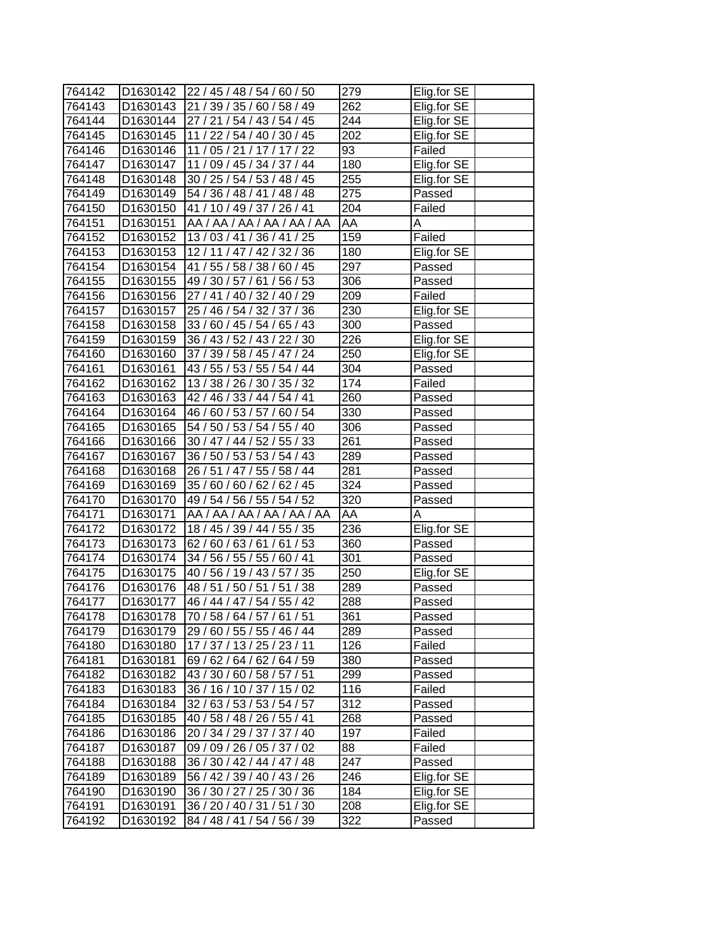| 764142 |          | D1630142 22 / 45 / 48 / 54 / 60 / 50 | 279              | Elig.for SE |
|--------|----------|--------------------------------------|------------------|-------------|
| 764143 |          | D1630143 21 / 39 / 35 / 60 / 58 / 49 | 262              | Elig.for SE |
| 764144 |          | D1630144 27 / 21 / 54 / 43 / 54 / 45 | 244              | Elig.for SE |
| 764145 | D1630145 | 11 / 22 / 54 / 40 / 30 / 45          | 202              | Elig.for SE |
| 764146 | D1630146 | 11 / 05 / 21 / 17 / 17 / 22          | 93               | Failed      |
| 764147 | D1630147 | 11 / 09 / 45 / 34 / 37 / 44          | 180              | Elig.for SE |
| 764148 | D1630148 | 30 / 25 / 54 / 53 / 48 / 45          | 255              | Elig.for SE |
| 764149 | D1630149 | 54 / 36 / 48 / 41 / 48 / 48          | 275              | Passed      |
| 764150 | D1630150 | 41 / 10 / 49 / 37 / 26 / 41          | 204              | Failed      |
| 764151 | D1630151 | AA / AA / AA / AA / AA / AA          | AA               | Α           |
| 764152 | D1630152 | 13/03/41/36/41/25                    | 159              | Failed      |
| 764153 | D1630153 | 12/11/47/42/32/36                    | 180              | Elig.for SE |
| 764154 | D1630154 | 41 / 55 / 58 / 38 / 60 / 45          | 297              | Passed      |
| 764155 | D1630155 | 49 / 30 / 57 / 61 / 56 / 53          | 306              | Passed      |
| 764156 | D1630156 | 27 / 41 / 40 / 32 / 40 / 29          | 209              | Failed      |
| 764157 | D1630157 | 25 / 46 / 54 / 32 / 37 / 36          | 230              | Elig.for SE |
| 764158 | D1630158 | 33 / 60 / 45 / 54 / 65 / 43          | 300              | Passed      |
| 764159 | D1630159 | 36 / 43 / 52 / 43 / 22 / 30          | $\overline{226}$ | Elig.for SE |
| 764160 | D1630160 | 37 / 39 / 58 / 45 / 47 / 24          | 250              | Elig.for SE |
| 764161 | D1630161 | 43 / 55 / 53 / 55 / 54 / 44          | 304              | Passed      |
| 764162 | D1630162 | 13 / 38 / 26 / 30 / 35 / 32          | 174              | Failed      |
| 764163 | D1630163 | 42 / 46 / 33 / 44 / 54 / 41          | 260              | Passed      |
| 764164 | D1630164 | 46 / 60 / 53 / 57 / 60 / 54          | 330              | Passed      |
| 764165 | D1630165 | 54 / 50 / 53 / 54 / 55 / 40          | 306              | Passed      |
| 764166 | D1630166 | 30 / 47 / 44 / 52 / 55 / 33          | 261              | Passed      |
| 764167 | D1630167 | 36 / 50 / 53 / 53 / 54 / 43          | 289              | Passed      |
| 764168 | D1630168 | 26 / 51 / 47 / 55 / 58 / 44          | 281              | Passed      |
| 764169 | D1630169 | 35 / 60 / 60 / 62 / 62 / 45          | 324              | Passed      |
| 764170 | D1630170 | 49 / 54 / 56 / 55 / 54 / 52          | 320              | Passed      |
| 764171 | D1630171 | AA / AA / AA / AA / AA / AA          | AA               | Α           |
| 764172 | D1630172 | 18 / 45 / 39 / 44 / 55 / 35          | 236              | Elig.for SE |
| 764173 | D1630173 | 62/60/63/61/61/53                    | 360              | Passed      |
| 764174 | D1630174 | 34 / 56 / 55 / 55 / 60 / 41          | 301              | Passed      |
| 764175 | D1630175 | 40 / 56 / 19 / 43 / 57 / 35          | 250              | Elig.for SE |
| 764176 | D1630176 | 48 / 51 / 50 / 51 / 51 / 38          | 289              | Passed      |
| 764177 | D1630177 | 46 / 44 / 47 / 54 / 55 / 42          | 288              | Passed      |
| 764178 | D1630178 | 70 / 58 / 64 / 57 / 61 / 51          | 361              | Passed      |
| 764179 | D1630179 | 29 / 60 / 55 / 55 / 46 / 44          | 289              | Passed      |
| 764180 | D1630180 | 17 / 37 / 13 / 25 / 23 / 11          | 126              | Failed      |
| 764181 | D1630181 | 69 / 62 / 64 / 62 / 64 / 59          | 380              | Passed      |
| 764182 | D1630182 | 43 / 30 / 60 / 58 / 57 / 51          | 299              | Passed      |
| 764183 | D1630183 | 36 / 16 / 10 / 37 / 15 / 02          | 116              | Failed      |
| 764184 | D1630184 | 32 / 63 / 53 / 53 / 54 / 57          | 312              | Passed      |
| 764185 | D1630185 | 40 / 58 / 48 / 26 / 55 / 41          | 268              | Passed      |
| 764186 | D1630186 | 20 / 34 / 29 / 37 / 37 / 40          | 197              | Failed      |
| 764187 | D1630187 | 09 / 09 / 26 / 05 / 37 / 02          | 88               | Failed      |
| 764188 | D1630188 | 36 / 30 / 42 / 44 / 47 / 48          | 247              | Passed      |
| 764189 | D1630189 | 56 / 42 / 39 / 40 / 43 / 26          | 246              | Elig.for SE |
| 764190 | D1630190 | 36 / 30 / 27 / 25 / 30 / 36          | 184              | Elig.for SE |
| 764191 | D1630191 | 36 / 20 / 40 / 31 / 51 / 30          | 208              | Elig.for SE |
| 764192 | D1630192 | 84 / 48 / 41 / 54 / 56 / 39          | 322              | Passed      |
|        |          |                                      |                  |             |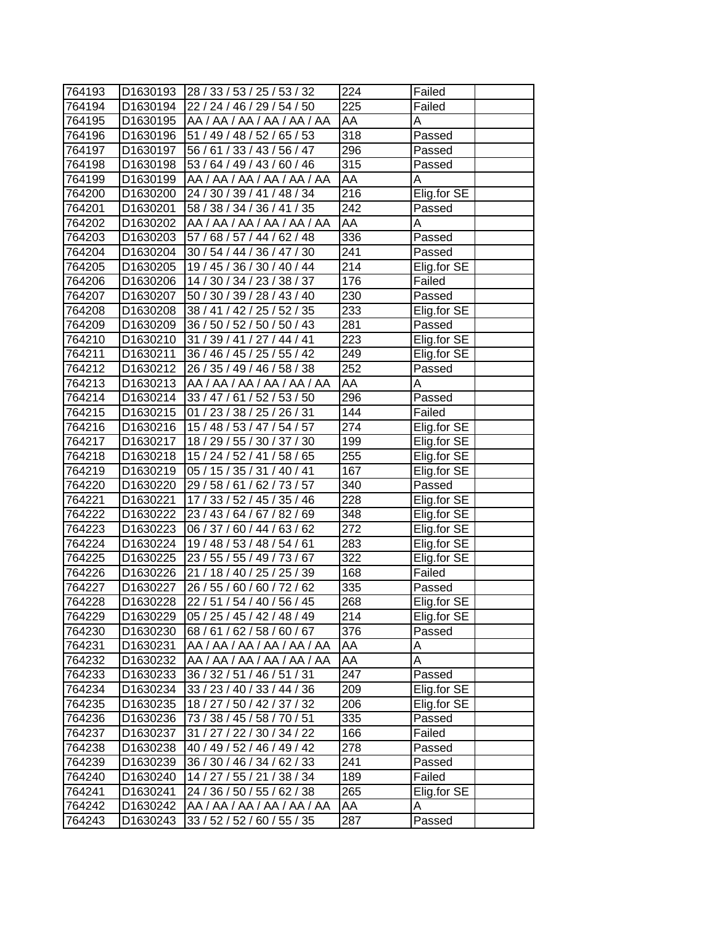| 764193 |                      | D1630193 28 / 33 / 53 / 25 / 53 / 32 | 224              | Failed      |
|--------|----------------------|--------------------------------------|------------------|-------------|
| 764194 |                      | D1630194 22 / 24 / 46 / 29 / 54 / 50 | 225              | Failed      |
| 764195 |                      | D1630195 AA / AA / AA / AA / AA / AA | AA               | A           |
| 764196 | D1630196             | 51 / 49 / 48 / 52 / 65 / 53          | 318              | Passed      |
| 764197 | D1630197             | 56 / 61 / 33 / 43 / 56 / 47          | 296              | Passed      |
| 764198 | D1630198             | 53 / 64 / 49 / 43 / 60 / 46          | 315              | Passed      |
| 764199 | D1630199             | AA / AA / AA / AA / AA / AA          | AA               | Α           |
| 764200 | D1630200             | 24 / 30 / 39 / 41 / 48 / 34          | $\overline{216}$ | Elig.for SE |
| 764201 | D1630201             | 58 / 38 / 34 / 36 / 41 / 35          | 242              | Passed      |
| 764202 | D1630202             | AA / AA / AA / AA / AA / AA          | AA               | A           |
| 764203 | D1630203             | 57 / 68 / 57 / 44 / 62 / 48          | 336              | Passed      |
| 764204 | D1630204             | 30 / 54 / 44 / 36 / 47 / 30          | 241              | Passed      |
| 764205 | D1630205             | 19 / 45 / 36 / 30 / 40 / 44          | 214              | Elig.for SE |
| 764206 | D1630206             | 14 / 30 / 34 / 23 / 38 / 37          | 176              | Failed      |
| 764207 | D1630207             | 50 / 30 / 39 / 28 / 43 / 40          | 230              | Passed      |
| 764208 |                      | D1630208 38 / 41 / 42 / 25 / 52 / 35 | 233              | Elig.for SE |
| 764209 | D1630209             | 36 / 50 / 52 / 50 / 50 / 43          | 281              | Passed      |
| 764210 | D1630210             | 31 / 39 / 41 / 27 / 44 / 41          | $\overline{223}$ | Elig.for SE |
| 764211 | D1630211             | 36 / 46 / 45 / 25 / 55 / 42          | 249              | Elig.for SE |
| 764212 | D1630212             | 26 / 35 / 49 / 46 / 58 / 38          | 252              | Passed      |
| 764213 | D1630213             | AA / AA / AA / AA / AA / AA          | AA               | Α           |
| 764214 | D1630214             | 33/47/61/52/53/50                    | 296              | Passed      |
| 764215 | D1630215             | 01 / 23 / 38 / 25 / 26 / 31          | 144              | Failed      |
| 764216 | D1630216             | 15 / 48 / 53 / 47 / 54 / 57          | 274              | Elig.for SE |
| 764217 | D1630217             | 18 / 29 / 55 / 30 / 37 / 30          | 199              | Elig.for SE |
| 764218 | D <sub>1630218</sub> | 15 / 24 / 52 / 41 / 58 / 65          | 255              | Elig.for SE |
| 764219 | D1630219             | 05 / 15 / 35 / 31 / 40 / 41          | 167              | Elig.for SE |
| 764220 |                      | D1630220 29 / 58 / 61 / 62 / 73 / 57 | 340              | Passed      |
| 764221 | D1630221             | 17 / 33 / 52 / 45 / 35 / 46          | 228              | Elig.for SE |
| 764222 | D <sub>1630222</sub> | 23 / 43 / 64 / 67 / 82 / 69          | 348              | Elig.for SE |
| 764223 | D1630223             | 06 / 37 / 60 / 44 / 63 / 62          | $\overline{272}$ | Elig.for SE |
| 764224 | D1630224             | 19 / 48 / 53 / 48 / 54 / 61          | 283              | Elig.for SE |
| 764225 | D1630225             | 23 / 55 / 55 / 49 / 73 / 67          | 322              | Elig.for SE |
| 764226 | D1630226             | 21 / 18 / 40 / 25 / 25 / 39          | 168              | Failed      |
| 764227 | D1630227             | $\overline{26/55/60/60/72/62}$       | $\overline{335}$ | Passed      |
| 764228 | D1630228             | 22/51/54/40/56/45                    | $\overline{268}$ | Elig.for SE |
| 764229 | D1630229             | 05 / 25 / 45 / 42 / 48 / 49          | 214              | Elig.for SE |
| 764230 | D1630230             | 68 / 61 / 62 / 58 / 60 / 67          | 376              | Passed      |
| 764231 | D1630231             | AA / AA / AA / AA / AA / AA          | AA               | Α           |
| 764232 | D1630232             | AA / AA / AA / AA / AA / AA          | AA               | Α           |
| 764233 | D1630233             | 36 / 32 / 51 / 46 / 51 / 31          | 247              | Passed      |
| 764234 | D1630234             | 33 / 23 / 40 / 33 / 44 / 36          | 209              | Elig.for SE |
| 764235 | D1630235             | 18 / 27 / 50 / 42 / 37 / 32          | 206              | Elig.for SE |
| 764236 | D1630236             | 73 / 38 / 45 / 58 / 70 / 51          | 335              | Passed      |
| 764237 | D1630237             | 31 / 27 / 22 / 30 / 34 / 22          | 166              | Failed      |
| 764238 | D1630238             | 40 / 49 / 52 / 46 / 49 / 42          | 278              | Passed      |
| 764239 | D1630239             | 36 / 30 / 46 / 34 / 62 / 33          | 241              | Passed      |
| 764240 | D1630240             | 14 / 27 / 55 / 21 / 38 / 34          | 189              | Failed      |
| 764241 | D1630241             | 24 / 36 / 50 / 55 / 62 / 38          | 265              | Elig.for SE |
| 764242 | D1630242             | AA / AA / AA / AA / AA / AA          | AA               | А           |
| 764243 | D1630243             | 33 / 52 / 52 / 60 / 55 / 35          | 287              | Passed      |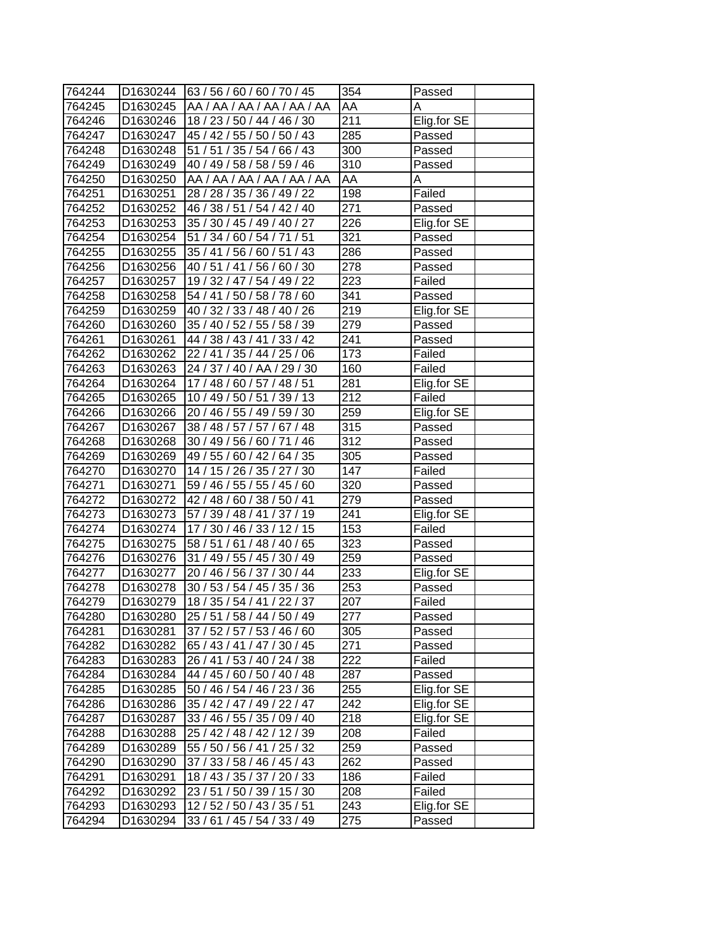| 764244 |                      | D1630244 63 / 56 / 60 / 60 / 70 / 45 | 354              | Passed      |
|--------|----------------------|--------------------------------------|------------------|-------------|
| 764245 | D1630245             | AA / AA / AA / AA / AA / AA          | AA               | A           |
| 764246 | D <sub>1630246</sub> | 18 / 23 / 50 / 44 / 46 / 30          | 211              | Elig.for SE |
| 764247 | D1630247             | 45 / 42 / 55 / 50 / 50 / 43          | 285              | Passed      |
| 764248 | D <sub>1630248</sub> | 51 / 51 / 35 / 54 / 66 / 43          | 300              | Passed      |
| 764249 | D <sub>1630249</sub> | 40 / 49 / 58 / 58 / 59 / 46          | $\overline{310}$ | Passed      |
| 764250 | D1630250             | AA / AA / AA / AA / AA / AA          | AA               | Α           |
| 764251 | D1630251             | 28 / 28 / 35 / 36 / 49 / 22          | $\overline{198}$ | Failed      |
| 764252 | D1630252             | 46 / 38 / 51 / 54 / 42 / 40          | 271              | Passed      |
| 764253 | D1630253             | 35 / 30 / 45 / 49 / 40 / 27          | 226              | Elig.for SE |
| 764254 | D1630254             | 51 / 34 / 60 / 54 / 71 / 51          | $\overline{321}$ | Passed      |
| 764255 | D1630255             | 35 / 41 / 56 / 60 / 51 / 43          | 286              | Passed      |
| 764256 | D1630256             | 40 / 51 / 41 / 56 / 60 / 30          | 278              | Passed      |
| 764257 | D1630257             | 19 / 32 / 47 / 54 / 49 / 22          | 223              | Failed      |
| 764258 | D1630258             | 54 / 41 / 50 / 58 / 78 / 60          | 341              | Passed      |
| 764259 | D <sub>1630259</sub> | 40 / 32 / 33 / 48 / 40 / 26          | 219              | Elig.for SE |
| 764260 | D1630260             | 35 / 40 / 52 / 55 / 58 / 39          | $\overline{279}$ | Passed      |
| 764261 | D1630261             | 44 / 38 / 43 / 41 / 33 / 42          | 241              | Passed      |
| 764262 | D1630262             | 22 / 41 / 35 / 44 / 25 / 06          | 173              | Failed      |
| 764263 | D1630263             | 24 / 37 / 40 / AA / 29 / 30          | 160              | Failed      |
| 764264 | D1630264             | 17 / 48 / 60 / 57 / 48 / 51          | 281              | Elig.for SE |
| 764265 | D1630265             | 10 / 49 / 50 / 51 / 39 / 13          | $\overline{212}$ | Failed      |
| 764266 | D1630266             | 20 / 46 / 55 / 49 / 59 / 30          | 259              | Elig.for SE |
| 764267 | D1630267             | 38 / 48 / 57 / 57 / 67 / 48          | 315              | Passed      |
| 764268 | D1630268             | 30 / 49 / 56 / 60 / 71 / 46          | 312              | Passed      |
| 764269 | D1630269             | 49 / 55 / 60 / 42 / 64 / 35          | 305              | Passed      |
| 764270 | D1630270             | 14 / 15 / 26 / 35 / 27 / 30          | 147              | Failed      |
| 764271 | D1630271             | 59 / 46 / 55 / 55 / 45 / 60          | 320              | Passed      |
| 764272 | D1630272             | 42 / 48 / 60 / 38 / 50 / 41          | $\overline{279}$ | Passed      |
| 764273 | D1630273             | 57 / 39 / 48 / 41 / 37 / 19          | 241              | Elig.for SE |
| 764274 | D1630274             | 17 / 30 / 46 / 33 / 12 / 15          | 153              | Failed      |
| 764275 | D1630275             | 58 / 51 / 61 / 48 / 40 / 65          | 323              | Passed      |
| 764276 | D1630276             | 31 / 49 / 55 / 45 / 30 / 49          | 259              | Passed      |
| 764277 | D1630277             | 20 / 46 / 56 / 37 / 30 / 44          | 233              | Elig.for SE |
| 764278 | D1630278             | 30 / 53 / 54 / 45 / 35 / 36          | 253              | Passed      |
| 764279 | D1630279             | 18 / 35 / 54 / 41 / 22 / 37          | 207              | Failed      |
| 764280 | D1630280             | 25 / 51 / 58 / 44 / 50 / 49          | 277              | Passed      |
| 764281 | D1630281             | 37 / 52 / 57 / 53 / 46 / 60          | 305              | Passed      |
| 764282 | D1630282             | 65 / 43 / 41 / 47 / 30 / 45          | 271              | Passed      |
| 764283 | D1630283             | 26 / 41 / 53 / 40 / 24 / 38          | 222              | Failed      |
| 764284 | D1630284             | 44 / 45 / 60 / 50 / 40 / 48          | 287              | Passed      |
| 764285 | D1630285             | 50 / 46 / 54 / 46 / 23 / 36          | 255              | Elig.for SE |
| 764286 | D1630286             | 35 / 42 / 47 / 49 / 22 / 47          | 242              | Elig.for SE |
| 764287 | D1630287             | 33 / 46 / 55 / 35 / 09 / 40          | 218              | Elig.for SE |
| 764288 | D1630288             | 25 / 42 / 48 / 42 / 12 / 39          | 208              | Failed      |
| 764289 | D1630289             | 55 / 50 / 56 / 41 / 25 / 32          | 259              | Passed      |
| 764290 | D1630290             | 37 / 33 / 58 / 46 / 45 / 43          | 262              | Passed      |
| 764291 | D1630291             | 18 / 43 / 35 / 37 / 20 / 33          | 186              | Failed      |
| 764292 | D1630292             | 23 / 51 / 50 / 39 / 15 / 30          | 208              | Failed      |
| 764293 | D1630293             | 12/52/50/43/35/51                    | 243              | Elig.for SE |
| 764294 | D1630294             | 33 / 61 / 45 / 54 / 33 / 49          | 275              | Passed      |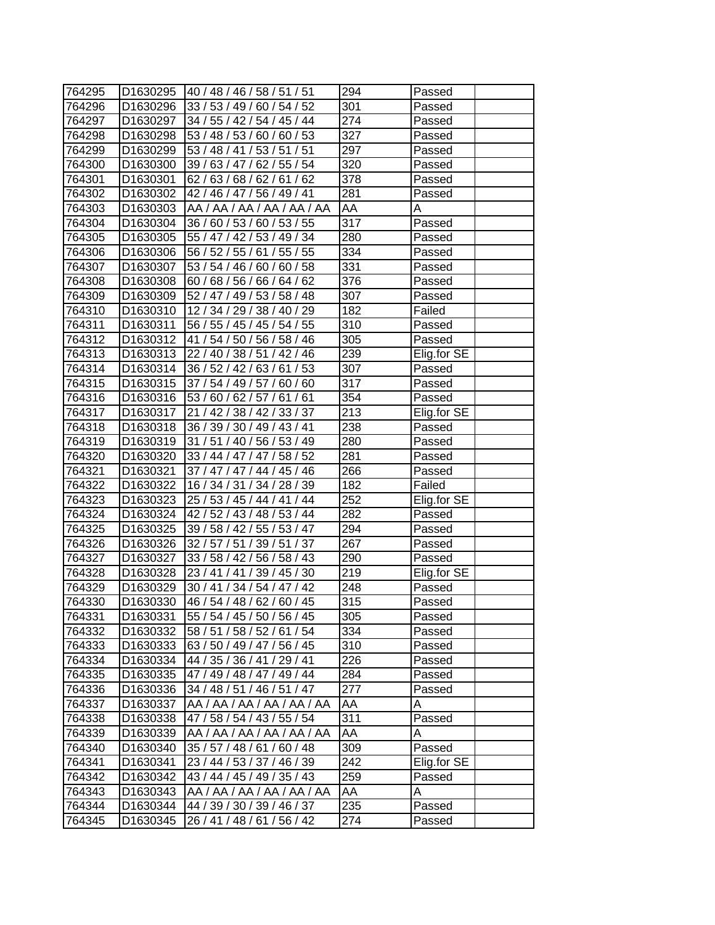| 764295 | D1630295             | 140/48/46/58/51/51          | 294              | Passed      |
|--------|----------------------|-----------------------------|------------------|-------------|
| 764296 | D1630296             | 33 / 53 / 49 / 60 / 54 / 52 | 301              | Passed      |
| 764297 | D1630297             | 34 / 55 / 42 / 54 / 45 / 44 | 274              | Passed      |
| 764298 | D1630298             | 53 / 48 / 53 / 60 / 60 / 53 | 327              | Passed      |
| 764299 | D1630299             | 53 / 48 / 41 / 53 / 51 / 51 | 297              | Passed      |
| 764300 | D1630300             | 39 / 63 / 47 / 62 / 55 / 54 | 320              | Passed      |
| 764301 | D1630301             | 62 / 63 / 68 / 62 / 61 / 62 | 378              | Passed      |
| 764302 | D1630302             | 42 / 46 / 47 / 56 / 49 / 41 | 281              | Passed      |
| 764303 | D1630303             | AA / AA / AA / AA / AA / AA | AA               | A           |
| 764304 | D1630304             | 36 / 60 / 53 / 60 / 53 / 55 | $\overline{3}17$ | Passed      |
| 764305 | D1630305             | 55 / 47 / 42 / 53 / 49 / 34 | 280              | Passed      |
| 764306 | D1630306             | 56 / 52 / 55 / 61 / 55 / 55 | 334              | Passed      |
| 764307 | D1630307             | 53 / 54 / 46 / 60 / 60 / 58 | 331              | Passed      |
| 764308 | D1630308             | 60 / 68 / 56 / 66 / 64 / 62 | 376              | Passed      |
| 764309 | D1630309             | 52 / 47 / 49 / 53 / 58 / 48 | 307              | Passed      |
| 764310 | D1630310             | 12 / 34 / 29 / 38 / 40 / 29 | 182              | Failed      |
| 764311 | D1630311             | 56 / 55 / 45 / 45 / 54 / 55 | 310              | Passed      |
| 764312 | D1630312             | 41 / 54 / 50 / 56 / 58 / 46 | 305              | Passed      |
| 764313 | D1630313             | 22 / 40 / 38 / 51 / 42 / 46 | 239              | Elig.for SE |
| 764314 | D1630314             | 36 / 52 / 42 / 63 / 61 / 53 | 307              | Passed      |
| 764315 | D1630315             | 37 / 54 / 49 / 57 / 60 / 60 | 317              | Passed      |
| 764316 | D1630316             | 53 / 60 / 62 / 57 / 61 / 61 | $\overline{354}$ | Passed      |
| 764317 | D1630317             | 21 / 42 / 38 / 42 / 33 / 37 | $\overline{213}$ | Elig.for SE |
| 764318 | D1630318             | 36 / 39 / 30 / 49 / 43 / 41 | 238              | Passed      |
| 764319 | D1630319             | 31 / 51 / 40 / 56 / 53 / 49 | 280              | Passed      |
| 764320 | D1630320             | 33 / 44 / 47 / 47 / 58 / 52 | 281              | Passed      |
| 764321 | D1630321             | 37 / 47 / 47 / 44 / 45 / 46 | 266              | Passed      |
| 764322 | D1630322             | 16 / 34 / 31 / 34 / 28 / 39 | 182              | Failed      |
| 764323 | D1630323             | 25 / 53 / 45 / 44 / 41 / 44 | 252              | Elig.for SE |
| 764324 | D1630324             | 42 / 52 / 43 / 48 / 53 / 44 | 282              | Passed      |
| 764325 | D1630325             | 39 / 58 / 42 / 55 / 53 / 47 | 294              | Passed      |
| 764326 | D1630326             | 32 / 57 / 51 / 39 / 51 / 37 | 267              | Passed      |
| 764327 | D1630327             | 33 / 58 / 42 / 56 / 58 / 43 | 290              | Passed      |
| 764328 | D1630328             | 23 / 41 / 41 / 39 / 45 / 30 | 219              | Elig.for SE |
| 764329 | D1630329             | 30 / 41 / 34 / 54 / 47 / 42 | 248              | Passed      |
| 764330 | D1630330             | 46 / 54 / 48 / 62 / 60 / 45 | $\overline{315}$ | Passed      |
| 764331 | D1630331             | 55 / 54 / 45 / 50 / 56 / 45 | 305              | Passed      |
| 764332 | D1630332             | 58 / 51 / 58 / 52 / 61 / 54 | 334              | Passed      |
| 764333 | D1630333             | 63 / 50 / 49 / 47 / 56 / 45 | 310              | Passed      |
| 764334 | D1630334             | 44 / 35 / 36 / 41 / 29 / 41 | 226              | Passed      |
| 764335 | D1630335             | 47 / 49 / 48 / 47 / 49 / 44 | 284              | Passed      |
| 764336 | D1630336             | 34 / 48 / 51 / 46 / 51 / 47 | 277              | Passed      |
| 764337 | D1630337             | AA / AA / AA / AA / AA / AA | AA               | A           |
| 764338 | D1630338             | 47 / 58 / 54 / 43 / 55 / 54 | 311              | Passed      |
| 764339 | D1630339             | AA / AA / AA / AA / AA / AA | AA               | A           |
| 764340 | D1630340             | 35 / 57 / 48 / 61 / 60 / 48 | 309              | Passed      |
| 764341 | D1630341             | 23 / 44 / 53 / 37 / 46 / 39 | 242              | Elig.for SE |
| 764342 | D1630342             | 43 / 44 / 45 / 49 / 35 / 43 | 259              | Passed      |
| 764343 | D1630343             | AA / AA / AA / AA / AA / AA | AA               | Α           |
| 764344 | D1630344             | 44 / 39 / 30 / 39 / 46 / 37 | 235              | Passed      |
| 764345 | D <sub>1630345</sub> | 26 / 41 / 48 / 61 / 56 / 42 | 274              | Passed      |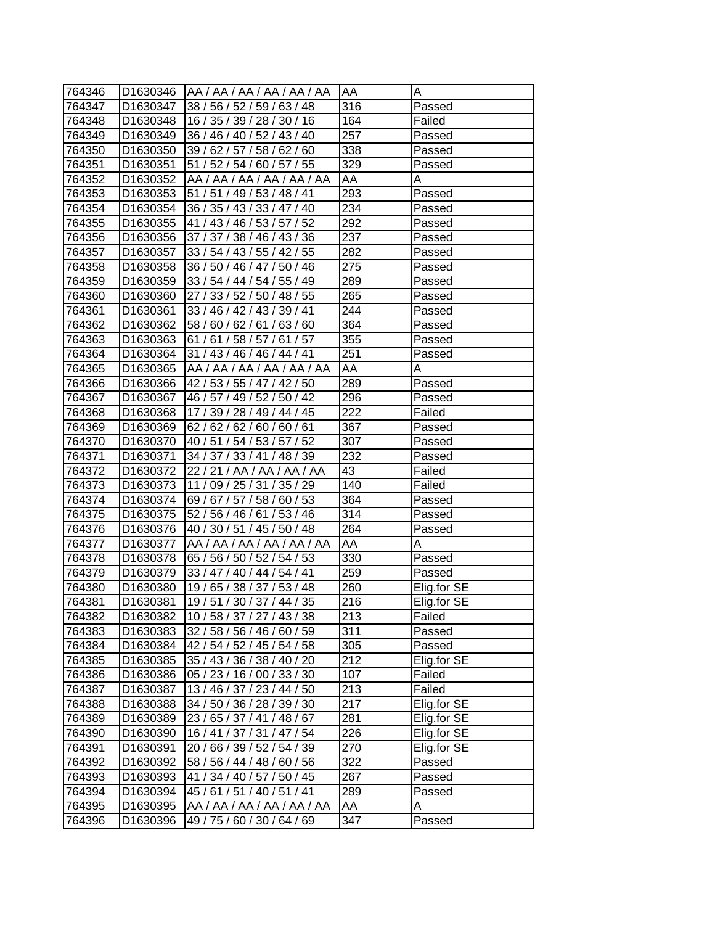| 764346 | ID1630346            | AA / AA / AA / AA / AA / AA | IAA | Α           |
|--------|----------------------|-----------------------------|-----|-------------|
| 764347 | D <sub>1630347</sub> | 38 / 56 / 52 / 59 / 63 / 48 | 316 | Passed      |
| 764348 | D1630348             | 16 / 35 / 39 / 28 / 30 / 16 | 164 | Failed      |
| 764349 | D1630349             | 36 / 46 / 40 / 52 / 43 / 40 | 257 | Passed      |
| 764350 | D1630350             | 39 / 62 / 57 / 58 / 62 / 60 | 338 | Passed      |
| 764351 | D1630351             | 51 / 52 / 54 / 60 / 57 / 55 | 329 | Passed      |
| 764352 | D <sub>1630352</sub> | AA / AA / AA / AA / AA / AA | AA  | A           |
| 764353 | D <sub>1630353</sub> | 51 / 51 / 49 / 53 / 48 / 41 | 293 | Passed      |
| 764354 | D <sub>1630354</sub> | 36 / 35 / 43 / 33 / 47 / 40 | 234 | Passed      |
| 764355 | D <sub>1630355</sub> | 41 / 43 / 46 / 53 / 57 / 52 | 292 | Passed      |
| 764356 | D <sub>1630356</sub> | 37 / 37 / 38 / 46 / 43 / 36 | 237 | Passed      |
| 764357 | D1630357             | 33 / 54 / 43 / 55 / 42 / 55 | 282 | Passed      |
| 764358 | D <sub>1630358</sub> | 36 / 50 / 46 / 47 / 50 / 46 | 275 | Passed      |
| 764359 | D <sub>1630359</sub> | 33 / 54 / 44 / 54 / 55 / 49 | 289 | Passed      |
| 764360 | D1630360             | 27 / 33 / 52 / 50 / 48 / 55 | 265 | Passed      |
| 764361 | D1630361             | 33 / 46 / 42 / 43 / 39 / 41 | 244 | Passed      |
| 764362 | D1630362             | 58 / 60 / 62 / 61 / 63 / 60 | 364 | Passed      |
| 764363 | D1630363             | 61/61/58/57/61/57           | 355 | Passed      |
| 764364 | D <sub>1630364</sub> | 31 / 43 / 46 / 46 / 44 / 41 | 251 | Passed      |
| 764365 | D <sub>1630365</sub> | AA / AA / AA / AA / AA / AA | AA  | A           |
| 764366 | D1630366             | 42 / 53 / 55 / 47 / 42 / 50 | 289 | Passed      |
| 764367 | D1630367             | 46 / 57 / 49 / 52 / 50 / 42 | 296 | Passed      |
| 764368 | D1630368             | 17 / 39 / 28 / 49 / 44 / 45 | 222 | Failed      |
| 764369 | D1630369             | 62/62/62/60/60/61           | 367 | Passed      |
| 764370 | D <sub>1630370</sub> | 40 / 51 / 54 / 53 / 57 / 52 | 307 | Passed      |
| 764371 | D <sub>1630371</sub> | 34 / 37 / 33 / 41 / 48 / 39 | 232 | Passed      |
| 764372 | D1630372             | 22 / 21 / AA / AA / AA / AA | 43  | Failed      |
| 764373 | D1630373             | 11 / 09 / 25 / 31 / 35 / 29 | 140 | Failed      |
| 764374 | D1630374             | 69 / 67 / 57 / 58 / 60 / 53 | 364 | Passed      |
| 764375 | D1630375             | 52 / 56 / 46 / 61 / 53 / 46 | 314 | Passed      |
| 764376 | D1630376             | 40 / 30 / 51 / 45 / 50 / 48 | 264 | Passed      |
| 764377 | D1630377             | AA / AA / AA / AA / AA / AA | AA  | A           |
| 764378 | D1630378             | 65 / 56 / 50 / 52 / 54 / 53 | 330 | Passed      |
| 764379 | D <sub>1630379</sub> | 33 / 47 / 40 / 44 / 54 / 41 | 259 | Passed      |
| 764380 | D1630380             | 19 / 65 / 38 / 37 / 53 / 48 | 260 | Elig.for SE |
| 764381 | D1630381             | 19 / 51 / 30 / 37 / 44 / 35 | 216 | Elig.for SE |
| 764382 | D1630382             | 10 / 58 / 37 / 27 / 43 / 38 | 213 | Failed      |
| 764383 | D1630383             | 32 / 58 / 56 / 46 / 60 / 59 | 311 | Passed      |
| 764384 | D1630384             | 42 / 54 / 52 / 45 / 54 / 58 | 305 | Passed      |
| 764385 | D1630385             | 35 / 43 / 36 / 38 / 40 / 20 | 212 | Elig.for SE |
| 764386 | D1630386             | 05 / 23 / 16 / 00 / 33 / 30 | 107 | Failed      |
| 764387 | D1630387             | 13 / 46 / 37 / 23 / 44 / 50 | 213 | Failed      |
| 764388 | D1630388             | 34 / 50 / 36 / 28 / 39 / 30 | 217 | Elig.for SE |
| 764389 | D1630389             | 23 / 65 / 37 / 41 / 48 / 67 | 281 | Elig.for SE |
| 764390 | D1630390             | 16 / 41 / 37 / 31 / 47 / 54 | 226 | Elig.for SE |
| 764391 | D1630391             | 20 / 66 / 39 / 52 / 54 / 39 | 270 | Elig.for SE |
| 764392 | D1630392             | 58 / 56 / 44 / 48 / 60 / 56 | 322 | Passed      |
| 764393 | D1630393             | 41 / 34 / 40 / 57 / 50 / 45 | 267 | Passed      |
| 764394 | D1630394             | 45 / 61 / 51 / 40 / 51 / 41 | 289 | Passed      |
| 764395 | D1630395             | AA / AA / AA / AA / AA / AA | AA  | Α           |
| 764396 | D1630396             | 49 / 75 / 60 / 30 / 64 / 69 | 347 | Passed      |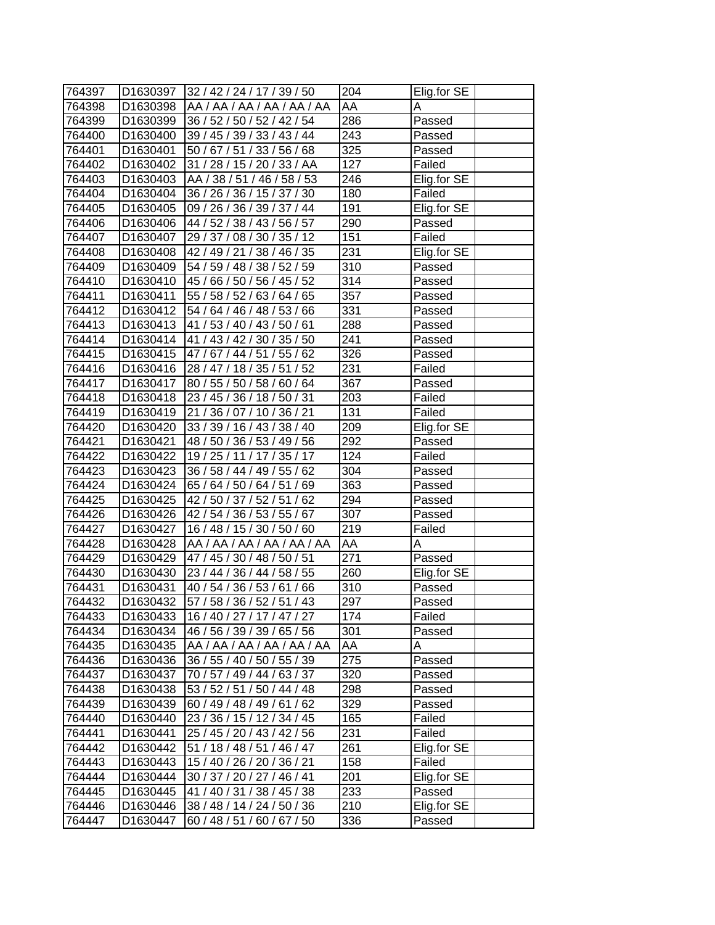| 764397 | D1630397             | 32/42/24/17/39/50           | 204              | Elig.for SE |
|--------|----------------------|-----------------------------|------------------|-------------|
| 764398 | D1630398             | AA / AA / AA / AA / AA / AA | AA               | A           |
| 764399 | D1630399             | 36 / 52 / 50 / 52 / 42 / 54 | 286              | Passed      |
| 764400 | D1630400             | 39 / 45 / 39 / 33 / 43 / 44 | 243              | Passed      |
| 764401 | D1630401             | 50 / 67 / 51 / 33 / 56 / 68 | 325              | Passed      |
| 764402 | D1630402             | 31 / 28 / 15 / 20 / 33 / AA | 127              | Failed      |
| 764403 | D1630403             | AA / 38 / 51 / 46 / 58 / 53 | 246              | Elig.for SE |
| 764404 | D1630404             | 36 / 26 / 36 / 15 / 37 / 30 | 180              | Failed      |
| 764405 | D1630405             | 09 / 26 / 36 / 39 / 37 / 44 | 191              | Elig.for SE |
| 764406 | D1630406             | 44 / 52 / 38 / 43 / 56 / 57 | 290              | Passed      |
| 764407 | D1630407             | 29 / 37 / 08 / 30 / 35 / 12 | 151              | Failed      |
| 764408 | D1630408             | 42 / 49 / 21 / 38 / 46 / 35 | 231              | Elig.for SE |
| 764409 | D1630409             | 54 / 59 / 48 / 38 / 52 / 59 | 310              | Passed      |
| 764410 | D1630410             | 45 / 66 / 50 / 56 / 45 / 52 | 314              | Passed      |
| 764411 | D1630411             | 55 / 58 / 52 / 63 / 64 / 65 | 357              | Passed      |
| 764412 | D1630412             | 54 / 64 / 46 / 48 / 53 / 66 | $\overline{331}$ | Passed      |
| 764413 | D1630413             | 41 / 53 / 40 / 43 / 50 / 61 | 288              | Passed      |
| 764414 | D1630414             | 41 / 43 / 42 / 30 / 35 / 50 | 241              | Passed      |
| 764415 | D1630415             | 47 / 67 / 44 / 51 / 55 / 62 | $\overline{3}26$ | Passed      |
| 764416 | D1630416             | 28 / 47 / 18 / 35 / 51 / 52 | 231              | Failed      |
| 764417 | D1630417             | 80 / 55 / 50 / 58 / 60 / 64 | 367              | Passed      |
| 764418 | D1630418             | 23 / 45 / 36 / 18 / 50 / 31 | 203              | Failed      |
| 764419 | D1630419             | 21 / 36 / 07 / 10 / 36 / 21 | 131              | Failed      |
| 764420 | D1630420             | 33 / 39 / 16 / 43 / 38 / 40 | 209              | Elig.for SE |
| 764421 | D1630421             | 48 / 50 / 36 / 53 / 49 / 56 | 292              | Passed      |
| 764422 | D1630422             | 19 / 25 / 11 / 17 / 35 / 17 | 124              | Failed      |
| 764423 | D1630423             | 36 / 58 / 44 / 49 / 55 / 62 | 304              | Passed      |
| 764424 | D1630424             | 65 / 64 / 50 / 64 / 51 / 69 | 363              | Passed      |
| 764425 | D1630425             | 42 / 50 / 37 / 52 / 51 / 62 | $\overline{294}$ | Passed      |
| 764426 | D1630426             | 42 / 54 / 36 / 53 / 55 / 67 | 307              | Passed      |
| 764427 | D1630427             | 16 / 48 / 15 / 30 / 50 / 60 | 219              | Failed      |
| 764428 | D1630428             | AA / AA / AA / AA / AA / AA | AA               | Α           |
| 764429 | D1630429             | 47 / 45 / 30 / 48 / 50 / 51 | 271              | Passed      |
| 764430 | D1630430             | 23 / 44 / 36 / 44 / 58 / 55 | 260              | Elig.for SE |
| 764431 | D1630431             | 40 / 54 / 36 / 53 / 61 / 66 | 310              | Passed      |
| 764432 | D1630432             | 57 / 58 / 36 / 52 / 51 / 43 | 297              | Passed      |
| 764433 | D1630433             | 16 / 40 / 27 / 17 / 47 / 27 | 174              | Failed      |
| 764434 | D1630434             | 46 / 56 / 39 / 39 / 65 / 56 | 301              | Passed      |
| 764435 | D1630435             | AA / AA / AA / AA / AA / AA | AA               | A           |
| 764436 | D1630436             | 36 / 55 / 40 / 50 / 55 / 39 | 275              | Passed      |
| 764437 | D1630437             | 70 / 57 / 49 / 44 / 63 / 37 | 320              | Passed      |
| 764438 | D <sub>1630438</sub> | 53 / 52 / 51 / 50 / 44 / 48 | 298              | Passed      |
| 764439 | D1630439             | 60 / 49 / 48 / 49 / 61 / 62 | 329              | Passed      |
| 764440 | D1630440             | 23 / 36 / 15 / 12 / 34 / 45 | 165              | Failed      |
| 764441 | D1630441             | 25 / 45 / 20 / 43 / 42 / 56 | 231              | Failed      |
| 764442 | D1630442             | 51 / 18 / 48 / 51 / 46 / 47 | 261              | Elig.for SE |
| 764443 | D1630443             | 15 / 40 / 26 / 20 / 36 / 21 | 158              | Failed      |
| 764444 | D1630444             | 30 / 37 / 20 / 27 / 46 / 41 | 201              | Elig.for SE |
| 764445 | D1630445             | 41 / 40 / 31 / 38 / 45 / 38 | 233              | Passed      |
| 764446 | D1630446             | 38 / 48 / 14 / 24 / 50 / 36 | 210              | Elig.for SE |
| 764447 | D <sub>1630447</sub> | 60 / 48 / 51 / 60 / 67 / 50 | 336              | Passed      |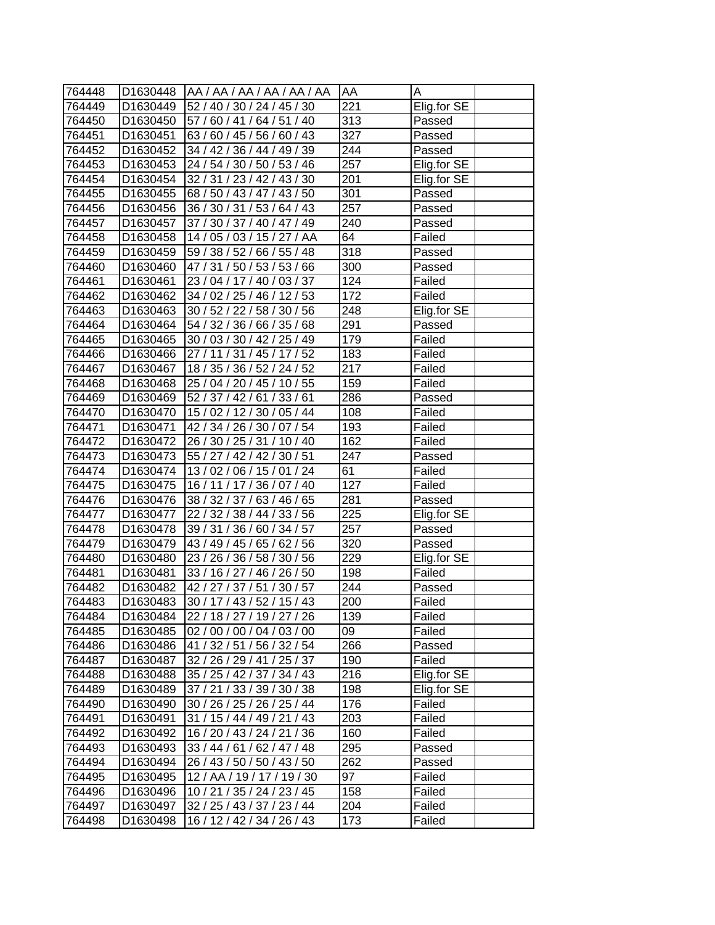| 764448 |                      | D1630448   AA / AA / AA / AA / AA / AA | <b>AA</b>        | Α           |
|--------|----------------------|----------------------------------------|------------------|-------------|
| 764449 | D1630449             | 52 / 40 / 30 / 24 / 45 / 30            | $\overline{2}21$ | Elig.for SE |
| 764450 | D1630450             | 57 / 60 / 41 / 64 / 51 / 40            | 313              | Passed      |
| 764451 | D1630451             | 63 / 60 / 45 / 56 / 60 / 43            | 327              | Passed      |
| 764452 | D1630452             | 34 / 42 / 36 / 44 / 49 / 39            | $\overline{244}$ | Passed      |
| 764453 | D1630453             | 24 / 54 / 30 / 50 / 53 / 46            | 257              | Elig.for SE |
| 764454 | D1630454             | 32 / 31 / 23 / 42 / 43 / 30            | 201              | Elig.for SE |
| 764455 | D1630455             | 68 / 50 / 43 / 47 / 43 / 50            | 301              | Passed      |
| 764456 | D1630456             | 36 / 30 / 31 / 53 / 64 / 43            | $\overline{257}$ | Passed      |
| 764457 | D1630457             | 37 / 30 / 37 / 40 / 47 / 49            | 240              | Passed      |
| 764458 | D1630458             | 14 / 05 / 03 / 15 / 27 / AA            | 64               | Failed      |
| 764459 | D1630459             | 59 / 38 / 52 / 66 / 55 / 48            | 318              | Passed      |
| 764460 | D1630460             | 47 / 31 / 50 / 53 / 53 / 66            | 300              | Passed      |
| 764461 | D1630461             | 23 / 04 / 17 / 40 / 03 / 37            | 124              | Failed      |
| 764462 | D1630462             | 34 / 02 / 25 / 46 / 12 / 53            | 172              | Failed      |
| 764463 | D1630463             | 30 / 52 / 22 / 58 / 30 / 56            | 248              | Elig.for SE |
| 764464 | D1630464             | 54 / 32 / 36 / 66 / 35 / 68            | 291              | Passed      |
| 764465 | D1630465             | 30 / 03 / 30 / 42 / 25 / 49            | 179              | Failed      |
| 764466 | D1630466             | 27 / 11 / 31 / 45 / 17 / 52            | 183              | Failed      |
| 764467 | D1630467             | 18 / 35 / 36 / 52 / 24 / 52            | 217              | Failed      |
| 764468 | D1630468             | 25 / 04 / 20 / 45 / 10 / 55            | 159              | Failed      |
| 764469 | D1630469             | 52 / 37 / 42 / 61 / 33 / 61            | 286              | Passed      |
| 764470 | D1630470             | 15 / 02 / 12 / 30 / 05 / 44            | 108              | Failed      |
| 764471 | D1630471             | 42 / 34 / 26 / 30 / 07 / 54            | 193              | Failed      |
| 764472 | D1630472             | 26 / 30 / 25 / 31 / 10 / 40            | 162              | Failed      |
| 764473 | D1630473             | 55 / 27 / 42 / 42 / 30 / 51            | 247              | Passed      |
| 764474 | D <sub>1630474</sub> | 13/02/06/15/01/24                      | 61               | Failed      |
| 764475 | D1630475             | 16 / 11 / 17 / 36 / 07 / 40            | 127              | Failed      |
| 764476 | D1630476             | 38 / 32 / 37 / 63 / 46 / 65            | 281              | Passed      |
| 764477 | D1630477             | $\sqrt{22/}$ 32 / 38 / 44 / 33 / 56    | $\overline{2}25$ | Elig.for SE |
| 764478 | D1630478             | 39 / 31 / 36 / 60 / 34 / 57            | 257              | Passed      |
| 764479 | D1630479             | 43 / 49 / 45 / 65 / 62 / 56            | 320              | Passed      |
| 764480 | D1630480             | 23 / 26 / 36 / 58 / 30 / 56            | 229              | Elig.for SE |
| 764481 | D1630481             | 33 / 16 / 27 / 46 / 26 / 50            | 198              | Failed      |
| 764482 | D1630482             | 42 / 27 / 37 / 51 / 30 / 57            | 244              | Passed      |
| 764483 | D1630483             | 30 / 17 / 43 / 52 / 15 / 43            | 200              | Failed      |
| 764484 | D1630484             | 22 / 18 / 27 / 19 / 27 / 26            | 139              | Failed      |
| 764485 | D1630485             | 02 / 00 / 00 / 04 / 03 / 00            | 09               | Failed      |
| 764486 | D1630486             | 41 / 32 / 51 / 56 / 32 / 54            | 266              | Passed      |
| 764487 | D1630487             | 32 / 26 / 29 / 41 / 25 / 37            | 190              | Failed      |
| 764488 | D <sub>1630488</sub> | 35 / 25 / 42 / 37 / 34 / 43            | 216              | Elig.for SE |
| 764489 | D1630489             | 37 / 21 / 33 / 39 / 30 / 38            | 198              | Elig.for SE |
| 764490 | D1630490             | 30 / 26 / 25 / 26 / 25 / 44            | 176              | Failed      |
| 764491 | D1630491             | 31 / 15 / 44 / 49 / 21 / 43            | 203              | Failed      |
| 764492 | D1630492             | 16 / 20 / 43 / 24 / 21 / 36            | 160              | Failed      |
| 764493 | D1630493             | 33 / 44 / 61 / 62 / 47 / 48            | 295              | Passed      |
| 764494 | D1630494             | 26 / 43 / 50 / 50 / 43 / 50            | 262              | Passed      |
| 764495 | D1630495             | 12 / AA / 19 / 17 / 19 / 30            | 97               | Failed      |
| 764496 | D1630496             | 10 / 21 / 35 / 24 / 23 / 45            | 158              | Failed      |
| 764497 | D1630497             | 32 / 25 / 43 / 37 / 23 / 44            | 204              | Failed      |
| 764498 | D1630498             | 16 / 12 / 42 / 34 / 26 / 43            | 173              | Failed      |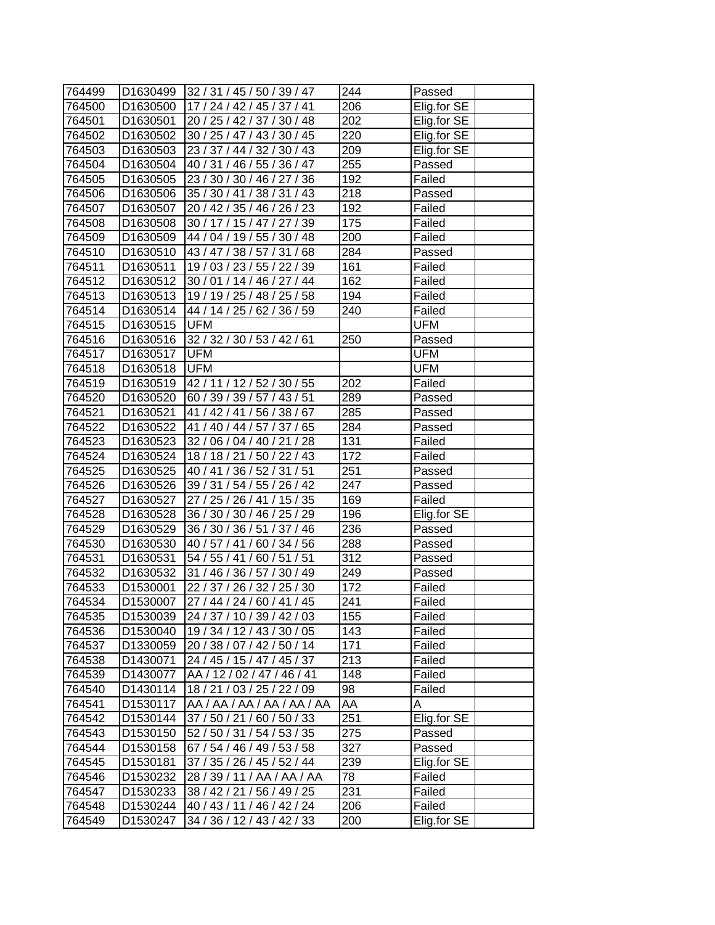| 764499 | D1630499             | 32 / 31 / 45 / 50 / 39 / 47          | 244              | Passed      |
|--------|----------------------|--------------------------------------|------------------|-------------|
| 764500 | D1630500             | 17 / 24 / 42 / 45 / 37 / 41          | 206              | Elig.for SE |
| 764501 | D1630501             | 20 / 25 / 42 / 37 / 30 / 48          | 202              | Elig.for SE |
| 764502 | D1630502             | 30 / 25 / 47 / 43 / 30 / 45          | 220              | Elig.for SE |
| 764503 | D1630503             | 23 / 37 / 44 / 32 / 30 / 43          | 209              | Elig.for SE |
| 764504 | D1630504             | 40 / 31 / 46 / 55 / 36 / 47          | 255              | Passed      |
| 764505 | D1630505             | 23 / 30 / 30 / 46 / 27 / 36          | 192              | Failed      |
| 764506 | D1630506             | 35 / 30 / 41 / 38 / 31 / 43          | 218              | Passed      |
| 764507 | D1630507             | 20 / 42 / 35 / 46 / 26 / 23          | 192              | Failed      |
| 764508 | D1630508             | 30 / 17 / 15 / 47 / 27 / 39          | 175              | Failed      |
| 764509 | D1630509             | 44 / 04 / 19 / 55 / 30 / 48          | 200              | Failed      |
| 764510 | D1630510             | 43 / 47 / 38 / 57 / 31 / 68          | 284              | Passed      |
| 764511 | D1630511             | 19 / 03 / 23 / 55 / 22 / 39          | 161              | Failed      |
| 764512 | D1630512             | 30 / 01 / 14 / 46 / 27 / 44          | 162              | Failed      |
| 764513 | D1630513             | 19 / 19 / 25 / 48 / 25 / 58          | 194              | Failed      |
| 764514 | D1630514             | 44 / 14 / 25 / 62 / 36 / 59          | 240              | Failed      |
| 764515 | D1630515             | <b>UFM</b>                           |                  | UFM         |
| 764516 |                      | D1630516 32 / 32 / 30 / 53 / 42 / 61 | 250              | Passed      |
| 764517 | D1630517             | <b>UFM</b>                           |                  | <b>UFM</b>  |
| 764518 | D1630518             | <b>UFM</b>                           |                  | UFM         |
| 764519 | D1630519             | 42 / 11 / 12 / 52 / 30 / 55          | 202              | Failed      |
| 764520 | D1630520             | 60 / 39 / 39 / 57 / 43 / 51          | 289              | Passed      |
| 764521 | D <sub>1630521</sub> | 41 / 42 / 41 / 56 / 38 / 67          | 285              | Passed      |
| 764522 | D1630522             | 41 / 40 / 44 / 57 / 37 / 65          | 284              | Passed      |
| 764523 | D1630523             | 32 / 06 / 04 / 40 / 21 / 28          | 131              | Failed      |
| 764524 | D <sub>1630524</sub> | 18 / 18 / 21 / 50 / 22 / 43          | 172              | Failed      |
| 764525 | D1630525             | 40 / 41 / 36 / 52 / 31 / 51          | 251              | Passed      |
| 764526 | D1630526             | 39 / 31 / 54 / 55 / 26 / 42          | 247              | Passed      |
| 764527 | D1630527             | 27 / 25 / 26 / 41 / 15 / 35          | 169              | Failed      |
| 764528 | D1630528             | 36 / 30 / 30 / 46 / 25 / 29          | 196              | Elig.for SE |
| 764529 | D1630529             | 36 / 30 / 36 / 51 / 37 / 46          | 236              | Passed      |
| 764530 | D1630530             | 40 / 57 / 41 / 60 / 34 / 56          | 288              | Passed      |
| 764531 | D1630531             | 54 / 55 / 41 / 60 / 51 / 51          | 312              | Passed      |
| 764532 | D1630532             | 31 / 46 / 36 / 57 / 30 / 49          | 249              | Passed      |
| 764533 | D1530001             | $\sqrt{22/}$ 37 / 26 / 32 / 25 / 30  | 172              | Failed      |
| 764534 | D1530007             | $\overline{27/44/24/60/41/45}$       | $\overline{2}41$ | Failed      |
| 764535 | D1530039             | 24 / 37 / 10 / 39 / 42 / 03          | 155              | Failed      |
| 764536 | D1530040             | 19 / 34 / 12 / 43 / 30 / 05          | 143              | Failed      |
| 764537 | D1330059             | 20 / 38 / 07 / 42 / 50 / 14          | 171              | Failed      |
| 764538 | D1430071             | 24 / 45 / 15 / 47 / 45 / 37          | 213              | Failed      |
| 764539 | D1430077             | AA / 12 / 02 / 47 / 46 / 41          | 148              | Failed      |
| 764540 | D1430114             | 18 / 21 / 03 / 25 / 22 / 09          | 98               | Failed      |
| 764541 | D1530117             | AA / AA / AA / AA / AA / AA          | AA               | A           |
| 764542 | D1530144             | 37 / 50 / 21 / 60 / 50 / 33          | 251              | Elig.for SE |
| 764543 | D <sub>1530150</sub> | 52 / 50 / 31 / 54 / 53 / 35          | 275              | Passed      |
| 764544 | D <sub>1530158</sub> | 67 / 54 / 46 / 49 / 53 / 58          | 327              | Passed      |
| 764545 | D1530181             | 37 / 35 / 26 / 45 / 52 / 44          | 239              | Elig.for SE |
| 764546 | D1530232             | 28 / 39 / 11 / AA / AA / AA          | 78               | Failed      |
| 764547 | D1530233             | 38 / 42 / 21 / 56 / 49 / 25          | 231              | Failed      |
| 764548 | D1530244             | 40 / 43 / 11 / 46 / 42 / 24          | 206              | Failed      |
| 764549 | D1530247             | 34 / 36 / 12 / 43 / 42 / 33          | 200              | Elig.for SE |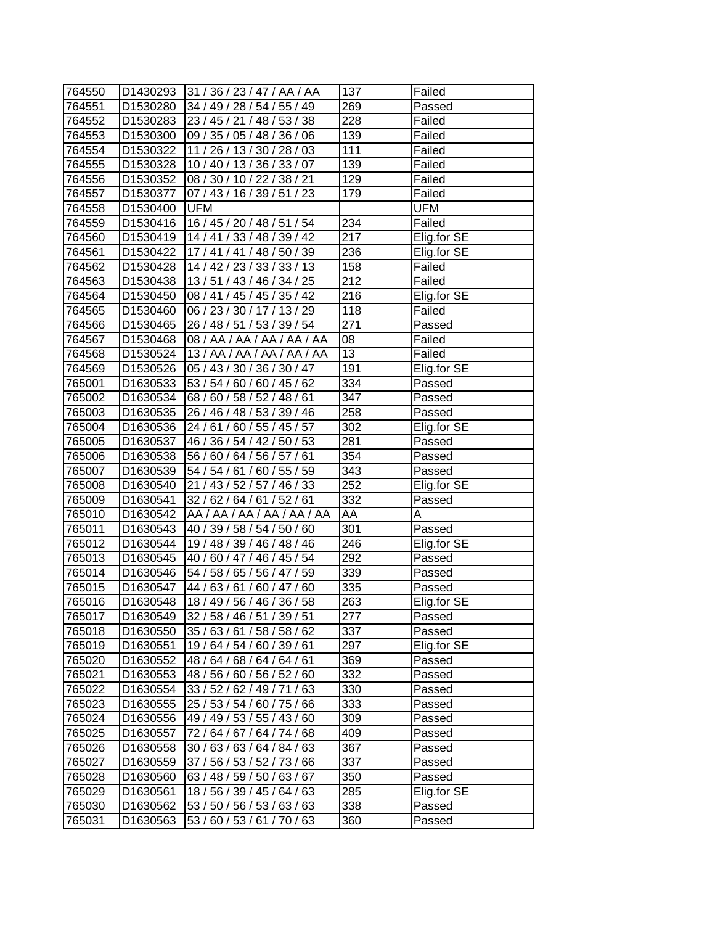| 764550 | D1430293              | 31/36/23/47/AA/AA           | 137              | Failed      |
|--------|-----------------------|-----------------------------|------------------|-------------|
| 764551 | D1530280              | 34 / 49 / 28 / 54 / 55 / 49 | 269              | Passed      |
| 764552 | D1530283              | 23 / 45 / 21 / 48 / 53 / 38 | 228              | Failed      |
| 764553 | D <sub>15</sub> 30300 | 09 / 35 / 05 / 48 / 36 / 06 | 139              | Failed      |
| 764554 | D1530322              | 11 / 26 / 13 / 30 / 28 / 03 | $\overline{111}$ | Failed      |
| 764555 | D1530328              | 10 / 40 / 13 / 36 / 33 / 07 | 139              | Failed      |
| 764556 | D1530352              | 08 / 30 / 10 / 22 / 38 / 21 | 129              | Failed      |
| 764557 | D1530377              | 07 / 43 / 16 / 39 / 51 / 23 | 179              | Failed      |
| 764558 | D1530400              | <b>UFM</b>                  |                  | UFM         |
| 764559 | D1530416              | 16 / 45 / 20 / 48 / 51 / 54 | 234              | Failed      |
| 764560 | D1530419              | 14/41/33/48/39/42           | $\overline{217}$ | Elig.for SE |
| 764561 | D1530422              | 17 / 41 / 41 / 48 / 50 / 39 | 236              | Elig.for SE |
| 764562 | D <sub>1530428</sub>  | 14 / 42 / 23 / 33 / 33 / 13 | 158              | Failed      |
| 764563 | D1530438              | 13/51/43/46/34/25           | 212              | Failed      |
| 764564 | D1530450              | 08 / 41 / 45 / 45 / 35 / 42 | 216              | Elig.for SE |
| 764565 | D1530460              | 06 / 23 / 30 / 17 / 13 / 29 | 118              | Failed      |
| 764566 | D <sub>1530465</sub>  | 26 / 48 / 51 / 53 / 39 / 54 | 271              | Passed      |
| 764567 | D1530468              | 08 / AA / AA / AA / AA / AA | 08               | Failed      |
| 764568 | D1530524              | 13 / AA / AA / AA / AA / AA | $\overline{13}$  | Failed      |
| 764569 | D1530526              | 05 / 43 / 30 / 36 / 30 / 47 | 191              | Elig.for SE |
| 765001 | D1630533              | 53 / 54 / 60 / 60 / 45 / 62 | 334              | Passed      |
| 765002 | D1630534              | 68 / 60 / 58 / 52 / 48 / 61 | $\overline{3}47$ | Passed      |
| 765003 | D1630535              | 26 / 46 / 48 / 53 / 39 / 46 | 258              | Passed      |
| 765004 | D1630536              | 24 / 61 / 60 / 55 / 45 / 57 | 302              | Elig.for SE |
| 765005 | D1630537              | 46 / 36 / 54 / 42 / 50 / 53 | 281              | Passed      |
| 765006 | D1630538              | 56 / 60 / 64 / 56 / 57 / 61 | 354              | Passed      |
| 765007 | D1630539              | 54 / 54 / 61 / 60 / 55 / 59 | 343              | Passed      |
| 765008 | D1630540              | 21 / 43 / 52 / 57 / 46 / 33 | 252              | Elig.for SE |
| 765009 | D1630541              | 32 / 62 / 64 / 61 / 52 / 61 | 332              | Passed      |
| 765010 | D1630542              | AA / AA / AA / AA / AA / AA | ĀA               | Α           |
| 765011 | D1630543              | 40 / 39 / 58 / 54 / 50 / 60 | 301              | Passed      |
| 765012 | D1630544              | 19 / 48 / 39 / 46 / 48 / 46 | 246              | Elig.for SE |
| 765013 | D1630545              | 40 / 60 / 47 / 46 / 45 / 54 | 292              | Passed      |
| 765014 | D1630546              | 54 / 58 / 65 / 56 / 47 / 59 | 339              | Passed      |
| 765015 | D1630547              | 44 / 63 / 61 / 60 / 47 / 60 | 335              | Passed      |
| 765016 | D1630548              | 18 / 49 / 56 / 46 / 36 / 58 | $\overline{263}$ | Elig.for SE |
| 765017 | D1630549              | 32 / 58 / 46 / 51 / 39 / 51 | 277              | Passed      |
| 765018 | D1630550              | 35 / 63 / 61 / 58 / 58 / 62 | 337              | Passed      |
| 765019 | D1630551              | 19 / 64 / 54 / 60 / 39 / 61 | 297              | Elig.for SE |
| 765020 | D1630552              | 48 / 64 / 68 / 64 / 64 / 61 | 369              | Passed      |
| 765021 | D1630553              | 48 / 56 / 60 / 56 / 52 / 60 | 332              | Passed      |
| 765022 | D1630554              | 33 / 52 / 62 / 49 / 71 / 63 | 330              | Passed      |
| 765023 | D1630555              | 25 / 53 / 54 / 60 / 75 / 66 | 333              | Passed      |
| 765024 | D1630556              | 49 / 49 / 53 / 55 / 43 / 60 | 309              | Passed      |
| 765025 | D1630557              | 72 / 64 / 67 / 64 / 74 / 68 | 409              | Passed      |
| 765026 | D1630558              | 30/63/63/64/84/63           | 367              | Passed      |
| 765027 | D1630559              | 37 / 56 / 53 / 52 / 73 / 66 | 337              | Passed      |
| 765028 | D1630560              | 63 / 48 / 59 / 50 / 63 / 67 | 350              | Passed      |
| 765029 | D1630561              | 18 / 56 / 39 / 45 / 64 / 63 | 285              | Elig.for SE |
| 765030 | D1630562              | 53 / 50 / 56 / 53 / 63 / 63 | 338              | Passed      |
| 765031 | D1630563              | 53 / 60 / 53 / 61 / 70 / 63 | 360              | Passed      |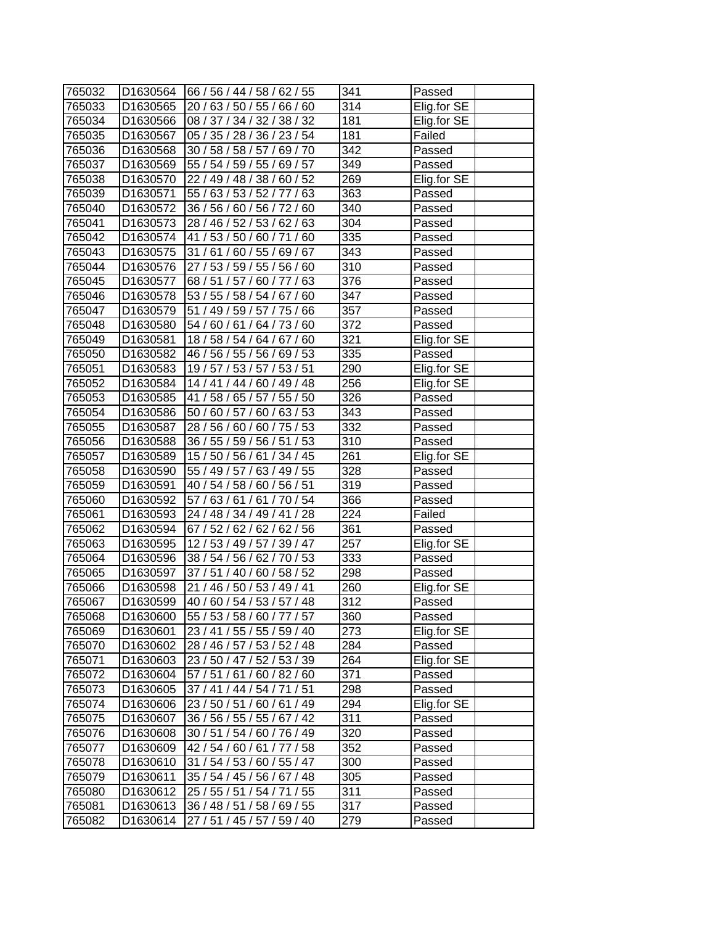| 765032 | D1630564             | 66 / 56 / 44 / 58 / 62 / 55 | 341              | Passed      |
|--------|----------------------|-----------------------------|------------------|-------------|
| 765033 | D1630565             | 20 / 63 / 50 / 55 / 66 / 60 | 314              | Elig.for SE |
| 765034 | D1630566             | 08 / 37 / 34 / 32 / 38 / 32 | 181              | Elig.for SE |
| 765035 | D1630567             | 05 / 35 / 28 / 36 / 23 / 54 | 181              | Failed      |
| 765036 | D1630568             | 30 / 58 / 58 / 57 / 69 / 70 | 342              | Passed      |
| 765037 | D1630569             | 55 / 54 / 59 / 55 / 69 / 57 | $\overline{349}$ | Passed      |
| 765038 | D1630570             | 22 / 49 / 48 / 38 / 60 / 52 | 269              | Elig.for SE |
| 765039 | D1630571             | 55 / 63 / 53 / 52 / 77 / 63 | 363              | Passed      |
| 765040 | D1630572             | 36 / 56 / 60 / 56 / 72 / 60 | 340              | Passed      |
| 765041 | D1630573             | 28 / 46 / 52 / 53 / 62 / 63 | 304              | Passed      |
| 765042 | D1630574             | 41 / 53 / 50 / 60 / 71 / 60 | 335              | Passed      |
| 765043 | D1630575             | 31 / 61 / 60 / 55 / 69 / 67 | 343              | Passed      |
| 765044 | D1630576             | 27 / 53 / 59 / 55 / 56 / 60 | $\overline{3}10$ | Passed      |
| 765045 | D1630577             | 68/51/57/60/77/63           | 376              | Passed      |
| 765046 | D1630578             | 53 / 55 / 58 / 54 / 67 / 60 | 347              | Passed      |
| 765047 | D <sub>1630579</sub> | 51 / 49 / 59 / 57 / 75 / 66 | 357              | Passed      |
| 765048 | D <sub>1630580</sub> | 54 / 60 / 61 / 64 / 73 / 60 | 372              | Passed      |
| 765049 | D1630581             | 18 / 58 / 54 / 64 / 67 / 60 | 321              | Elig.for SE |
| 765050 | D1630582             | 46 / 56 / 55 / 56 / 69 / 53 | 335              | Passed      |
| 765051 | D1630583             | 19 / 57 / 53 / 57 / 53 / 51 | 290              | Elig.for SE |
| 765052 | D1630584             | 14 / 41 / 44 / 60 / 49 / 48 | 256              | Elig.for SE |
| 765053 | D1630585             | 41 / 58 / 65 / 57 / 55 / 50 | 326              | Passed      |
| 765054 | D1630586             | 50 / 60 / 57 / 60 / 63 / 53 | 343              | Passed      |
| 765055 | D1630587             | 28 / 56 / 60 / 60 / 75 / 53 | 332              | Passed      |
| 765056 | D1630588             | 36 / 55 / 59 / 56 / 51 / 53 | 310              | Passed      |
| 765057 | D1630589             | 15 / 50 / 56 / 61 / 34 / 45 | 261              | Elig.for SE |
| 765058 | D1630590             | 55 / 49 / 57 / 63 / 49 / 55 | 328              | Passed      |
| 765059 | D1630591             | 40 / 54 / 58 / 60 / 56 / 51 | 319              | Passed      |
| 765060 | D1630592             | 57 / 63 / 61 / 61 / 70 / 54 | 366              | Passed      |
| 765061 | D1630593             | 24 / 48 / 34 / 49 / 41 / 28 | $\overline{2}24$ | Failed      |
| 765062 | D1630594             | 67 / 52 / 62 / 62 / 62 / 56 | 361              | Passed      |
| 765063 | D1630595             | 12/53/49/57/39/47           | 257              | Elig.for SE |
| 765064 | D1630596             | 38 / 54 / 56 / 62 / 70 / 53 | 333              | Passed      |
| 765065 | D1630597             | 37 / 51 / 40 / 60 / 58 / 52 | 298              | Passed      |
| 765066 | D1630598             | 21 / 46 / 50 / 53 / 49 / 41 | 260              | Elig.for SE |
| 765067 | D1630599             | 40 / 60 / 54 / 53 / 57 / 48 | $\overline{3}12$ | Passed      |
| 765068 | D1630600             | 55 / 53 / 58 / 60 / 77 / 57 | 360              | Passed      |
| 765069 | D1630601             | 23 / 41 / 55 / 55 / 59 / 40 | 273              | Elig.for SE |
| 765070 | D1630602             | 28 / 46 / 57 / 53 / 52 / 48 | 284              | Passed      |
| 765071 | D1630603             | 23 / 50 / 47 / 52 / 53 / 39 | 264              | Elig.for SE |
| 765072 | D1630604             | 57/51/61/60/82/60           | 371              | Passed      |
| 765073 | D1630605             | 37 / 41 / 44 / 54 / 71 / 51 | 298              | Passed      |
| 765074 | D1630606             | 23/50/51/60/61/49           | 294              | Elig.for SE |
| 765075 | D1630607             | 36 / 56 / 55 / 55 / 67 / 42 | 311              | Passed      |
| 765076 | D1630608             | 30 / 51 / 54 / 60 / 76 / 49 | 320              | Passed      |
| 765077 | D1630609             | 42/54/60/61/77/58           | 352              | Passed      |
| 765078 | D1630610             | 31 / 54 / 53 / 60 / 55 / 47 | 300              | Passed      |
| 765079 | D1630611             | 35 / 54 / 45 / 56 / 67 / 48 | 305              | Passed      |
| 765080 | D1630612             | 25 / 55 / 51 / 54 / 71 / 55 | 311              | Passed      |
| 765081 | D1630613             | 36 / 48 / 51 / 58 / 69 / 55 | 317              | Passed      |
| 765082 | D1630614             | 27 / 51 / 45 / 57 / 59 / 40 | 279              | Passed      |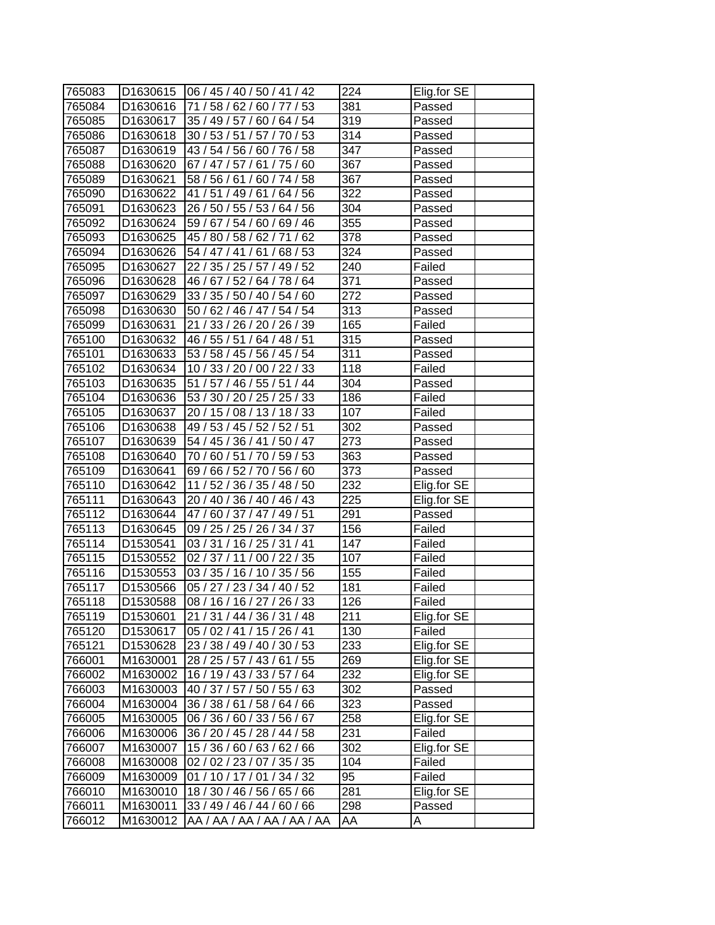| 765083           | ID1630615            | 106/45/40/50/41/42                                         | 224              | Elig.for SE |
|------------------|----------------------|------------------------------------------------------------|------------------|-------------|
| 765084           | D <sub>1630616</sub> | 71 / 58 / 62 / 60 / 77 / 53                                | 381              | Passed      |
| 765085           | D1630617             | 35 / 49 / 57 / 60 / 64 / 54                                | 319              | Passed      |
| 765086           | D1630618             | 30 / 53 / 51 / 57 / 70 / 53                                | $\overline{3}14$ | Passed      |
| 765087           | D1630619             | 43 / 54 / 56 / 60 / 76 / 58                                | 347              | Passed      |
| 765088           | D1630620             | 67 / 47 / 57 / 61 / 75 / 60                                | 367              | Passed      |
| 765089           | D1630621             | 58 / 56 / 61 / 60 / 74 / 58                                | 367              | Passed      |
| 765090           | D1630622             | 41 / 51 / 49 / 61 / 64 / 56                                | 322              | Passed      |
| 765091           | D1630623             | 26 / 50 / 55 / 53 / 64 / 56                                | 304              | Passed      |
| 765092           | D1630624             | 59 / 67 / 54 / 60 / 69 / 46                                | 355              | Passed      |
| 765093           | D1630625             | 45 / 80 / 58 / 62 / 71 / 62                                | 378              | Passed      |
| 765094           | D1630626             | 54 / 47 / 41 / 61 / 68 / 53                                | 324              | Passed      |
| 765095           | D1630627             | 22 / 35 / 25 / 57 / 49 / 52                                | 240              | Failed      |
| 765096           | D1630628             | 46 / 67 / 52 / 64 / 78 / 64                                | 371              | Passed      |
| 765097           | D1630629             | 33 / 35 / 50 / 40 / 54 / 60                                | 272              | Passed      |
| 765098           | D1630630             | 50 / 62 / 46 / 47 / 54 / 54                                | 313              | Passed      |
| 765099           | D1630631             | 21 / 33 / 26 / 20 / 26 / 39                                | 165              | Failed      |
| 765100           | D1630632             | 46 / 55 / 51 / 64 / 48 / 51                                | 315              | Passed      |
| 765101           | D1630633             | 53 / 58 / 45 / 56 / 45 / 54                                | 311              | Passed      |
| 765102           | D1630634             | 10 / 33 / 20 / 00 / 22 / 33                                | 118              | Failed      |
| 765103           | D <sub>1630635</sub> | 51 / 57 / 46 / 55 / 51 / 44                                | 304              | Passed      |
| 765104           | D1630636             | 53 / 30 / 20 / 25 / 25 / 33                                | 186              | Failed      |
| 765105           | D1630637             | 20 / 15 / 08 / 13 / 18 / 33                                | 107              | Failed      |
| 765106           | D1630638             | 49 / 53 / 45 / 52 / 52 / 51                                | 302              | Passed      |
| 765107           | D1630639             |                                                            | 273              |             |
|                  |                      | 54 / 45 / 36 / 41 / 50 / 47<br>70 / 60 / 51 / 70 / 59 / 53 |                  | Passed      |
| 765108<br>765109 | D <sub>1630640</sub> |                                                            | 363<br>373       | Passed      |
| 765110           | D1630641             | 69 / 66 / 52 / 70 / 56 / 60<br>11 / 52 / 36 / 35 / 48 / 50 | 232              | Passed      |
|                  | D1630642             |                                                            |                  | Elig.for SE |
| 765111           | D1630643             | 20 / 40 / 36 / 40 / 46 / 43                                | 225              | Elig.for SE |
| 765112           | D1630644             | 47/60/37/47/49/51<br>09 / 25 / 25 / 26 / 34 / 37           | 291<br>156       | Passed      |
| 765113           | D1630645             |                                                            |                  | Failed      |
| 765114           | D1530541             | 03 / 31 / 16 / 25 / 31 / 41                                | 147              | Failed      |
| 765115           | D1530552             | 02 / 37 / 11 / 00 / 22 / 35<br>03 / 35 / 16 / 10 / 35 / 56 | 107              | Failed      |
| 765116           | D1530553             |                                                            | 155              | Failed      |
| 765117           | D1530566             | 05 / 27 / 23 / 34 / 40 / 52                                | 181              | Failed      |
| 765118           | D1530588             | 08 / 16 / 16 / 27 / 26 / 33                                | $\overline{126}$ | Failed      |
| 765119           | D1530601             | 21 / 31 / 44 / 36 / 31 / 48                                | 211              | Elig.for SE |
| 765120           | D1530617             | 05 / 02 / 41 / 15 / 26 / 41                                | 130              | Failed      |
| 765121           | D1530628             | 23 / 38 / 49 / 40 / 30 / 53                                | 233              | Elig.for SE |
| 766001           | M1630001             | 28 / 25 / 57 / 43 / 61 / 55                                | 269              | Elig.for SE |
| 766002           | M1630002             | 16 / 19 / 43 / 33 / 57 / 64                                | 232              | Elig.for SE |
| 766003           | M1630003             | 40 / 37 / 57 / 50 / 55 / 63                                | 302              | Passed      |
| 766004           | M1630004             | 36 / 38 / 61 / 58 / 64 / 66                                | 323              | Passed      |
| 766005           | M1630005             | 06 / 36 / 60 / 33 / 56 / 67                                | 258              | Elig.for SE |
| 766006           | M1630006             | 36 / 20 / 45 / 28 / 44 / 58                                | 231              | Failed      |
| 766007           | M1630007             | 15 / 36 / 60 / 63 / 62 / 66                                | 302              | Elig.for SE |
| 766008           | M1630008             | 02 / 02 / 23 / 07 / 35 / 35                                | 104              | Failed      |
| 766009           | M1630009             | 01 / 10 / 17 / 01 / 34 / 32                                | 95               | Failed      |
| 766010           | M1630010             | 18 / 30 / 46 / 56 / 65 / 66                                | 281              | Elig.for SE |
| 766011           | M1630011             | 33 / 49 / 46 / 44 / 60 / 66                                | 298              | Passed      |
| 766012           | M1630012             | AA / AA / AA / AA / AA / AA                                | AA               | A           |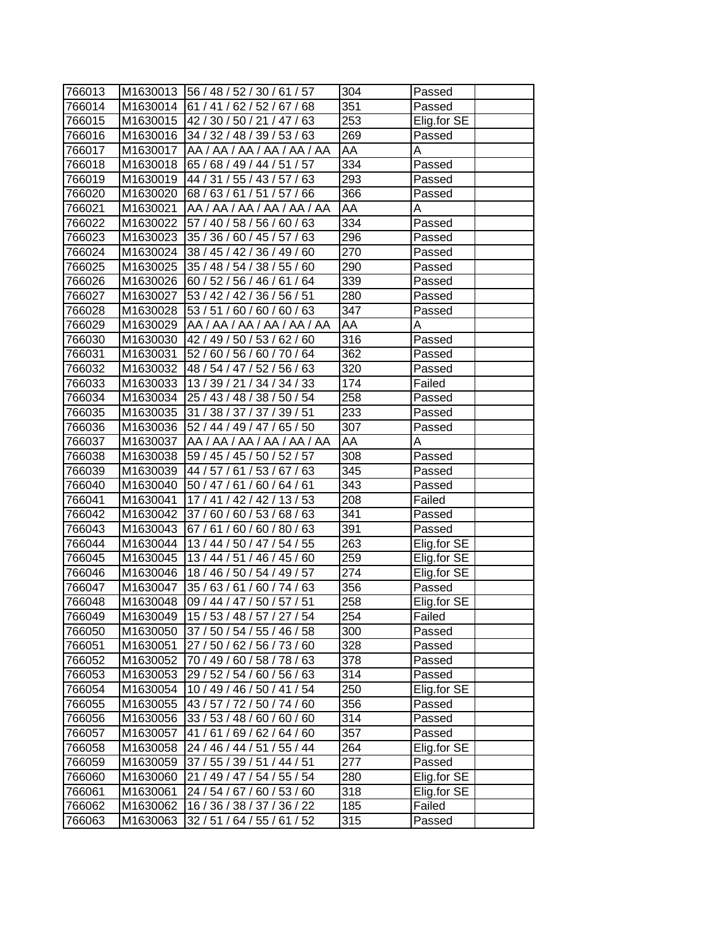| 766013 |          | M1630013 56 / 48 / 52 / 30 / 61 / 57 | 304              | Passed      |
|--------|----------|--------------------------------------|------------------|-------------|
| 766014 | M1630014 | 61 / 41 / 62 / 52 / 67 / 68          | 351              | Passed      |
| 766015 | M1630015 | 142/30/50/21/47/63                   | 253              | Elig.for SE |
| 766016 | M1630016 | 34 / 32 / 48 / 39 / 53 / 63          | 269              | Passed      |
| 766017 | M1630017 | AA / AA / AA / AA / AA / AA          | AA               | Α           |
| 766018 | M1630018 | 65 / 68 / 49 / 44 / 51 / 57          | 334              | Passed      |
| 766019 | M1630019 | 44 / 31 / 55 / 43 / 57 / 63          | 293              | Passed      |
| 766020 | M1630020 | 68 / 63 / 61 / 51 / 57 / 66          | 366              | Passed      |
| 766021 | M1630021 | AA / AA / AA / AA / AA / AA          | AA               | Α           |
| 766022 | M1630022 | 57 / 40 / 58 / 56 / 60 / 63          | 334              | Passed      |
| 766023 | M1630023 | 35 / 36 / 60 / 45 / 57 / 63          | 296              | Passed      |
| 766024 | M1630024 | 38 / 45 / 42 / 36 / 49 / 60          | 270              | Passed      |
| 766025 | M1630025 | 35 / 48 / 54 / 38 / 55 / 60          | 290              | Passed      |
| 766026 | M1630026 | 60 / 52 / 56 / 46 / 61 / 64          | 339              | Passed      |
| 766027 | M1630027 | 53 / 42 / 42 / 36 / 56 / 51          | 280              | Passed      |
| 766028 | M1630028 | 53/51/60/60/60/63                    | 347              | Passed      |
| 766029 | M1630029 | AA / AA / AA / AA / AA / AA          | AA               | Α           |
| 766030 | M1630030 | 42 / 49 / 50 / 53 / 62 / 60          | 316              | Passed      |
| 766031 | M1630031 | 52 / 60 / 56 / 60 / 70 / 64          | 362              | Passed      |
| 766032 | M1630032 | 48 / 54 / 47 / 52 / 56 / 63          | 320              | Passed      |
| 766033 | M1630033 | 13 / 39 / 21 / 34 / 34 / 33          | 174              | Failed      |
| 766034 | M1630034 | 25 / 43 / 48 / 38 / 50 / 54          | 258              | Passed      |
| 766035 | M1630035 | 31 / 38 / 37 / 37 / 39 / 51          | 233              | Passed      |
| 766036 | M1630036 | 52 / 44 / 49 / 47 / 65 / 50          | 307              | Passed      |
| 766037 | M1630037 | AA /AA /AA /AA /AA /AA               | AA               | Α           |
| 766038 | M1630038 | 59 / 45 / 45 / 50 / 52 / 57          | 308              | Passed      |
| 766039 | M1630039 | 44 / 57 / 61 / 53 / 67 / 63          | 345              | Passed      |
| 766040 | M1630040 | 50 / 47 / 61 / 60 / 64 / 61          | 343              | Passed      |
| 766041 | M1630041 | 17/41/42/42/13/53                    | 208              | Failed      |
| 766042 | M1630042 | 37/60/60/53/68/63                    | $\overline{341}$ | Passed      |
| 766043 | M1630043 | 67/61/60/60/80/63                    | 391              | Passed      |
| 766044 | M1630044 | 13 / 44 / 50 / 47 / 54 / 55          | $\overline{263}$ | Elig.for SE |
| 766045 | M1630045 | 13 / 44 / 51 / 46 / 45 / 60          | 259              | Elig.for SE |
| 766046 | M1630046 | 18 / 46 / 50 / 54 / 49 / 57          | 274              | Elig.for SE |
| 766047 | M1630047 | 35 / 63 / 61 / 60 / 74 / 63          | 356              | Passed      |
| 766048 | M1630048 | 09 / 44 / 47 / 50 / 57 / 51          | 258              | Elig.for SE |
| 766049 | M1630049 | 15 / 53 / 48 / 57 / 27 / 54          | 254              | Failed      |
| 766050 | M1630050 | 37 / 50 / 54 / 55 / 46 / 58          | 300              | Passed      |
| 766051 | M1630051 | 27/50/62/56/73/60                    | 328              | Passed      |
| 766052 | M1630052 | 70 / 49 / 60 / 58 / 78 / 63          | 378              | Passed      |
| 766053 | M1630053 | 29 / 52 / 54 / 60 / 56 / 63          | 314              | Passed      |
| 766054 | M1630054 | 10 / 49 / 46 / 50 / 41 / 54          | 250              | Elig.for SE |
| 766055 | M1630055 | 43/57/72/50/74/60                    | 356              | Passed      |
| 766056 | M1630056 | 33 / 53 / 48 / 60 / 60 / 60          | 314              | Passed      |
| 766057 | M1630057 | 41/61/69/62/64/60                    | 357              | Passed      |
| 766058 | M1630058 | 24 / 46 / 44 / 51 / 55 / 44          | 264              | Elig.for SE |
| 766059 | M1630059 | 37 / 55 / 39 / 51 / 44 / 51          | 277              | Passed      |
| 766060 | M1630060 | 21 / 49 / 47 / 54 / 55 / 54          | 280              | Elig.for SE |
| 766061 | M1630061 | 24 / 54 / 67 / 60 / 53 / 60          | 318              | Elig.for SE |
| 766062 | M1630062 | 16 / 36 / 38 / 37 / 36 / 22          | 185              | Failed      |
| 766063 | M1630063 | 32/51/64/55/61/52                    | 315              | Passed      |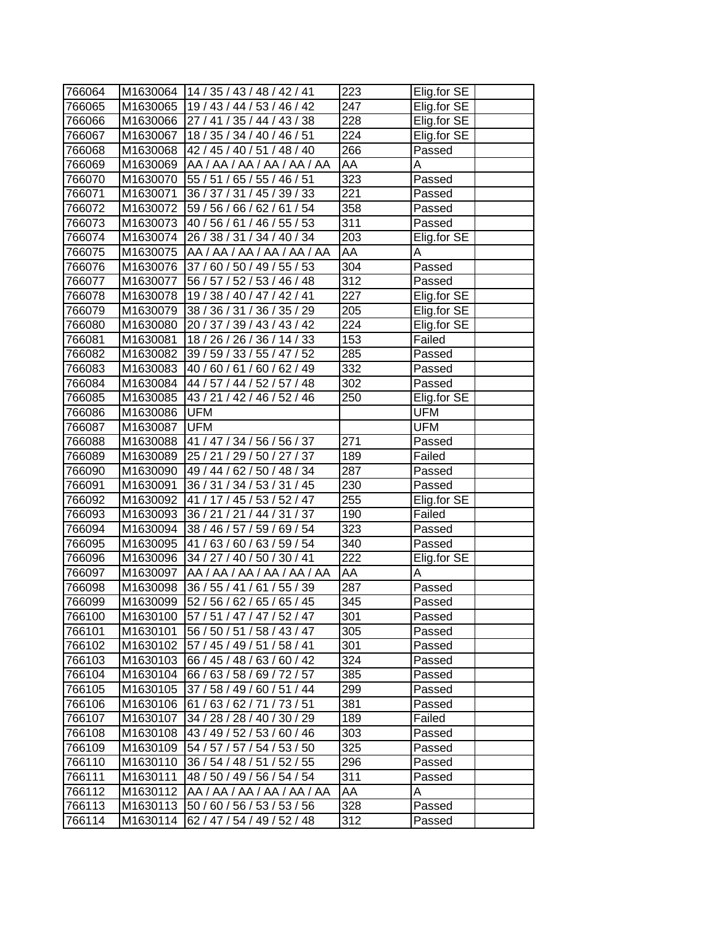| 766064 |              | M1630064   14 / 35 / 43 / 48 / 42 / 41 | 223              | Elig.for SE |
|--------|--------------|----------------------------------------|------------------|-------------|
| 766065 |              | M1630065   19 / 43 / 44 / 53 / 46 / 42 | 247              | Elig.for SE |
| 766066 |              | M1630066 27 / 41 / 35 / 44 / 43 / 38   | 228              | Elig.for SE |
| 766067 | M1630067     | 18 / 35 / 34 / 40 / 46 / 51            | $\overline{2}24$ | Elig.for SE |
| 766068 | M1630068     | 42 / 45 / 40 / 51 / 48 / 40            | 266              | Passed      |
| 766069 | M1630069     | AA / AA / AA / AA / AA / AA            | AA               | Α           |
| 766070 | M1630070     | 55 / 51 / 65 / 55 / 46 / 51            | 323              | Passed      |
| 766071 | M1630071     | 36 / 37 / 31 / 45 / 39 / 33            | $\overline{221}$ | Passed      |
| 766072 | M1630072     | 59 / 56 / 66 / 62 / 61 / 54            | 358              | Passed      |
| 766073 | M1630073     | 40 / 56 / 61 / 46 / 55 / 53            | 311              | Passed      |
| 766074 | M1630074     | 26 / 38 / 31 / 34 / 40 / 34            | 203              | Elig.for SE |
| 766075 | M1630075     | AA /AA /AA /AA /AA /AA                 | AA               | Α           |
| 766076 | M1630076     | 37 / 60 / 50 / 49 / 55 / 53            | 304              | Passed      |
| 766077 | M1630077     | 56 / 57 / 52 / 53 / 46 / 48            | 312              | Passed      |
| 766078 | M1630078     | 19/38/40/47/42/41                      | 227              | Elig.for SE |
| 766079 | M1630079     | 38 / 36 / 31 / 36 / 35 / 29            | 205              | Elig.for SE |
| 766080 | M1630080     | 20 / 37 / 39 / 43 / 43 / 42            | 224              | Elig.for SE |
| 766081 | M1630081     | 18 / 26 / 26 / 36 / 14 / 33            | 153              | Failed      |
| 766082 | M1630082     | 39 / 59 / 33 / 55 / 47 / 52            | 285              | Passed      |
| 766083 | M1630083     | 40 / 60 / 61 / 60 / 62 / 49            | 332              | Passed      |
| 766084 | M1630084     | 44 / 57 / 44 / 52 / 57 / 48            | $\overline{3}02$ | Passed      |
| 766085 | M1630085     | 43/21/42/46/52/46                      | 250              | Elig.for SE |
| 766086 | M1630086     | <b>UFM</b>                             |                  | <b>UFM</b>  |
| 766087 | M1630087 UFM |                                        |                  | <b>UFM</b>  |
| 766088 |              | M1630088  41 / 47 / 34 / 56 / 56 / 37  | 271              | Passed      |
| 766089 | M1630089     | 25 / 21 / 29 / 50 / 27 / 37            | 189              | Failed      |
| 766090 | M1630090     | 49 / 44 / 62 / 50 / 48 / 34            | 287              | Passed      |
| 766091 | M1630091     | 36 / 31 / 34 / 53 / 31 / 45            | 230              | Passed      |
| 766092 | M1630092     | 41 / 17 / 45 / 53 / 52 / 47            | 255              | Elig.for SE |
| 766093 | M1630093     | 36 / 21 / 21 / 44 / 31 / 37            | 190              | Failed      |
| 766094 | M1630094     | 38 / 46 / 57 / 59 / 69 / 54            | $\overline{3}23$ | Passed      |
| 766095 | M1630095     | 41 / 63 / 60 / 63 / 59 / 54            | 340              | Passed      |
| 766096 | M1630096     | 34 / 27 / 40 / 50 / 30 / 41            | 222              | Elig.for SE |
| 766097 | M1630097     | AA / AA / AA / AA / AA / AA            | AA               | A           |
| 766098 | M1630098     | 36 / 55 / 41 / 61 / 55 / 39            | $\overline{2}87$ | Passed      |
| 766099 | M1630099     | 52 / 56 / 62 / 65 / 65 / 45            | 345              | Passed      |
| 766100 | M1630100     | 57 / 51 / 47 / 47 / 52 / 47            | 301              | Passed      |
| 766101 | M1630101     | 56 / 50 / 51 / 58 / 43 / 47            | 305              | Passed      |
| 766102 | M1630102     | 57 / 45 / 49 / 51 / 58 / 41            | 301              | Passed      |
| 766103 | M1630103     | 66 / 45 / 48 / 63 / 60 / 42            | 324              | Passed      |
| 766104 | M1630104     | 66 / 63 / 58 / 69 / 72 / 57            | 385              | Passed      |
| 766105 | M1630105     | 37 / 58 / 49 / 60 / 51 / 44            | 299              | Passed      |
| 766106 | M1630106     | 61/63/62/71/73/51                      | 381              | Passed      |
| 766107 | M1630107     | 34 / 28 / 28 / 40 / 30 / 29            | 189              | Failed      |
| 766108 | M1630108     | 43 / 49 / 52 / 53 / 60 / 46            | 303              | Passed      |
| 766109 | M1630109     | 54 / 57 / 57 / 54 / 53 / 50            | 325              | Passed      |
| 766110 | M1630110     | 36 / 54 / 48 / 51 / 52 / 55            | 296              | Passed      |
| 766111 | M1630111     | 48 / 50 / 49 / 56 / 54 / 54            | 311              | Passed      |
| 766112 | M1630112     | AA / AA / AA / AA / AA / AA            | AA               | Α           |
| 766113 | M1630113     | 50 / 60 / 56 / 53 / 53 / 56            | 328              | Passed      |
| 766114 | M1630114     | 62 / 47 / 54 / 49 / 52 / 48            | 312              | Passed      |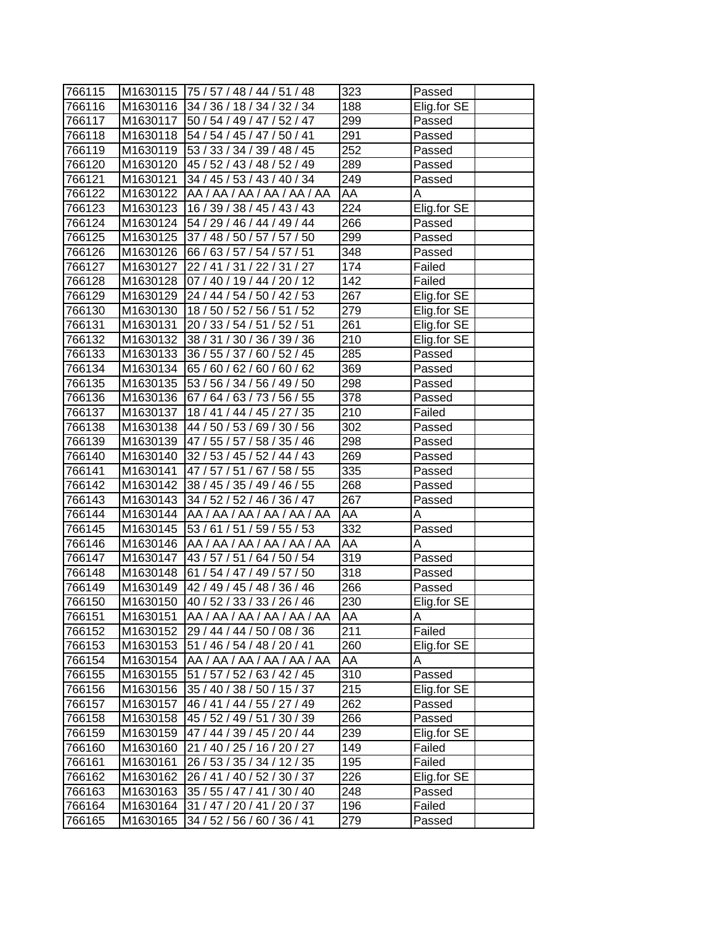| 766115 |          | M1630115 75 / 57 / 48 / 44 / 51 / 48   | 323               | Passed      |
|--------|----------|----------------------------------------|-------------------|-------------|
| 766116 |          | M1630116 34 / 36 / 18 / 34 / 32 / 34   | 188               | Elig.for SE |
| 766117 |          | M1630117 50 / 54 / 49 / 47 / 52 / 47   | 299               | Passed      |
| 766118 |          | M1630118 54 / 54 / 45 / 47 / 50 / 41   | 291               | Passed      |
| 766119 |          | M1630119 53 / 33 / 34 / 39 / 48 / 45   | 252               | Passed      |
| 766120 |          | M1630120 45 / 52 / 43 / 48 / 52 / 49   | 289               | Passed      |
| 766121 | M1630121 | 34 / 45 / 53 / 43 / 40 / 34            | 249               | Passed      |
| 766122 |          | M1630122 AA / AA / AA / AA / AA / AA   | AA                | A           |
| 766123 | M1630123 | 16 / 39 / 38 / 45 / 43 / 43            | 224               | Elig.for SE |
| 766124 |          | M1630124 54 / 29 / 46 / 44 / 49 / 44   | 266               | Passed      |
| 766125 |          | M1630125 37 / 48 / 50 / 57 / 57 / 50   | 299               | Passed      |
| 766126 | M1630126 | 66 / 63 / 57 / 54 / 57 / 51            | 348               | Passed      |
| 766127 | M1630127 | 22 / 41 / 31 / 22 / 31 / 27            | 174               | Failed      |
| 766128 | M1630128 | 07 / 40 / 19 / 44 / 20 / 12            | 142               | Failed      |
| 766129 |          | M1630129 24 / 44 / 54 / 50 / 42 / 53   | 267               | Elig.for SE |
| 766130 |          | M1630130   18 / 50 / 52 / 56 / 51 / 52 | 279               | Elig.for SE |
| 766131 | M1630131 | 20 / 33 / 54 / 51 / 52 / 51            | 261               | Elig.for SE |
| 766132 | M1630132 | 38 / 31 / 30 / 36 / 39 / 36            | $\overline{210}$  | Elig.for SE |
| 766133 | M1630133 | 36 / 55 / 37 / 60 / 52 / 45            | 285               | Passed      |
| 766134 | M1630134 | 65 / 60 / 62 / 60 / 60 / 62            | 369               | Passed      |
| 766135 | M1630135 | 53 / 56 / 34 / 56 / 49 / 50            | 298               | Passed      |
| 766136 |          | M1630136 67 / 64 / 63 / 73 / 56 / 55   | $\overline{378}$  | Passed      |
| 766137 | M1630137 | 18 / 41 / 44 / 45 / 27 / 35            | 210               | Failed      |
| 766138 |          | M1630138 44 / 50 / 53 / 69 / 30 / 56   | 302               | Passed      |
| 766139 |          | M1630139 47 / 55 / 57 / 58 / 35 / 46   | 298               | Passed      |
| 766140 |          | M1630140 32 / 53 / 45 / 52 / 44 / 43   | 269               | Passed      |
| 766141 | M1630141 | 47 / 57 / 51 / 67 / 58 / 55            | 335               | Passed      |
| 766142 |          | M1630142 38 / 45 / 35 / 49 / 46 / 55   | 268               | Passed      |
| 766143 |          | M1630143 34 / 52 / 52 / 46 / 36 / 47   | 267               | Passed      |
| 766144 |          | M1630144   AA / AA / AA / AA / AA / AA | AA                | A           |
| 766145 | M1630145 | 53 / 61 / 51 / 59 / 55 / 53            | 332               | Passed      |
| 766146 | M1630146 | AA /AA /AA /AA /AA /AA                 | AA                | Α           |
| 766147 | M1630147 | 43 / 57 / 51 / 64 / 50 / 54            | $\overline{3}$ 19 | Passed      |
| 766148 | M1630148 | 61 / 54 / 47 / 49 / 57 / 50            | 318               | Passed      |
| 766149 |          | M1630149 42 / 49 / 45 / 48 / 36 / 46   | 266               | Passed      |
| 766150 |          | M1630150 40 / 52 / 33 / 33 / 26 / 46   | 230               | Elig.for SE |
| 766151 | M1630151 | AA / AA / AA / AA / AA / AA            | AA                | Α           |
| 766152 | M1630152 | 29 / 44 / 44 / 50 / 08 / 36            | 211               | Failed      |
| 766153 | M1630153 | 51 / 46 / 54 / 48 / 20 / 41            | 260               | Elig.for SE |
| 766154 | M1630154 | AA / AA / AA / AA / AA / AA            | AA                | A           |
| 766155 | M1630155 | 51 / 57 / 52 / 63 / 42 / 45            | 310               | Passed      |
| 766156 | M1630156 | 35 / 40 / 38 / 50 / 15 / 37            | 215               | Elig.for SE |
| 766157 | M1630157 | 46 / 41 / 44 / 55 / 27 / 49            | 262               | Passed      |
| 766158 | M1630158 | 45 / 52 / 49 / 51 / 30 / 39            | 266               | Passed      |
| 766159 | M1630159 | 47 / 44 / 39 / 45 / 20 / 44            | 239               | Elig.for SE |
| 766160 | M1630160 | 21 / 40 / 25 / 16 / 20 / 27            | 149               | Failed      |
| 766161 | M1630161 | 26 / 53 / 35 / 34 / 12 / 35            | 195               | Failed      |
| 766162 | M1630162 | 26 / 41 / 40 / 52 / 30 / 37            | 226               | Elig.for SE |
| 766163 | M1630163 | 35 / 55 / 47 / 41 / 30 / 40            | 248               | Passed      |
| 766164 | M1630164 | 31 / 47 / 20 / 41 / 20 / 37            | 196               | Failed      |
| 766165 | M1630165 | 34 / 52 / 56 / 60 / 36 / 41            | 279               | Passed      |
|        |          |                                        |                   |             |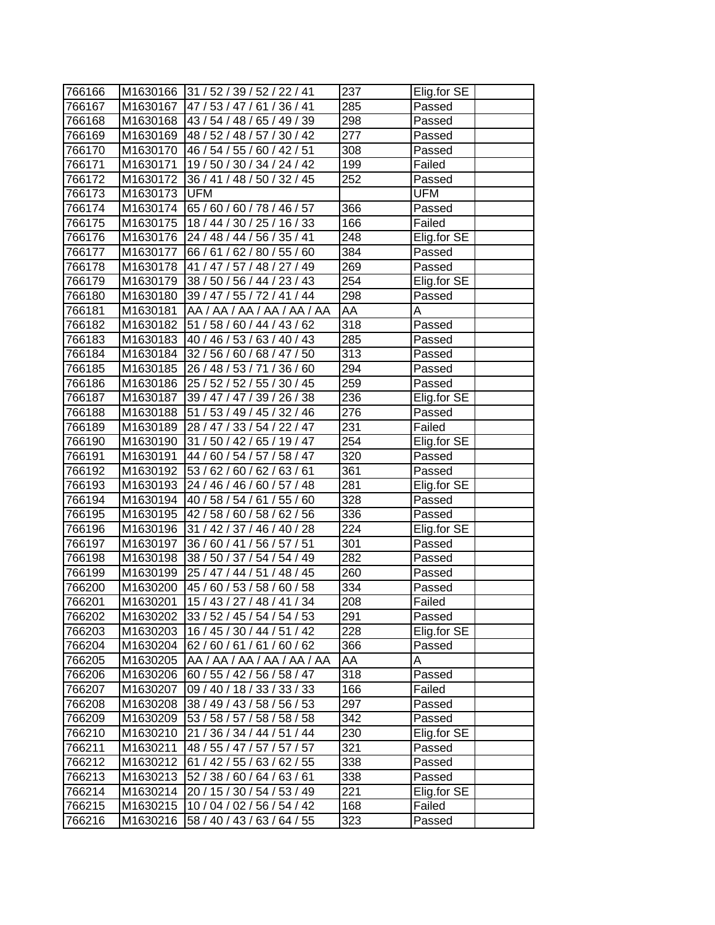| 766166 | M1630166 | 31 / 52 / 39 / 52 / 22 / 41          | 237              | Elig.for SE |
|--------|----------|--------------------------------------|------------------|-------------|
| 766167 | M1630167 | 47 / 53 / 47 / 61 / 36 / 41          | 285              | Passed      |
| 766168 | M1630168 | 43 / 54 / 48 / 65 / 49 / 39          | 298              | Passed      |
| 766169 | M1630169 | 48 / 52 / 48 / 57 / 30 / 42          | 277              | Passed      |
| 766170 | M1630170 | 46 / 54 / 55 / 60 / 42 / 51          | 308              | Passed      |
| 766171 | M1630171 | 19/50/30/34/24/42                    | $\overline{1}99$ | Failed      |
| 766172 | M1630172 | 36 / 41 / 48 / 50 / 32 / 45          | 252              | Passed      |
| 766173 | M1630173 | <b>UFM</b>                           |                  | UFM         |
| 766174 | M1630174 | 65 / 60 / 60 / 78 / 46 / 57          | 366              | Passed      |
| 766175 | M1630175 | 18/44/30/25/16/33                    | 166              | Failed      |
| 766176 | M1630176 | 24 / 48 / 44 / 56 / 35 / 41          | 248              | Elig.for SE |
| 766177 | M1630177 | 66 / 61 / 62 / 80 / 55 / 60          | 384              | Passed      |
| 766178 | M1630178 | 41 / 47 / 57 / 48 / 27 / 49          | 269              | Passed      |
| 766179 | M1630179 | 38 / 50 / 56 / 44 / 23 / 43          | 254              | Elig.for SE |
| 766180 | M1630180 | 39 / 47 / 55 / 72 / 41 / 44          | 298              | Passed      |
| 766181 | M1630181 | AA / AA / AA / AA / AA / AA          | AA               | Α           |
| 766182 | M1630182 | 51 / 58 / 60 / 44 / 43 / 62          | 318              | Passed      |
| 766183 | M1630183 | 40 / 46 / 53 / 63 / 40 / 43          | 285              | Passed      |
| 766184 | M1630184 | 32 / 56 / 60 / 68 / 47 / 50          | 313              | Passed      |
| 766185 | M1630185 | 26 / 48 / 53 / 71 / 36 / 60          | 294              | Passed      |
| 766186 | M1630186 | 25 / 52 / 52 / 55 / 30 / 45          | 259              | Passed      |
| 766187 | M1630187 | 39 / 47 / 47 / 39 / 26 / 38          | 236              | Elig.for SE |
| 766188 | M1630188 | 51 / 53 / 49 / 45 / 32 / 46          | $\overline{276}$ | Passed      |
| 766189 | M1630189 | 28 / 47 / 33 / 54 / 22 / 47          | 231              | Failed      |
| 766190 | M1630190 | 31 / 50 / 42 / 65 / 19 / 47          | 254              | Elig.for SE |
| 766191 | M1630191 | 44 / 60 / 54 / 57 / 58 / 47          | 320              | Passed      |
| 766192 | M1630192 | 53 / 62 / 60 / 62 / 63 / 61          | 361              | Passed      |
| 766193 | M1630193 | $\frac{124}{46}$ / 46 / 60 / 57 / 48 | 281              | Elig.for SE |
| 766194 | M1630194 | 40 / 58 / 54 / 61 / 55 / 60          | 328              | Passed      |
| 766195 | M1630195 | 42 / 58 / 60 / 58 / 62 / 56          | 336              | Passed      |
| 766196 | M1630196 | 31 / 42 / 37 / 46 / 40 / 28          | $\overline{2}24$ | Elig.for SE |
| 766197 | M1630197 | 36 / 60 / 41 / 56 / 57 / 51          | 301              | Passed      |
| 766198 | M1630198 | 38 / 50 / 37 / 54 / 54 / 49          | 282              | Passed      |
| 766199 | M1630199 | 25 / 47 / 44 / 51 / 48 / 45          | 260              | Passed      |
| 766200 | M1630200 | 45 / 60 / 53 / 58 / 60 / 58          | $\overline{3}34$ | Passed      |
| 766201 | M1630201 | 15/43/27/48/41/34                    | 208              | Failed      |
| 766202 | M1630202 | 33/52/45/54/54/53                    | 291              | Passed      |
| 766203 | M1630203 | 16 / 45 / 30 / 44 / 51 / 42          | 228              | Elig.for SE |
| 766204 | M1630204 | 62/60/61/61/60/62                    | 366              | Passed      |
| 766205 | M1630205 | AA / AA / AA / AA / AA / AA          | AA               | A           |
| 766206 | M1630206 | 60 / 55 / 42 / 56 / 58 / 47          | 318              | Passed      |
| 766207 | M1630207 | 09 / 40 / 18 / 33 / 33 / 33          | 166              | Failed      |
| 766208 | M1630208 | 38 / 49 / 43 / 58 / 56 / 53          | 297              | Passed      |
| 766209 | M1630209 | 53 / 58 / 57 / 58 / 58 / 58          | 342              | Passed      |
| 766210 | M1630210 | 21 / 36 / 34 / 44 / 51 / 44          | 230              | Elig.for SE |
| 766211 | M1630211 | 48 / 55 / 47 / 57 / 57 / 57          | 321              | Passed      |
| 766212 | M1630212 | 61 / 42 / 55 / 63 / 62 / 55          | 338              | Passed      |
| 766213 | M1630213 | 52 / 38 / 60 / 64 / 63 / 61          | 338              | Passed      |
| 766214 | M1630214 | 20 / 15 / 30 / 54 / 53 / 49          | 221              | Elig.for SE |
| 766215 | M1630215 | 10 / 04 / 02 / 56 / 54 / 42          | 168              | Failed      |
| 766216 | M1630216 | 58 / 40 / 43 / 63 / 64 / 55          | 323              | Passed      |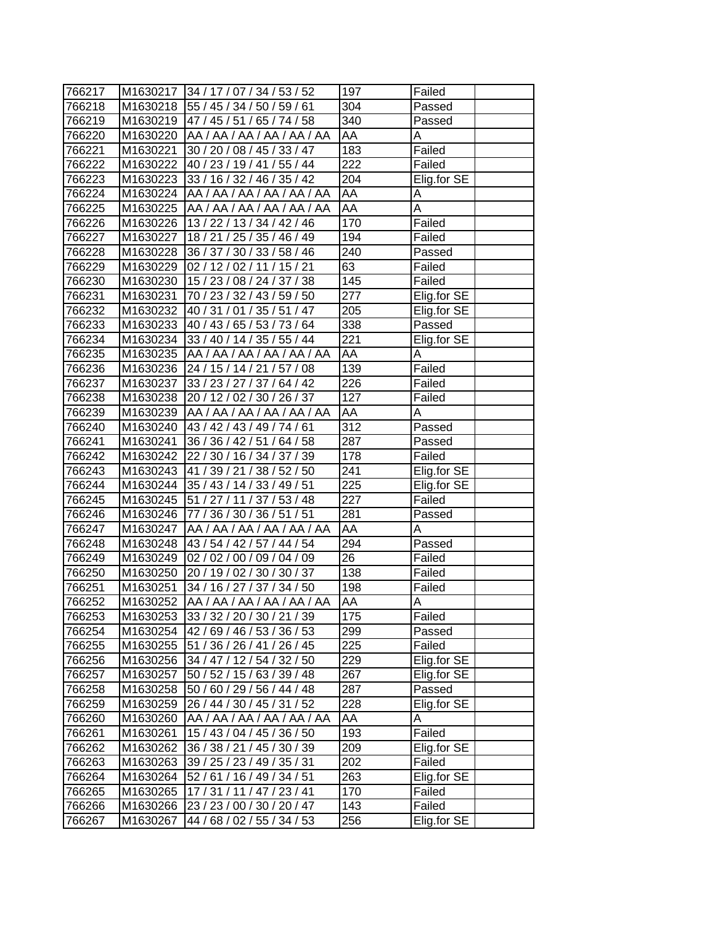| 766217 |          | M1630217 34 / 17 / 07 / 34 / 53 / 52 | 197              | Failed                  |
|--------|----------|--------------------------------------|------------------|-------------------------|
| 766218 |          | M1630218 55 / 45 / 34 / 50 / 59 / 61 | 304              | Passed                  |
| 766219 |          | M1630219 47 / 45 / 51 / 65 / 74 / 58 | 340              | Passed                  |
| 766220 |          | M1630220 AA / AA / AA / AA / AA / AA | AA               | А                       |
| 766221 | M1630221 | 30 / 20 / 08 / 45 / 33 / 47          | 183              | Failed                  |
| 766222 | M1630222 | 40 / 23 / 19 / 41 / 55 / 44          | 222              | Failed                  |
| 766223 | M1630223 | 33 / 16 / 32 / 46 / 35 / 42          | 204              | Elig.for SE             |
| 766224 | M1630224 | AA / AA / AA / AA / AA / AA          | AA               | A                       |
| 766225 | M1630225 | AA /AA /AA /AA /AA /AA               | AA               | A                       |
| 766226 | M1630226 | 13/22/13/34/42/46                    | 170              | Failed                  |
| 766227 | M1630227 | 18 / 21 / 25 / 35 / 46 / 49          | 194              | Failed                  |
| 766228 | M1630228 | 36 / 37 / 30 / 33 / 58 / 46          | 240              | Passed                  |
| 766229 | M1630229 | 02/12/02/11/15/21                    | 63               | Failed                  |
| 766230 | M1630230 | 15 / 23 / 08 / 24 / 37 / 38          | 145              | Failed                  |
| 766231 | M1630231 | 70 / 23 / 32 / 43 / 59 / 50          | 277              | Elig.for SE             |
| 766232 | M1630232 | 40 / 31 / 01 / 35 / 51 / 47          | 205              | Elig.for SE             |
| 766233 | M1630233 | 40 / 43 / 65 / 53 / 73 / 64          | 338              | Passed                  |
| 766234 | M1630234 | 33 / 40 / 14 / 35 / 55 / 44          | 221              | Elig.for SE             |
| 766235 | M1630235 | AA / AA / AA / AA / AA / AA          | AA               | A                       |
| 766236 | M1630236 | 24 / 15 / 14 / 21 / 57 / 08          | 139              | Failed                  |
| 766237 | M1630237 | 33 / 23 / 27 / 37 / 64 / 42          | $\overline{226}$ | Failed                  |
| 766238 | M1630238 | 20 / 12 / 02 / 30 / 26 / 37          | 127              | Failed                  |
| 766239 | M1630239 | AA / AA / AA / AA / AA / AA          | AA               | Α                       |
| 766240 | M1630240 | 43/42/43/49/74/61                    | 312              | Passed                  |
| 766241 | M1630241 | 36 / 36 / 42 / 51 / 64 / 58          | 287              | Passed                  |
| 766242 | M1630242 | 22/30/16/34/37/39                    | 178              | Failed                  |
| 766243 | M1630243 | 141/39/21/38/52/50                   | 241              | Elig.for SE             |
| 766244 |          | M1630244 35 / 43 / 14 / 33 / 49 / 51 | 225              | Elig.for SE             |
| 766245 | M1630245 | 51 / 27 / 11 / 37 / 53 / 48          | 227              | Failed                  |
| 766246 | M1630246 | 77 / 36 / 30 / 36 / 51 / 51          | $\overline{281}$ | Passed                  |
| 766247 | M1630247 | AA / AA / AA / AA / AA / AA          | AA               | A                       |
| 766248 | M1630248 | 43/54/42/57/44/54                    | 294              | Passed                  |
| 766249 | M1630249 | 02 / 02 / 00 / 09 / 04 / 09          | 26               | Failed                  |
| 766250 | M1630250 | 20 / 19 / 02 / 30 / 30 / 37          | 138              | Failed                  |
| 766251 | M1630251 | 34 / 16 / 27 / 37 / 34 / 50          | 198              | Failed                  |
| 766252 | M1630252 | AA /AA /AA /AA /AA /AA               | AA               | $\overline{\mathsf{A}}$ |
| 766253 | M1630253 | 33 / 32 / 20 / 30 / 21 / 39          | 175              | Failed                  |
| 766254 | M1630254 | 42 / 69 / 46 / 53 / 36 / 53          | 299              | Passed                  |
| 766255 | M1630255 | 51 / 36 / 26 / 41 / 26 / 45          | 225              | Failed                  |
| 766256 | M1630256 | 34 / 47 / 12 / 54 / 32 / 50          | 229              | Elig.for SE             |
| 766257 | M1630257 | 50 / 52 / 15 / 63 / 39 / 48          | 267              | Elig.for SE             |
| 766258 | M1630258 | 50 / 60 / 29 / 56 / 44 / 48          | 287              | Passed                  |
| 766259 | M1630259 | 26 / 44 / 30 / 45 / 31 / 52          | 228              | Elig.for SE             |
|        | M1630260 | AA / AA / AA / AA / AA / AA          | AA               | Α                       |
| 766260 |          | 15 / 43 / 04 / 45 / 36 / 50          | 193              | Failed                  |
| 766261 | M1630261 | 36 / 38 / 21 / 45 / 30 / 39          | 209              | Elig.for SE             |
| 766262 | M1630262 |                                      |                  |                         |
| 766263 | M1630263 | 39 / 25 / 23 / 49 / 35 / 31          | 202              | Failed                  |
| 766264 | M1630264 | 52 / 61 / 16 / 49 / 34 / 51          | 263              | Elig.for SE             |
| 766265 | M1630265 | 17 / 31 / 11 / 47 / 23 / 41          | 170              | Failed                  |
| 766266 | M1630266 | 23 / 23 / 00 / 30 / 20 / 47          | 143              | Failed                  |
| 766267 | M1630267 | 44 / 68 / 02 / 55 / 34 / 53          | 256              | Elig.for SE             |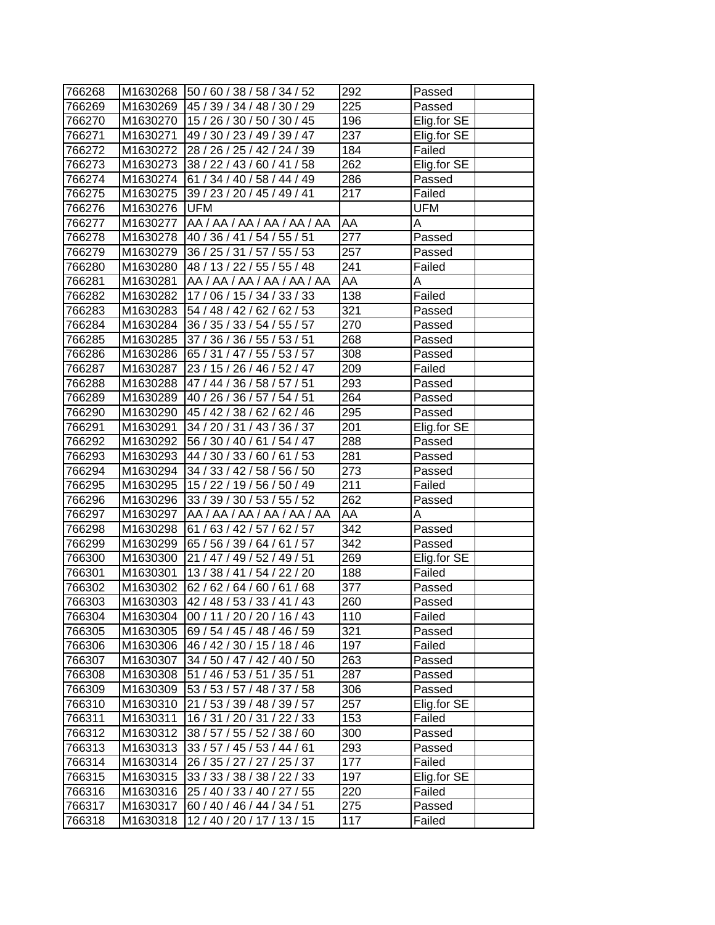| 766268 |          | M1630268 50 / 60 / 38 / 58 / 34 / 52   | 292              | Passed                |
|--------|----------|----------------------------------------|------------------|-----------------------|
| 766269 | M1630269 | 45 / 39 / 34 / 48 / 30 / 29            | 225              | Passed                |
| 766270 | M1630270 | 15 / 26 / 30 / 50 / 30 / 45            | 196              | Elig.for SE           |
| 766271 | M1630271 | 49 / 30 / 23 / 49 / 39 / 47            | 237              | Elig.for SE           |
| 766272 | M1630272 | 28 / 26 / 25 / 42 / 24 / 39            | 184              | Failed                |
| 766273 | M1630273 | 38 / 22 / 43 / 60 / 41 / 58            | 262              | Elig.for SE           |
| 766274 | M1630274 | 61 / 34 / 40 / 58 / 44 / 49            | 286              | Passed                |
| 766275 | M1630275 | 39 / 23 / 20 / 45 / 49 / 41            | 217              | Failed                |
| 766276 | M1630276 | <b>UFM</b>                             |                  | UFM                   |
| 766277 |          | M1630277   AA / AA / AA / AA / AA / AA | AA               | A                     |
| 766278 |          | M1630278 40 / 36 / 41 / 54 / 55 / 51   | $\overline{277}$ | Passed                |
| 766279 | M1630279 | 36 / 25 / 31 / 57 / 55 / 53            | 257              | Passed                |
| 766280 | M1630280 | 48 / 13 / 22 / 55 / 55 / 48            | 241              | Failed                |
| 766281 | M1630281 | AA / AA / AA / AA / AA / AA            | AA               | Α                     |
| 766282 | M1630282 | 17/06/15/34/33/33                      | 138              | Failed                |
| 766283 | M1630283 | 54 / 48 / 42 / 62 / 62 / 53            | 321              | Passed                |
| 766284 | M1630284 | 36 / 35 / 33 / 54 / 55 / 57            | 270              | Passed                |
| 766285 | M1630285 | 37 / 36 / 36 / 55 / 53 / 51            | 268              | Passed                |
| 766286 | M1630286 | 65 / 31 / 47 / 55 / 53 / 57            | 308              | Passed                |
| 766287 | M1630287 | 23 / 15 / 26 / 46 / 52 / 47            | 209              | Failed                |
| 766288 | M1630288 | 47 / 44 / 36 / 58 / 57 / 51            | 293              | Passed                |
| 766289 | M1630289 | 40 / 26 / 36 / 57 / 54 / 51            | 264              | Passed                |
| 766290 | M1630290 | 45 / 42 / 38 / 62 / 62 / 46            | 295              | Passed                |
| 766291 | M1630291 | 34 / 20 / 31 / 43 / 36 / 37            | 201              | Elig.for SE           |
| 766292 | M1630292 | 56 / 30 / 40 / 61 / 54 / 47            | 288              | Passed                |
| 766293 | M1630293 | 44 / 30 / 33 / 60 / 61 / 53            | 281              | Passed                |
| 766294 | M1630294 | 34 / 33 / 42 / 58 / 56 / 50            | 273              | Passed                |
| 766295 | M1630295 | 15 / 22 / 19 / 56 / 50 / 49            | 211              | Failed                |
| 766296 | M1630296 | 33 / 39 / 30 / 53 / 55 / 52            | 262              | Passed                |
| 766297 | M1630297 | AA / AA / AA / AA / AA / AA            | AA               | Α                     |
| 766298 | M1630298 | 61 / 63 / 42 / 57 / 62 / 57            | $\overline{342}$ | Passed                |
| 766299 | M1630299 | 65 / 56 / 39 / 64 / 61 / 57            | 342              | Passed                |
| 766300 | M1630300 | 21 / 47 / 49 / 52 / 49 / 51            | 269              |                       |
| 766301 | M1630301 | 13 / 38 / 41 / 54 / 22 / 20            | 188              | Elig.for SE<br>Failed |
| 766302 | M1630302 | 62 / 62 / 64 / 60 / 61 / 68            | $\overline{377}$ |                       |
|        | M1630303 | 142/48/53/33/41/43                     | 260              | Passed                |
| 766303 |          |                                        |                  | Passed                |
| 766304 | M1630304 | 00 / 11 / 20 / 20 / 16 / 43            | 110              | Failed<br>Passed      |
| 766305 | M1630305 | 69 / 54 / 45 / 48 / 46 / 59            | 321              |                       |
| 766306 | M1630306 | 46 / 42 / 30 / 15 / 18 / 46            | 197              | Failed                |
| 766307 | M1630307 | 34 / 50 / 47 / 42 / 40 / 50            | 263              | Passed                |
| 766308 | M1630308 | 51 / 46 / 53 / 51 / 35 / 51            | 287              | Passed                |
| 766309 | M1630309 | 53 / 53 / 57 / 48 / 37 / 58            | 306              | Passed                |
| 766310 | M1630310 | 21 / 53 / 39 / 48 / 39 / 57            | 257              | Elig.for SE           |
| 766311 | M1630311 | 16 / 31 / 20 / 31 / 22 / 33            | 153              | Failed                |
| 766312 | M1630312 | 38 / 57 / 55 / 52 / 38 / 60            | 300              | Passed                |
| 766313 | M1630313 | 33 / 57 / 45 / 53 / 44 / 61            | 293              | Passed                |
| 766314 | M1630314 | 26 / 35 / 27 / 27 / 25 / 37            | 177              | Failed                |
| 766315 | M1630315 | 33 / 33 / 38 / 38 / 22 / 33            | 197              | Elig.for SE           |
| 766316 | M1630316 | 25 / 40 / 33 / 40 / 27 / 55            | 220              | Failed                |
| 766317 | M1630317 | 60 / 40 / 46 / 44 / 34 / 51            | 275              | Passed                |
| 766318 | M1630318 | 12 / 40 / 20 / 17 / 13 / 15            | 117              | Failed                |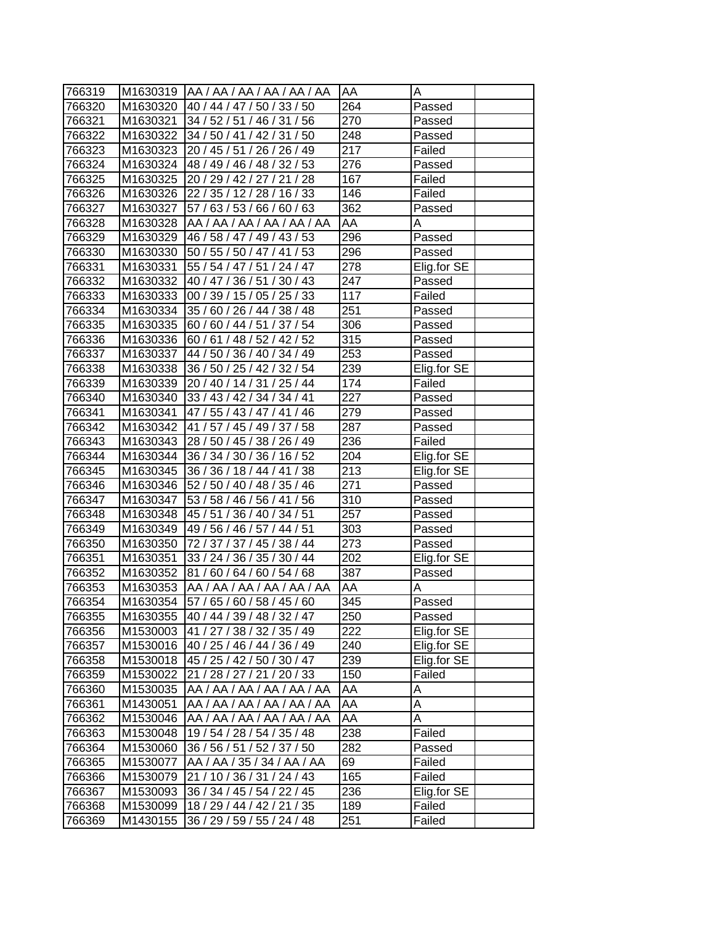| 766319 |          | M1630319  AA / AA / AA / AA / AA / AA | <b>AA</b>        | А           |
|--------|----------|---------------------------------------|------------------|-------------|
| 766320 |          | M1630320 40 / 44 / 47 / 50 / 33 / 50  | 264              | Passed      |
| 766321 | M1630321 | 34 / 52 / 51 / 46 / 31 / 56           | 270              | Passed      |
| 766322 | M1630322 | 34 / 50 / 41 / 42 / 31 / 50           | 248              | Passed      |
| 766323 | M1630323 | 20 / 45 / 51 / 26 / 26 / 49           | 217              | Failed      |
| 766324 | M1630324 | 48 / 49 / 46 / 48 / 32 / 53           | 276              | Passed      |
| 766325 | M1630325 | 20 / 29 / 42 / 27 / 21 / 28           | 167              | Failed      |
| 766326 | M1630326 | 22 / 35 / 12 / 28 / 16 / 33           | 146              | Failed      |
| 766327 | M1630327 | 57 / 63 / 53 / 66 / 60 / 63           | $\overline{362}$ | Passed      |
| 766328 | M1630328 | AA /AA /AA /AA /AA /AA                | AA               | Α           |
| 766329 | M1630329 | 46 / 58 / 47 / 49 / 43 / 53           | 296              | Passed      |
| 766330 | M1630330 | 50 / 55 / 50 / 47 / 41 / 53           | 296              | Passed      |
| 766331 | M1630331 | 55 / 54 / 47 / 51 / 24 / 47           | 278              | Elig.for SE |
| 766332 | M1630332 | 40 / 47 / 36 / 51 / 30 / 43           | 247              | Passed      |
| 766333 | M1630333 | 00 / 39 / 15 / 05 / 25 / 33           | 117              | Failed      |
| 766334 | M1630334 | 35 / 60 / 26 / 44 / 38 / 48           | 251              | Passed      |
| 766335 | M1630335 | 60 / 60 / 44 / 51 / 37 / 54           | 306              | Passed      |
| 766336 | M1630336 | 60 / 61 / 48 / 52 / 42 / 52           | 315              | Passed      |
| 766337 | M1630337 | 44 / 50 / 36 / 40 / 34 / 49           | 253              | Passed      |
| 766338 | M1630338 | 36 / 50 / 25 / 42 / 32 / 54           | 239              | Elig.for SE |
| 766339 | M1630339 | 20 / 40 / 14 / 31 / 25 / 44           | 174              | Failed      |
| 766340 | M1630340 | 33 / 43 / 42 / 34 / 34 / 41           | 227              | Passed      |
| 766341 | M1630341 | 47 / 55 / 43 / 47 / 41 / 46           | 279              | Passed      |
| 766342 | M1630342 | 41 / 57 / 45 / 49 / 37 / 58           | 287              | Passed      |
| 766343 | M1630343 | 28 / 50 / 45 / 38 / 26 / 49           | 236              | Failed      |
| 766344 | M1630344 | 36 / 34 / 30 / 36 / 16 / 52           | 204              | Elig.for SE |
| 766345 | M1630345 | 36 / 36 / 18 / 44 / 41 / 38           | 213              | Elig.for SE |
| 766346 | M1630346 | 52 / 50 / 40 / 48 / 35 / 46           | 271              | Passed      |
| 766347 | M1630347 | 53 / 58 / 46 / 56 / 41 / 56           | 310              | Passed      |
| 766348 | M1630348 | 45 / 51 / 36 / 40 / 34 / 51           | 257              | Passed      |
| 766349 | M1630349 | 49 / 56 / 46 / 57 / 44 / 51           | 303              | Passed      |
| 766350 | M1630350 | 72 / 37 / 37 / 45 / 38 / 44           | 273              | Passed      |
| 766351 | M1630351 | 33 / 24 / 36 / 35 / 30 / 44           | 202              | Elig.for SE |
| 766352 | M1630352 | 81/60/64/60/54/68                     | 387              | Passed      |
| 766353 | M1630353 | AA / AA / AA / AA / AA / AA           | AA               | А           |
| 766354 | M1630354 | 57 / 65 / 60 / 58 / 45 / 60           | 345              | Passed      |
| 766355 | M1630355 | 40 / 44 / 39 / 48 / 32 / 47           | 250              | Passed      |
| 766356 | M1530003 | 41 / 27 / 38 / 32 / 35 / 49           | 222              | Elig.for SE |
| 766357 | M1530016 | 40 / 25 / 46 / 44 / 36 / 49           | 240              | Elig.for SE |
| 766358 | M1530018 | 45 / 25 / 42 / 50 / 30 / 47           | 239              | Elig.for SE |
| 766359 | M1530022 | 21 / 28 / 27 / 21 / 20 / 33           | 150              | Failed      |
| 766360 | M1530035 | AA / AA / AA / AA / AA / AA           | AA               | A           |
| 766361 | M1430051 | AA / AA / AA / AA / AA / AA           | AA               | Α           |
| 766362 | M1530046 | AA / AA / AA / AA / AA / AA           | AA               | A           |
| 766363 | M1530048 | 19 / 54 / 28 / 54 / 35 / 48           | 238              | Failed      |
| 766364 | M1530060 | 36 / 56 / 51 / 52 / 37 / 50           | 282              | Passed      |
| 766365 | M1530077 | AA / AA / 35 / 34 / AA / AA           | 69               | Failed      |
| 766366 | M1530079 | 21 / 10 / 36 / 31 / 24 / 43           | 165              | Failed      |
| 766367 | M1530093 | 36 / 34 / 45 / 54 / 22 / 45           | 236              | Elig.for SE |
| 766368 | M1530099 | 18 / 29 / 44 / 42 / 21 / 35           | 189              | Failed      |
| 766369 | M1430155 | 36 / 29 / 59 / 55 / 24 / 48           | 251              | Failed      |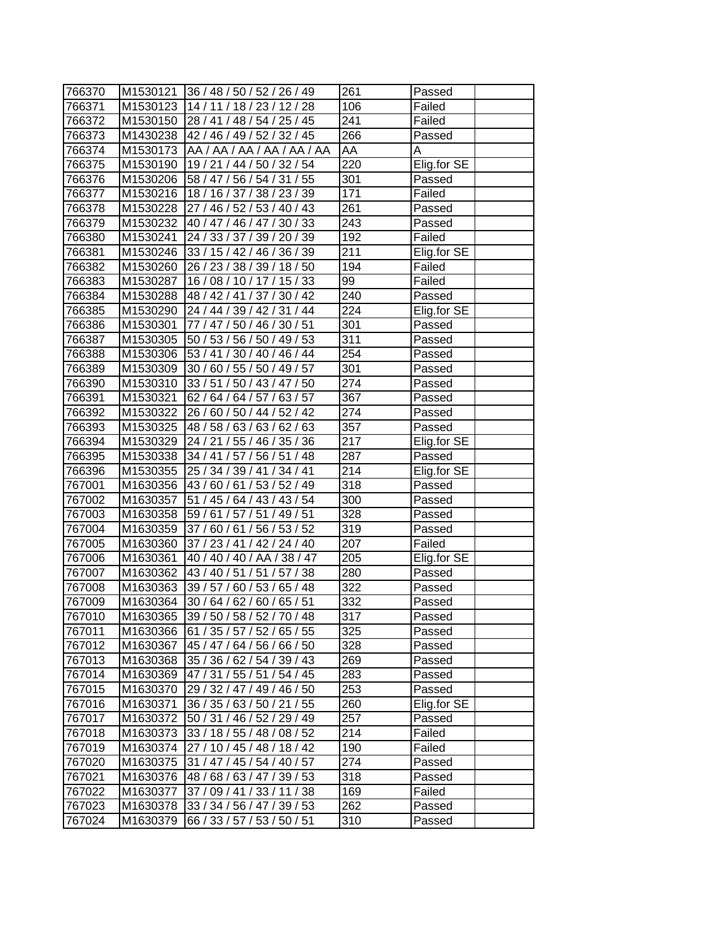| 766370 |          | M1530121 36 / 48 / 50 / 52 / 26 / 49   | 261              | Passed      |
|--------|----------|----------------------------------------|------------------|-------------|
| 766371 |          | M1530123   14 / 11 / 18 / 23 / 12 / 28 | 106              | Failed      |
| 766372 |          | M1530150 28 / 41 / 48 / 54 / 25 / 45   | 241              | Failed      |
| 766373 |          | M1430238 42 / 46 / 49 / 52 / 32 / 45   | 266              | Passed      |
| 766374 |          | M1530173   AA / AA / AA / AA / AA / AA | AA               | A           |
| 766375 | M1530190 | 19 / 21 / 44 / 50 / 32 / 54            | 220              | Elig.for SE |
| 766376 | M1530206 | 58 / 47 / 56 / 54 / 31 / 55            | 301              | Passed      |
| 766377 | M1530216 | 18/16/37/38/23/39                      | 171              | Failed      |
| 766378 | M1530228 | 27 / 46 / 52 / 53 / 40 / 43            | 261              | Passed      |
| 766379 |          | M1530232 40 / 47 / 46 / 47 / 30 / 33   | 243              | Passed      |
| 766380 | M1530241 | 24 / 33 / 37 / 39 / 20 / 39            | 192              | Failed      |
| 766381 | M1530246 | 33 / 15 / 42 / 46 / 36 / 39            | 211              | Elig.for SE |
| 766382 | M1530260 | 26 / 23 / 38 / 39 / 18 / 50            | 194              | Failed      |
| 766383 | M1530287 | 16/08/10/17/15/33                      | 99               | Failed      |
| 766384 | M1530288 | 48 / 42 / 41 / 37 / 30 / 42            | 240              | Passed      |
| 766385 | M1530290 | 24 / 44 / 39 / 42 / 31 / 44            | 224              | Elig.for SE |
| 766386 | M1530301 | 77 / 47 / 50 / 46 / 30 / 51            | 301              | Passed      |
| 766387 | M1530305 | 50 / 53 / 56 / 50 / 49 / 53            | 311              | Passed      |
| 766388 | M1530306 | 53 / 41 / 30 / 40 / 46 / 44            | 254              | Passed      |
| 766389 | M1530309 | 30 / 60 / 55 / 50 / 49 / 57            | 301              | Passed      |
| 766390 | M1530310 | 33 / 51 / 50 / 43 / 47 / 50            | 274              | Passed      |
| 766391 | M1530321 | 62 / 64 / 64 / 57 / 63 / 57            | 367              | Passed      |
| 766392 | M1530322 | 26 / 60 / 50 / 44 / 52 / 42            | 274              | Passed      |
| 766393 |          | M1530325 48 / 58 / 63 / 63 / 62 / 63   | 357              | Passed      |
| 766394 |          | M1530329 24 / 21 / 55 / 46 / 35 / 36   | 217              | Elig.for SE |
| 766395 |          | M1530338 34 / 41 / 57 / 56 / 51 / 48   | 287              | Passed      |
| 766396 | M1530355 | 25 / 34 / 39 / 41 / 34 / 41            | 214              | Elig.for SE |
| 767001 |          | M1630356 43 / 60 / 61 / 53 / 52 / 49   | 318              | Passed      |
| 767002 | M1630357 | 51 / 45 / 64 / 43 / 43 / 54            | 300              | Passed      |
| 767003 | M1630358 | 59 / 61 / 57 / 51 / 49 / 51            | 328              | Passed      |
| 767004 | M1630359 | 37 / 60 / 61 / 56 / 53 / 52            | 319              | Passed      |
| 767005 | M1630360 | 37 / 23 / 41 / 42 / 24 / 40            | 207              | Failed      |
| 767006 | M1630361 | 40 / 40 / 40 / AA / 38 / 47            | 205              | Elig.for SE |
| 767007 |          | M1630362 43 / 40 / 51 / 51 / 57 / 38   | 280              | Passed      |
| 767008 | M1630363 | 39 / 57 / 60 / 53 / 65 / 48            | $\overline{3}22$ | Passed      |
| 767009 | M1630364 | 30 / 64 / 62 / 60 / 65 / 51            | $\overline{3}32$ | Passed      |
| 767010 | M1630365 | 39 / 50 / 58 / 52 / 70 / 48            | 317              | Passed      |
| 767011 | M1630366 | 61 / 35 / 57 / 52 / 65 / 55            | 325              | Passed      |
| 767012 | M1630367 | 45 / 47 / 64 / 56 / 66 / 50            | 328              | Passed      |
| 767013 | M1630368 | 35 / 36 / 62 / 54 / 39 / 43            | 269              | Passed      |
| 767014 | M1630369 | 47 / 31 / 55 / 51 / 54 / 45            | 283              | Passed      |
| 767015 | M1630370 | 29 / 32 / 47 / 49 / 46 / 50            | 253              | Passed      |
| 767016 | M1630371 | 36 / 35 / 63 / 50 / 21 / 55            | 260              | Elig.for SE |
| 767017 | M1630372 | 50 / 31 / 46 / 52 / 29 / 49            | 257              | Passed      |
| 767018 | M1630373 | 33 / 18 / 55 / 48 / 08 / 52            | 214              | Failed      |
| 767019 | M1630374 | 27 / 10 / 45 / 48 / 18 / 42            | 190              | Failed      |
| 767020 | M1630375 | 31 / 47 / 45 / 54 / 40 / 57            | 274              | Passed      |
| 767021 | M1630376 | 48 / 68 / 63 / 47 / 39 / 53            | 318              | Passed      |
| 767022 | M1630377 | 37 / 09 / 41 / 33 / 11 / 38            | 169              | Failed      |
| 767023 | M1630378 | 33 / 34 / 56 / 47 / 39 / 53            | 262              | Passed      |
| 767024 | M1630379 | 66 / 33 / 57 / 53 / 50 / 51            | 310              | Passed      |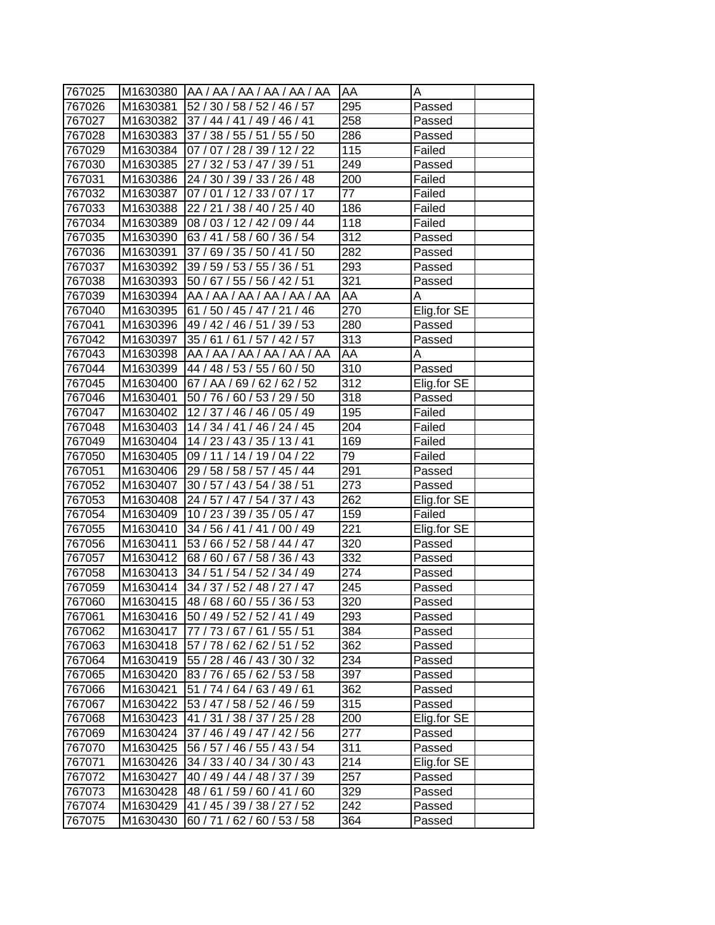| 767025 |          | M1630380  AA / AA / AA / AA / AA / AA | <b>AA</b>         | А           |
|--------|----------|---------------------------------------|-------------------|-------------|
| 767026 | M1630381 | 52 / 30 / 58 / 52 / 46 / 57           | 295               | Passed      |
| 767027 |          | M1630382 37 / 44 / 41 / 49 / 46 / 41  | 258               | Passed      |
| 767028 | M1630383 | 37 / 38 / 55 / 51 / 55 / 50           | 286               | Passed      |
| 767029 | M1630384 | 07 / 07 / 28 / 39 / 12 / 22           | 115               | Failed      |
| 767030 | M1630385 | 27 / 32 / 53 / 47 / 39 / 51           | 249               | Passed      |
| 767031 | M1630386 | 24 / 30 / 39 / 33 / 26 / 48           | 200               | Failed      |
| 767032 | M1630387 | 07 / 01 / 12 / 33 / 07 / 17           | $\overline{77}$   | Failed      |
| 767033 | M1630388 | 22 / 21 / 38 / 40 / 25 / 40           | 186               | Failed      |
| 767034 | M1630389 | 08 / 03 / 12 / 42 / 09 / 44           | 118               | Failed      |
| 767035 | M1630390 | 63 / 41 / 58 / 60 / 36 / 54           | 312               | Passed      |
| 767036 | M1630391 | 37 / 69 / 35 / 50 / 41 / 50           | 282               | Passed      |
| 767037 | M1630392 | 39 / 59 / 53 / 55 / 36 / 51           | 293               | Passed      |
| 767038 | M1630393 | 50 / 67 / 55 / 56 / 42 / 51           | 321               | Passed      |
| 767039 | M1630394 | AA / AA / AA / AA / AA / AA           | AA                | A           |
| 767040 | M1630395 | 61 / 50 / 45 / 47 / 21 / 46           | 270               | Elig.for SE |
| 767041 | M1630396 | 49 / 42 / 46 / 51 / 39 / 53           | 280               |             |
|        |          | 35 / 61 / 61 / 57 / 42 / 57           | 313               | Passed      |
| 767042 | M1630397 | AA / AA / AA / AA / AA / AA           |                   | Passed      |
| 767043 | M1630398 |                                       | AA                | A           |
| 767044 | M1630399 | 44 / 48 / 53 / 55 / 60 / 50           | 310               | Passed      |
| 767045 | M1630400 | 67 / AA / 69 / 62 / 62 / 52           | $\overline{3}12$  | Elig.for SE |
| 767046 | M1630401 | 50 / 76 / 60 / 53 / 29 / 50           | 318               | Passed      |
| 767047 | M1630402 | 12/37/46/46/05/49                     | 195               | Failed      |
| 767048 | M1630403 | 14 / 34 / 41 / 46 / 24 / 45           | 204               | Failed      |
| 767049 | M1630404 | 14 / 23 / 43 / 35 / 13 / 41           | 169               | Failed      |
| 767050 | M1630405 | 09 / 11 / 14 / 19 / 04 / 22           | 79                | Failed      |
| 767051 | M1630406 | 29 / 58 / 58 / 57 / 45 / 44           | 291               | Passed      |
| 767052 | M1630407 | 30 / 57 / 43 / 54 / 38 / 51           | 273               | Passed      |
| 767053 | M1630408 | 24 / 57 / 47 / 54 / 37 / 43           | 262               | Elig.for SE |
| 767054 | M1630409 | 10 / 23 / 39 / 35 / 05 / 47           | $\overline{159}$  | Failed      |
| 767055 | M1630410 | 34 / 56 / 41 / 41 / 00 / 49           | 221               | Elig.for SE |
| 767056 | M1630411 | 53 / 66 / 52 / 58 / 44 / 47           | 320               | Passed      |
| 767057 | M1630412 | 68 / 60 / 67 / 58 / 36 / 43           | $\overline{3}32$  | Passed      |
| 767058 | M1630413 | 34 / 51 / 54 / 52 / 34 / 49           | 274               | Passed      |
| 767059 | M1630414 | 34 / 37 / 52 / 48 / 27 / 47           | $\overline{2}$ 45 | Passed      |
| 767060 | M1630415 | 48/68/60/55/36/53                     | $\overline{320}$  | Passed      |
| 767061 | M1630416 | 50 / 49 / 52 / 52 / 41 / 49           | 293               | Passed      |
| 767062 | M1630417 | 77 / 73 / 67 / 61 / 55 / 51           | 384               | Passed      |
| 767063 | M1630418 | 57 / 78 / 62 / 62 / 51 / 52           | 362               | Passed      |
| 767064 | M1630419 | 55 / 28 / 46 / 43 / 30 / 32           | 234               | Passed      |
| 767065 | M1630420 | 83 / 76 / 65 / 62 / 53 / 58           | 397               | Passed      |
| 767066 | M1630421 | 51 / 74 / 64 / 63 / 49 / 61           | 362               | Passed      |
| 767067 | M1630422 | 53 / 47 / 58 / 52 / 46 / 59           | 315               | Passed      |
| 767068 | M1630423 | 41 / 31 / 38 / 37 / 25 / 28           | 200               | Elig.for SE |
| 767069 | M1630424 | 37 / 46 / 49 / 47 / 42 / 56           | 277               | Passed      |
| 767070 | M1630425 | 56 / 57 / 46 / 55 / 43 / 54           | 311               | Passed      |
| 767071 | M1630426 | 34 / 33 / 40 / 34 / 30 / 43           | 214               | Elig.for SE |
| 767072 | M1630427 | 40 / 49 / 44 / 48 / 37 / 39           | 257               | Passed      |
| 767073 | M1630428 | 48/61/59/60/41/60                     | 329               | Passed      |
| 767074 | M1630429 | 41 / 45 / 39 / 38 / 27 / 52           | 242               | Passed      |
| 767075 | M1630430 | 60 / 71 / 62 / 60 / 53 / 58           | 364               | Passed      |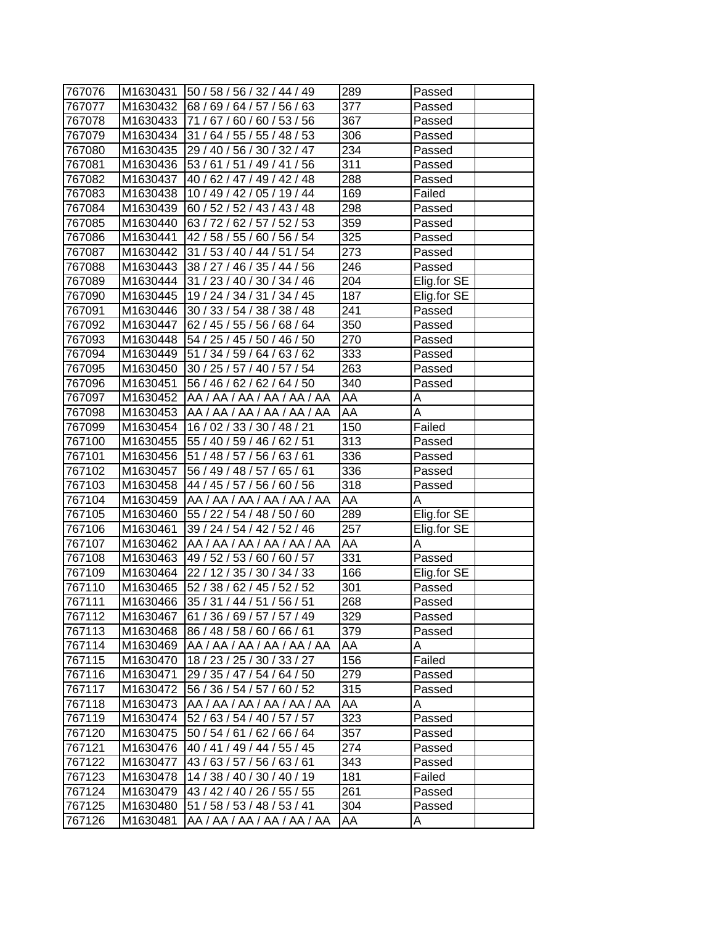| 767076 |          | M1630431   50 / 58 / 56 / 32 / 44 / 49 | 289              | Passed      |
|--------|----------|----------------------------------------|------------------|-------------|
| 767077 | M1630432 | 68/69/64/57/56/63                      | 377              | Passed      |
| 767078 | M1630433 | 71 / 67 / 60 / 60 / 53 / 56            | 367              | Passed      |
| 767079 | M1630434 | 31 / 64 / 55 / 55 / 48 / 53            | 306              | Passed      |
| 767080 | M1630435 | 29 / 40 / 56 / 30 / 32 / 47            | $\overline{2}34$ | Passed      |
| 767081 | M1630436 | 53 / 61 / 51 / 49 / 41 / 56            | 311              | Passed      |
| 767082 | M1630437 | 40 / 62 / 47 / 49 / 42 / 48            | 288              | Passed      |
| 767083 | M1630438 | 10 / 49 / 42 / 05 / 19 / 44            | 169              | Failed      |
| 767084 | M1630439 | 60 / 52 / 52 / 43 / 43 / 48            | 298              | Passed      |
| 767085 | M1630440 | 63 / 72 / 62 / 57 / 52 / 53            | 359              | Passed      |
| 767086 | M1630441 | 42 / 58 / 55 / 60 / 56 / 54            | 325              | Passed      |
| 767087 | M1630442 | 31 / 53 / 40 / 44 / 51 / 54            | 273              | Passed      |
| 767088 | M1630443 | 38 / 27 / 46 / 35 / 44 / 56            | 246              | Passed      |
| 767089 | M1630444 | 31 / 23 / 40 / 30 / 34 / 46            | 204              | Elig.for SE |
| 767090 | M1630445 | 19 / 24 / 34 / 31 / 34 / 45            | 187              | Elig.for SE |
| 767091 | M1630446 | 30 / 33 / 54 / 38 / 38 / 48            | 241              | Passed      |
| 767092 | M1630447 | 62 / 45 / 55 / 56 / 68 / 64            | 350              | Passed      |
| 767093 | M1630448 | 54 / 25 / 45 / 50 / 46 / 50            | 270              | Passed      |
| 767094 | M1630449 | 51 / 34 / 59 / 64 / 63 / 62            | 333              | Passed      |
| 767095 | M1630450 | 30 / 25 / 57 / 40 / 57 / 54            | 263              | Passed      |
| 767096 | M1630451 | 56 / 46 / 62 / 62 / 64 / 50            | 340              | Passed      |
| 767097 | M1630452 | AA / AA / AA / AA / AA / AA            | AA               | Α           |
| 767098 | M1630453 | AA / AA / AA / AA / AA / AA            | AA               | Α           |
| 767099 | M1630454 | 16/02/33/30/48/21                      | 150              | Failed      |
| 767100 | M1630455 | 55 / 40 / 59 / 46 / 62 / 51            | 313              | Passed      |
| 767101 | M1630456 | 51 / 48 / 57 / 56 / 63 / 61            | 336              | Passed      |
| 767102 | M1630457 | 56 / 49 / 48 / 57 / 65 / 61            | 336              | Passed      |
| 767103 | M1630458 | 44 / 45 / 57 / 56 / 60 / 56            | 318              | Passed      |
| 767104 | M1630459 | AA / AA / AA / AA / AA / AA            | AA               | A           |
| 767105 | M1630460 | 55 / 22 / 54 / 48 / 50 / 60            | 289              | Elig.for SE |
| 767106 | M1630461 | 39 / 24 / 54 / 42 / 52 / 46            | 257              | Elig.for SE |
| 767107 | M1630462 | AA / AA / AA / AA / AA / AA            | AA               | A           |
| 767108 | M1630463 | 49 / 52 / 53 / 60 / 60 / 57            | $\overline{331}$ | Passed      |
| 767109 | M1630464 | 22 / 12 / 35 / 30 / 34 / 33            | 166              | Elig.for SE |
| 767110 | M1630465 | 52 / 38 / 62 / 45 / 52 / 52            | 301              | Passed      |
| 767111 | M1630466 | 35 / 31 / 44 / 51 / 56 / 51            | 268              | Passed      |
| 767112 | M1630467 | 61 / 36 / 69 / 57 / 57 / 49            | 329              | Passed      |
| 767113 | M1630468 | 86 / 48 / 58 / 60 / 66 / 61            | 379              | Passed      |
| 767114 | M1630469 | AA / AA / AA / AA / AA / AA            | AA               | A           |
| 767115 | M1630470 | 18 / 23 / 25 / 30 / 33 / 27            | 156              | Failed      |
| 767116 | M1630471 | 29 / 35 / 47 / 54 / 64 / 50            | 279              | Passed      |
| 767117 | M1630472 | 56 / 36 / 54 / 57 / 60 / 52            | 315              | Passed      |
| 767118 | M1630473 | AA / AA / AA / AA / AA / AA            | AA               | A           |
| 767119 | M1630474 | 52 / 63 / 54 / 40 / 57 / 57            | 323              | Passed      |
| 767120 | M1630475 | 50 / 54 / 61 / 62 / 66 / 64            | 357              | Passed      |
| 767121 | M1630476 | 40 / 41 / 49 / 44 / 55 / 45            | 274              | Passed      |
| 767122 | M1630477 | 43 / 63 / 57 / 56 / 63 / 61            | 343              | Passed      |
| 767123 | M1630478 | 14 / 38 / 40 / 30 / 40 / 19            | 181              | Failed      |
| 767124 | M1630479 | 43 / 42 / 40 / 26 / 55 / 55            | 261              | Passed      |
| 767125 | M1630480 | 51 / 58 / 53 / 48 / 53 / 41            | 304              | Passed      |
| 767126 | M1630481 | AA / AA / AA / AA / AA / AA            | AA               | Α           |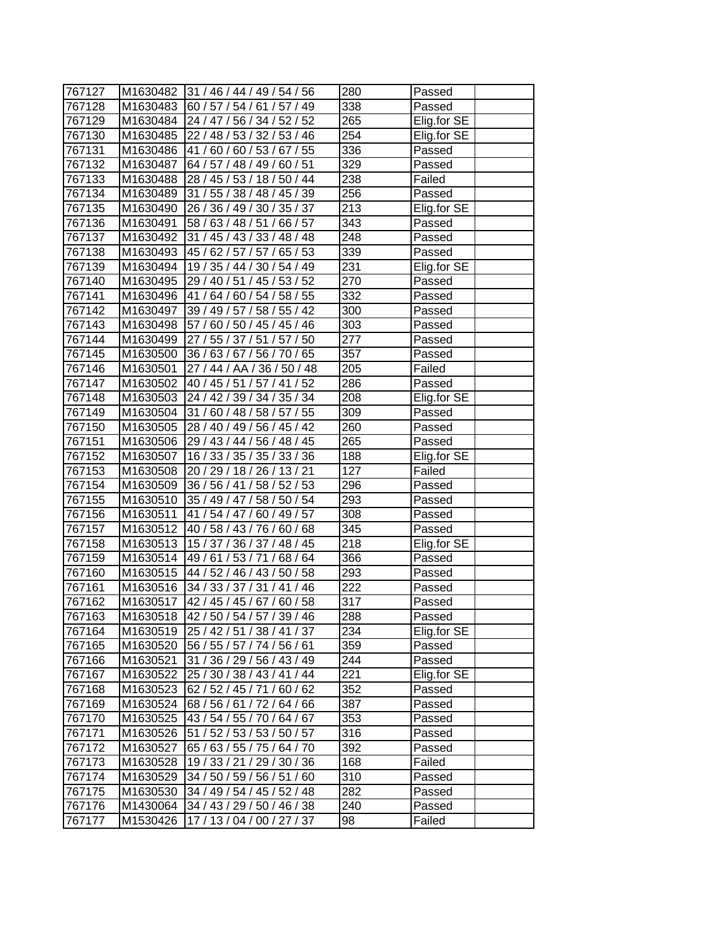| 767127 |          | M1630482 31 / 46 / 44 / 49 / 54 / 56 | 280               | Passed      |
|--------|----------|--------------------------------------|-------------------|-------------|
| 767128 |          | M1630483 60 / 57 / 54 / 61 / 57 / 49 | 338               | Passed      |
| 767129 |          | M1630484 24 / 47 / 56 / 34 / 52 / 52 | 265               | Elig.for SE |
| 767130 | M1630485 | 22 / 48 / 53 / 32 / 53 / 46          | $\overline{25}4$  | Elig.for SE |
| 767131 |          | M1630486 41 / 60 / 60 / 53 / 67 / 55 | 336               | Passed      |
| 767132 | M1630487 | 64 / 57 / 48 / 49 / 60 / 51          | 329               | Passed      |
| 767133 | M1630488 | 28 / 45 / 53 / 18 / 50 / 44          | 238               | Failed      |
| 767134 | M1630489 | 31 / 55 / 38 / 48 / 45 / 39          | 256               | Passed      |
| 767135 | M1630490 | 26 / 36 / 49 / 30 / 35 / 37          | 213               | Elig.for SE |
| 767136 | M1630491 | 58 / 63 / 48 / 51 / 66 / 57          | 343               | Passed      |
| 767137 | M1630492 | 31 / 45 / 43 / 33 / 48 / 48          | 248               | Passed      |
| 767138 | M1630493 | 45 / 62 / 57 / 57 / 65 / 53          | 339               | Passed      |
| 767139 | M1630494 | 19 / 35 / 44 / 30 / 54 / 49          | 231               | Elig.for SE |
| 767140 | M1630495 | 29/40/51/45/53/52                    | 270               | Passed      |
| 767141 | M1630496 | 41 / 64 / 60 / 54 / 58 / 55          | 332               | Passed      |
| 767142 | M1630497 | 39 / 49 / 57 / 58 / 55 / 42          | 300               | Passed      |
| 767143 | M1630498 | 57 / 60 / 50 / 45 / 45 / 46          | 303               | Passed      |
| 767144 | M1630499 | 27 / 55 / 37 / 51 / 57 / 50          | 277               | Passed      |
| 767145 | M1630500 | 36 / 63 / 67 / 56 / 70 / 65          | 357               | Passed      |
| 767146 | M1630501 | 27 / 44 / AA / 36 / 50 / 48          | 205               | Failed      |
| 767147 | M1630502 | 40 / 45 / 51 / 57 / 41 / 52          | 286               | Passed      |
| 767148 | M1630503 | 24 / 42 / 39 / 34 / 35 / 34          | 208               | Elig.for SE |
| 767149 | M1630504 | 31 / 60 / 48 / 58 / 57 / 55          | 309               | Passed      |
| 767150 | M1630505 | 28 / 40 / 49 / 56 / 45 / 42          | 260               | Passed      |
| 767151 | M1630506 | 29 / 43 / 44 / 56 / 48 / 45          | 265               | Passed      |
| 767152 | M1630507 | 16 / 33 / 35 / 35 / 33 / 36          | 188               | Elig.for SE |
| 767153 |          | M1630508 20 / 29 / 18 / 26 / 13 / 21 | 127               | Failed      |
| 767154 |          | M1630509 36 / 56 / 41 / 58 / 52 / 53 | 296               | Passed      |
| 767155 | M1630510 | 35 / 49 / 47 / 58 / 50 / 54          | 293               | Passed      |
| 767156 | M1630511 | 41 / 54 / 47 / 60 / 49 / 57          | 308               | Passed      |
| 767157 | M1630512 | 40 / 58 / 43 / 76 / 60 / 68          | 345               | Passed      |
| 767158 | M1630513 | 15 / 37 / 36 / 37 / 48 / 45          | $\overline{2}$ 18 | Elig.for SE |
| 767159 | M1630514 | 49 / 61 / 53 / 71 / 68 / 64          | 366               | Passed      |
| 767160 | M1630515 | 44 / 52 / 46 / 43 / 50 / 58          | 293               | Passed      |
| 767161 | M1630516 | 34 / 33 / 37 / 31 / 41 / 46          | 222               | Passed      |
| 767162 | M1630517 | 42 / 45 / 45 / 67 / 60 / 58          | 317               | Passed      |
| 767163 | M1630518 | 42 / 50 / 54 / 57 / 39 / 46          | 288               | Passed      |
| 767164 | M1630519 | 25 / 42 / 51 / 38 / 41 / 37          | 234               | Elig.for SE |
| 767165 | M1630520 | 56 / 55 / 57 / 74 / 56 / 61          | 359               | Passed      |
| 767166 | M1630521 | 31 / 36 / 29 / 56 / 43 / 49          | 244               | Passed      |
| 767167 | M1630522 | 25 / 30 / 38 / 43 / 41 / 44          | 221               | Elig.for SE |
| 767168 | M1630523 | 62 / 52 / 45 / 71 / 60 / 62          | 352               | Passed      |
| 767169 | M1630524 | 68 / 56 / 61 / 72 / 64 / 66          | 387               | Passed      |
| 767170 | M1630525 | 43 / 54 / 55 / 70 / 64 / 67          | 353               | Passed      |
| 767171 | M1630526 | 51 / 52 / 53 / 53 / 50 / 57          | 316               | Passed      |
| 767172 | M1630527 | 65 / 63 / 55 / 75 / 64 / 70          | 392               | Passed      |
| 767173 | M1630528 | 19 / 33 / 21 / 29 / 30 / 36          | 168               | Failed      |
| 767174 | M1630529 | 34 / 50 / 59 / 56 / 51 / 60          | 310               | Passed      |
| 767175 | M1630530 | 34 / 49 / 54 / 45 / 52 / 48          | 282               | Passed      |
| 767176 | M1430064 | 34 / 43 / 29 / 50 / 46 / 38          | 240               | Passed      |
| 767177 | M1530426 | 17 / 13 / 04 / 00 / 27 / 37          | 98                | Failed      |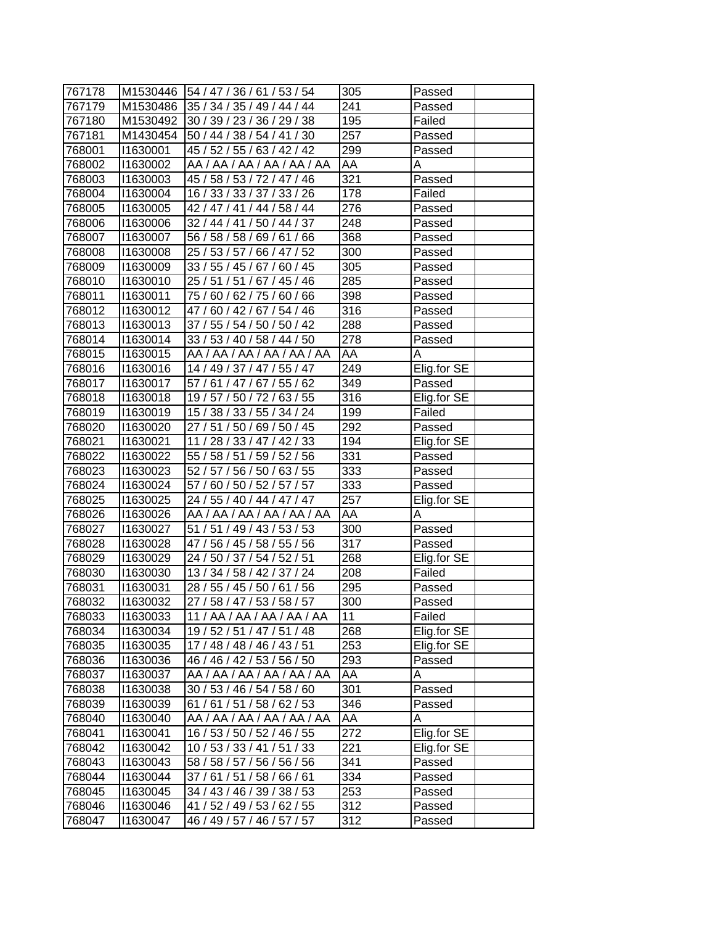| 767178 |          | M1530446 54 / 47 / 36 / 61 / 53 / 54    | 305              | Passed      |
|--------|----------|-----------------------------------------|------------------|-------------|
| 767179 |          | M1530486 35 / 34 / 35 / 49 / 44 / 44    | 241              | Passed      |
| 767180 |          | M1530492 30 / 39 / 23 / 36 / 29 / 38    | 195              | Failed      |
| 767181 |          | M1430454 50 / 44 / 38 / 54 / 41 / 30    | 257              | Passed      |
| 768001 | 11630001 | 45 / 52 / 55 / 63 / 42 / 42             | 299              | Passed      |
| 768002 | 11630002 | AA / AA / AA / AA / AA / AA             | AA               | Α           |
| 768003 | 11630003 | 45 / 58 / 53 / 72 / 47 / 46             | 321              | Passed      |
| 768004 | 11630004 | $\overline{16/}$ 33 / 33 / 37 / 33 / 26 | 178              | Failed      |
| 768005 | 11630005 | 42 / 47 / 41 / 44 / 58 / 44             | 276              | Passed      |
| 768006 | 11630006 | 32 / 44 / 41 / 50 / 44 / 37             | 248              | Passed      |
| 768007 | 11630007 | 56 / 58 / 58 / 69 / 61 / 66             | 368              | Passed      |
| 768008 | 11630008 | 25 / 53 / 57 / 66 / 47 / 52             | 300              | Passed      |
| 768009 | 11630009 | 33 / 55 / 45 / 67 / 60 / 45             | 305              | Passed      |
| 768010 | 11630010 | 25 / 51 / 51 / 67 / 45 / 46             | 285              | Passed      |
| 768011 | 11630011 | 75 / 60 / 62 / 75 / 60 / 66             | 398              | Passed      |
| 768012 | 11630012 | 47/60/42/67/54/46                       | 316              | Passed      |
| 768013 | 11630013 | 37 / 55 / 54 / 50 / 50 / 42             | 288              | Passed      |
| 768014 | 11630014 | 33 / 53 / 40 / 58 / 44 / 50             | $\overline{278}$ | Passed      |
| 768015 | 11630015 | AA / AA / AA / AA / AA / AA             | AA               | Α           |
| 768016 | 11630016 | 14 / 49 / 37 / 47 / 55 / 47             | 249              | Elig.for SE |
| 768017 | 11630017 | 57 / 61 / 47 / 67 / 55 / 62             | 349              | Passed      |
| 768018 | 11630018 | 19 / 57 / 50 / 72 / 63 / 55             | 316              | Elig.for SE |
| 768019 | 11630019 | 15 / 38 / 33 / 55 / 34 / 24             | 199              | Failed      |
| 768020 | 11630020 | 27 / 51 / 50 / 69 / 50 / 45             | 292              | Passed      |
| 768021 | 11630021 | 11 / 28 / 33 / 47 / 42 / 33             | 194              | Elig.for SE |
| 768022 | 11630022 | 55 / 58 / 51 / 59 / 52 / 56             | 331              | Passed      |
| 768023 | 11630023 | 52 / 57 / 56 / 50 / 63 / 55             | 333              | Passed      |
| 768024 | 11630024 | 57 / 60 / 50 / 52 / 57 / 57             | 333              | Passed      |
| 768025 | 11630025 | 24 / 55 / 40 / 44 / 47 / 47             | 257              | Elig.for SE |
| 768026 | 1630026  | AA / AA / AA / AA / AA / AA             | AA               | A           |
| 768027 | 11630027 | 51 / 51 / 49 / 43 / 53 / 53             | 300              | Passed      |
| 768028 | 11630028 | 47 / 56 / 45 / 58 / 55 / 56             | 317              | Passed      |
| 768029 | 11630029 | 24 / 50 / 37 / 54 / 52 / 51             | 268              | Elig.for SE |
| 768030 | 11630030 | 13 / 34 / 58 / 42 / 37 / 24             | 208              | Failed      |
| 768031 | 11630031 | 28 / 55 / 45 / 50 / 61 / 56             | $\overline{295}$ | Passed      |
| 768032 | 11630032 | 27 / 58 / 47 / 53 / 58 / 57             | $\overline{300}$ | Passed      |
| 768033 | 11630033 | 11 / AA / AA / AA / AA / AA             | 11               | Failed      |
| 768034 | 11630034 | 19 / 52 / 51 / 47 / 51 / 48             | 268              | Elig.for SE |
| 768035 | 11630035 | 17 / 48 / 48 / 46 / 43 / 51             | 253              | Elig.for SE |
| 768036 | 11630036 | 46 / 46 / 42 / 53 / 56 / 50             | 293              | Passed      |
| 768037 | 11630037 | AA / AA / AA / AA / AA / AA             | AA               | Α           |
| 768038 | 11630038 | 30 / 53 / 46 / 54 / 58 / 60             | 301              | Passed      |
| 768039 | 11630039 | 61 / 61 / 51 / 58 / 62 / 53             | 346              | Passed      |
| 768040 | 11630040 | AA / AA / AA / AA / AA / AA             | AA               | Α           |
| 768041 | 11630041 | 16 / 53 / 50 / 52 / 46 / 55             | 272              | Elig.for SE |
| 768042 | 11630042 | 10 / 53 / 33 / 41 / 51 / 33             | 221              | Elig.for SE |
| 768043 | 11630043 | 58 / 58 / 57 / 56 / 56 / 56             | 341              | Passed      |
| 768044 | 11630044 | 37/61/51/58/66/61                       | 334              | Passed      |
| 768045 | 11630045 | 34 / 43 / 46 / 39 / 38 / 53             | 253              | Passed      |
| 768046 | 11630046 | 41 / 52 / 49 / 53 / 62 / 55             | 312              | Passed      |
| 768047 | 11630047 | 46 / 49 / 57 / 46 / 57 / 57             | 312              | Passed      |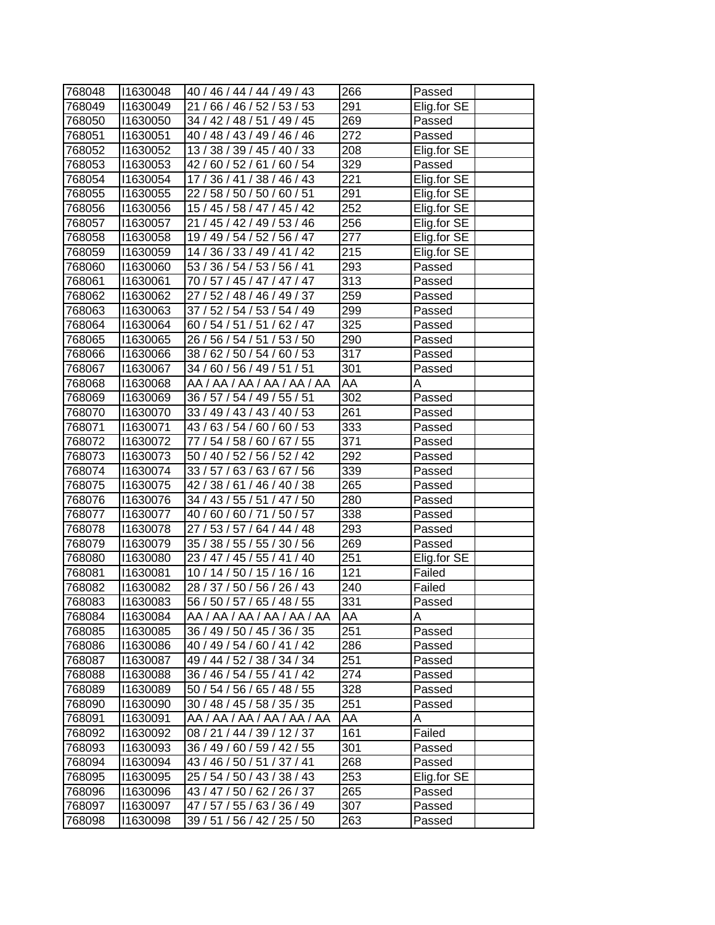| 291<br>11630049<br>21 / 66 / 46 / 52 / 53 / 53<br>Elig.for SE<br>768049<br>768050<br>11630050<br>34 / 42 / 48 / 51 / 49 / 45<br>269<br>Passed<br>272<br>Passed<br>768051<br>11630051<br>40 / 48 / 43 / 49 / 46 / 46<br>208<br>Elig.for SE<br>768052<br>11630052<br>13 / 38 / 39 / 45 / 40 / 33<br>$\overline{3}29$<br>11630053<br>42 / 60 / 52 / 61 / 60 / 54<br>768053<br>Passed<br>Elig.for SE<br>221<br>11630054<br>17 / 36 / 41 / 38 / 46 / 43<br>768054<br>291<br>768055<br>11630055<br>22 / 58 / 50 / 50 / 60 / 51<br>Elig.for SE<br>$\overline{2}52$<br>768056<br>15 / 45 / 58 / 47 / 45 / 42<br>Elig.for SE<br>11630056<br>256<br>Elig.for SE<br>768057<br>11630057<br>21 / 45 / 42 / 49 / 53 / 46<br>277<br>Elig.for SE<br>768058<br>11630058<br>19 / 49 / 54 / 52 / 56 / 47<br>215<br>Elig.for SE<br>768059<br>11630059<br>14 / 36 / 33 / 49 / 41 / 42<br>768060<br>11630060<br>53 / 36 / 54 / 53 / 56 / 41<br>293<br>Passed<br>768061<br>11630061<br>313<br>70 / 57 / 45 / 47 / 47 / 47<br>Passed<br>259<br>768062<br>11630062<br>27 / 52 / 48 / 46 / 49 / 37<br>Passed<br>299<br>768063<br>11630063<br>37 / 52 / 54 / 53 / 54 / 49<br>Passed<br>60 / 54 / 51 / 51 / 62 / 47<br>325<br>768064<br>11630064<br>Passed<br>26 / 56 / 54 / 51 / 53 / 50<br>290<br>768065<br>11630065<br>Passed<br>317<br>768066<br>11630066<br>38 / 62 / 50 / 54 / 60 / 53<br>Passed<br>301<br>768067<br>11630067<br>34 / 60 / 56 / 49 / 51 / 51<br>Passed<br>AA<br>768068<br>11630068<br>AA / AA / AA / AA / AA / AA<br>A<br>$\overline{302}$<br>768069<br>11630069<br>36 / 57 / 54 / 49 / 55 / 51<br>Passed<br>261<br>768070<br>1630070<br>33 / 49 / 43 / 43 / 40 / 53<br>Passed<br>333<br>768071<br>11630071<br>43/63/54/60/60/53<br>Passed<br>371<br>768072<br>11630072<br>77 / 54 / 58 / 60 / 67 / 55<br>Passed<br>11630073<br>292<br>768073<br>50 / 40 / 52 / 56 / 52 / 42<br>Passed<br>33 / 57 / 63 / 63 / 67 / 56<br>768074<br>11630074<br>339<br>Passed<br>265<br>768075<br>11630075<br>42 / 38 / 61 / 46 / 40 / 38<br>Passed<br>280<br>34 / 43 / 55 / 51 / 47 / 50<br>768076<br>11630076<br>Passed<br>338<br>768077<br>11630077<br>40 / 60 / 60 / 71 / 50 / 57<br>Passed<br>293<br>768078<br>11630078<br>27 / 53 / 57 / 64 / 44 / 48<br>Passed<br>35 / 38 / 55 / 55 / 30 / 56<br>269<br>768079<br>11630079<br>Passed<br>251<br>768080<br>23 / 47 / 45 / 55 / 41 / 40<br>Elig.for SE<br>11630080<br>$\overline{1}21$<br>768081<br>11630081<br>10/14/50/15/16/16<br>Failed<br>240<br>11630082<br>28 / 37 / 50 / 56 / 26 / 43<br>768082<br>Failed<br>331<br>768083<br>11630083<br>56 / 50 / 57 / 65 / 48 / 55<br>Passed<br>AA<br>768084<br>11630084<br>Α<br>AA / AA / AA / AA / AA / AA<br>768085<br>251<br>11630085<br>36 / 49 / 50 / 45 / 36 / 35<br>Passed<br>11630086<br>286<br>768086<br>40 / 49 / 54 / 60 / 41 / 42<br>Passed<br>768087<br>11630087<br>49 / 44 / 52 / 38 / 34 / 34<br>251<br>Passed<br>274<br>768088<br>11630088<br>36 / 46 / 54 / 55 / 41 / 42<br>Passed<br>328<br>768089<br>11630089<br>50 / 54 / 56 / 65 / 48 / 55<br>Passed<br>251<br>768090<br>11630090<br>30 / 48 / 45 / 58 / 35 / 35<br>Passed<br>AA / AA / AA / AA / AA / AA<br>AA<br>768091<br>11630091<br>A<br>161<br>Failed<br>768092<br>11630092<br>08 / 21 / 44 / 39 / 12 / 37<br>36 / 49 / 60 / 59 / 42 / 55<br>301<br>768093<br>11630093<br>Passed<br>268<br>768094<br>43 / 46 / 50 / 51 / 37 / 41<br>11630094<br>Passed<br>253<br>11630095<br>Elig.for SE<br>768095<br>25 / 54 / 50 / 43 / 38 / 43<br>768096<br>11630096<br>265<br>43 / 47 / 50 / 62 / 26 / 37<br>Passed<br>768097<br>11630097<br>47 / 57 / 55 / 63 / 36 / 49<br>307<br>Passed<br>768098<br>11630098<br>39 / 51 / 56 / 42 / 25 / 50<br>263<br>Passed |        |          |                             |     |        |
|---------------------------------------------------------------------------------------------------------------------------------------------------------------------------------------------------------------------------------------------------------------------------------------------------------------------------------------------------------------------------------------------------------------------------------------------------------------------------------------------------------------------------------------------------------------------------------------------------------------------------------------------------------------------------------------------------------------------------------------------------------------------------------------------------------------------------------------------------------------------------------------------------------------------------------------------------------------------------------------------------------------------------------------------------------------------------------------------------------------------------------------------------------------------------------------------------------------------------------------------------------------------------------------------------------------------------------------------------------------------------------------------------------------------------------------------------------------------------------------------------------------------------------------------------------------------------------------------------------------------------------------------------------------------------------------------------------------------------------------------------------------------------------------------------------------------------------------------------------------------------------------------------------------------------------------------------------------------------------------------------------------------------------------------------------------------------------------------------------------------------------------------------------------------------------------------------------------------------------------------------------------------------------------------------------------------------------------------------------------------------------------------------------------------------------------------------------------------------------------------------------------------------------------------------------------------------------------------------------------------------------------------------------------------------------------------------------------------------------------------------------------------------------------------------------------------------------------------------------------------------------------------------------------------------------------------------------------------------------------------------------------------------------------------------------------------------------------------------------------------------------------------------------------------------------------------------------------------------------------------------------------------------------------------------------------------------------------------------------------------------------------------------------------------------------------------------------------------------------------------------------------------------------------------------------------------------------------------------------------------------------------------------------------------------------------------------------|--------|----------|-----------------------------|-----|--------|
|                                                                                                                                                                                                                                                                                                                                                                                                                                                                                                                                                                                                                                                                                                                                                                                                                                                                                                                                                                                                                                                                                                                                                                                                                                                                                                                                                                                                                                                                                                                                                                                                                                                                                                                                                                                                                                                                                                                                                                                                                                                                                                                                                                                                                                                                                                                                                                                                                                                                                                                                                                                                                                                                                                                                                                                                                                                                                                                                                                                                                                                                                                                                                                                                                                                                                                                                                                                                                                                                                                                                                                                                                                                                                                         | 768048 | 11630048 | 40 / 46 / 44 / 44 / 49 / 43 | 266 | Passed |
|                                                                                                                                                                                                                                                                                                                                                                                                                                                                                                                                                                                                                                                                                                                                                                                                                                                                                                                                                                                                                                                                                                                                                                                                                                                                                                                                                                                                                                                                                                                                                                                                                                                                                                                                                                                                                                                                                                                                                                                                                                                                                                                                                                                                                                                                                                                                                                                                                                                                                                                                                                                                                                                                                                                                                                                                                                                                                                                                                                                                                                                                                                                                                                                                                                                                                                                                                                                                                                                                                                                                                                                                                                                                                                         |        |          |                             |     |        |
|                                                                                                                                                                                                                                                                                                                                                                                                                                                                                                                                                                                                                                                                                                                                                                                                                                                                                                                                                                                                                                                                                                                                                                                                                                                                                                                                                                                                                                                                                                                                                                                                                                                                                                                                                                                                                                                                                                                                                                                                                                                                                                                                                                                                                                                                                                                                                                                                                                                                                                                                                                                                                                                                                                                                                                                                                                                                                                                                                                                                                                                                                                                                                                                                                                                                                                                                                                                                                                                                                                                                                                                                                                                                                                         |        |          |                             |     |        |
|                                                                                                                                                                                                                                                                                                                                                                                                                                                                                                                                                                                                                                                                                                                                                                                                                                                                                                                                                                                                                                                                                                                                                                                                                                                                                                                                                                                                                                                                                                                                                                                                                                                                                                                                                                                                                                                                                                                                                                                                                                                                                                                                                                                                                                                                                                                                                                                                                                                                                                                                                                                                                                                                                                                                                                                                                                                                                                                                                                                                                                                                                                                                                                                                                                                                                                                                                                                                                                                                                                                                                                                                                                                                                                         |        |          |                             |     |        |
|                                                                                                                                                                                                                                                                                                                                                                                                                                                                                                                                                                                                                                                                                                                                                                                                                                                                                                                                                                                                                                                                                                                                                                                                                                                                                                                                                                                                                                                                                                                                                                                                                                                                                                                                                                                                                                                                                                                                                                                                                                                                                                                                                                                                                                                                                                                                                                                                                                                                                                                                                                                                                                                                                                                                                                                                                                                                                                                                                                                                                                                                                                                                                                                                                                                                                                                                                                                                                                                                                                                                                                                                                                                                                                         |        |          |                             |     |        |
|                                                                                                                                                                                                                                                                                                                                                                                                                                                                                                                                                                                                                                                                                                                                                                                                                                                                                                                                                                                                                                                                                                                                                                                                                                                                                                                                                                                                                                                                                                                                                                                                                                                                                                                                                                                                                                                                                                                                                                                                                                                                                                                                                                                                                                                                                                                                                                                                                                                                                                                                                                                                                                                                                                                                                                                                                                                                                                                                                                                                                                                                                                                                                                                                                                                                                                                                                                                                                                                                                                                                                                                                                                                                                                         |        |          |                             |     |        |
|                                                                                                                                                                                                                                                                                                                                                                                                                                                                                                                                                                                                                                                                                                                                                                                                                                                                                                                                                                                                                                                                                                                                                                                                                                                                                                                                                                                                                                                                                                                                                                                                                                                                                                                                                                                                                                                                                                                                                                                                                                                                                                                                                                                                                                                                                                                                                                                                                                                                                                                                                                                                                                                                                                                                                                                                                                                                                                                                                                                                                                                                                                                                                                                                                                                                                                                                                                                                                                                                                                                                                                                                                                                                                                         |        |          |                             |     |        |
|                                                                                                                                                                                                                                                                                                                                                                                                                                                                                                                                                                                                                                                                                                                                                                                                                                                                                                                                                                                                                                                                                                                                                                                                                                                                                                                                                                                                                                                                                                                                                                                                                                                                                                                                                                                                                                                                                                                                                                                                                                                                                                                                                                                                                                                                                                                                                                                                                                                                                                                                                                                                                                                                                                                                                                                                                                                                                                                                                                                                                                                                                                                                                                                                                                                                                                                                                                                                                                                                                                                                                                                                                                                                                                         |        |          |                             |     |        |
|                                                                                                                                                                                                                                                                                                                                                                                                                                                                                                                                                                                                                                                                                                                                                                                                                                                                                                                                                                                                                                                                                                                                                                                                                                                                                                                                                                                                                                                                                                                                                                                                                                                                                                                                                                                                                                                                                                                                                                                                                                                                                                                                                                                                                                                                                                                                                                                                                                                                                                                                                                                                                                                                                                                                                                                                                                                                                                                                                                                                                                                                                                                                                                                                                                                                                                                                                                                                                                                                                                                                                                                                                                                                                                         |        |          |                             |     |        |
|                                                                                                                                                                                                                                                                                                                                                                                                                                                                                                                                                                                                                                                                                                                                                                                                                                                                                                                                                                                                                                                                                                                                                                                                                                                                                                                                                                                                                                                                                                                                                                                                                                                                                                                                                                                                                                                                                                                                                                                                                                                                                                                                                                                                                                                                                                                                                                                                                                                                                                                                                                                                                                                                                                                                                                                                                                                                                                                                                                                                                                                                                                                                                                                                                                                                                                                                                                                                                                                                                                                                                                                                                                                                                                         |        |          |                             |     |        |
|                                                                                                                                                                                                                                                                                                                                                                                                                                                                                                                                                                                                                                                                                                                                                                                                                                                                                                                                                                                                                                                                                                                                                                                                                                                                                                                                                                                                                                                                                                                                                                                                                                                                                                                                                                                                                                                                                                                                                                                                                                                                                                                                                                                                                                                                                                                                                                                                                                                                                                                                                                                                                                                                                                                                                                                                                                                                                                                                                                                                                                                                                                                                                                                                                                                                                                                                                                                                                                                                                                                                                                                                                                                                                                         |        |          |                             |     |        |
|                                                                                                                                                                                                                                                                                                                                                                                                                                                                                                                                                                                                                                                                                                                                                                                                                                                                                                                                                                                                                                                                                                                                                                                                                                                                                                                                                                                                                                                                                                                                                                                                                                                                                                                                                                                                                                                                                                                                                                                                                                                                                                                                                                                                                                                                                                                                                                                                                                                                                                                                                                                                                                                                                                                                                                                                                                                                                                                                                                                                                                                                                                                                                                                                                                                                                                                                                                                                                                                                                                                                                                                                                                                                                                         |        |          |                             |     |        |
|                                                                                                                                                                                                                                                                                                                                                                                                                                                                                                                                                                                                                                                                                                                                                                                                                                                                                                                                                                                                                                                                                                                                                                                                                                                                                                                                                                                                                                                                                                                                                                                                                                                                                                                                                                                                                                                                                                                                                                                                                                                                                                                                                                                                                                                                                                                                                                                                                                                                                                                                                                                                                                                                                                                                                                                                                                                                                                                                                                                                                                                                                                                                                                                                                                                                                                                                                                                                                                                                                                                                                                                                                                                                                                         |        |          |                             |     |        |
|                                                                                                                                                                                                                                                                                                                                                                                                                                                                                                                                                                                                                                                                                                                                                                                                                                                                                                                                                                                                                                                                                                                                                                                                                                                                                                                                                                                                                                                                                                                                                                                                                                                                                                                                                                                                                                                                                                                                                                                                                                                                                                                                                                                                                                                                                                                                                                                                                                                                                                                                                                                                                                                                                                                                                                                                                                                                                                                                                                                                                                                                                                                                                                                                                                                                                                                                                                                                                                                                                                                                                                                                                                                                                                         |        |          |                             |     |        |
|                                                                                                                                                                                                                                                                                                                                                                                                                                                                                                                                                                                                                                                                                                                                                                                                                                                                                                                                                                                                                                                                                                                                                                                                                                                                                                                                                                                                                                                                                                                                                                                                                                                                                                                                                                                                                                                                                                                                                                                                                                                                                                                                                                                                                                                                                                                                                                                                                                                                                                                                                                                                                                                                                                                                                                                                                                                                                                                                                                                                                                                                                                                                                                                                                                                                                                                                                                                                                                                                                                                                                                                                                                                                                                         |        |          |                             |     |        |
|                                                                                                                                                                                                                                                                                                                                                                                                                                                                                                                                                                                                                                                                                                                                                                                                                                                                                                                                                                                                                                                                                                                                                                                                                                                                                                                                                                                                                                                                                                                                                                                                                                                                                                                                                                                                                                                                                                                                                                                                                                                                                                                                                                                                                                                                                                                                                                                                                                                                                                                                                                                                                                                                                                                                                                                                                                                                                                                                                                                                                                                                                                                                                                                                                                                                                                                                                                                                                                                                                                                                                                                                                                                                                                         |        |          |                             |     |        |
|                                                                                                                                                                                                                                                                                                                                                                                                                                                                                                                                                                                                                                                                                                                                                                                                                                                                                                                                                                                                                                                                                                                                                                                                                                                                                                                                                                                                                                                                                                                                                                                                                                                                                                                                                                                                                                                                                                                                                                                                                                                                                                                                                                                                                                                                                                                                                                                                                                                                                                                                                                                                                                                                                                                                                                                                                                                                                                                                                                                                                                                                                                                                                                                                                                                                                                                                                                                                                                                                                                                                                                                                                                                                                                         |        |          |                             |     |        |
|                                                                                                                                                                                                                                                                                                                                                                                                                                                                                                                                                                                                                                                                                                                                                                                                                                                                                                                                                                                                                                                                                                                                                                                                                                                                                                                                                                                                                                                                                                                                                                                                                                                                                                                                                                                                                                                                                                                                                                                                                                                                                                                                                                                                                                                                                                                                                                                                                                                                                                                                                                                                                                                                                                                                                                                                                                                                                                                                                                                                                                                                                                                                                                                                                                                                                                                                                                                                                                                                                                                                                                                                                                                                                                         |        |          |                             |     |        |
|                                                                                                                                                                                                                                                                                                                                                                                                                                                                                                                                                                                                                                                                                                                                                                                                                                                                                                                                                                                                                                                                                                                                                                                                                                                                                                                                                                                                                                                                                                                                                                                                                                                                                                                                                                                                                                                                                                                                                                                                                                                                                                                                                                                                                                                                                                                                                                                                                                                                                                                                                                                                                                                                                                                                                                                                                                                                                                                                                                                                                                                                                                                                                                                                                                                                                                                                                                                                                                                                                                                                                                                                                                                                                                         |        |          |                             |     |        |
|                                                                                                                                                                                                                                                                                                                                                                                                                                                                                                                                                                                                                                                                                                                                                                                                                                                                                                                                                                                                                                                                                                                                                                                                                                                                                                                                                                                                                                                                                                                                                                                                                                                                                                                                                                                                                                                                                                                                                                                                                                                                                                                                                                                                                                                                                                                                                                                                                                                                                                                                                                                                                                                                                                                                                                                                                                                                                                                                                                                                                                                                                                                                                                                                                                                                                                                                                                                                                                                                                                                                                                                                                                                                                                         |        |          |                             |     |        |
|                                                                                                                                                                                                                                                                                                                                                                                                                                                                                                                                                                                                                                                                                                                                                                                                                                                                                                                                                                                                                                                                                                                                                                                                                                                                                                                                                                                                                                                                                                                                                                                                                                                                                                                                                                                                                                                                                                                                                                                                                                                                                                                                                                                                                                                                                                                                                                                                                                                                                                                                                                                                                                                                                                                                                                                                                                                                                                                                                                                                                                                                                                                                                                                                                                                                                                                                                                                                                                                                                                                                                                                                                                                                                                         |        |          |                             |     |        |
|                                                                                                                                                                                                                                                                                                                                                                                                                                                                                                                                                                                                                                                                                                                                                                                                                                                                                                                                                                                                                                                                                                                                                                                                                                                                                                                                                                                                                                                                                                                                                                                                                                                                                                                                                                                                                                                                                                                                                                                                                                                                                                                                                                                                                                                                                                                                                                                                                                                                                                                                                                                                                                                                                                                                                                                                                                                                                                                                                                                                                                                                                                                                                                                                                                                                                                                                                                                                                                                                                                                                                                                                                                                                                                         |        |          |                             |     |        |
|                                                                                                                                                                                                                                                                                                                                                                                                                                                                                                                                                                                                                                                                                                                                                                                                                                                                                                                                                                                                                                                                                                                                                                                                                                                                                                                                                                                                                                                                                                                                                                                                                                                                                                                                                                                                                                                                                                                                                                                                                                                                                                                                                                                                                                                                                                                                                                                                                                                                                                                                                                                                                                                                                                                                                                                                                                                                                                                                                                                                                                                                                                                                                                                                                                                                                                                                                                                                                                                                                                                                                                                                                                                                                                         |        |          |                             |     |        |
|                                                                                                                                                                                                                                                                                                                                                                                                                                                                                                                                                                                                                                                                                                                                                                                                                                                                                                                                                                                                                                                                                                                                                                                                                                                                                                                                                                                                                                                                                                                                                                                                                                                                                                                                                                                                                                                                                                                                                                                                                                                                                                                                                                                                                                                                                                                                                                                                                                                                                                                                                                                                                                                                                                                                                                                                                                                                                                                                                                                                                                                                                                                                                                                                                                                                                                                                                                                                                                                                                                                                                                                                                                                                                                         |        |          |                             |     |        |
|                                                                                                                                                                                                                                                                                                                                                                                                                                                                                                                                                                                                                                                                                                                                                                                                                                                                                                                                                                                                                                                                                                                                                                                                                                                                                                                                                                                                                                                                                                                                                                                                                                                                                                                                                                                                                                                                                                                                                                                                                                                                                                                                                                                                                                                                                                                                                                                                                                                                                                                                                                                                                                                                                                                                                                                                                                                                                                                                                                                                                                                                                                                                                                                                                                                                                                                                                                                                                                                                                                                                                                                                                                                                                                         |        |          |                             |     |        |
|                                                                                                                                                                                                                                                                                                                                                                                                                                                                                                                                                                                                                                                                                                                                                                                                                                                                                                                                                                                                                                                                                                                                                                                                                                                                                                                                                                                                                                                                                                                                                                                                                                                                                                                                                                                                                                                                                                                                                                                                                                                                                                                                                                                                                                                                                                                                                                                                                                                                                                                                                                                                                                                                                                                                                                                                                                                                                                                                                                                                                                                                                                                                                                                                                                                                                                                                                                                                                                                                                                                                                                                                                                                                                                         |        |          |                             |     |        |
|                                                                                                                                                                                                                                                                                                                                                                                                                                                                                                                                                                                                                                                                                                                                                                                                                                                                                                                                                                                                                                                                                                                                                                                                                                                                                                                                                                                                                                                                                                                                                                                                                                                                                                                                                                                                                                                                                                                                                                                                                                                                                                                                                                                                                                                                                                                                                                                                                                                                                                                                                                                                                                                                                                                                                                                                                                                                                                                                                                                                                                                                                                                                                                                                                                                                                                                                                                                                                                                                                                                                                                                                                                                                                                         |        |          |                             |     |        |
|                                                                                                                                                                                                                                                                                                                                                                                                                                                                                                                                                                                                                                                                                                                                                                                                                                                                                                                                                                                                                                                                                                                                                                                                                                                                                                                                                                                                                                                                                                                                                                                                                                                                                                                                                                                                                                                                                                                                                                                                                                                                                                                                                                                                                                                                                                                                                                                                                                                                                                                                                                                                                                                                                                                                                                                                                                                                                                                                                                                                                                                                                                                                                                                                                                                                                                                                                                                                                                                                                                                                                                                                                                                                                                         |        |          |                             |     |        |
|                                                                                                                                                                                                                                                                                                                                                                                                                                                                                                                                                                                                                                                                                                                                                                                                                                                                                                                                                                                                                                                                                                                                                                                                                                                                                                                                                                                                                                                                                                                                                                                                                                                                                                                                                                                                                                                                                                                                                                                                                                                                                                                                                                                                                                                                                                                                                                                                                                                                                                                                                                                                                                                                                                                                                                                                                                                                                                                                                                                                                                                                                                                                                                                                                                                                                                                                                                                                                                                                                                                                                                                                                                                                                                         |        |          |                             |     |        |
|                                                                                                                                                                                                                                                                                                                                                                                                                                                                                                                                                                                                                                                                                                                                                                                                                                                                                                                                                                                                                                                                                                                                                                                                                                                                                                                                                                                                                                                                                                                                                                                                                                                                                                                                                                                                                                                                                                                                                                                                                                                                                                                                                                                                                                                                                                                                                                                                                                                                                                                                                                                                                                                                                                                                                                                                                                                                                                                                                                                                                                                                                                                                                                                                                                                                                                                                                                                                                                                                                                                                                                                                                                                                                                         |        |          |                             |     |        |
|                                                                                                                                                                                                                                                                                                                                                                                                                                                                                                                                                                                                                                                                                                                                                                                                                                                                                                                                                                                                                                                                                                                                                                                                                                                                                                                                                                                                                                                                                                                                                                                                                                                                                                                                                                                                                                                                                                                                                                                                                                                                                                                                                                                                                                                                                                                                                                                                                                                                                                                                                                                                                                                                                                                                                                                                                                                                                                                                                                                                                                                                                                                                                                                                                                                                                                                                                                                                                                                                                                                                                                                                                                                                                                         |        |          |                             |     |        |
|                                                                                                                                                                                                                                                                                                                                                                                                                                                                                                                                                                                                                                                                                                                                                                                                                                                                                                                                                                                                                                                                                                                                                                                                                                                                                                                                                                                                                                                                                                                                                                                                                                                                                                                                                                                                                                                                                                                                                                                                                                                                                                                                                                                                                                                                                                                                                                                                                                                                                                                                                                                                                                                                                                                                                                                                                                                                                                                                                                                                                                                                                                                                                                                                                                                                                                                                                                                                                                                                                                                                                                                                                                                                                                         |        |          |                             |     |        |
|                                                                                                                                                                                                                                                                                                                                                                                                                                                                                                                                                                                                                                                                                                                                                                                                                                                                                                                                                                                                                                                                                                                                                                                                                                                                                                                                                                                                                                                                                                                                                                                                                                                                                                                                                                                                                                                                                                                                                                                                                                                                                                                                                                                                                                                                                                                                                                                                                                                                                                                                                                                                                                                                                                                                                                                                                                                                                                                                                                                                                                                                                                                                                                                                                                                                                                                                                                                                                                                                                                                                                                                                                                                                                                         |        |          |                             |     |        |
|                                                                                                                                                                                                                                                                                                                                                                                                                                                                                                                                                                                                                                                                                                                                                                                                                                                                                                                                                                                                                                                                                                                                                                                                                                                                                                                                                                                                                                                                                                                                                                                                                                                                                                                                                                                                                                                                                                                                                                                                                                                                                                                                                                                                                                                                                                                                                                                                                                                                                                                                                                                                                                                                                                                                                                                                                                                                                                                                                                                                                                                                                                                                                                                                                                                                                                                                                                                                                                                                                                                                                                                                                                                                                                         |        |          |                             |     |        |
|                                                                                                                                                                                                                                                                                                                                                                                                                                                                                                                                                                                                                                                                                                                                                                                                                                                                                                                                                                                                                                                                                                                                                                                                                                                                                                                                                                                                                                                                                                                                                                                                                                                                                                                                                                                                                                                                                                                                                                                                                                                                                                                                                                                                                                                                                                                                                                                                                                                                                                                                                                                                                                                                                                                                                                                                                                                                                                                                                                                                                                                                                                                                                                                                                                                                                                                                                                                                                                                                                                                                                                                                                                                                                                         |        |          |                             |     |        |
|                                                                                                                                                                                                                                                                                                                                                                                                                                                                                                                                                                                                                                                                                                                                                                                                                                                                                                                                                                                                                                                                                                                                                                                                                                                                                                                                                                                                                                                                                                                                                                                                                                                                                                                                                                                                                                                                                                                                                                                                                                                                                                                                                                                                                                                                                                                                                                                                                                                                                                                                                                                                                                                                                                                                                                                                                                                                                                                                                                                                                                                                                                                                                                                                                                                                                                                                                                                                                                                                                                                                                                                                                                                                                                         |        |          |                             |     |        |
|                                                                                                                                                                                                                                                                                                                                                                                                                                                                                                                                                                                                                                                                                                                                                                                                                                                                                                                                                                                                                                                                                                                                                                                                                                                                                                                                                                                                                                                                                                                                                                                                                                                                                                                                                                                                                                                                                                                                                                                                                                                                                                                                                                                                                                                                                                                                                                                                                                                                                                                                                                                                                                                                                                                                                                                                                                                                                                                                                                                                                                                                                                                                                                                                                                                                                                                                                                                                                                                                                                                                                                                                                                                                                                         |        |          |                             |     |        |
|                                                                                                                                                                                                                                                                                                                                                                                                                                                                                                                                                                                                                                                                                                                                                                                                                                                                                                                                                                                                                                                                                                                                                                                                                                                                                                                                                                                                                                                                                                                                                                                                                                                                                                                                                                                                                                                                                                                                                                                                                                                                                                                                                                                                                                                                                                                                                                                                                                                                                                                                                                                                                                                                                                                                                                                                                                                                                                                                                                                                                                                                                                                                                                                                                                                                                                                                                                                                                                                                                                                                                                                                                                                                                                         |        |          |                             |     |        |
|                                                                                                                                                                                                                                                                                                                                                                                                                                                                                                                                                                                                                                                                                                                                                                                                                                                                                                                                                                                                                                                                                                                                                                                                                                                                                                                                                                                                                                                                                                                                                                                                                                                                                                                                                                                                                                                                                                                                                                                                                                                                                                                                                                                                                                                                                                                                                                                                                                                                                                                                                                                                                                                                                                                                                                                                                                                                                                                                                                                                                                                                                                                                                                                                                                                                                                                                                                                                                                                                                                                                                                                                                                                                                                         |        |          |                             |     |        |
|                                                                                                                                                                                                                                                                                                                                                                                                                                                                                                                                                                                                                                                                                                                                                                                                                                                                                                                                                                                                                                                                                                                                                                                                                                                                                                                                                                                                                                                                                                                                                                                                                                                                                                                                                                                                                                                                                                                                                                                                                                                                                                                                                                                                                                                                                                                                                                                                                                                                                                                                                                                                                                                                                                                                                                                                                                                                                                                                                                                                                                                                                                                                                                                                                                                                                                                                                                                                                                                                                                                                                                                                                                                                                                         |        |          |                             |     |        |
|                                                                                                                                                                                                                                                                                                                                                                                                                                                                                                                                                                                                                                                                                                                                                                                                                                                                                                                                                                                                                                                                                                                                                                                                                                                                                                                                                                                                                                                                                                                                                                                                                                                                                                                                                                                                                                                                                                                                                                                                                                                                                                                                                                                                                                                                                                                                                                                                                                                                                                                                                                                                                                                                                                                                                                                                                                                                                                                                                                                                                                                                                                                                                                                                                                                                                                                                                                                                                                                                                                                                                                                                                                                                                                         |        |          |                             |     |        |
|                                                                                                                                                                                                                                                                                                                                                                                                                                                                                                                                                                                                                                                                                                                                                                                                                                                                                                                                                                                                                                                                                                                                                                                                                                                                                                                                                                                                                                                                                                                                                                                                                                                                                                                                                                                                                                                                                                                                                                                                                                                                                                                                                                                                                                                                                                                                                                                                                                                                                                                                                                                                                                                                                                                                                                                                                                                                                                                                                                                                                                                                                                                                                                                                                                                                                                                                                                                                                                                                                                                                                                                                                                                                                                         |        |          |                             |     |        |
|                                                                                                                                                                                                                                                                                                                                                                                                                                                                                                                                                                                                                                                                                                                                                                                                                                                                                                                                                                                                                                                                                                                                                                                                                                                                                                                                                                                                                                                                                                                                                                                                                                                                                                                                                                                                                                                                                                                                                                                                                                                                                                                                                                                                                                                                                                                                                                                                                                                                                                                                                                                                                                                                                                                                                                                                                                                                                                                                                                                                                                                                                                                                                                                                                                                                                                                                                                                                                                                                                                                                                                                                                                                                                                         |        |          |                             |     |        |
|                                                                                                                                                                                                                                                                                                                                                                                                                                                                                                                                                                                                                                                                                                                                                                                                                                                                                                                                                                                                                                                                                                                                                                                                                                                                                                                                                                                                                                                                                                                                                                                                                                                                                                                                                                                                                                                                                                                                                                                                                                                                                                                                                                                                                                                                                                                                                                                                                                                                                                                                                                                                                                                                                                                                                                                                                                                                                                                                                                                                                                                                                                                                                                                                                                                                                                                                                                                                                                                                                                                                                                                                                                                                                                         |        |          |                             |     |        |
|                                                                                                                                                                                                                                                                                                                                                                                                                                                                                                                                                                                                                                                                                                                                                                                                                                                                                                                                                                                                                                                                                                                                                                                                                                                                                                                                                                                                                                                                                                                                                                                                                                                                                                                                                                                                                                                                                                                                                                                                                                                                                                                                                                                                                                                                                                                                                                                                                                                                                                                                                                                                                                                                                                                                                                                                                                                                                                                                                                                                                                                                                                                                                                                                                                                                                                                                                                                                                                                                                                                                                                                                                                                                                                         |        |          |                             |     |        |
|                                                                                                                                                                                                                                                                                                                                                                                                                                                                                                                                                                                                                                                                                                                                                                                                                                                                                                                                                                                                                                                                                                                                                                                                                                                                                                                                                                                                                                                                                                                                                                                                                                                                                                                                                                                                                                                                                                                                                                                                                                                                                                                                                                                                                                                                                                                                                                                                                                                                                                                                                                                                                                                                                                                                                                                                                                                                                                                                                                                                                                                                                                                                                                                                                                                                                                                                                                                                                                                                                                                                                                                                                                                                                                         |        |          |                             |     |        |
|                                                                                                                                                                                                                                                                                                                                                                                                                                                                                                                                                                                                                                                                                                                                                                                                                                                                                                                                                                                                                                                                                                                                                                                                                                                                                                                                                                                                                                                                                                                                                                                                                                                                                                                                                                                                                                                                                                                                                                                                                                                                                                                                                                                                                                                                                                                                                                                                                                                                                                                                                                                                                                                                                                                                                                                                                                                                                                                                                                                                                                                                                                                                                                                                                                                                                                                                                                                                                                                                                                                                                                                                                                                                                                         |        |          |                             |     |        |
|                                                                                                                                                                                                                                                                                                                                                                                                                                                                                                                                                                                                                                                                                                                                                                                                                                                                                                                                                                                                                                                                                                                                                                                                                                                                                                                                                                                                                                                                                                                                                                                                                                                                                                                                                                                                                                                                                                                                                                                                                                                                                                                                                                                                                                                                                                                                                                                                                                                                                                                                                                                                                                                                                                                                                                                                                                                                                                                                                                                                                                                                                                                                                                                                                                                                                                                                                                                                                                                                                                                                                                                                                                                                                                         |        |          |                             |     |        |
|                                                                                                                                                                                                                                                                                                                                                                                                                                                                                                                                                                                                                                                                                                                                                                                                                                                                                                                                                                                                                                                                                                                                                                                                                                                                                                                                                                                                                                                                                                                                                                                                                                                                                                                                                                                                                                                                                                                                                                                                                                                                                                                                                                                                                                                                                                                                                                                                                                                                                                                                                                                                                                                                                                                                                                                                                                                                                                                                                                                                                                                                                                                                                                                                                                                                                                                                                                                                                                                                                                                                                                                                                                                                                                         |        |          |                             |     |        |
|                                                                                                                                                                                                                                                                                                                                                                                                                                                                                                                                                                                                                                                                                                                                                                                                                                                                                                                                                                                                                                                                                                                                                                                                                                                                                                                                                                                                                                                                                                                                                                                                                                                                                                                                                                                                                                                                                                                                                                                                                                                                                                                                                                                                                                                                                                                                                                                                                                                                                                                                                                                                                                                                                                                                                                                                                                                                                                                                                                                                                                                                                                                                                                                                                                                                                                                                                                                                                                                                                                                                                                                                                                                                                                         |        |          |                             |     |        |
|                                                                                                                                                                                                                                                                                                                                                                                                                                                                                                                                                                                                                                                                                                                                                                                                                                                                                                                                                                                                                                                                                                                                                                                                                                                                                                                                                                                                                                                                                                                                                                                                                                                                                                                                                                                                                                                                                                                                                                                                                                                                                                                                                                                                                                                                                                                                                                                                                                                                                                                                                                                                                                                                                                                                                                                                                                                                                                                                                                                                                                                                                                                                                                                                                                                                                                                                                                                                                                                                                                                                                                                                                                                                                                         |        |          |                             |     |        |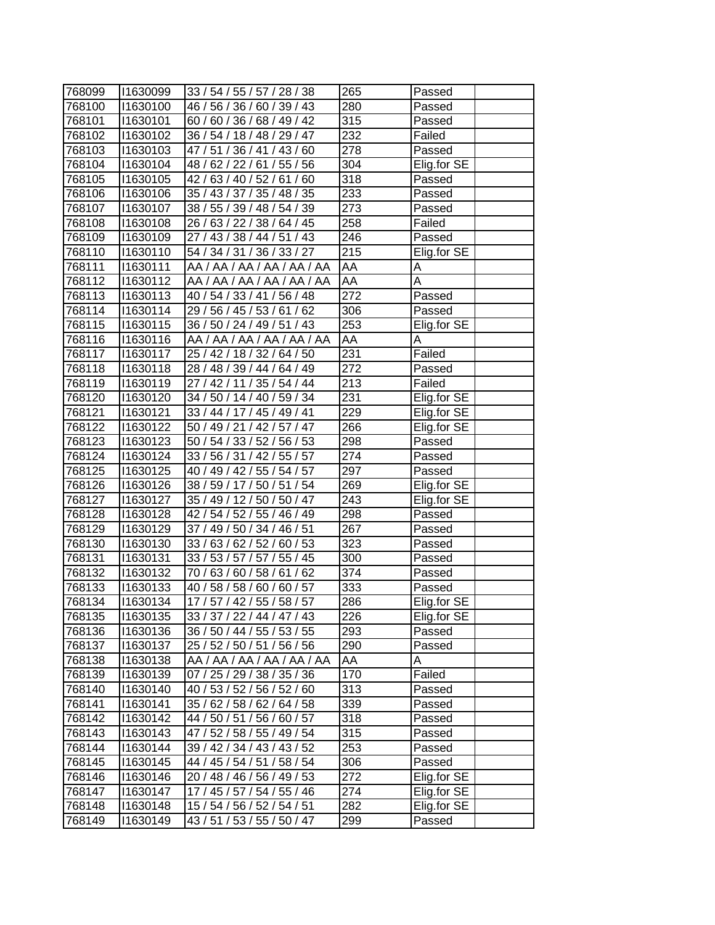| 768099 | 11630099 | 33 / 54 / 55 / 57 / 28 / 38 | 265 | Passed      |
|--------|----------|-----------------------------|-----|-------------|
| 768100 | 11630100 | 46 / 56 / 36 / 60 / 39 / 43 | 280 | Passed      |
| 768101 | 11630101 | 60 / 60 / 36 / 68 / 49 / 42 | 315 | Passed      |
| 768102 | 11630102 | 36 / 54 / 18 / 48 / 29 / 47 | 232 | Failed      |
| 768103 | 11630103 | 47 / 51 / 36 / 41 / 43 / 60 | 278 | Passed      |
| 768104 | 11630104 | 48 / 62 / 22 / 61 / 55 / 56 | 304 | Elig.for SE |
| 768105 | 11630105 | 42 / 63 / 40 / 52 / 61 / 60 | 318 | Passed      |
| 768106 | 11630106 | 35 / 43 / 37 / 35 / 48 / 35 | 233 | Passed      |
| 768107 | 11630107 | 38 / 55 / 39 / 48 / 54 / 39 | 273 | Passed      |
| 768108 | 11630108 | 26 / 63 / 22 / 38 / 64 / 45 | 258 | Failed      |
| 768109 | 11630109 | 27 / 43 / 38 / 44 / 51 / 43 | 246 | Passed      |
| 768110 | 11630110 | 54 / 34 / 31 / 36 / 33 / 27 | 215 | Elig.for SE |
| 768111 | 11630111 | AA / AA / AA / AA / AA / AA | AA  | Α           |
| 768112 | 11630112 | AA / AA / AA / AA / AA / AA | AA  | Α           |
| 768113 | 11630113 | 40 / 54 / 33 / 41 / 56 / 48 | 272 | Passed      |
| 768114 | 11630114 | 29 / 56 / 45 / 53 / 61 / 62 | 306 | Passed      |
| 768115 | 11630115 | 36 / 50 / 24 / 49 / 51 / 43 | 253 | Elig.for SE |
| 768116 | 11630116 | AA / AA / AA / AA / AA / AA | AA  | Α           |
| 768117 | 11630117 | 25 / 42 / 18 / 32 / 64 / 50 | 231 | Failed      |
| 768118 | 11630118 | 28 / 48 / 39 / 44 / 64 / 49 | 272 | Passed      |
| 768119 | 11630119 | 27 / 42 / 11 / 35 / 54 / 44 | 213 | Failed      |
| 768120 | 11630120 | 34 / 50 / 14 / 40 / 59 / 34 | 231 | Elig.for SE |
| 768121 | 11630121 | 33 / 44 / 17 / 45 / 49 / 41 | 229 | Elig.for SE |
| 768122 | 11630122 | 50 / 49 / 21 / 42 / 57 / 47 | 266 | Elig.for SE |
| 768123 | 11630123 | 50 / 54 / 33 / 52 / 56 / 53 | 298 | Passed      |
| 768124 | 11630124 | 33 / 56 / 31 / 42 / 55 / 57 | 274 | Passed      |
| 768125 | 11630125 | 40 / 49 / 42 / 55 / 54 / 57 | 297 | Passed      |
| 768126 | 11630126 | 38 / 59 / 17 / 50 / 51 / 54 | 269 | Elig.for SE |
| 768127 | 11630127 | 35 / 49 / 12 / 50 / 50 / 47 | 243 | Elig.for SE |
| 768128 | 11630128 | 42 / 54 / 52 / 55 / 46 / 49 | 298 | Passed      |
| 768129 | 11630129 | 37 / 49 / 50 / 34 / 46 / 51 | 267 | Passed      |
| 768130 | 11630130 | 33 / 63 / 62 / 52 / 60 / 53 | 323 | Passed      |
| 768131 | 11630131 | 33 / 53 / 57 / 57 / 55 / 45 | 300 | Passed      |
| 768132 | 11630132 | 70 / 63 / 60 / 58 / 61 / 62 | 374 | Passed      |
| 768133 | 11630133 | 40 / 58 / 58 / 60 / 60 / 57 | 333 | Passed      |
| 768134 | 11630134 | 17/57/42/55/58/57           | 286 | Elig.for SE |
| 768135 | 11630135 | 33 / 37 / 22 / 44 / 47 / 43 | 226 | Elig.for SE |
| 768136 | 11630136 | 36 / 50 / 44 / 55 / 53 / 55 | 293 | Passed      |
| 768137 | 11630137 | 25 / 52 / 50 / 51 / 56 / 56 | 290 | Passed      |
| 768138 | 11630138 | AA / AA / AA / AA / AA / AA | AA  | Α           |
| 768139 | 11630139 | 07 / 25 / 29 / 38 / 35 / 36 | 170 | Failed      |
| 768140 | 11630140 | 40 / 53 / 52 / 56 / 52 / 60 | 313 | Passed      |
| 768141 | 11630141 | 35 / 62 / 58 / 62 / 64 / 58 | 339 | Passed      |
| 768142 | 11630142 | 44 / 50 / 51 / 56 / 60 / 57 | 318 | Passed      |
| 768143 | 11630143 | 47 / 52 / 58 / 55 / 49 / 54 | 315 | Passed      |
| 768144 | 11630144 | 39 / 42 / 34 / 43 / 43 / 52 | 253 | Passed      |
| 768145 | 11630145 | 44 / 45 / 54 / 51 / 58 / 54 | 306 | Passed      |
| 768146 | 11630146 | 20 / 48 / 46 / 56 / 49 / 53 | 272 | Elig.for SE |
| 768147 | 11630147 | 17 / 45 / 57 / 54 / 55 / 46 | 274 | Elig.for SE |
| 768148 | 11630148 | 15 / 54 / 56 / 52 / 54 / 51 | 282 | Elig.for SE |
| 768149 | 11630149 | 43 / 51 / 53 / 55 / 50 / 47 | 299 | Passed      |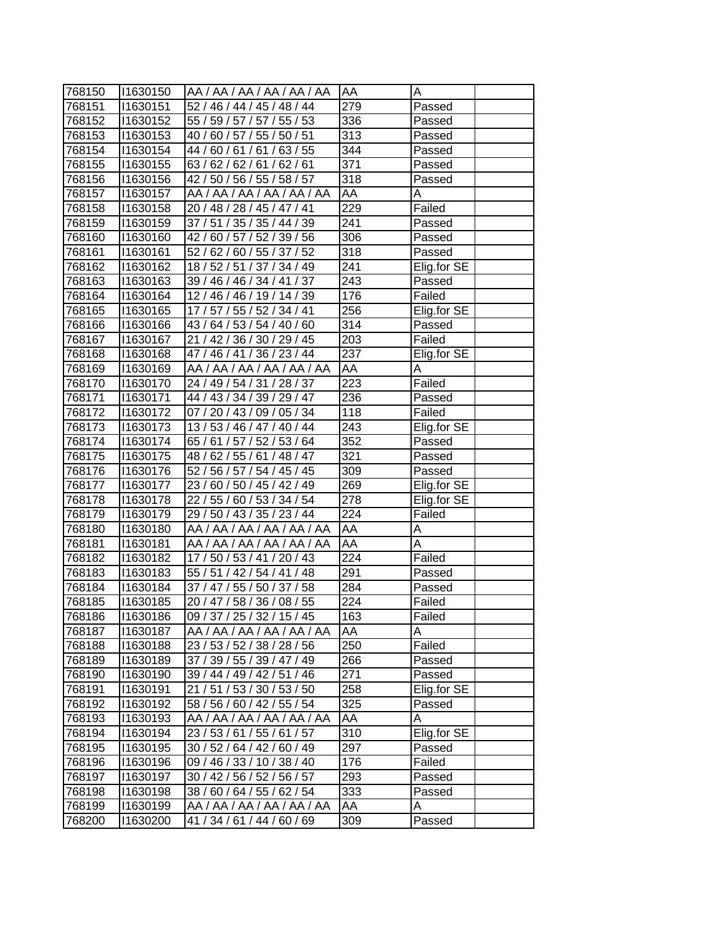| 768150           | 11630150             | AA / AA / AA / AA / AA / AA                                | <b>AA</b>        | А           |
|------------------|----------------------|------------------------------------------------------------|------------------|-------------|
| 768151           | 11630151             | 52 / 46 / 44 / 45 / 48 / 44                                | 279              | Passed      |
| 768152           | 11630152             | 55 / 59 / 57 / 57 / 55 / 53                                | 336              | Passed      |
| 768153           | 11630153             | 40 / 60 / 57 / 55 / 50 / 51                                | 313              | Passed      |
| 768154           | 11630154             | 44 / 60 / 61 / 61 / 63 / 55                                | 344              | Passed      |
| 768155           | 11630155             | 63/62/62/61/62/61                                          | 371              | Passed      |
| 768156           | 11630156             | 42 / 50 / 56 / 55 / 58 / 57                                | 318              |             |
|                  |                      | AA / AA / AA / AA / AA / AA                                | AA               | Passed<br>A |
| 768157           | 11630157<br>11630158 |                                                            | 229              |             |
| 768158<br>768159 |                      | 20 / 48 / 28 / 45 / 47 / 41                                | 241              | Failed      |
|                  | 11630159             | 37 / 51 / 35 / 35 / 44 / 39                                |                  | Passed      |
| 768160           | 11630160             | 42 / 60 / 57 / 52 / 39 / 56<br>52 / 62 / 60 / 55 / 37 / 52 | 306<br>318       | Passed      |
| 768161           | 11630161             |                                                            | 241              | Passed      |
| 768162           | 11630162             | 18 / 52 / 51 / 37 / 34 / 49                                |                  | Elig.for SE |
| 768163           | 11630163             | 39 / 46 / 46 / 34 / 41 / 37                                | 243              | Passed      |
| 768164           | 11630164             | 12 / 46 / 46 / 19 / 14 / 39                                | 176              | Failed      |
| 768165           | 11630165             | 17 / 57 / 55 / 52 / 34 / 41                                | 256              | Elig.for SE |
| 768166           | 11630166             | 43 / 64 / 53 / 54 / 40 / 60                                | $\overline{314}$ | Passed      |
| 768167           | 11630167             | 21 / 42 / 36 / 30 / 29 / 45                                | 203              | Failed      |
| 768168           | 11630168             | 47 / 46 / 41 / 36 / 23 / 44                                | 237              | Elig.for SE |
| 768169           | 11630169             | AA / AA / AA / AA / AA / AA                                | AA               | Α           |
| 768170           | 11630170             | 24 / 49 / 54 / 31 / 28 / 37                                | 223              | Failed      |
| 768171           | 11630171             | 44 / 43 / 34 / 39 / 29 / 47                                | 236              | Passed      |
| 768172           | 11630172             | 07 / 20 / 43 / 09 / 05 / 34                                | 118              | Failed      |
| 768173           | 11630173             | 13/53/46/47/40/44                                          | 243              | Elig.for SE |
| 768174           | 11630174             | 65 / 61 / 57 / 52 / 53 / 64                                | 352              | Passed      |
| 768175           | 11630175             | 48 / 62 / 55 / 61 / 48 / 47                                | 321              | Passed      |
| 768176           | 11630176             | 52 / 56 / 57 / 54 / 45 / 45                                | 309              | Passed      |
| 768177           | 11630177             | 23 / 60 / 50 / 45 / 42 / 49                                | 269              | Elig.for SE |
| 768178           | 11630178             | 22 / 55 / 60 / 53 / 34 / 54                                | 278              | Elig.for SE |
| 768179           | 11630179             | 29 / 50 / 43 / 35 / 23 / 44                                | 224              | Failed      |
| 768180           | 11630180             | AA / AA / AA / AA / AA / AA                                | AA               | А           |
| 768181           | 11630181             | AA / AA / AA / AA / AA / AA                                | AA               | A           |
| 768182           | 11630182             | 17/50/53/41/20/43                                          | 224              | Failed      |
| 768183           | 11630183             | 55 / 51 / 42 / 54 / 41 / 48                                | 291              | Passed      |
| 768184           | 11630184             | 37 / 47 / 55 / 50 / 37 / 58                                | 284              | Passed      |
| 768185           | 11630185             | 20 / 47 / 58 / 36 / 08 / 55                                | 224              | Failed      |
| 768186           | 11630186             | 09 / 37 / 25 / 32 / 15 / 45                                | 163              | Failed      |
| 768187           | 11630187             | AA / AA / AA / AA / AA / AA                                | AA               | A           |
| 768188           | 11630188             | 23 / 53 / 52 / 38 / 28 / 56                                | 250              | Failed      |
| 768189           | 11630189             | 37 / 39 / 55 / 39 / 47 / 49                                | 266              | Passed      |
| 768190           | 11630190             | 39 / 44 / 49 / 42 / 51 / 46                                | 271              | Passed      |
| 768191           | 11630191             | 21 / 51 / 53 / 30 / 53 / 50                                | 258              | Elig.for SE |
| 768192           | 11630192             | 58 / 56 / 60 / 42 / 55 / 54                                | $\overline{3}25$ | Passed      |
| 768193           | 11630193             | AA / AA / AA / AA / AA / AA                                | AA               | Α           |
| 768194           | 11630194             | 23 / 53 / 61 / 55 / 61 / 57                                | 310              | Elig.for SE |
| 768195           | 11630195             | 30 / 52 / 64 / 42 / 60 / 49                                | 297              | Passed      |
| 768196           | 11630196             | 09 / 46 / 33 / 10 / 38 / 40                                | 176              | Failed      |
| 768197           | 11630197             | 30 / 42 / 56 / 52 / 56 / 57                                | 293              | Passed      |
| 768198           | 11630198             | 38 / 60 / 64 / 55 / 62 / 54                                | 333              | Passed      |
| 768199           | 11630199             | AA / AA / AA / AA / AA / AA                                | AA               | Α           |
| 768200           | 11630200             | 41 / 34 / 61 / 44 / 60 / 69                                | 309              | Passed      |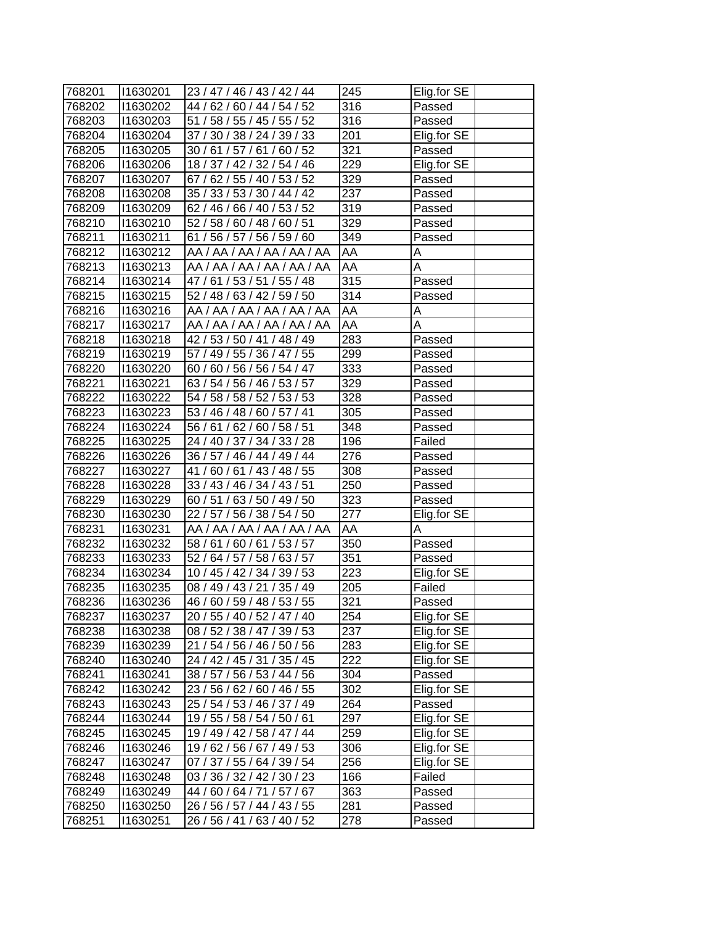| 768201           | 11630201             | 23/47/46/43/42/44                                          | 245              | Elig.for SE |
|------------------|----------------------|------------------------------------------------------------|------------------|-------------|
| 768202           | 11630202             | 44 / 62 / 60 / 44 / 54 / 52                                | 316              | Passed      |
| 768203           | 11630203             | 51 / 58 / 55 / 45 / 55 / 52                                | 316              | Passed      |
| 768204           | 11630204             | 37 / 30 / 38 / 24 / 39 / 33                                | 201              | Elig.for SE |
| 768205           | 11630205             | 30/61/57/61/60/52                                          | 321              | Passed      |
| 768206           | 11630206             | 18 / 37 / 42 / 32 / 54 / 46                                | $\overline{229}$ | Elig.for SE |
| 768207           | 11630207             | 67 / 62 / 55 / 40 / 53 / 52                                | 329              | Passed      |
| 768208           | 11630208             | 35 / 33 / 53 / 30 / 44 / 42                                | 237              | Passed      |
| 768209           | 11630209             | 62 / 46 / 66 / 40 / 53 / 52                                | 319              | Passed      |
| 768210           | 11630210             | 52 / 58 / 60 / 48 / 60 / 51                                | 329              | Passed      |
| 768211           | 11630211             | 61 / 56 / 57 / 56 / 59 / 60                                | 349              | Passed      |
| 768212           | 11630212             | AA / AA / AA / AA / AA / AA                                | AA               | А           |
| 768213           | 11630213             | AA / AA / AA / AA / AA / AA                                | AA               | Α           |
| 768214           | 11630214             | 47 / 61 / 53 / 51 / 55 / 48                                | 315              | Passed      |
| 768215           | 11630215             | 52 / 48 / 63 / 42 / 59 / 50                                | 314              | Passed      |
| 768216           | 11630216             | AA / AA / AA / AA / AA / AA                                | AA               | А           |
| 768217           | 11630217             | AA / AA / AA / AA / AA / AA                                | AA               | Α           |
| 768218           | 11630218             | 42 / 53 / 50 / 41 / 48 / 49                                | 283              | Passed      |
| 768219           | 11630219             | 57 / 49 / 55 / 36 / 47 / 55                                | 299              | Passed      |
| 768220           | 11630220             | 60 / 60 / 56 / 56 / 54 / 47                                | 333              | Passed      |
| 768221           | 11630221             | 63 / 54 / 56 / 46 / 53 / 57                                | 329              | Passed      |
| 768222           | 11630222             | 54 / 58 / 58 / 52 / 53 / 53                                | 328              | Passed      |
| 768223           | 11630223             | 53 / 46 / 48 / 60 / 57 / 41                                | 305              | Passed      |
| 768224           | 11630224             | 56 / 61 / 62 / 60 / 58 / 51                                | 348              | Passed      |
| 768225           | 11630225             | 24 / 40 / 37 / 34 / 33 / 28                                | 196              | Failed      |
| 768226           | 11630226             | 36/57/46/44/49/44                                          | 276              | Passed      |
| 768227           | 11630227             | 41/60/61/43/48/55                                          | 308              | Passed      |
| 768228           | 11630228             | 33 / 43 / 46 / 34 / 43 / 51                                | 250              | Passed      |
| 768229           | 11630229             | 60 / 51 / 63 / 50 / 49 / 50                                | 323              | Passed      |
| 768230           | 11630230             | $\overline{22/57/56/38/54/50}$                             | 277              | Elig.for SE |
| 768231           | 11630231             | AA / AA / AA / AA / AA / AA                                | AA               | A           |
| 768232           | 11630232             | 58 / 61 / 60 / 61 / 53 / 57                                | 350              | Passed      |
| 768233           | 11630233             | 52 / 64 / 57 / 58 / 63 / 57                                | 351              | Passed      |
| 768234           | 11630234             | 10 / 45 / 42 / 34 / 39 / 53                                | $\overline{2}23$ | Elig.for SE |
| 768235           | 11630235             | 08 / 49 / 43 / 21 / 35 / 49                                | 205              | Failed      |
| 768236           | 11630236             | 46 / 60 / 59 / 48 / 53 / 55                                | 321              | Passed      |
| 768237           | 11630237             | 20 / 55 / 40 / 52 / 47 / 40                                | 254              | Elig.for SE |
| 768238           | 11630238             | 08 / 52 / 38 / 47 / 39 / 53                                | 237              | Elig.for SE |
| 768239           | 11630239             | 21 / 54 / 56 / 46 / 50 / 56                                | 283              | Elig.for SE |
| 768240           | 1630240              | 24 / 42 / 45 / 31 / 35 / 45                                | 222              | Elig.for SE |
| 768241           | 11630241             | 38 / 57 / 56 / 53 / 44 / 56                                | 304              | Passed      |
| 768242           | 11630242             | 23 / 56 / 62 / 60 / 46 / 55                                | 302              | Elig.for SE |
| 768243           | 11630243             | 25 / 54 / 53 / 46 / 37 / 49                                | 264              | Passed      |
| 768244           | 11630244             | 19 / 55 / 58 / 54 / 50 / 61                                | 297              | Elig.for SE |
| 768245           | 11630245             | 19 / 49 / 42 / 58 / 47 / 44                                | 259              | Elig.for SE |
| 768246           | 11630246             | 19/62/56/67/49/53                                          | 306              | Elig.for SE |
| 768247           | 11630247             | 07 / 37 / 55 / 64 / 39 / 54                                | 256              | Elig.for SE |
|                  |                      |                                                            | 166              | Failed      |
| 768248<br>768249 | 11630248<br>11630249 | 03 / 36 / 32 / 42 / 30 / 23<br>44 / 60 / 64 / 71 / 57 / 67 | 363              | Passed      |
|                  |                      |                                                            | 281              |             |
| 768250           | 11630250             | 26 / 56 / 57 / 44 / 43 / 55                                |                  | Passed      |
| 768251           | 11630251             | 26 / 56 / 41 / 63 / 40 / 52                                | 278              | Passed      |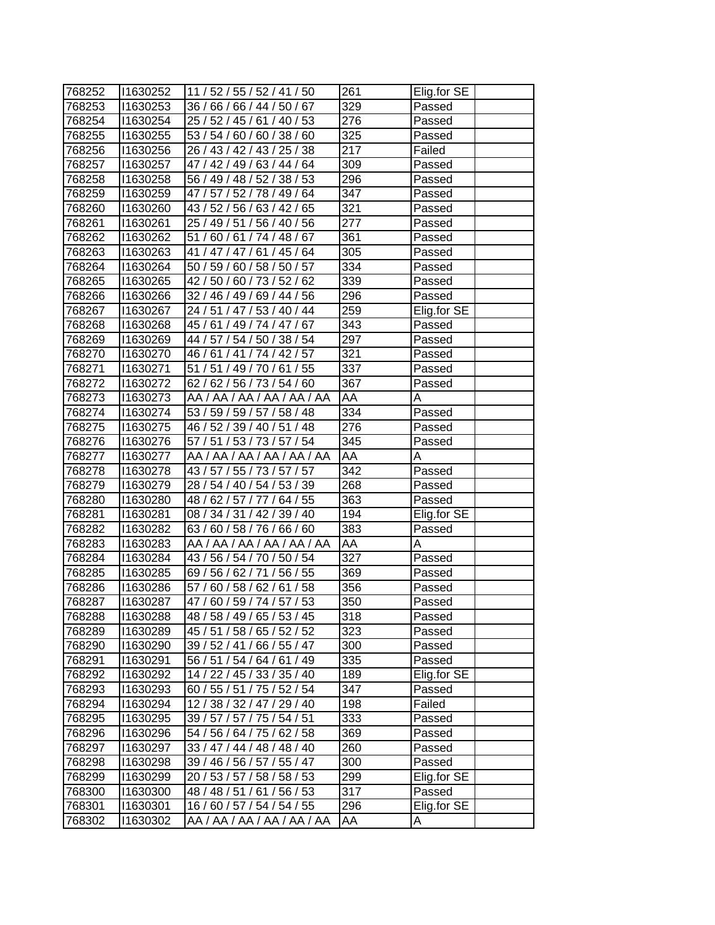| 768252 | 11630252 | 11 / 52 / 55 / 52 / 41 / 50 | 261              | Elig.for SE |
|--------|----------|-----------------------------|------------------|-------------|
| 768253 | 11630253 | 36 / 66 / 66 / 44 / 50 / 67 | 329              | Passed      |
| 768254 | 11630254 | 25 / 52 / 45 / 61 / 40 / 53 | 276              | Passed      |
| 768255 | 11630255 | 53 / 54 / 60 / 60 / 38 / 60 | 325              | Passed      |
| 768256 | 11630256 | 26 / 43 / 42 / 43 / 25 / 38 | $\overline{2}17$ | Failed      |
| 768257 | 11630257 | 47 / 42 / 49 / 63 / 44 / 64 | $\overline{3}09$ | Passed      |
| 768258 | 11630258 | 56 / 49 / 48 / 52 / 38 / 53 | 296              | Passed      |
| 768259 | 11630259 | 47 / 57 / 52 / 78 / 49 / 64 | 347              | Passed      |
| 768260 | 11630260 | 43 / 52 / 56 / 63 / 42 / 65 | $\overline{321}$ | Passed      |
| 768261 | 11630261 | 25 / 49 / 51 / 56 / 40 / 56 | 277              | Passed      |
| 768262 | 11630262 | 51 / 60 / 61 / 74 / 48 / 67 | 361              | Passed      |
| 768263 | 11630263 | 41 / 47 / 47 / 61 / 45 / 64 | 305              | Passed      |
| 768264 | 11630264 | 50 / 59 / 60 / 58 / 50 / 57 | 334              | Passed      |
| 768265 | 11630265 | 42 / 50 / 60 / 73 / 52 / 62 | 339              | Passed      |
| 768266 | 11630266 | 32 / 46 / 49 / 69 / 44 / 56 | 296              | Passed      |
| 768267 | 11630267 | 24 / 51 / 47 / 53 / 40 / 44 | 259              | Elig.for SE |
| 768268 | 11630268 | 45 / 61 / 49 / 74 / 47 / 67 | 343              | Passed      |
| 768269 | 11630269 | 44 / 57 / 54 / 50 / 38 / 54 | 297              | Passed      |
| 768270 | 11630270 | 46 / 61 / 41 / 74 / 42 / 57 | 321              | Passed      |
| 768271 | 11630271 | 51 / 51 / 49 / 70 / 61 / 55 | 337              | Passed      |
| 768272 | 11630272 | 62 / 62 / 56 / 73 / 54 / 60 | 367              | Passed      |
| 768273 | 11630273 | AA / AA / AA / AA / AA / AA | AA               | A           |
| 768274 | 11630274 | 53 / 59 / 59 / 57 / 58 / 48 | 334              | Passed      |
| 768275 | 11630275 | 46 / 52 / 39 / 40 / 51 / 48 | 276              | Passed      |
| 768276 | 11630276 | 57 / 51 / 53 / 73 / 57 / 54 | 345              | Passed      |
| 768277 | 11630277 | AA / AA / AA / AA / AA / AA | AA               | A           |
| 768278 | 11630278 | 43 / 57 / 55 / 73 / 57 / 57 | 342              | Passed      |
| 768279 | 1630279  | 28 / 54 / 40 / 54 / 53 / 39 | 268              | Passed      |
| 768280 | 11630280 | 48 / 62 / 57 / 77 / 64 / 55 | 363              | Passed      |
| 768281 | 11630281 | 08 / 34 / 31 / 42 / 39 / 40 | 194              | Elig.for SE |
| 768282 | 11630282 | 63 / 60 / 58 / 76 / 66 / 60 | 383              | Passed      |
| 768283 | 11630283 | AA / AA / AA / AA / AA / AA | AA               | A           |
| 768284 | 11630284 | 43 / 56 / 54 / 70 / 50 / 54 | 327              | Passed      |
| 768285 | 11630285 | 69 / 56 / 62 / 71 / 56 / 55 | 369              | Passed      |
| 768286 | 11630286 | 57 / 60 / 58 / 62 / 61 / 58 | 356              | Passed      |
| 768287 | 11630287 | 47/60/59/74/57/53           | 350              | Passed      |
| 768288 | 11630288 | 48 / 58 / 49 / 65 / 53 / 45 | 318              | Passed      |
| 768289 | 11630289 | 45 / 51 / 58 / 65 / 52 / 52 | 323              | Passed      |
| 768290 | 11630290 | 39 / 52 / 41 / 66 / 55 / 47 | 300              | Passed      |
| 768291 | 11630291 | 56 / 51 / 54 / 64 / 61 / 49 | 335              | Passed      |
| 768292 | 11630292 | 14 / 22 / 45 / 33 / 35 / 40 | 189              | Elig.for SE |
| 768293 | 11630293 | 60 / 55 / 51 / 75 / 52 / 54 | 347              | Passed      |
| 768294 | 11630294 | 12 / 38 / 32 / 47 / 29 / 40 | 198              | Failed      |
| 768295 | 11630295 | 39 / 57 / 57 / 75 / 54 / 51 | 333              | Passed      |
| 768296 | 11630296 | 54 / 56 / 64 / 75 / 62 / 58 | 369              | Passed      |
| 768297 | 11630297 | 33 / 47 / 44 / 48 / 48 / 40 | 260              | Passed      |
| 768298 | 11630298 | 39 / 46 / 56 / 57 / 55 / 47 | 300              | Passed      |
| 768299 | 11630299 | 20 / 53 / 57 / 58 / 58 / 53 | 299              | Elig.for SE |
| 768300 | 11630300 | 48 / 48 / 51 / 61 / 56 / 53 | 317              | Passed      |
| 768301 | 11630301 | 16 / 60 / 57 / 54 / 54 / 55 | 296              | Elig.for SE |
| 768302 | 11630302 | AA / AA / AA / AA / AA / AA | AA               | Α           |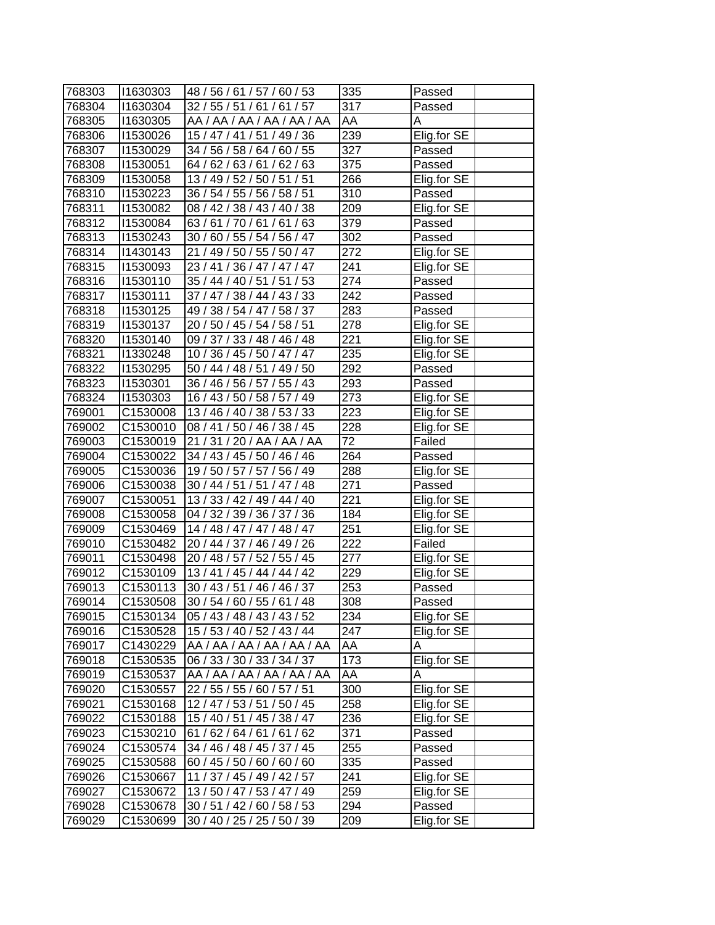| 768303 | 11630303             | 48 / 56 / 61 / 57 / 60 / 53 | 335              | Passed      |
|--------|----------------------|-----------------------------|------------------|-------------|
| 768304 | 11630304             | 32 / 55 / 51 / 61 / 61 / 57 | 317              | Passed      |
| 768305 | 11630305             | AA / AA / AA / AA / AA / AA | AA               | Α           |
| 768306 | 11530026             | 15 / 47 / 41 / 51 / 49 / 36 | 239              | Elig.for SE |
| 768307 | 11530029             | 34 / 56 / 58 / 64 / 60 / 55 | 327              | Passed      |
| 768308 | 11530051             | 64 / 62 / 63 / 61 / 62 / 63 | 375              | Passed      |
| 768309 | 11530058             | 13 / 49 / 52 / 50 / 51 / 51 | 266              | Elig.for SE |
| 768310 | 11530223             | 36 / 54 / 55 / 56 / 58 / 51 | 310              | Passed      |
| 768311 | 11530082             | 08 / 42 / 38 / 43 / 40 / 38 | 209              | Elig.for SE |
| 768312 | 11530084             | 63 / 61 / 70 / 61 / 61 / 63 | 379              | Passed      |
| 768313 | 11530243             | 30 / 60 / 55 / 54 / 56 / 47 | 302              | Passed      |
| 768314 | 11430143             | 21 / 49 / 50 / 55 / 50 / 47 | 272              | Elig.for SE |
| 768315 | 11530093             | 23 / 41 / 36 / 47 / 47 / 47 | 241              | Elig.for SE |
| 768316 | 11530110             | 35 / 44 / 40 / 51 / 51 / 53 | 274              | Passed      |
| 768317 | 11530111             | 37 / 47 / 38 / 44 / 43 / 33 | 242              | Passed      |
| 768318 | 11530125             | 49 / 38 / 54 / 47 / 58 / 37 | 283              | Passed      |
| 768319 | 11530137             | 20 / 50 / 45 / 54 / 58 / 51 | 278              | Elig.for SE |
| 768320 | 11530140             | 09 / 37 / 33 / 48 / 46 / 48 | $\overline{221}$ | Elig.for SE |
| 768321 | 11330248             | 10/36/45/50/47/47           | 235              | Elig.for SE |
| 768322 | 11530295             | 50 / 44 / 48 / 51 / 49 / 50 | 292              | Passed      |
| 768323 | 11530301             | 36 / 46 / 56 / 57 / 55 / 43 | 293              | Passed      |
| 768324 | 11530303             | 16 / 43 / 50 / 58 / 57 / 49 | $\overline{273}$ | Elig.for SE |
| 769001 | C1530008             | 13 / 46 / 40 / 38 / 53 / 33 | 223              | Elig.for SE |
| 769002 | C <sub>1530010</sub> | 08 / 41 / 50 / 46 / 38 / 45 | 228              | Elig.for SE |
| 769003 | C1530019             | 21/31/20/AA/AA/AA           | 72               | Failed      |
| 769004 | C1530022             | 34 / 43 / 45 / 50 / 46 / 46 | 264              | Passed      |
| 769005 | C1530036             | 19 / 50 / 57 / 57 / 56 / 49 | 288              | Elig.for SE |
| 769006 | C1530038             | 30 / 44 / 51 / 51 / 47 / 48 | 271              | Passed      |
| 769007 | C1530051             | 13/33/42/49/44/40           | 221              | Elig.for SE |
| 769008 | C1530058             | 04 / 32 / 39 / 36 / 37 / 36 | 184              | Elig.for SE |
| 769009 | C1530469             | 14 / 48 / 47 / 47 / 48 / 47 | 251              | Elig.for SE |
| 769010 | C1530482             | 20 / 44 / 37 / 46 / 49 / 26 | 222              | Failed      |
| 769011 | C1530498             | 20 / 48 / 57 / 52 / 55 / 45 | 277              | Elig.for SE |
| 769012 | C1530109             | 13/41/45/44/44/42           | 229              | Elig.for SE |
| 769013 | C1530113             | 30 / 43 / 51 / 46 / 46 / 37 | 253              | Passed      |
| 769014 | C1530508             | 30 / 54 / 60 / 55 / 61 / 48 | $\overline{308}$ | Passed      |
| 769015 | C1530134             | 05 / 43 / 48 / 43 / 43 / 52 | 234              | Elig.for SE |
| 769016 | C1530528             | 15 / 53 / 40 / 52 / 43 / 44 | 247              | Elig.for SE |
| 769017 | C1430229             | AA / AA / AA / AA / AA / AA | AA               | A           |
| 769018 | C1530535             | 06 / 33 / 30 / 33 / 34 / 37 | 173              | Elig.for SE |
| 769019 | C1530537             | AA / AA / AA / AA / AA / AA | AA               | A           |
| 769020 | C1530557             | 22 / 55 / 55 / 60 / 57 / 51 | 300              | Elig.for SE |
| 769021 | C1530168             | 12 / 47 / 53 / 51 / 50 / 45 | 258              | Elig.for SE |
| 769022 | C1530188             | 15 / 40 / 51 / 45 / 38 / 47 | 236              | Elig.for SE |
| 769023 | C1530210             | 61/62/64/61/61/62           | 371              | Passed      |
| 769024 | C1530574             | 34 / 46 / 48 / 45 / 37 / 45 | 255              | Passed      |
| 769025 | C1530588             | 60 / 45 / 50 / 60 / 60 / 60 | 335              | Passed      |
| 769026 | C1530667             | 11 / 37 / 45 / 49 / 42 / 57 | 241              | Elig.for SE |
| 769027 | C1530672             | 13/50/47/53/47/49           | 259              | Elig.for SE |
| 769028 | C1530678             | 30 / 51 / 42 / 60 / 58 / 53 | 294              | Passed      |
| 769029 | C1530699             | 30 / 40 / 25 / 25 / 50 / 39 | 209              | Elig.for SE |